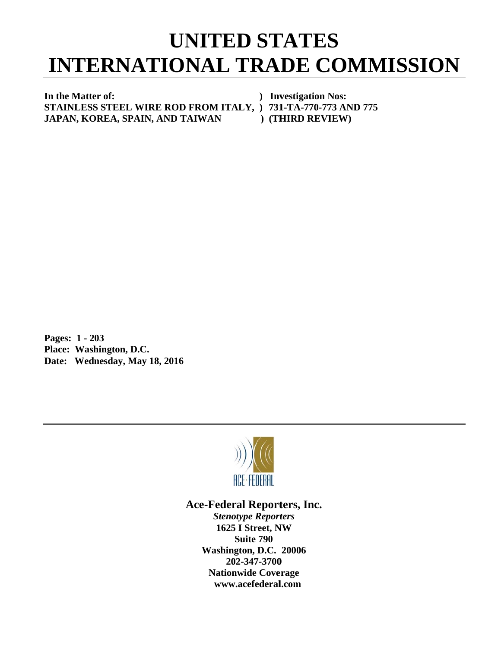## INTERNATIONAL TRADE COMMISSION<br>
In the Matter of:<br>
FIAINLESS STEEL WIRE ROD FROM ITALY, ) 731-TA-770-773 AND 775 **UNITED STATES**

In the Matter of: **S STAINLESS S STEEL W WIRE ROD FROM ITA ALY, ) 731 1-TA-770-77 73 AND 775 JAPAN, KOREA, SPAIN, AND TAIWAN ) Inv vestigation Nos: )** (THIRD REVIEW)

**P Pages: 1 - 2 203 P Place: Was hington, D.C C. Date: Wednesday, May 18, 2016** 



## Ace-Federal Reporters, Inc.

**Stenotype Reporters 1625 I Street, NW Washin gton, D.C. 20006 20 02-347-3700** 202-347-3700<br>Nationwide Coverage **www w.acefederal l.com Suite 790**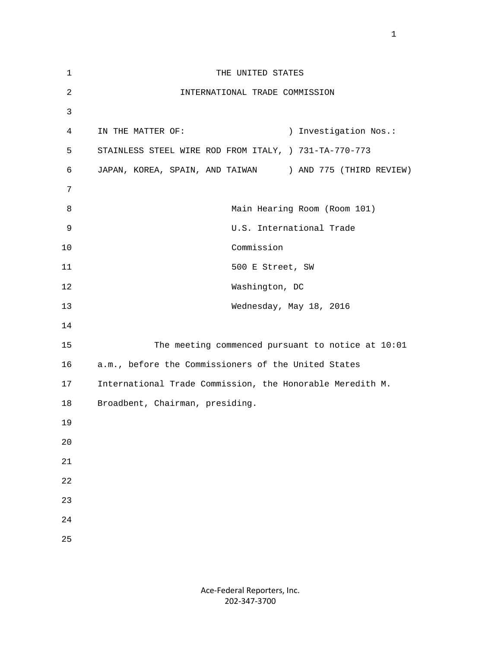| $\mathbf 1$    | THE UNITED STATES                                         |
|----------------|-----------------------------------------------------------|
| $\overline{2}$ | INTERNATIONAL TRADE COMMISSION                            |
| 3              |                                                           |
| $\overline{4}$ | ) Investigation Nos.:<br>IN THE MATTER OF:                |
| 5              | STAINLESS STEEL WIRE ROD FROM ITALY, ) 731-TA-770-773     |
| 6              | JAPAN, KOREA, SPAIN, AND TAIWAN ) AND 775 (THIRD REVIEW)  |
| 7              |                                                           |
| 8              | Main Hearing Room (Room 101)                              |
| 9              | U.S. International Trade                                  |
| 10             | Commission                                                |
| 11             | 500 E Street, SW                                          |
| 12             | Washington, DC                                            |
| 13             | Wednesday, May 18, 2016                                   |
| 14             |                                                           |
| 15             | The meeting commenced pursuant to notice at 10:01         |
| 16             | a.m., before the Commissioners of the United States       |
| 17             | International Trade Commission, the Honorable Meredith M. |
| 18             | Broadbent, Chairman, presiding.                           |
| 19             |                                                           |
| $20$           |                                                           |
| 21             |                                                           |
| $2\sqrt{2}$    |                                                           |
| 23             |                                                           |
| $2\sqrt{4}$    |                                                           |
| 25             |                                                           |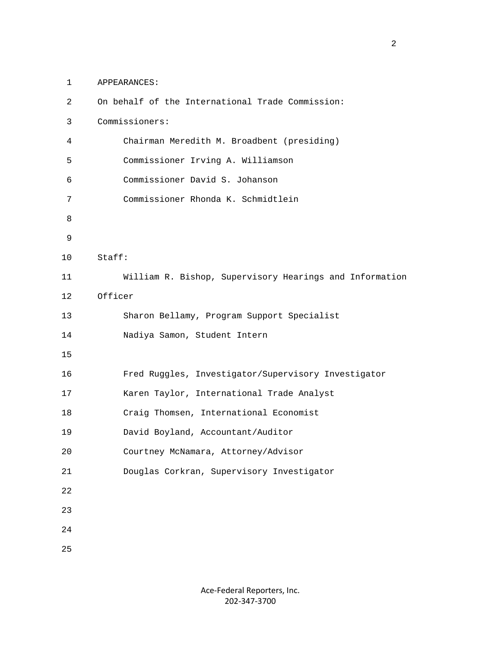1 APPEARANCES:

| $\overline{2}$ | On behalf of the International Trade Commission:        |
|----------------|---------------------------------------------------------|
| 3              | Commissioners:                                          |
| 4              | Chairman Meredith M. Broadbent (presiding)              |
| 5              | Commissioner Irving A. Williamson                       |
| 6              | Commissioner David S. Johanson                          |
| 7              | Commissioner Rhonda K. Schmidtlein                      |
| 8              |                                                         |
| 9              |                                                         |
| 10             | Stat:                                                   |
| 11             | William R. Bishop, Supervisory Hearings and Information |
| 12             | Officer                                                 |
| 13             | Sharon Bellamy, Program Support Specialist              |
| 14             | Nadiya Samon, Student Intern                            |
| 15             |                                                         |
| 16             | Fred Ruggles, Investigator/Supervisory Investigator     |
| 17             | Karen Taylor, International Trade Analyst               |
| 18             | Craig Thomsen, International Economist                  |
| 19             | David Boyland, Accountant/Auditor                       |
| 20             | Courtney McNamara, Attorney/Advisor                     |
| $2\sqrt{1}$    | Douglas Corkran, Supervisory Investigator               |
| $2\sqrt{2}$    |                                                         |
| 23             |                                                         |
| 24             |                                                         |
| 25             |                                                         |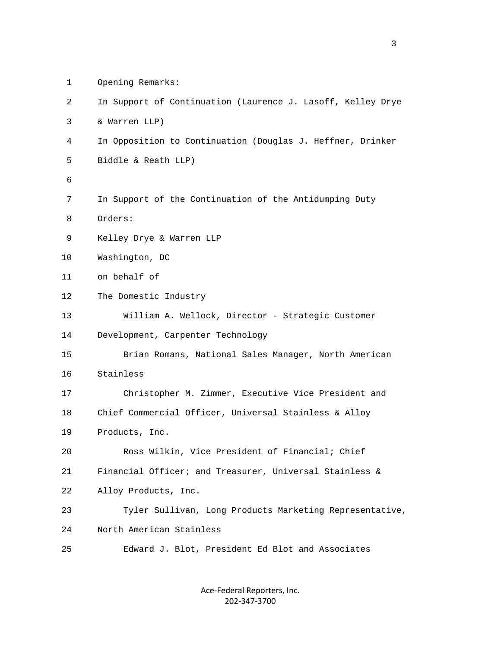| 2  | In Support of Continuation (Laurence J. Lasoff, Kelley Drye |
|----|-------------------------------------------------------------|
| 3  | & Warren LLP)                                               |
| 4  | In Opposition to Continuation (Douglas J. Heffner, Drinker  |
| 5  | Biddle & Reath LLP)                                         |
| 6  |                                                             |
| 7  | In Support of the Continuation of the Antidumping Duty      |
| 8  | Orders:                                                     |
| 9  | Kelley Drye & Warren LLP                                    |
| 10 | Washington, DC                                              |
| 11 | on behalf of                                                |
| 12 | The Domestic Industry                                       |
| 13 | William A. Wellock, Director - Strategic Customer           |
| 14 | Development, Carpenter Technology                           |
| 15 | Brian Romans, National Sales Manager, North American        |
| 16 | Stainless                                                   |
| 17 | Christopher M. Zimmer, Executive Vice President and         |
| 18 | Chief Commercial Officer, Universal Stainless & Alloy       |
| 19 | Products, Inc.                                              |
| 20 | Ross Wilkin, Vice President of Financial; Chief             |
| 21 | Financial Officer; and Treasurer, Universal Stainless &     |
| 22 | Alloy Products, Inc.                                        |
| 23 | Tyler Sullivan, Long Products Marketing Representative,     |
| 24 | North American Stainless                                    |
| 25 | Edward J. Blot, President Ed Blot and Associates            |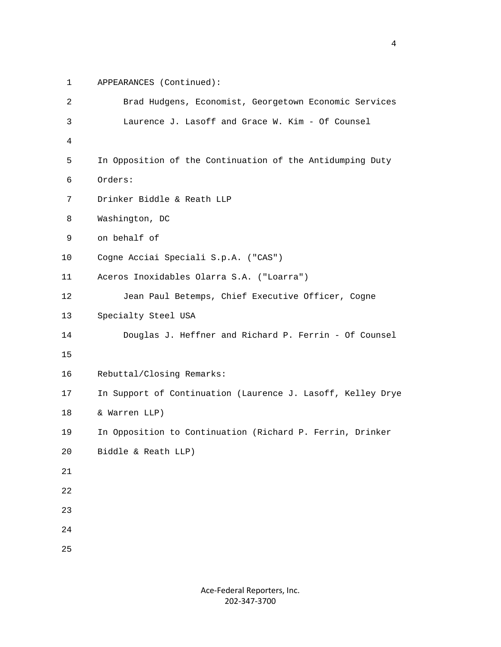1 APPEARANCES (Continued):

| 2  | Brad Hudgens, Economist, Georgetown Economic Services       |
|----|-------------------------------------------------------------|
| 3  | Laurence J. Lasoff and Grace W. Kim - Of Counsel            |
| 4  |                                                             |
| 5  | In Opposition of the Continuation of the Antidumping Duty   |
| 6  | Orders:                                                     |
| 7  | Drinker Biddle & Reath LLP                                  |
| 8  | Washington, DC                                              |
| 9  | on behalf of                                                |
| 10 | Cogne Acciai Speciali S.p.A. ("CAS")                        |
| 11 | Aceros Inoxidables Olarra S.A. ("Loarra")                   |
| 12 | Jean Paul Betemps, Chief Executive Officer, Cogne           |
| 13 | Specialty Steel USA                                         |
| 14 | Douglas J. Heffner and Richard P. Ferrin - Of Counsel       |
| 15 |                                                             |
| 16 | Rebuttal/Closing Remarks:                                   |
| 17 | In Support of Continuation (Laurence J. Lasoff, Kelley Drye |
| 18 | & Warren LLP)                                               |
| 19 | In Opposition to Continuation (Richard P. Ferrin, Drinker   |
| 20 | Biddle & Reath LLP)                                         |
| 21 |                                                             |
| 22 |                                                             |
| 23 |                                                             |
| 24 |                                                             |
| 25 |                                                             |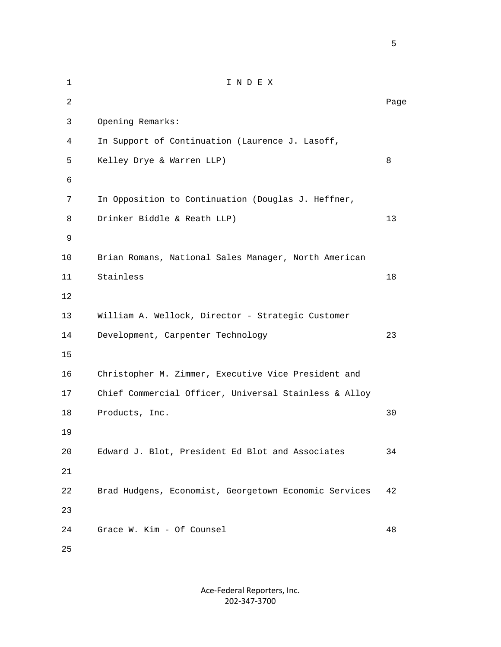1 I N D E X 2 **Page 12** Page 2 **Page 2** Page 2 Page 2 Page 2 Page 2 Page 2 Page 2 Page 2 Page 2 Page 2 Page 2 Page 2 Page 2 Page 2 Page 2 Page 2 Page 2 Page 2 Page 2 Page 2 Page 2 Page 2 Page 2 Page 2 Page 2 Page 2 Page 2 Page 2 Page 3 Opening Remarks: 4 In Support of Continuation (Laurence J. Lasoff, 5 Kelley Drye & Warren LLP) 8 6 7 In Opposition to Continuation (Douglas J. Heffner, 8 Drinker Biddle & Reath LLP) 13 9 10 Brian Romans, National Sales Manager, North American 11 Stainless 18 12 13 William A. Wellock, Director - Strategic Customer 14 Development, Carpenter Technology 23 15 16 Christopher M. Zimmer, Executive Vice President and 17 Chief Commercial Officer, Universal Stainless & Alloy 18 Products, Inc. 30 19 20 Edward J. Blot, President Ed Blot and Associates 34 21 22 Brad Hudgens, Economist, Georgetown Economic Services 42 23 24 Grace W. Kim - Of Counsel 48 25

> Ace‐Federal Reporters, Inc. 202‐347‐3700

 $\sim$  5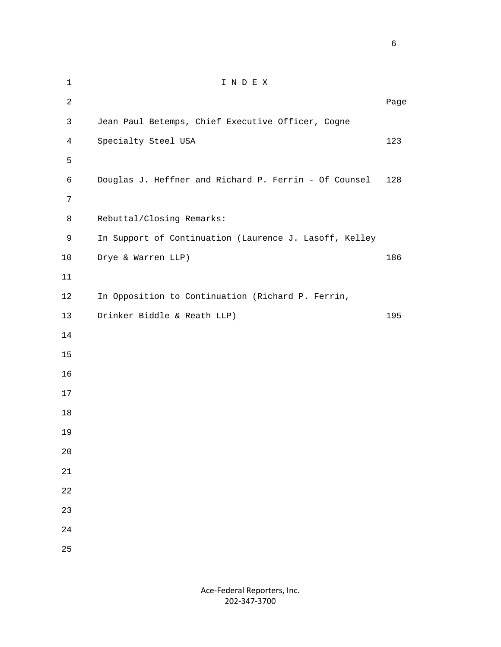| $\mathbf 1$    | INDEX                                                  |      |
|----------------|--------------------------------------------------------|------|
| $\overline{c}$ |                                                        | Page |
| $\mathbf{3}$   | Jean Paul Betemps, Chief Executive Officer, Cogne      |      |
| $\overline{4}$ | Specialty Steel USA                                    | 123  |
| 5              |                                                        |      |
| 6              | Douglas J. Heffner and Richard P. Ferrin - Of Counsel  | 128  |
| 7              |                                                        |      |
| 8              | Rebuttal/Closing Remarks:                              |      |
| 9              | In Support of Continuation (Laurence J. Lasoff, Kelley |      |
| $10$           | Drye & Warren LLP)                                     | 186  |
| 11             |                                                        |      |
| 12             | In Opposition to Continuation (Richard P. Ferrin,      |      |
| 13             | Drinker Biddle & Reath LLP)                            | 195  |
| 14             |                                                        |      |
| 15             |                                                        |      |
| 16             |                                                        |      |
| 17             |                                                        |      |
| 18             |                                                        |      |
| 19             |                                                        |      |
| $20$           |                                                        |      |
| $21\,$         |                                                        |      |
| 22             |                                                        |      |
| 23             |                                                        |      |
| 24             |                                                        |      |
| 25             |                                                        |      |

 $\sim$  6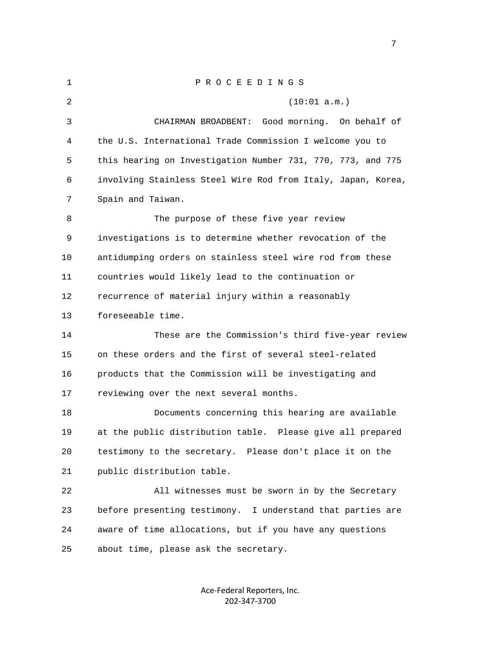| $\mathbf 1$ | PROCEEDINGS                                                  |
|-------------|--------------------------------------------------------------|
| 2           | (10:01 a.m.)                                                 |
| 3           | CHAIRMAN BROADBENT:<br>Good morning. On behalf of            |
| 4           | the U.S. International Trade Commission I welcome you to     |
| 5           | this hearing on Investigation Number 731, 770, 773, and 775  |
| 6           | involving Stainless Steel Wire Rod from Italy, Japan, Korea, |
| 7           | Spain and Taiwan.                                            |
| 8           | The purpose of these five year review                        |
| 9           | investigations is to determine whether revocation of the     |
| 10          | antidumping orders on stainless steel wire rod from these    |
| 11          | countries would likely lead to the continuation or           |
| 12          | recurrence of material injury within a reasonably            |
| 13          | foreseeable time.                                            |
| 14          | These are the Commission's third five-year review            |
| 15          | on these orders and the first of several steel-related       |
| 16          | products that the Commission will be investigating and       |
| 17          | reviewing over the next several months.                      |
| 18          | Documents concerning this hearing are available              |
| 19          | at the public distribution table. Please give all prepared   |
| 20          | testimony to the secretary. Please don't place it on the     |
| 21          | public distribution table.                                   |
| 22          | All witnesses must be sworn in by the Secretary              |
| 23          | before presenting testimony. I understand that parties are   |
| 24          | aware of time allocations, but if you have any questions     |
| 25          | about time, please ask the secretary.                        |

Ace‐Federal Reporters, Inc. 202‐347‐3700

<u>2003: The contract of the contract of the contract of the contract of the contract of the contract of the con</u>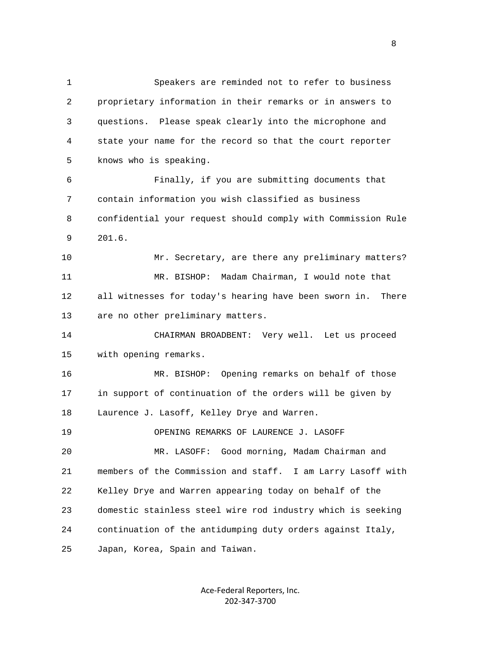1 Speakers are reminded not to refer to business 2 proprietary information in their remarks or in answers to 3 questions. Please speak clearly into the microphone and 4 state your name for the record so that the court reporter 5 knows who is speaking. 6 Finally, if you are submitting documents that 7 contain information you wish classified as business 8 confidential your request should comply with Commission Rule 9 201.6. 10 Mr. Secretary, are there any preliminary matters? 11 MR. BISHOP: Madam Chairman, I would note that 12 all witnesses for today's hearing have been sworn in. There 13 are no other preliminary matters. 14 CHAIRMAN BROADBENT: Very well. Let us proceed 15 with opening remarks. 16 MR. BISHOP: Opening remarks on behalf of those 17 in support of continuation of the orders will be given by 18 Laurence J. Lasoff, Kelley Drye and Warren. 19 OPENING REMARKS OF LAURENCE J. LASOFF 20 MR. LASOFF: Good morning, Madam Chairman and 21 members of the Commission and staff. I am Larry Lasoff with 22 Kelley Drye and Warren appearing today on behalf of the 23 domestic stainless steel wire rod industry which is seeking 24 continuation of the antidumping duty orders against Italy, 25 Japan, Korea, Spain and Taiwan.

> Ace‐Federal Reporters, Inc. 202‐347‐3700

experience of the state of the state of the state of the state of the state of the state of the state of the s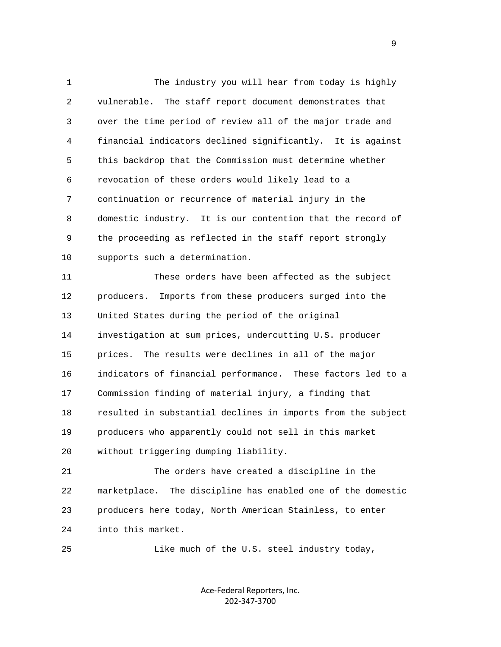1 The industry you will hear from today is highly 2 vulnerable. The staff report document demonstrates that 3 over the time period of review all of the major trade and 4 financial indicators declined significantly. It is against 5 this backdrop that the Commission must determine whether 6 revocation of these orders would likely lead to a 7 continuation or recurrence of material injury in the 8 domestic industry. It is our contention that the record of 9 the proceeding as reflected in the staff report strongly 10 supports such a determination. 11 These orders have been affected as the subject

 12 producers. Imports from these producers surged into the 13 United States during the period of the original 14 investigation at sum prices, undercutting U.S. producer 15 prices. The results were declines in all of the major 16 indicators of financial performance. These factors led to a 17 Commission finding of material injury, a finding that 18 resulted in substantial declines in imports from the subject 19 producers who apparently could not sell in this market 20 without triggering dumping liability.

 21 The orders have created a discipline in the 22 marketplace. The discipline has enabled one of the domestic 23 producers here today, North American Stainless, to enter 24 into this market.

25 Like much of the U.S. steel industry today,

Ace‐Federal Reporters, Inc. 202‐347‐3700

en de la provincia de la provincia de la provincia de la provincia de la provincia de la provincia de la provi<br>1900 : la provincia de la provincia de la provincia de la provincia de la provincia de la provincia de la prov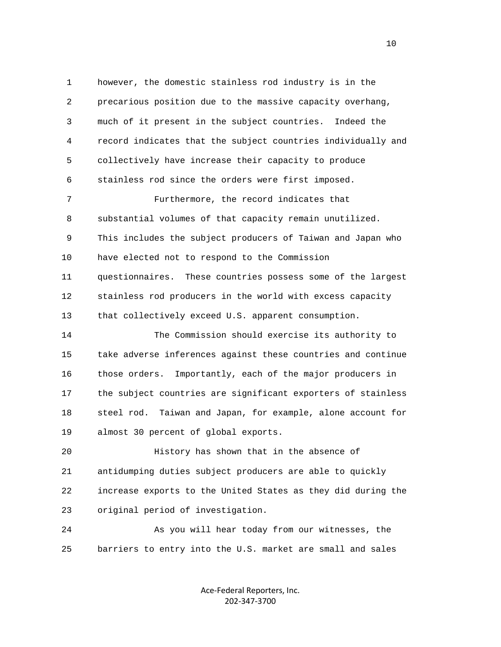1 however, the domestic stainless rod industry is in the 2 precarious position due to the massive capacity overhang, 3 much of it present in the subject countries. Indeed the 4 record indicates that the subject countries individually and 5 collectively have increase their capacity to produce 6 stainless rod since the orders were first imposed. 7 Furthermore, the record indicates that 8 substantial volumes of that capacity remain unutilized. 9 This includes the subject producers of Taiwan and Japan who 10 have elected not to respond to the Commission 11 questionnaires. These countries possess some of the largest 12 stainless rod producers in the world with excess capacity 13 that collectively exceed U.S. apparent consumption. 14 The Commission should exercise its authority to 15 take adverse inferences against these countries and continue 16 those orders. Importantly, each of the major producers in 17 the subject countries are significant exporters of stainless 18 steel rod. Taiwan and Japan, for example, alone account for 19 almost 30 percent of global exports. 20 History has shown that in the absence of 21 antidumping duties subject producers are able to quickly 22 increase exports to the United States as they did during the 23 original period of investigation.

 24 As you will hear today from our witnesses, the 25 barriers to entry into the U.S. market are small and sales

> Ace‐Federal Reporters, Inc. 202‐347‐3700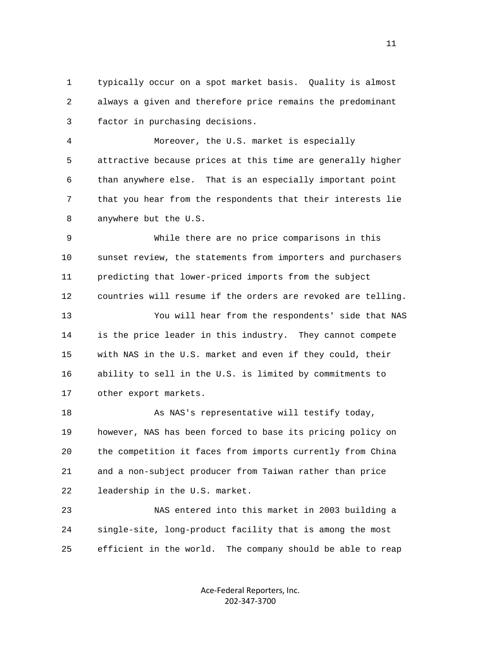1 typically occur on a spot market basis. Quality is almost 2 always a given and therefore price remains the predominant 3 factor in purchasing decisions.

 4 Moreover, the U.S. market is especially 5 attractive because prices at this time are generally higher 6 than anywhere else. That is an especially important point 7 that you hear from the respondents that their interests lie 8 anywhere but the U.S.

 9 While there are no price comparisons in this 10 sunset review, the statements from importers and purchasers 11 predicting that lower-priced imports from the subject 12 countries will resume if the orders are revoked are telling.

 13 You will hear from the respondents' side that NAS 14 is the price leader in this industry. They cannot compete 15 with NAS in the U.S. market and even if they could, their 16 ability to sell in the U.S. is limited by commitments to 17 other export markets.

 18 As NAS's representative will testify today, 19 however, NAS has been forced to base its pricing policy on 20 the competition it faces from imports currently from China 21 and a non-subject producer from Taiwan rather than price 22 leadership in the U.S. market.

 23 NAS entered into this market in 2003 building a 24 single-site, long-product facility that is among the most 25 efficient in the world. The company should be able to reap

> Ace‐Federal Reporters, Inc. 202‐347‐3700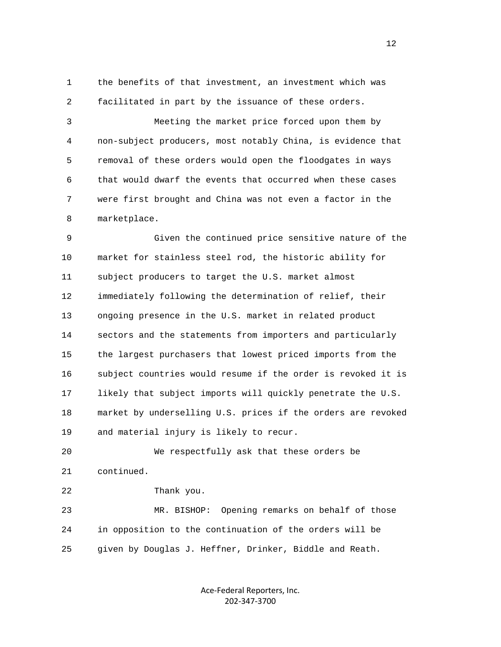1 the benefits of that investment, an investment which was 2 facilitated in part by the issuance of these orders.

 3 Meeting the market price forced upon them by 4 non-subject producers, most notably China, is evidence that 5 removal of these orders would open the floodgates in ways 6 that would dwarf the events that occurred when these cases 7 were first brought and China was not even a factor in the 8 marketplace.

 9 Given the continued price sensitive nature of the 10 market for stainless steel rod, the historic ability for 11 subject producers to target the U.S. market almost 12 immediately following the determination of relief, their 13 ongoing presence in the U.S. market in related product 14 sectors and the statements from importers and particularly 15 the largest purchasers that lowest priced imports from the 16 subject countries would resume if the order is revoked it is 17 likely that subject imports will quickly penetrate the U.S. 18 market by underselling U.S. prices if the orders are revoked 19 and material injury is likely to recur.

 20 We respectfully ask that these orders be 21 continued. 22 Thank you.

 23 MR. BISHOP: Opening remarks on behalf of those 24 in opposition to the continuation of the orders will be 25 given by Douglas J. Heffner, Drinker, Biddle and Reath.

> Ace‐Federal Reporters, Inc. 202‐347‐3700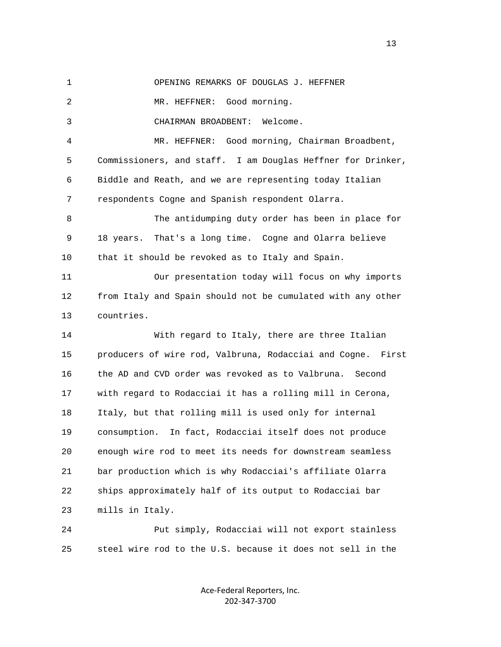1 OPENING REMARKS OF DOUGLAS J. HEFFNER

2 MR. HEFFNER: Good morning.

3 CHAIRMAN BROADBENT: Welcome.

 4 MR. HEFFNER: Good morning, Chairman Broadbent, 5 Commissioners, and staff. I am Douglas Heffner for Drinker, 6 Biddle and Reath, and we are representing today Italian 7 respondents Cogne and Spanish respondent Olarra.

 8 The antidumping duty order has been in place for 9 18 years. That's a long time. Cogne and Olarra believe 10 that it should be revoked as to Italy and Spain.

 11 Our presentation today will focus on why imports 12 from Italy and Spain should not be cumulated with any other 13 countries.

 14 With regard to Italy, there are three Italian 15 producers of wire rod, Valbruna, Rodacciai and Cogne. First 16 the AD and CVD order was revoked as to Valbruna. Second 17 with regard to Rodacciai it has a rolling mill in Cerona, 18 Italy, but that rolling mill is used only for internal 19 consumption. In fact, Rodacciai itself does not produce 20 enough wire rod to meet its needs for downstream seamless 21 bar production which is why Rodacciai's affiliate Olarra 22 ships approximately half of its output to Rodacciai bar 23 mills in Italy.

 24 Put simply, Rodacciai will not export stainless 25 steel wire rod to the U.S. because it does not sell in the

> Ace‐Federal Reporters, Inc. 202‐347‐3700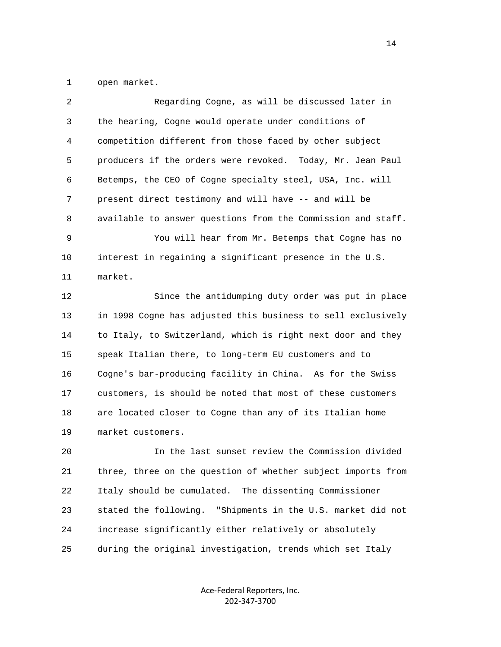1 open market.

| 2  | Regarding Cogne, as will be discussed later in                 |
|----|----------------------------------------------------------------|
| 3  | the hearing, Cogne would operate under conditions of           |
| 4  | competition different from those faced by other subject        |
| 5  | producers if the orders were revoked.<br>Today, Mr. Jean Paul  |
| 6  | Betemps, the CEO of Cogne specialty steel, USA, Inc. will      |
| 7  | present direct testimony and will have -- and will be          |
| 8  | available to answer questions from the Commission and staff.   |
| 9  | You will hear from Mr. Betemps that Cogne has no               |
| 10 | interest in regaining a significant presence in the U.S.       |
| 11 | market.                                                        |
| 12 | Since the antidumping duty order was put in place              |
| 13 | in 1998 Cogne has adjusted this business to sell exclusively   |
| 14 | to Italy, to Switzerland, which is right next door and they    |
| 15 | speak Italian there, to long-term EU customers and to          |
| 16 | Cogne's bar-producing facility in China. As for the Swiss      |
| 17 | customers, is should be noted that most of these customers     |
| 18 | are located closer to Cogne than any of its Italian home       |
| 19 | market customers.                                              |
| 20 | In the last sunset review the Commission divided               |
| 21 | three, three on the question of whether subject imports from   |
| 22 | Italy should be cumulated. The dissenting Commissioner         |
| 23 | stated the following.<br>"Shipments in the U.S. market did not |
| 24 | increase significantly either relatively or absolutely         |

25 during the original investigation, trends which set Italy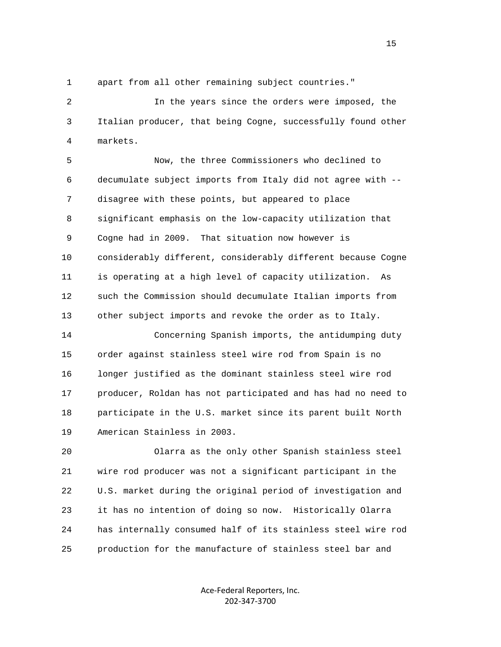1 apart from all other remaining subject countries."

 2 In the years since the orders were imposed, the 3 Italian producer, that being Cogne, successfully found other 4 markets.

 5 Now, the three Commissioners who declined to 6 decumulate subject imports from Italy did not agree with -- 7 disagree with these points, but appeared to place 8 significant emphasis on the low-capacity utilization that 9 Cogne had in 2009. That situation now however is 10 considerably different, considerably different because Cogne 11 is operating at a high level of capacity utilization. As 12 such the Commission should decumulate Italian imports from 13 other subject imports and revoke the order as to Italy.

 14 Concerning Spanish imports, the antidumping duty 15 order against stainless steel wire rod from Spain is no 16 longer justified as the dominant stainless steel wire rod 17 producer, Roldan has not participated and has had no need to 18 participate in the U.S. market since its parent built North 19 American Stainless in 2003.

 20 Olarra as the only other Spanish stainless steel 21 wire rod producer was not a significant participant in the 22 U.S. market during the original period of investigation and 23 it has no intention of doing so now. Historically Olarra 24 has internally consumed half of its stainless steel wire rod 25 production for the manufacture of stainless steel bar and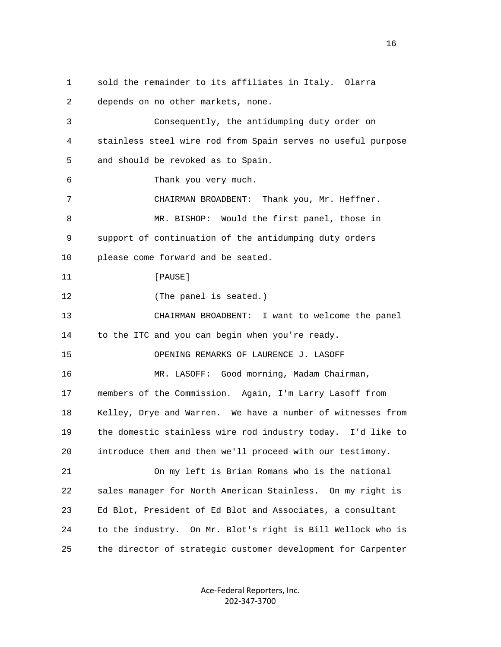1 sold the remainder to its affiliates in Italy. Olarra 2 depends on no other markets, none. 3 Consequently, the antidumping duty order on 4 stainless steel wire rod from Spain serves no useful purpose 5 and should be revoked as to Spain. 6 Thank you very much. 7 CHAIRMAN BROADBENT: Thank you, Mr. Heffner. 8 MR. BISHOP: Would the first panel, those in 9 support of continuation of the antidumping duty orders 10 please come forward and be seated. 11 [PAUSE] 12 (The panel is seated.) 13 CHAIRMAN BROADBENT: I want to welcome the panel 14 to the ITC and you can begin when you're ready. 15 OPENING REMARKS OF LAURENCE J. LASOFF 16 MR. LASOFF: Good morning, Madam Chairman, 17 members of the Commission. Again, I'm Larry Lasoff from 18 Kelley, Drye and Warren. We have a number of witnesses from 19 the domestic stainless wire rod industry today. I'd like to 20 introduce them and then we'll proceed with our testimony. 21 On my left is Brian Romans who is the national 22 sales manager for North American Stainless. On my right is 23 Ed Blot, President of Ed Blot and Associates, a consultant 24 to the industry. On Mr. Blot's right is Bill Wellock who is 25 the director of strategic customer development for Carpenter

> Ace‐Federal Reporters, Inc. 202‐347‐3700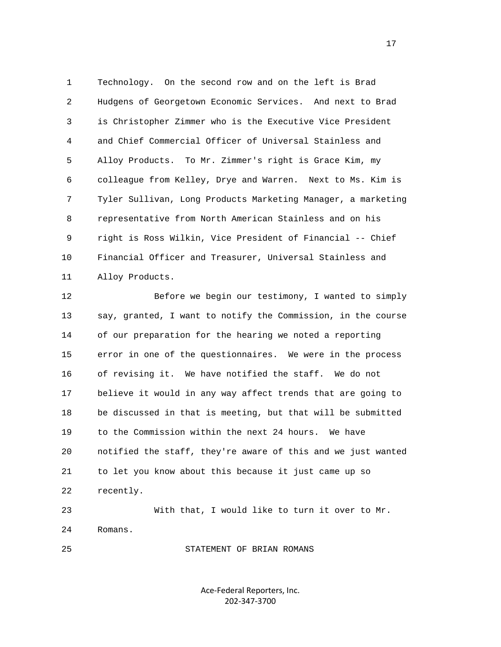1 Technology. On the second row and on the left is Brad 2 Hudgens of Georgetown Economic Services. And next to Brad 3 is Christopher Zimmer who is the Executive Vice President 4 and Chief Commercial Officer of Universal Stainless and 5 Alloy Products. To Mr. Zimmer's right is Grace Kim, my 6 colleague from Kelley, Drye and Warren. Next to Ms. Kim is 7 Tyler Sullivan, Long Products Marketing Manager, a marketing 8 representative from North American Stainless and on his 9 right is Ross Wilkin, Vice President of Financial -- Chief 10 Financial Officer and Treasurer, Universal Stainless and 11 Alloy Products.

 12 Before we begin our testimony, I wanted to simply 13 say, granted, I want to notify the Commission, in the course 14 of our preparation for the hearing we noted a reporting 15 error in one of the questionnaires. We were in the process 16 of revising it. We have notified the staff. We do not 17 believe it would in any way affect trends that are going to 18 be discussed in that is meeting, but that will be submitted 19 to the Commission within the next 24 hours. We have 20 notified the staff, they're aware of this and we just wanted 21 to let you know about this because it just came up so 22 recently. 23 With that, I would like to turn it over to Mr.

24 Romans.

25 STATEMENT OF BRIAN ROMANS

Ace‐Federal Reporters, Inc. 202‐347‐3700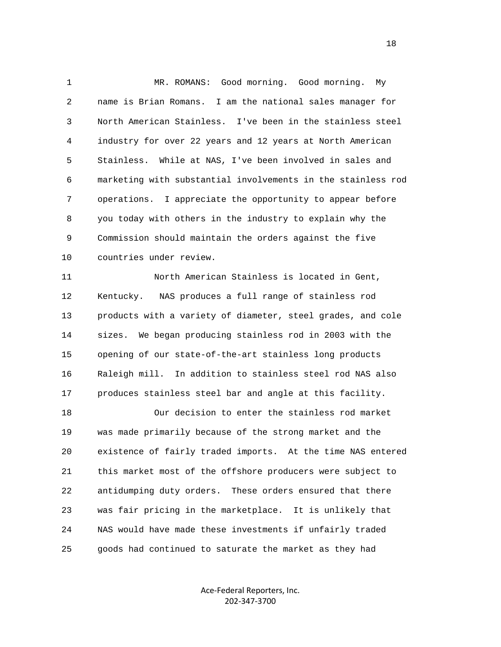1 MR. ROMANS: Good morning. Good morning. My 2 name is Brian Romans. I am the national sales manager for 3 North American Stainless. I've been in the stainless steel 4 industry for over 22 years and 12 years at North American 5 Stainless. While at NAS, I've been involved in sales and 6 marketing with substantial involvements in the stainless rod 7 operations. I appreciate the opportunity to appear before 8 you today with others in the industry to explain why the 9 Commission should maintain the orders against the five 10 countries under review.

 11 North American Stainless is located in Gent, 12 Kentucky. NAS produces a full range of stainless rod 13 products with a variety of diameter, steel grades, and cole 14 sizes. We began producing stainless rod in 2003 with the 15 opening of our state-of-the-art stainless long products 16 Raleigh mill. In addition to stainless steel rod NAS also 17 produces stainless steel bar and angle at this facility.

 18 Our decision to enter the stainless rod market 19 was made primarily because of the strong market and the 20 existence of fairly traded imports. At the time NAS entered 21 this market most of the offshore producers were subject to 22 antidumping duty orders. These orders ensured that there 23 was fair pricing in the marketplace. It is unlikely that 24 NAS would have made these investments if unfairly traded 25 goods had continued to saturate the market as they had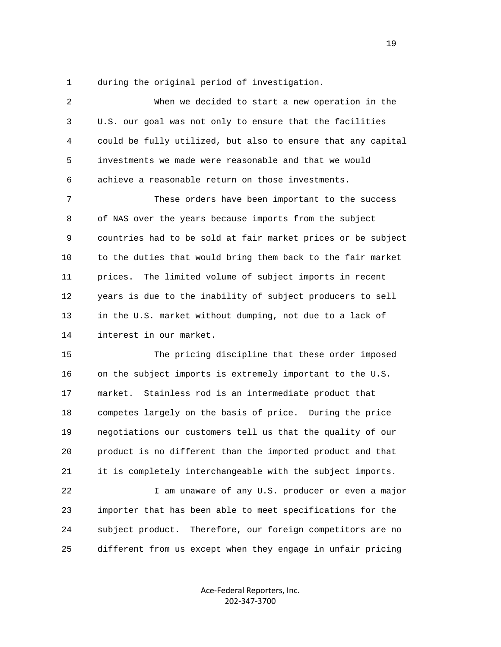1 during the original period of investigation.

 2 When we decided to start a new operation in the 3 U.S. our goal was not only to ensure that the facilities 4 could be fully utilized, but also to ensure that any capital 5 investments we made were reasonable and that we would 6 achieve a reasonable return on those investments. 7 These orders have been important to the success 8 of NAS over the years because imports from the subject 9 countries had to be sold at fair market prices or be subject 10 to the duties that would bring them back to the fair market 11 prices. The limited volume of subject imports in recent 12 years is due to the inability of subject producers to sell 13 in the U.S. market without dumping, not due to a lack of 14 interest in our market. 15 The pricing discipline that these order imposed 16 on the subject imports is extremely important to the U.S. 17 market. Stainless rod is an intermediate product that 18 competes largely on the basis of price. During the price 19 negotiations our customers tell us that the quality of our

 20 product is no different than the imported product and that 21 it is completely interchangeable with the subject imports.

 22 I am unaware of any U.S. producer or even a major 23 importer that has been able to meet specifications for the 24 subject product. Therefore, our foreign competitors are no 25 different from us except when they engage in unfair pricing

> Ace‐Federal Reporters, Inc. 202‐347‐3700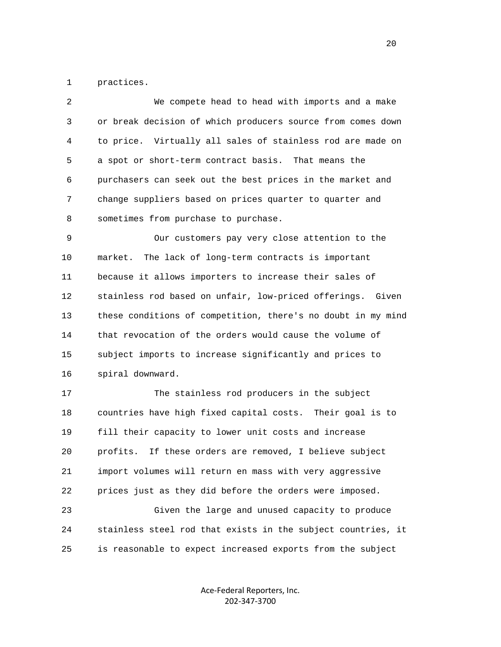1 practices.

| 2            | We compete head to head with imports and a make              |
|--------------|--------------------------------------------------------------|
| $\mathsf{3}$ | or break decision of which producers source from comes down  |
| 4            | to price. Virtually all sales of stainless rod are made on   |
| 5            | a spot or short-term contract basis. That means the          |
| 6            | purchasers can seek out the best prices in the market and    |
| 7            | change suppliers based on prices quarter to quarter and      |
| 8            | sometimes from purchase to purchase.                         |
| 9            | Our customers pay very close attention to the                |
| 10           | The lack of long-term contracts is important<br>market.      |
| 11           | because it allows importers to increase their sales of       |
| 12           | stainless rod based on unfair, low-priced offerings. Given   |
| 13           | these conditions of competition, there's no doubt in my mind |
| 14           | that revocation of the orders would cause the volume of      |
| 15           | subject imports to increase significantly and prices to      |
| 16           | spiral downward.                                             |
| 17           | The stainless rod producers in the subject                   |
| 18           | countries have high fixed capital costs. Their goal is to    |
| 19           | fill their capacity to lower unit costs and increase         |
| 20           | profits. If these orders are removed, I believe subject      |
| 21           | import volumes will return en mass with very aggressive      |
| 22           | prices just as they did before the orders were imposed.      |
| 23           | Given the large and unused capacity to produce               |
| 24           | stainless steel rod that exists in the subject countries, it |

25 is reasonable to expect increased exports from the subject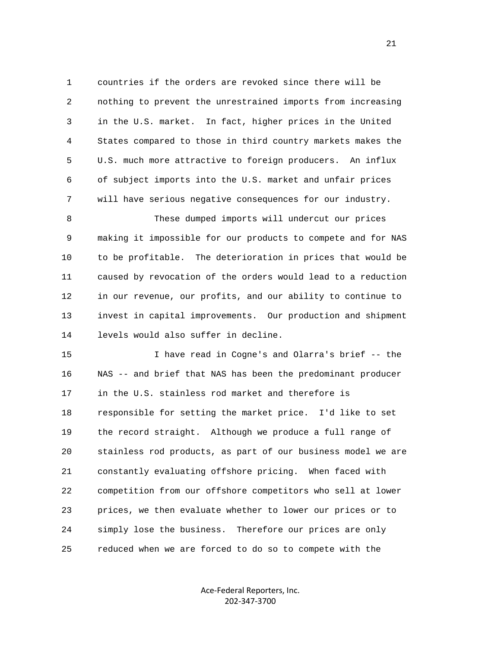1 countries if the orders are revoked since there will be 2 nothing to prevent the unrestrained imports from increasing 3 in the U.S. market. In fact, higher prices in the United 4 States compared to those in third country markets makes the 5 U.S. much more attractive to foreign producers. An influx 6 of subject imports into the U.S. market and unfair prices 7 will have serious negative consequences for our industry.

 8 These dumped imports will undercut our prices 9 making it impossible for our products to compete and for NAS 10 to be profitable. The deterioration in prices that would be 11 caused by revocation of the orders would lead to a reduction 12 in our revenue, our profits, and our ability to continue to 13 invest in capital improvements. Our production and shipment 14 levels would also suffer in decline.

 15 I have read in Cogne's and Olarra's brief -- the 16 NAS -- and brief that NAS has been the predominant producer 17 in the U.S. stainless rod market and therefore is 18 responsible for setting the market price. I'd like to set 19 the record straight. Although we produce a full range of 20 stainless rod products, as part of our business model we are 21 constantly evaluating offshore pricing. When faced with 22 competition from our offshore competitors who sell at lower 23 prices, we then evaluate whether to lower our prices or to 24 simply lose the business. Therefore our prices are only 25 reduced when we are forced to do so to compete with the

> Ace‐Federal Reporters, Inc. 202‐347‐3700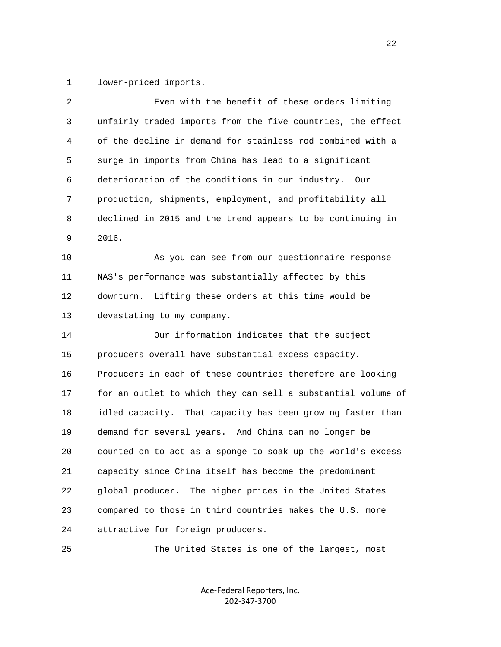1 lower-priced imports.

| $\overline{2}$ | Even with the benefit of these orders limiting               |
|----------------|--------------------------------------------------------------|
| 3              | unfairly traded imports from the five countries, the effect  |
| 4              | of the decline in demand for stainless rod combined with a   |
| 5              | surge in imports from China has lead to a significant        |
| 6              | deterioration of the conditions in our industry.<br>Our      |
| 7              | production, shipments, employment, and profitability all     |
| 8              | declined in 2015 and the trend appears to be continuing in   |
| 9              | 2016.                                                        |
| 10             | As you can see from our questionnaire response               |
| 11             | NAS's performance was substantially affected by this         |
| 12             | downturn. Lifting these orders at this time would be         |
| 13             | devastating to my company.                                   |
| 14             | Our information indicates that the subject                   |
| 15             | producers overall have substantial excess capacity.          |
| 16             | Producers in each of these countries therefore are looking   |
| 17             | for an outlet to which they can sell a substantial volume of |
| 18             | idled capacity. That capacity has been growing faster than   |
| 19             | demand for several years. And China can no longer be         |
| 20             | counted on to act as a sponge to soak up the world's excess  |
| 21             | capacity since China itself has become the predominant       |
| 22             | The higher prices in the United States<br>global producer.   |
| 23             | compared to those in third countries makes the U.S. more     |
| 24             | attractive for foreign producers.                            |

25 The United States is one of the largest, most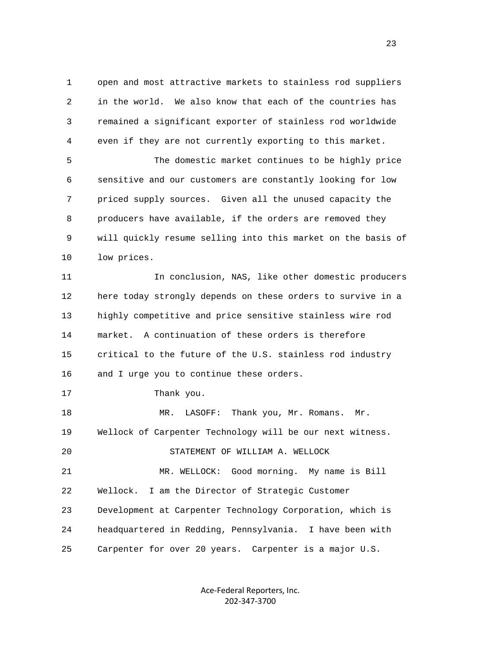1 open and most attractive markets to stainless rod suppliers 2 in the world. We also know that each of the countries has 3 remained a significant exporter of stainless rod worldwide 4 even if they are not currently exporting to this market.

 5 The domestic market continues to be highly price 6 sensitive and our customers are constantly looking for low 7 priced supply sources. Given all the unused capacity the 8 producers have available, if the orders are removed they 9 will quickly resume selling into this market on the basis of 10 low prices.

 11 In conclusion, NAS, like other domestic producers 12 here today strongly depends on these orders to survive in a 13 highly competitive and price sensitive stainless wire rod 14 market. A continuation of these orders is therefore 15 critical to the future of the U.S. stainless rod industry 16 and I urge you to continue these orders.

17 Thank you.

18 MR. LASOFF: Thank you, Mr. Romans. Mr. 19 Wellock of Carpenter Technology will be our next witness. 20 STATEMENT OF WILLIAM A. WELLOCK 21 MR. WELLOCK: Good morning. My name is Bill 22 Wellock. I am the Director of Strategic Customer 23 Development at Carpenter Technology Corporation, which is 24 headquartered in Redding, Pennsylvania. I have been with 25 Carpenter for over 20 years. Carpenter is a major U.S.

> Ace‐Federal Reporters, Inc. 202‐347‐3700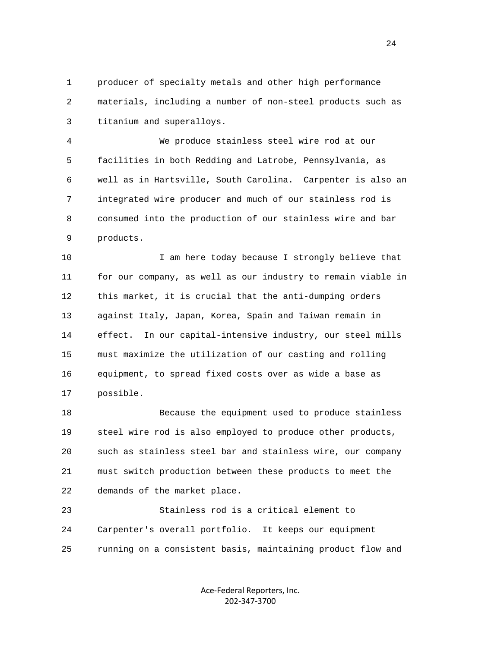1 producer of specialty metals and other high performance 2 materials, including a number of non-steel products such as 3 titanium and superalloys.

 4 We produce stainless steel wire rod at our 5 facilities in both Redding and Latrobe, Pennsylvania, as 6 well as in Hartsville, South Carolina. Carpenter is also an 7 integrated wire producer and much of our stainless rod is 8 consumed into the production of our stainless wire and bar 9 products.

10 10 I am here today because I strongly believe that 11 for our company, as well as our industry to remain viable in 12 this market, it is crucial that the anti-dumping orders 13 against Italy, Japan, Korea, Spain and Taiwan remain in 14 effect. In our capital-intensive industry, our steel mills 15 must maximize the utilization of our casting and rolling 16 equipment, to spread fixed costs over as wide a base as 17 possible.

 18 Because the equipment used to produce stainless 19 steel wire rod is also employed to produce other products, 20 such as stainless steel bar and stainless wire, our company 21 must switch production between these products to meet the 22 demands of the market place.

 23 Stainless rod is a critical element to 24 Carpenter's overall portfolio. It keeps our equipment 25 running on a consistent basis, maintaining product flow and

> Ace‐Federal Reporters, Inc. 202‐347‐3700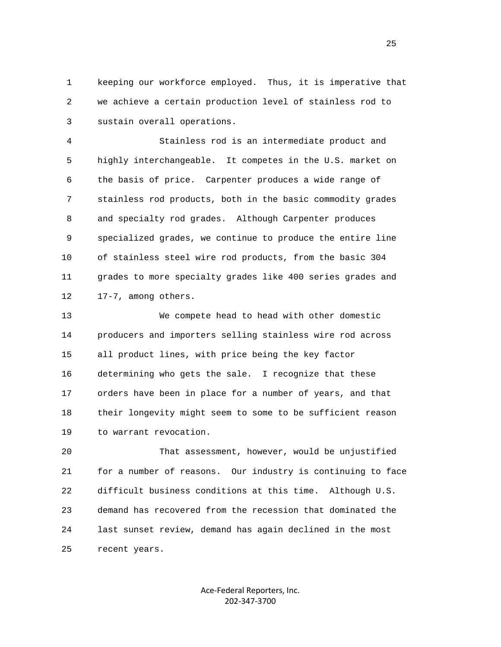1 keeping our workforce employed. Thus, it is imperative that 2 we achieve a certain production level of stainless rod to 3 sustain overall operations.

 4 Stainless rod is an intermediate product and 5 highly interchangeable. It competes in the U.S. market on 6 the basis of price. Carpenter produces a wide range of 7 stainless rod products, both in the basic commodity grades 8 and specialty rod grades. Although Carpenter produces 9 specialized grades, we continue to produce the entire line 10 of stainless steel wire rod products, from the basic 304 11 grades to more specialty grades like 400 series grades and 12 17-7, among others.

 13 We compete head to head with other domestic 14 producers and importers selling stainless wire rod across 15 all product lines, with price being the key factor 16 determining who gets the sale. I recognize that these 17 orders have been in place for a number of years, and that 18 their longevity might seem to some to be sufficient reason 19 to warrant revocation.

 20 That assessment, however, would be unjustified 21 for a number of reasons. Our industry is continuing to face 22 difficult business conditions at this time. Although U.S. 23 demand has recovered from the recession that dominated the 24 last sunset review, demand has again declined in the most 25 recent years.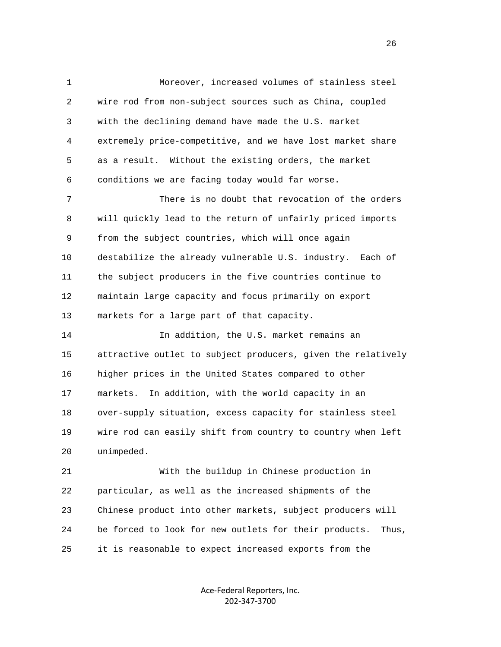1 Moreover, increased volumes of stainless steel 2 wire rod from non-subject sources such as China, coupled 3 with the declining demand have made the U.S. market 4 extremely price-competitive, and we have lost market share 5 as a result. Without the existing orders, the market 6 conditions we are facing today would far worse. 7 There is no doubt that revocation of the orders 8 will quickly lead to the return of unfairly priced imports 9 from the subject countries, which will once again 10 destabilize the already vulnerable U.S. industry. Each of 11 the subject producers in the five countries continue to 12 maintain large capacity and focus primarily on export 13 markets for a large part of that capacity. 14 In addition, the U.S. market remains an 15 attractive outlet to subject producers, given the relatively 16 higher prices in the United States compared to other 17 markets. In addition, with the world capacity in an 18 over-supply situation, excess capacity for stainless steel 19 wire rod can easily shift from country to country when left 20 unimpeded. 21 With the buildup in Chinese production in 22 particular, as well as the increased shipments of the 23 Chinese product into other markets, subject producers will

25 it is reasonable to expect increased exports from the

24 be forced to look for new outlets for their products. Thus,

Ace‐Federal Reporters, Inc. 202‐347‐3700

<u>26</u>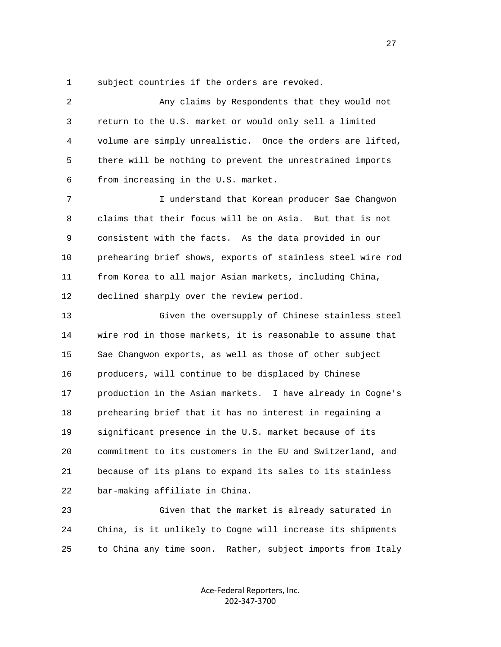1 subject countries if the orders are revoked.

| 2  | Any claims by Respondents that they would not               |
|----|-------------------------------------------------------------|
| 3  | return to the U.S. market or would only sell a limited      |
| 4  | volume are simply unrealistic. Once the orders are lifted,  |
| 5  | there will be nothing to prevent the unrestrained imports   |
| 6  | from increasing in the U.S. market.                         |
| 7  | I understand that Korean producer Sae Changwon              |
| 8  | claims that their focus will be on Asia. But that is not    |
| 9  | consistent with the facts. As the data provided in our      |
| 10 | prehearing brief shows, exports of stainless steel wire rod |
| 11 | from Korea to all major Asian markets, including China,     |
| 12 | declined sharply over the review period.                    |
| 13 | Given the oversupply of Chinese stainless steel             |
| 14 | wire rod in those markets, it is reasonable to assume that  |
| 15 | Sae Changwon exports, as well as those of other subject     |
| 16 | producers, will continue to be displaced by Chinese         |
| 17 | production in the Asian markets. I have already in Cogne's  |
| 18 | prehearing brief that it has no interest in regaining a     |
| 19 | significant presence in the U.S. market because of its      |
| 20 | commitment to its customers in the EU and Switzerland, and  |
| 21 | because of its plans to expand its sales to its stainless   |
| 22 | bar-making affiliate in China.                              |
| 23 | Given that the market is already saturated in               |
| 24 | China, is it unlikely to Cogne will increase its shipments  |

25 to China any time soon. Rather, subject imports from Italy

Ace‐Federal Reporters, Inc. 202‐347‐3700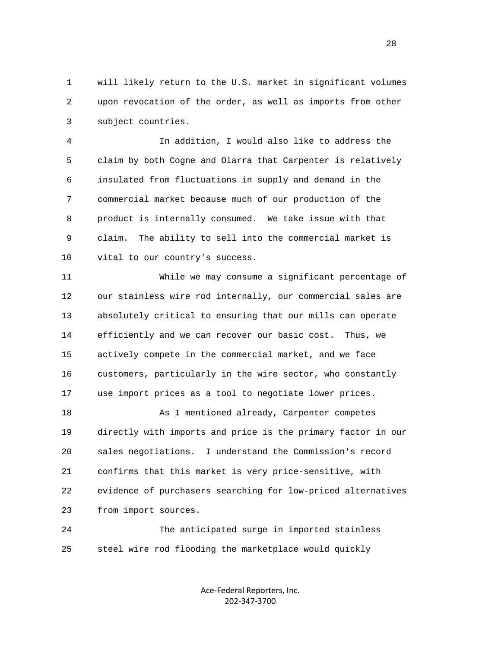1 will likely return to the U.S. market in significant volumes 2 upon revocation of the order, as well as imports from other 3 subject countries.

 4 In addition, I would also like to address the 5 claim by both Cogne and Olarra that Carpenter is relatively 6 insulated from fluctuations in supply and demand in the 7 commercial market because much of our production of the 8 product is internally consumed. We take issue with that 9 claim. The ability to sell into the commercial market is 10 vital to our country's success.

 11 While we may consume a significant percentage of 12 our stainless wire rod internally, our commercial sales are 13 absolutely critical to ensuring that our mills can operate 14 efficiently and we can recover our basic cost. Thus, we 15 actively compete in the commercial market, and we face 16 customers, particularly in the wire sector, who constantly 17 use import prices as a tool to negotiate lower prices.

 18 As I mentioned already, Carpenter competes 19 directly with imports and price is the primary factor in our 20 sales negotiations. I understand the Commission's record 21 confirms that this market is very price-sensitive, with 22 evidence of purchasers searching for low-priced alternatives 23 from import sources.

 24 The anticipated surge in imported stainless 25 steel wire rod flooding the marketplace would quickly

> Ace‐Federal Reporters, Inc. 202‐347‐3700

28 and 28 and 28 and 28 and 28 and 28 and 28 and 28 and 28 and 28 and 28 and 28 and 28 and 28 and 28 and 28 and 28 and 28 and 28 and 28 and 28 and 28 and 28 and 28 and 28 and 28 and 28 and 28 and 28 and 28 and 28 and 28 an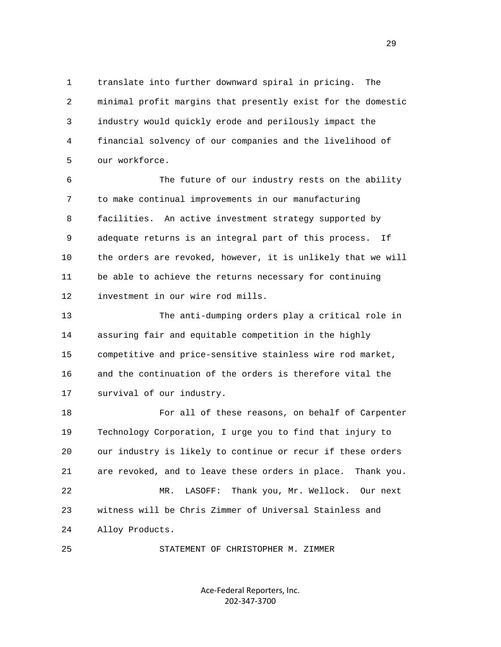1 translate into further downward spiral in pricing. The 2 minimal profit margins that presently exist for the domestic 3 industry would quickly erode and perilously impact the 4 financial solvency of our companies and the livelihood of 5 our workforce.

 6 The future of our industry rests on the ability 7 to make continual improvements in our manufacturing 8 facilities. An active investment strategy supported by 9 adequate returns is an integral part of this process. If 10 the orders are revoked, however, it is unlikely that we will 11 be able to achieve the returns necessary for continuing 12 investment in our wire rod mills.

 13 The anti-dumping orders play a critical role in 14 assuring fair and equitable competition in the highly 15 competitive and price-sensitive stainless wire rod market, 16 and the continuation of the orders is therefore vital the 17 survival of our industry.

 18 For all of these reasons, on behalf of Carpenter 19 Technology Corporation, I urge you to find that injury to 20 our industry is likely to continue or recur if these orders 21 are revoked, and to leave these orders in place. Thank you. 22 MR. LASOFF: Thank you, Mr. Wellock. Our next 23 witness will be Chris Zimmer of Universal Stainless and 24 Alloy Products.

25 STATEMENT OF CHRISTOPHER M. ZIMMER

Ace‐Federal Reporters, Inc. 202‐347‐3700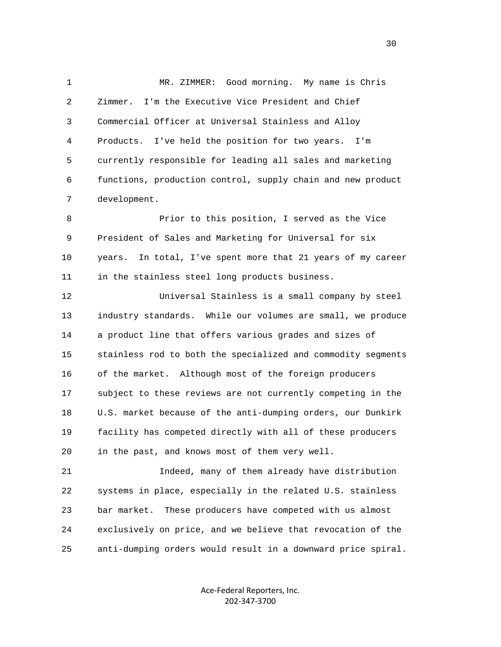1 MR. ZIMMER: Good morning. My name is Chris 2 Zimmer. I'm the Executive Vice President and Chief 3 Commercial Officer at Universal Stainless and Alloy 4 Products. I've held the position for two years. I'm 5 currently responsible for leading all sales and marketing 6 functions, production control, supply chain and new product 7 development.

 8 Prior to this position, I served as the Vice 9 President of Sales and Marketing for Universal for six 10 years. In total, I've spent more that 21 years of my career 11 in the stainless steel long products business.

 12 Universal Stainless is a small company by steel 13 industry standards. While our volumes are small, we produce 14 a product line that offers various grades and sizes of 15 stainless rod to both the specialized and commodity segments 16 of the market. Although most of the foreign producers 17 subject to these reviews are not currently competing in the 18 U.S. market because of the anti-dumping orders, our Dunkirk 19 facility has competed directly with all of these producers 20 in the past, and knows most of them very well.

 21 Indeed, many of them already have distribution 22 systems in place, especially in the related U.S. stainless 23 bar market. These producers have competed with us almost 24 exclusively on price, and we believe that revocation of the 25 anti-dumping orders would result in a downward price spiral.

> Ace‐Federal Reporters, Inc. 202‐347‐3700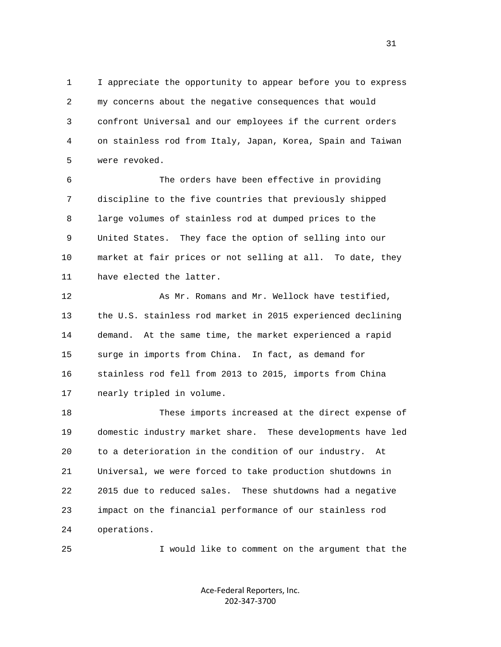1 I appreciate the opportunity to appear before you to express 2 my concerns about the negative consequences that would 3 confront Universal and our employees if the current orders 4 on stainless rod from Italy, Japan, Korea, Spain and Taiwan 5 were revoked.

 6 The orders have been effective in providing 7 discipline to the five countries that previously shipped 8 large volumes of stainless rod at dumped prices to the 9 United States. They face the option of selling into our 10 market at fair prices or not selling at all. To date, they 11 have elected the latter.

12 As Mr. Romans and Mr. Wellock have testified, 13 the U.S. stainless rod market in 2015 experienced declining 14 demand. At the same time, the market experienced a rapid 15 surge in imports from China. In fact, as demand for 16 stainless rod fell from 2013 to 2015, imports from China 17 nearly tripled in volume.

 18 These imports increased at the direct expense of 19 domestic industry market share. These developments have led 20 to a deterioration in the condition of our industry. At 21 Universal, we were forced to take production shutdowns in 22 2015 due to reduced sales. These shutdowns had a negative 23 impact on the financial performance of our stainless rod 24 operations.

25 I would like to comment on the argument that the

Ace‐Federal Reporters, Inc. 202‐347‐3700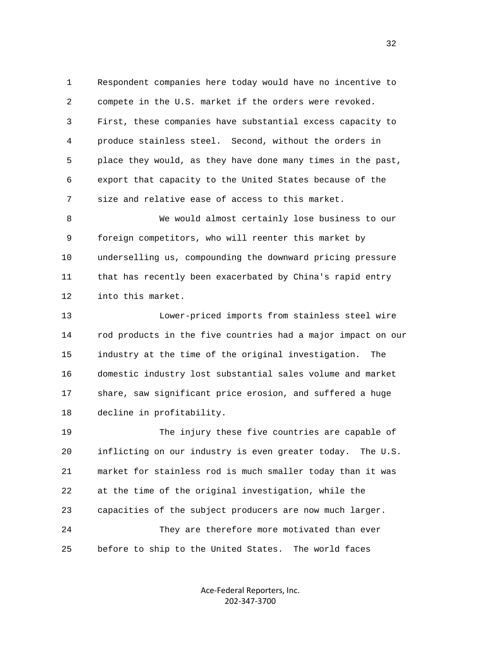1 Respondent companies here today would have no incentive to 2 compete in the U.S. market if the orders were revoked. 3 First, these companies have substantial excess capacity to 4 produce stainless steel. Second, without the orders in 5 place they would, as they have done many times in the past, 6 export that capacity to the United States because of the 7 size and relative ease of access to this market.

 8 We would almost certainly lose business to our 9 foreign competitors, who will reenter this market by 10 underselling us, compounding the downward pricing pressure 11 that has recently been exacerbated by China's rapid entry 12 into this market.

 13 Lower-priced imports from stainless steel wire 14 rod products in the five countries had a major impact on our 15 industry at the time of the original investigation. The 16 domestic industry lost substantial sales volume and market 17 share, saw significant price erosion, and suffered a huge 18 decline in profitability.

 19 The injury these five countries are capable of 20 inflicting on our industry is even greater today. The U.S. 21 market for stainless rod is much smaller today than it was 22 at the time of the original investigation, while the 23 capacities of the subject producers are now much larger. 24 They are therefore more motivated than ever 25 before to ship to the United States. The world faces

> Ace‐Federal Reporters, Inc. 202‐347‐3700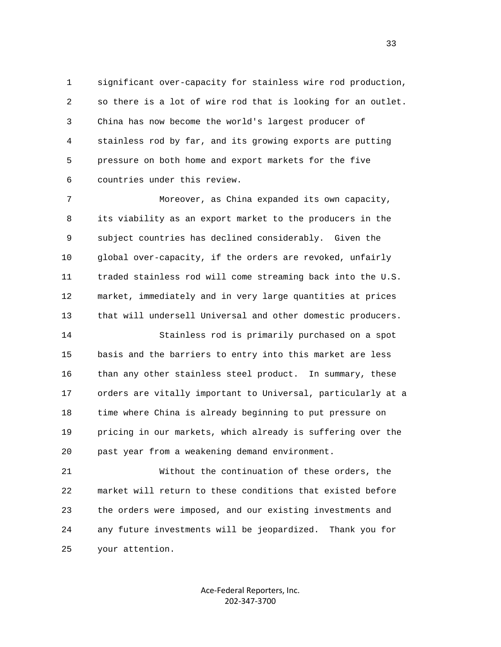1 significant over-capacity for stainless wire rod production, 2 so there is a lot of wire rod that is looking for an outlet. 3 China has now become the world's largest producer of 4 stainless rod by far, and its growing exports are putting 5 pressure on both home and export markets for the five 6 countries under this review.

 7 Moreover, as China expanded its own capacity, 8 its viability as an export market to the producers in the 9 subject countries has declined considerably. Given the 10 global over-capacity, if the orders are revoked, unfairly 11 traded stainless rod will come streaming back into the U.S. 12 market, immediately and in very large quantities at prices 13 that will undersell Universal and other domestic producers.

 14 Stainless rod is primarily purchased on a spot 15 basis and the barriers to entry into this market are less 16 than any other stainless steel product. In summary, these 17 orders are vitally important to Universal, particularly at a 18 time where China is already beginning to put pressure on 19 pricing in our markets, which already is suffering over the 20 past year from a weakening demand environment.

 21 Without the continuation of these orders, the 22 market will return to these conditions that existed before 23 the orders were imposed, and our existing investments and 24 any future investments will be jeopardized. Thank you for 25 your attention.

> Ace‐Federal Reporters, Inc. 202‐347‐3700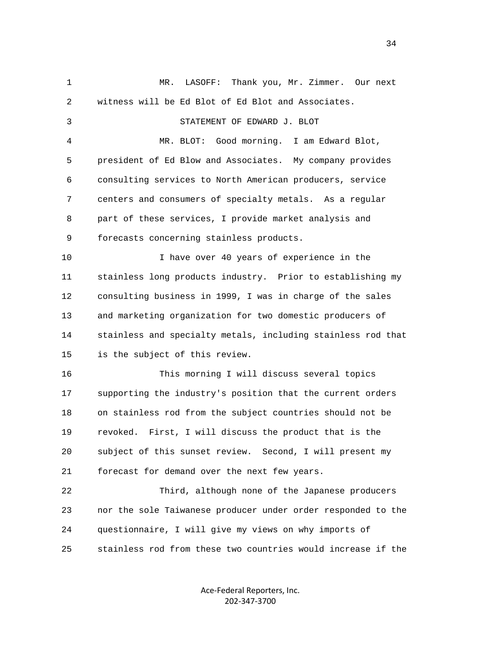1 MR. LASOFF: Thank you, Mr. Zimmer. Our next 2 witness will be Ed Blot of Ed Blot and Associates. 3 STATEMENT OF EDWARD J. BLOT 4 MR. BLOT: Good morning. I am Edward Blot, 5 president of Ed Blow and Associates. My company provides 6 consulting services to North American producers, service 7 centers and consumers of specialty metals. As a regular 8 part of these services, I provide market analysis and 9 forecasts concerning stainless products. 10 I have over 40 years of experience in the 11 stainless long products industry. Prior to establishing my 12 consulting business in 1999, I was in charge of the sales 13 and marketing organization for two domestic producers of 14 stainless and specialty metals, including stainless rod that 15 is the subject of this review. 16 This morning I will discuss several topics 17 supporting the industry's position that the current orders 18 on stainless rod from the subject countries should not be 19 revoked. First, I will discuss the product that is the 20 subject of this sunset review. Second, I will present my 21 forecast for demand over the next few years. 22 Third, although none of the Japanese producers 23 nor the sole Taiwanese producer under order responded to the 24 questionnaire, I will give my views on why imports of 25 stainless rod from these two countries would increase if the

> Ace‐Federal Reporters, Inc. 202‐347‐3700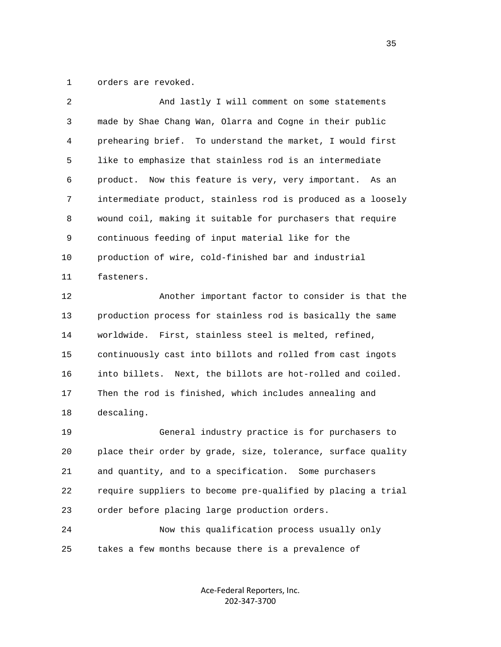1 orders are revoked.

| 2  | And lastly I will comment on some statements                 |
|----|--------------------------------------------------------------|
| 3  | made by Shae Chang Wan, Olarra and Cogne in their public     |
| 4  | prehearing brief. To understand the market, I would first    |
| 5  | like to emphasize that stainless rod is an intermediate      |
| 6  | Now this feature is very, very important. As an<br>product.  |
| 7  | intermediate product, stainless rod is produced as a loosely |
| 8  | wound coil, making it suitable for purchasers that require   |
| 9  | continuous feeding of input material like for the            |
| 10 | production of wire, cold-finished bar and industrial         |
| 11 | fasteners.                                                   |
| 12 | Another important factor to consider is that the             |
| 13 | production process for stainless rod is basically the same   |
| 14 | worldwide. First, stainless steel is melted, refined,        |
| 15 | continuously cast into billots and rolled from cast ingots   |
| 16 | into billets. Next, the billots are hot-rolled and coiled.   |
| 17 | Then the rod is finished, which includes annealing and       |
| 18 | descaling.                                                   |
| 19 | General industry practice is for purchasers to               |
| 20 | place their order by grade, size, tolerance, surface quality |
| 21 | and quantity, and to a specification. Some purchasers        |
| 22 | require suppliers to become pre-qualified by placing a trial |
| 23 | order before placing large production orders.                |
| 24 | Now this qualification process usually only                  |
|    |                                                              |

25 takes a few months because there is a prevalence of

Ace‐Federal Reporters, Inc. 202‐347‐3700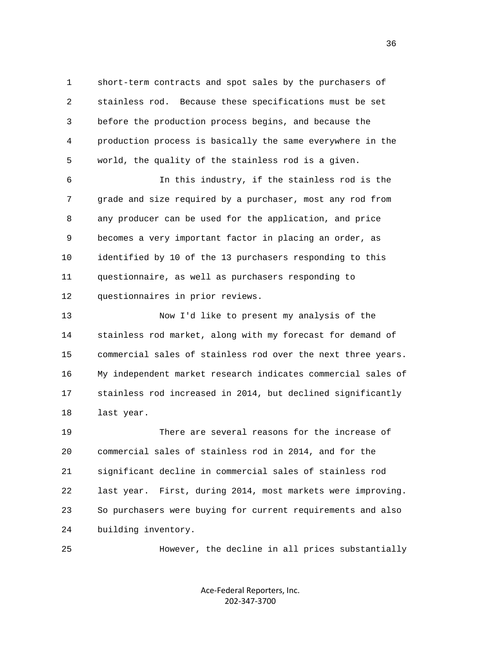1 short-term contracts and spot sales by the purchasers of 2 stainless rod. Because these specifications must be set 3 before the production process begins, and because the 4 production process is basically the same everywhere in the 5 world, the quality of the stainless rod is a given.

 6 In this industry, if the stainless rod is the 7 grade and size required by a purchaser, most any rod from 8 any producer can be used for the application, and price 9 becomes a very important factor in placing an order, as 10 identified by 10 of the 13 purchasers responding to this 11 questionnaire, as well as purchasers responding to 12 questionnaires in prior reviews.

 13 Now I'd like to present my analysis of the 14 stainless rod market, along with my forecast for demand of 15 commercial sales of stainless rod over the next three years. 16 My independent market research indicates commercial sales of 17 stainless rod increased in 2014, but declined significantly 18 last year.

 19 There are several reasons for the increase of 20 commercial sales of stainless rod in 2014, and for the 21 significant decline in commercial sales of stainless rod 22 last year. First, during 2014, most markets were improving. 23 So purchasers were buying for current requirements and also 24 building inventory.

25 However, the decline in all prices substantially

Ace‐Federal Reporters, Inc. 202‐347‐3700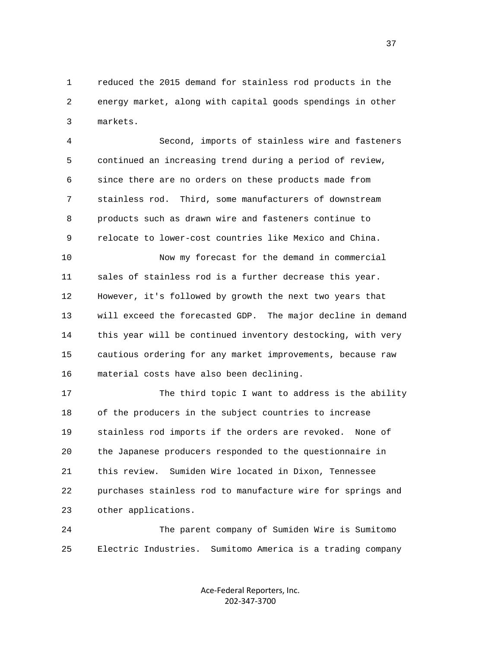1 reduced the 2015 demand for stainless rod products in the 2 energy market, along with capital goods spendings in other 3 markets.

 4 Second, imports of stainless wire and fasteners 5 continued an increasing trend during a period of review, 6 since there are no orders on these products made from 7 stainless rod. Third, some manufacturers of downstream 8 products such as drawn wire and fasteners continue to 9 relocate to lower-cost countries like Mexico and China.

 10 Now my forecast for the demand in commercial 11 sales of stainless rod is a further decrease this year. 12 However, it's followed by growth the next two years that 13 will exceed the forecasted GDP. The major decline in demand 14 this year will be continued inventory destocking, with very 15 cautious ordering for any market improvements, because raw 16 material costs have also been declining.

17 The third topic I want to address is the ability 18 of the producers in the subject countries to increase 19 stainless rod imports if the orders are revoked. None of 20 the Japanese producers responded to the questionnaire in 21 this review. Sumiden Wire located in Dixon, Tennessee 22 purchases stainless rod to manufacture wire for springs and 23 other applications.

 24 The parent company of Sumiden Wire is Sumitomo 25 Electric Industries. Sumitomo America is a trading company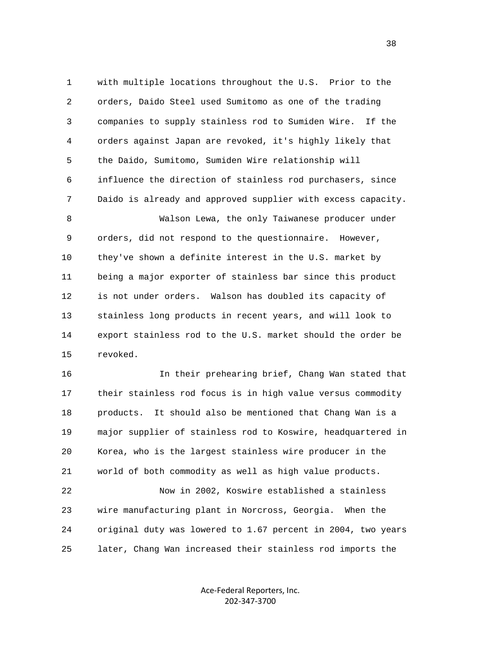1 with multiple locations throughout the U.S. Prior to the 2 orders, Daido Steel used Sumitomo as one of the trading 3 companies to supply stainless rod to Sumiden Wire. If the 4 orders against Japan are revoked, it's highly likely that 5 the Daido, Sumitomo, Sumiden Wire relationship will 6 influence the direction of stainless rod purchasers, since 7 Daido is already and approved supplier with excess capacity. 8 Walson Lewa, the only Taiwanese producer under 9 orders, did not respond to the questionnaire. However,

 10 they've shown a definite interest in the U.S. market by 11 being a major exporter of stainless bar since this product 12 is not under orders. Walson has doubled its capacity of 13 stainless long products in recent years, and will look to 14 export stainless rod to the U.S. market should the order be 15 revoked.

 16 In their prehearing brief, Chang Wan stated that 17 their stainless rod focus is in high value versus commodity 18 products. It should also be mentioned that Chang Wan is a 19 major supplier of stainless rod to Koswire, headquartered in 20 Korea, who is the largest stainless wire producer in the 21 world of both commodity as well as high value products.

 22 Now in 2002, Koswire established a stainless 23 wire manufacturing plant in Norcross, Georgia. When the 24 original duty was lowered to 1.67 percent in 2004, two years 25 later, Chang Wan increased their stainless rod imports the

> Ace‐Federal Reporters, Inc. 202‐347‐3700

and the state of the state of the state of the state of the state of the state of the state of the state of the state of the state of the state of the state of the state of the state of the state of the state of the state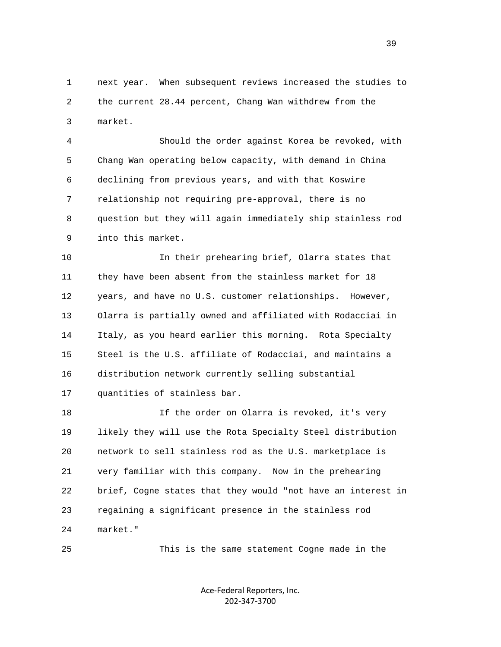1 next year. When subsequent reviews increased the studies to 2 the current 28.44 percent, Chang Wan withdrew from the 3 market.

 4 Should the order against Korea be revoked, with 5 Chang Wan operating below capacity, with demand in China 6 declining from previous years, and with that Koswire 7 relationship not requiring pre-approval, there is no 8 question but they will again immediately ship stainless rod 9 into this market.

 10 In their prehearing brief, Olarra states that 11 they have been absent from the stainless market for 18 12 years, and have no U.S. customer relationships. However, 13 Olarra is partially owned and affiliated with Rodacciai in 14 Italy, as you heard earlier this morning. Rota Specialty 15 Steel is the U.S. affiliate of Rodacciai, and maintains a 16 distribution network currently selling substantial 17 quantities of stainless bar.

 18 If the order on Olarra is revoked, it's very 19 likely they will use the Rota Specialty Steel distribution 20 network to sell stainless rod as the U.S. marketplace is 21 very familiar with this company. Now in the prehearing 22 brief, Cogne states that they would "not have an interest in 23 regaining a significant presence in the stainless rod 24 market."

25 This is the same statement Cogne made in the

Ace‐Federal Reporters, Inc. 202‐347‐3700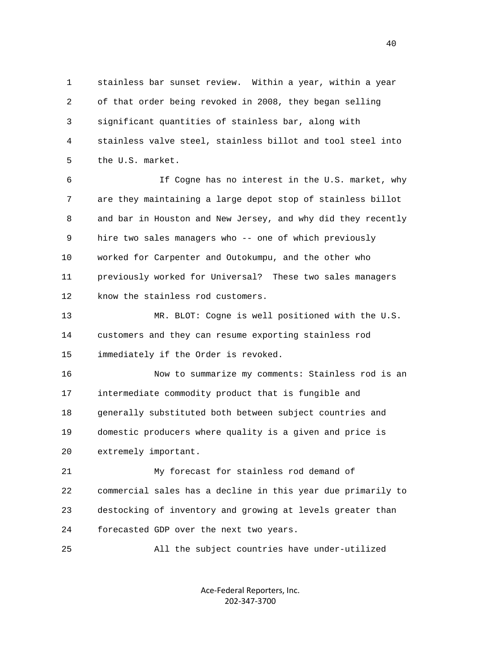1 stainless bar sunset review. Within a year, within a year 2 of that order being revoked in 2008, they began selling 3 significant quantities of stainless bar, along with 4 stainless valve steel, stainless billot and tool steel into 5 the U.S. market.

 6 If Cogne has no interest in the U.S. market, why 7 are they maintaining a large depot stop of stainless billot 8 and bar in Houston and New Jersey, and why did they recently 9 hire two sales managers who -- one of which previously 10 worked for Carpenter and Outokumpu, and the other who 11 previously worked for Universal? These two sales managers 12 know the stainless rod customers.

 13 MR. BLOT: Cogne is well positioned with the U.S. 14 customers and they can resume exporting stainless rod 15 immediately if the Order is revoked.

 16 Now to summarize my comments: Stainless rod is an 17 intermediate commodity product that is fungible and 18 generally substituted both between subject countries and 19 domestic producers where quality is a given and price is 20 extremely important.

 21 My forecast for stainless rod demand of 22 commercial sales has a decline in this year due primarily to 23 destocking of inventory and growing at levels greater than 24 forecasted GDP over the next two years.

25 All the subject countries have under-utilized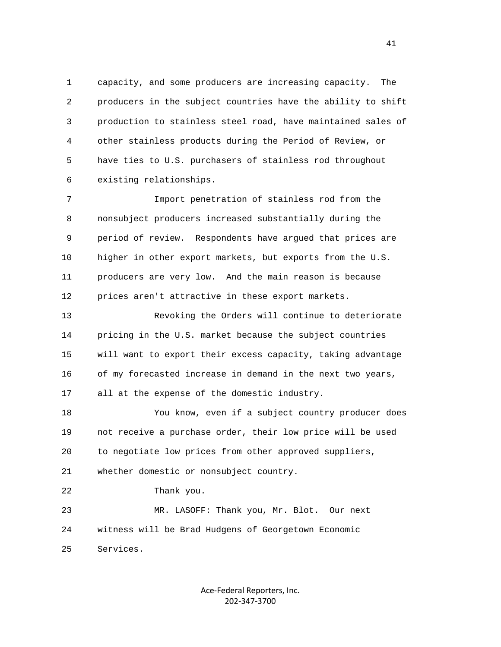1 capacity, and some producers are increasing capacity. The 2 producers in the subject countries have the ability to shift 3 production to stainless steel road, have maintained sales of 4 other stainless products during the Period of Review, or 5 have ties to U.S. purchasers of stainless rod throughout 6 existing relationships.

 7 Import penetration of stainless rod from the 8 nonsubject producers increased substantially during the 9 period of review. Respondents have argued that prices are 10 higher in other export markets, but exports from the U.S. 11 producers are very low. And the main reason is because 12 prices aren't attractive in these export markets.

 13 Revoking the Orders will continue to deteriorate 14 pricing in the U.S. market because the subject countries 15 will want to export their excess capacity, taking advantage 16 of my forecasted increase in demand in the next two years, 17 all at the expense of the domestic industry.

 18 You know, even if a subject country producer does 19 not receive a purchase order, their low price will be used 20 to negotiate low prices from other approved suppliers, 21 whether domestic or nonsubject country.

22 Thank you.

 23 MR. LASOFF: Thank you, Mr. Blot. Our next 24 witness will be Brad Hudgens of Georgetown Economic 25 Services.

> Ace‐Federal Reporters, Inc. 202‐347‐3700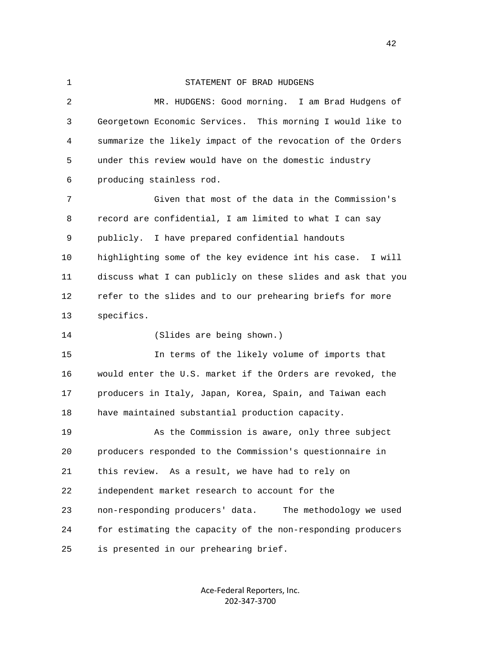1 STATEMENT OF BRAD HUDGENS 2 MR. HUDGENS: Good morning. I am Brad Hudgens of 3 Georgetown Economic Services. This morning I would like to 4 summarize the likely impact of the revocation of the Orders 5 under this review would have on the domestic industry 6 producing stainless rod. 7 Given that most of the data in the Commission's 8 record are confidential, I am limited to what I can say 9 publicly. I have prepared confidential handouts 10 highlighting some of the key evidence int his case. I will 11 discuss what I can publicly on these slides and ask that you 12 refer to the slides and to our prehearing briefs for more 13 specifics. 14 (Slides are being shown.) 15 In terms of the likely volume of imports that 16 would enter the U.S. market if the Orders are revoked, the 17 producers in Italy, Japan, Korea, Spain, and Taiwan each 18 have maintained substantial production capacity. 19 As the Commission is aware, only three subject 20 producers responded to the Commission's questionnaire in 21 this review. As a result, we have had to rely on 22 independent market research to account for the 23 non-responding producers' data. The methodology we used 24 for estimating the capacity of the non-responding producers 25 is presented in our prehearing brief.

> Ace‐Federal Reporters, Inc. 202‐347‐3700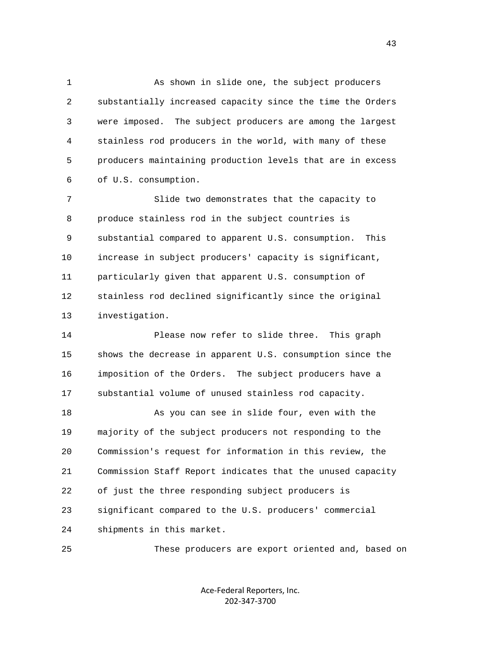1 As shown in slide one, the subject producers 2 substantially increased capacity since the time the Orders 3 were imposed. The subject producers are among the largest 4 stainless rod producers in the world, with many of these 5 producers maintaining production levels that are in excess 6 of U.S. consumption.

 7 Slide two demonstrates that the capacity to 8 produce stainless rod in the subject countries is 9 substantial compared to apparent U.S. consumption. This 10 increase in subject producers' capacity is significant, 11 particularly given that apparent U.S. consumption of 12 stainless rod declined significantly since the original 13 investigation.

 14 Please now refer to slide three. This graph 15 shows the decrease in apparent U.S. consumption since the 16 imposition of the Orders. The subject producers have a 17 substantial volume of unused stainless rod capacity.

 18 As you can see in slide four, even with the 19 majority of the subject producers not responding to the 20 Commission's request for information in this review, the 21 Commission Staff Report indicates that the unused capacity 22 of just the three responding subject producers is 23 significant compared to the U.S. producers' commercial 24 shipments in this market.

25 These producers are export oriented and, based on

Ace‐Federal Reporters, Inc. 202‐347‐3700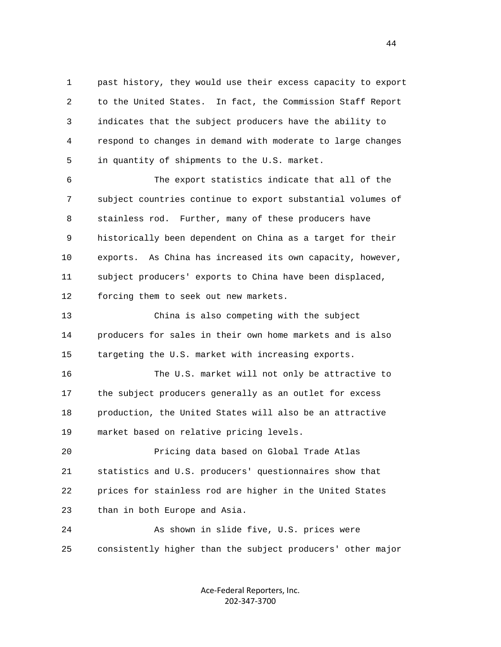1 past history, they would use their excess capacity to export 2 to the United States. In fact, the Commission Staff Report 3 indicates that the subject producers have the ability to 4 respond to changes in demand with moderate to large changes 5 in quantity of shipments to the U.S. market.

 6 The export statistics indicate that all of the 7 subject countries continue to export substantial volumes of 8 stainless rod. Further, many of these producers have 9 historically been dependent on China as a target for their 10 exports. As China has increased its own capacity, however, 11 subject producers' exports to China have been displaced, 12 forcing them to seek out new markets.

 13 China is also competing with the subject 14 producers for sales in their own home markets and is also 15 targeting the U.S. market with increasing exports.

 16 The U.S. market will not only be attractive to 17 the subject producers generally as an outlet for excess 18 production, the United States will also be an attractive 19 market based on relative pricing levels.

 20 Pricing data based on Global Trade Atlas 21 statistics and U.S. producers' questionnaires show that 22 prices for stainless rod are higher in the United States 23 than in both Europe and Asia.

 24 As shown in slide five, U.S. prices were 25 consistently higher than the subject producers' other major

> Ace‐Federal Reporters, Inc. 202‐347‐3700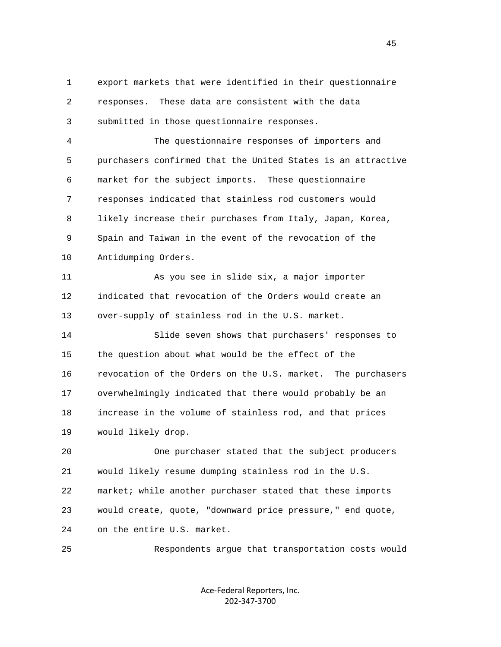1 export markets that were identified in their questionnaire 2 responses. These data are consistent with the data 3 submitted in those questionnaire responses.

 4 The questionnaire responses of importers and 5 purchasers confirmed that the United States is an attractive 6 market for the subject imports. These questionnaire 7 responses indicated that stainless rod customers would 8 likely increase their purchases from Italy, Japan, Korea, 9 Spain and Taiwan in the event of the revocation of the 10 Antidumping Orders.

 11 As you see in slide six, a major importer 12 indicated that revocation of the Orders would create an 13 over-supply of stainless rod in the U.S. market.

 14 Slide seven shows that purchasers' responses to 15 the question about what would be the effect of the 16 revocation of the Orders on the U.S. market. The purchasers 17 overwhelmingly indicated that there would probably be an 18 increase in the volume of stainless rod, and that prices 19 would likely drop.

 20 One purchaser stated that the subject producers 21 would likely resume dumping stainless rod in the U.S. 22 market; while another purchaser stated that these imports 23 would create, quote, "downward price pressure," end quote, 24 on the entire U.S. market.

25 Respondents argue that transportation costs would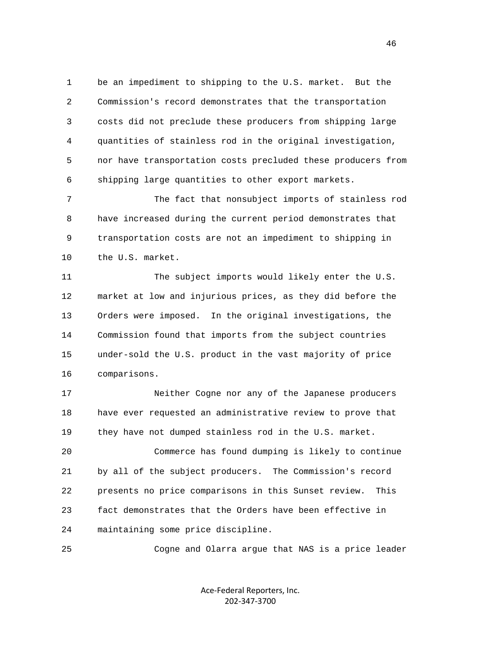1 be an impediment to shipping to the U.S. market. But the 2 Commission's record demonstrates that the transportation 3 costs did not preclude these producers from shipping large 4 quantities of stainless rod in the original investigation, 5 nor have transportation costs precluded these producers from 6 shipping large quantities to other export markets.

 7 The fact that nonsubject imports of stainless rod 8 have increased during the current period demonstrates that 9 transportation costs are not an impediment to shipping in 10 the U.S. market.

 11 The subject imports would likely enter the U.S. 12 market at low and injurious prices, as they did before the 13 Orders were imposed. In the original investigations, the 14 Commission found that imports from the subject countries 15 under-sold the U.S. product in the vast majority of price 16 comparisons.

 17 Neither Cogne nor any of the Japanese producers 18 have ever requested an administrative review to prove that 19 they have not dumped stainless rod in the U.S. market.

 20 Commerce has found dumping is likely to continue 21 by all of the subject producers. The Commission's record 22 presents no price comparisons in this Sunset review. This 23 fact demonstrates that the Orders have been effective in 24 maintaining some price discipline.

25 Cogne and Olarra argue that NAS is a price leader

Ace‐Federal Reporters, Inc. 202‐347‐3700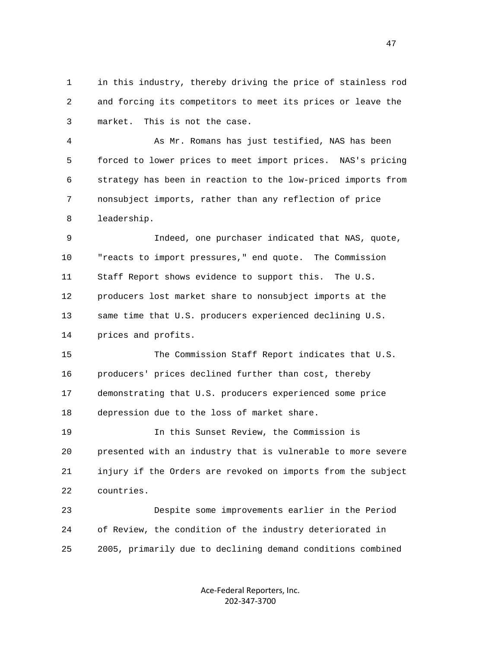1 in this industry, thereby driving the price of stainless rod 2 and forcing its competitors to meet its prices or leave the 3 market. This is not the case.

 4 As Mr. Romans has just testified, NAS has been 5 forced to lower prices to meet import prices. NAS's pricing 6 strategy has been in reaction to the low-priced imports from 7 nonsubject imports, rather than any reflection of price 8 leadership.

 9 Indeed, one purchaser indicated that NAS, quote, 10 "reacts to import pressures," end quote. The Commission 11 Staff Report shows evidence to support this. The U.S. 12 producers lost market share to nonsubject imports at the 13 same time that U.S. producers experienced declining U.S. 14 prices and profits.

 15 The Commission Staff Report indicates that U.S. 16 producers' prices declined further than cost, thereby 17 demonstrating that U.S. producers experienced some price 18 depression due to the loss of market share.

 19 In this Sunset Review, the Commission is 20 presented with an industry that is vulnerable to more severe 21 injury if the Orders are revoked on imports from the subject 22 countries.

 23 Despite some improvements earlier in the Period 24 of Review, the condition of the industry deteriorated in 25 2005, primarily due to declining demand conditions combined

> Ace‐Federal Reporters, Inc. 202‐347‐3700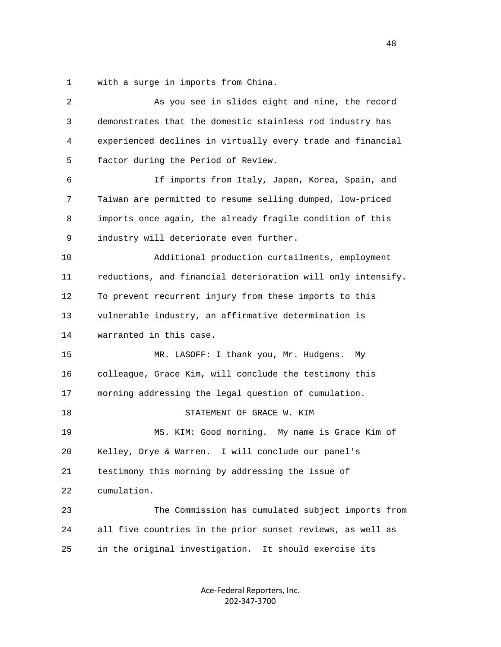1 with a surge in imports from China.

| 2            | As you see in slides eight and nine, the record              |
|--------------|--------------------------------------------------------------|
| $\mathsf{3}$ | demonstrates that the domestic stainless rod industry has    |
| 4            | experienced declines in virtually every trade and financial  |
| 5            | factor during the Period of Review.                          |
| 6            | If imports from Italy, Japan, Korea, Spain, and              |
| 7            | Taiwan are permitted to resume selling dumped, low-priced    |
| 8            | imports once again, the already fragile condition of this    |
| 9            | industry will deteriorate even further.                      |
| 10           | Additional production curtailments, employment               |
| 11           | reductions, and financial deterioration will only intensify. |
| 12           | To prevent recurrent injury from these imports to this       |
| 13           | vulnerable industry, an affirmative determination is         |
| 14           | warranted in this case.                                      |
| 15           | MR. LASOFF: I thank you, Mr. Hudgens.<br>Мy                  |
| 16           | colleague, Grace Kim, will conclude the testimony this       |
| 17           | morning addressing the legal question of cumulation.         |
| 18           | STATEMENT OF GRACE W. KIM                                    |
| 19           | MS. KIM: Good morning. My name is Grace Kim of               |
| 20           | Kelley, Drye & Warren. I will conclude our panel's           |
| 21           | testimony this morning by addressing the issue of            |
| 22           | cumulation.                                                  |
| 23           | The Commission has cumulated subject imports from            |
| 24           | all five countries in the prior sunset reviews, as well as   |
| 25           | in the original investigation. It should exercise its        |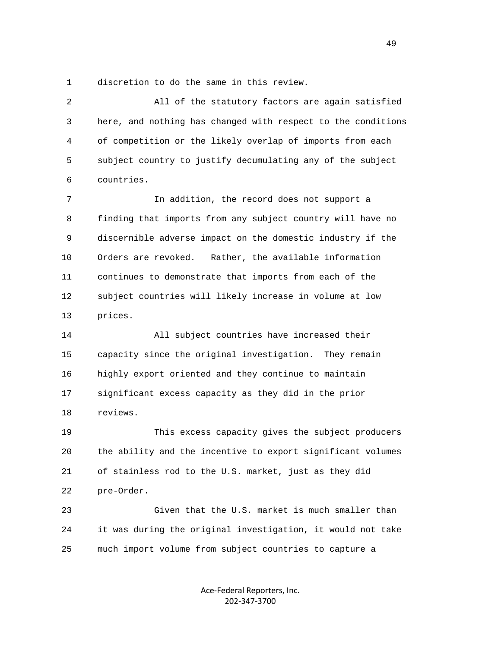1 discretion to do the same in this review.

 2 All of the statutory factors are again satisfied 3 here, and nothing has changed with respect to the conditions 4 of competition or the likely overlap of imports from each 5 subject country to justify decumulating any of the subject 6 countries.

 7 In addition, the record does not support a 8 finding that imports from any subject country will have no 9 discernible adverse impact on the domestic industry if the 10 Orders are revoked. Rather, the available information 11 continues to demonstrate that imports from each of the 12 subject countries will likely increase in volume at low 13 prices.

 14 All subject countries have increased their 15 capacity since the original investigation. They remain 16 highly export oriented and they continue to maintain 17 significant excess capacity as they did in the prior 18 reviews.

 19 This excess capacity gives the subject producers 20 the ability and the incentive to export significant volumes 21 of stainless rod to the U.S. market, just as they did 22 pre-Order.

 23 Given that the U.S. market is much smaller than 24 it was during the original investigation, it would not take 25 much import volume from subject countries to capture a

> Ace‐Federal Reporters, Inc. 202‐347‐3700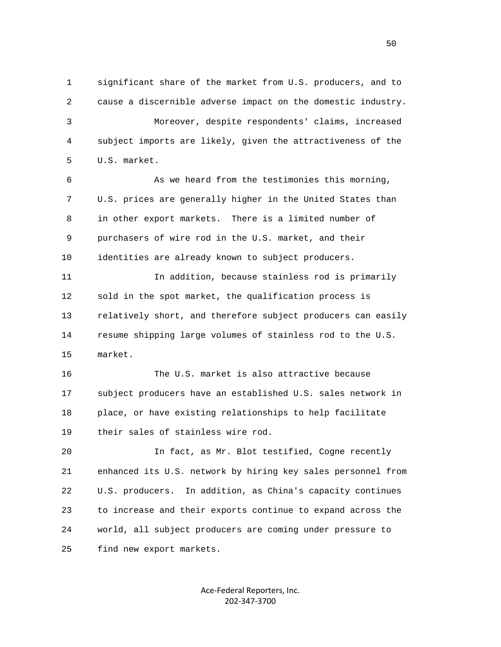1 significant share of the market from U.S. producers, and to 2 cause a discernible adverse impact on the domestic industry. 3 Moreover, despite respondents' claims, increased 4 subject imports are likely, given the attractiveness of the 5 U.S. market.

 6 As we heard from the testimonies this morning, 7 U.S. prices are generally higher in the United States than 8 in other export markets. There is a limited number of 9 purchasers of wire rod in the U.S. market, and their 10 identities are already known to subject producers.

 11 In addition, because stainless rod is primarily 12 sold in the spot market, the qualification process is 13 relatively short, and therefore subject producers can easily 14 resume shipping large volumes of stainless rod to the U.S. 15 market.

 16 The U.S. market is also attractive because 17 subject producers have an established U.S. sales network in 18 place, or have existing relationships to help facilitate 19 their sales of stainless wire rod.

 20 In fact, as Mr. Blot testified, Cogne recently 21 enhanced its U.S. network by hiring key sales personnel from 22 U.S. producers. In addition, as China's capacity continues 23 to increase and their exports continue to expand across the 24 world, all subject producers are coming under pressure to 25 find new export markets.

> Ace‐Federal Reporters, Inc. 202‐347‐3700

 $50<sub>50</sub>$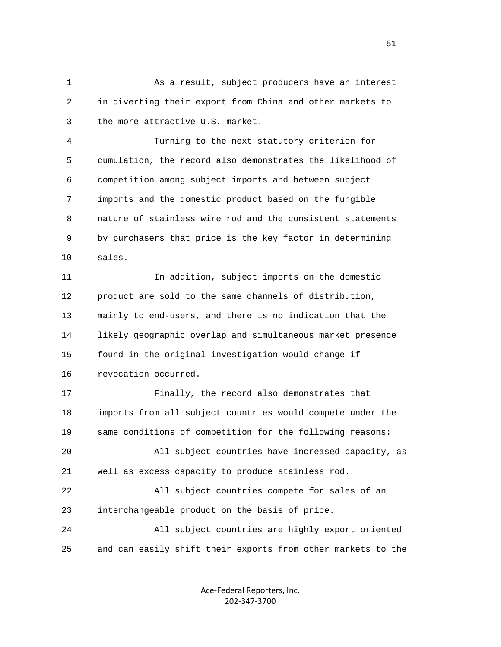1 As a result, subject producers have an interest 2 in diverting their export from China and other markets to 3 the more attractive U.S. market.

 4 Turning to the next statutory criterion for 5 cumulation, the record also demonstrates the likelihood of 6 competition among subject imports and between subject 7 imports and the domestic product based on the fungible 8 nature of stainless wire rod and the consistent statements 9 by purchasers that price is the key factor in determining 10 sales.

 11 In addition, subject imports on the domestic 12 product are sold to the same channels of distribution, 13 mainly to end-users, and there is no indication that the 14 likely geographic overlap and simultaneous market presence 15 found in the original investigation would change if 16 revocation occurred.

 17 Finally, the record also demonstrates that 18 imports from all subject countries would compete under the 19 same conditions of competition for the following reasons: 20 All subject countries have increased capacity, as 21 well as excess capacity to produce stainless rod. 22 All subject countries compete for sales of an 23 interchangeable product on the basis of price. 24 All subject countries are highly export oriented

25 and can easily shift their exports from other markets to the

Ace‐Federal Reporters, Inc. 202‐347‐3700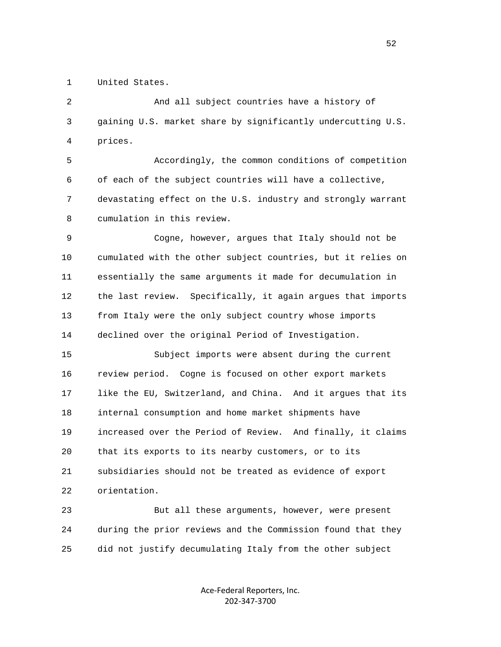1 United States.

 2 And all subject countries have a history of 3 gaining U.S. market share by significantly undercutting U.S. 4 prices.

 5 Accordingly, the common conditions of competition 6 of each of the subject countries will have a collective, 7 devastating effect on the U.S. industry and strongly warrant 8 cumulation in this review.

 9 Cogne, however, argues that Italy should not be 10 cumulated with the other subject countries, but it relies on 11 essentially the same arguments it made for decumulation in 12 the last review. Specifically, it again argues that imports 13 from Italy were the only subject country whose imports 14 declined over the original Period of Investigation.

 15 Subject imports were absent during the current 16 review period. Cogne is focused on other export markets 17 like the EU, Switzerland, and China. And it argues that its 18 internal consumption and home market shipments have 19 increased over the Period of Review. And finally, it claims 20 that its exports to its nearby customers, or to its 21 subsidiaries should not be treated as evidence of export 22 orientation.

 23 But all these arguments, however, were present 24 during the prior reviews and the Commission found that they 25 did not justify decumulating Italy from the other subject

> Ace‐Federal Reporters, Inc. 202‐347‐3700

 $\sim$  52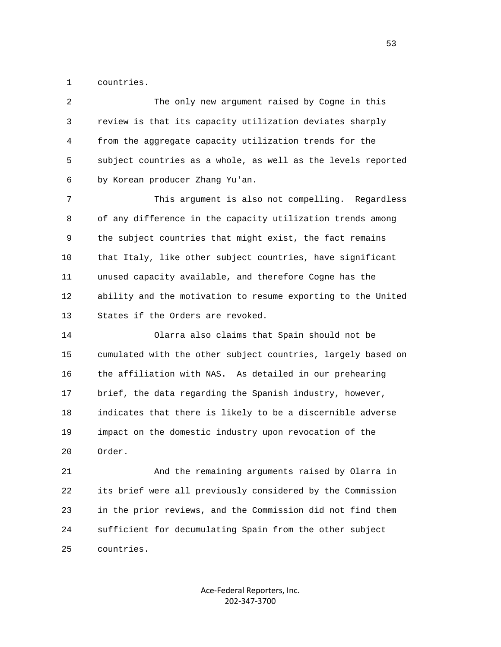1 countries.

 2 The only new argument raised by Cogne in this 3 review is that its capacity utilization deviates sharply 4 from the aggregate capacity utilization trends for the 5 subject countries as a whole, as well as the levels reported 6 by Korean producer Zhang Yu'an.

 7 This argument is also not compelling. Regardless 8 of any difference in the capacity utilization trends among 9 the subject countries that might exist, the fact remains 10 that Italy, like other subject countries, have significant 11 unused capacity available, and therefore Cogne has the 12 ability and the motivation to resume exporting to the United 13 States if the Orders are revoked.

 14 Olarra also claims that Spain should not be 15 cumulated with the other subject countries, largely based on 16 the affiliation with NAS. As detailed in our prehearing 17 brief, the data regarding the Spanish industry, however, 18 indicates that there is likely to be a discernible adverse 19 impact on the domestic industry upon revocation of the 20 Order.

 21 And the remaining arguments raised by Olarra in 22 its brief were all previously considered by the Commission 23 in the prior reviews, and the Commission did not find them 24 sufficient for decumulating Spain from the other subject 25 countries.

> Ace‐Federal Reporters, Inc. 202‐347‐3700

 $\sim$  53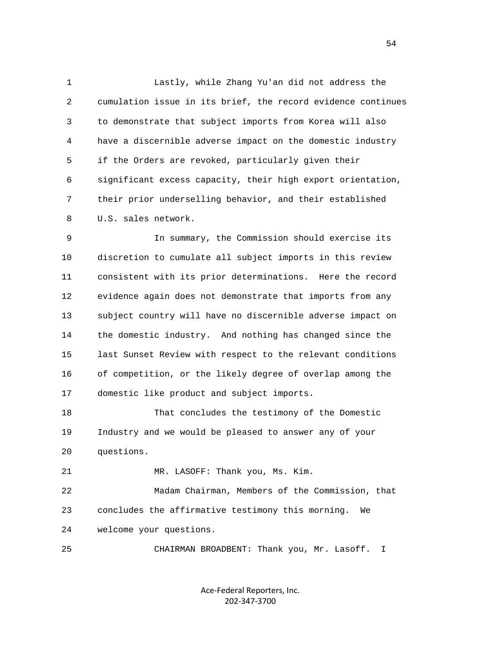1 Lastly, while Zhang Yu'an did not address the 2 cumulation issue in its brief, the record evidence continues 3 to demonstrate that subject imports from Korea will also 4 have a discernible adverse impact on the domestic industry 5 if the Orders are revoked, particularly given their 6 significant excess capacity, their high export orientation, 7 their prior underselling behavior, and their established 8 U.S. sales network.

 9 In summary, the Commission should exercise its 10 discretion to cumulate all subject imports in this review 11 consistent with its prior determinations. Here the record 12 evidence again does not demonstrate that imports from any 13 subject country will have no discernible adverse impact on 14 the domestic industry. And nothing has changed since the 15 last Sunset Review with respect to the relevant conditions 16 of competition, or the likely degree of overlap among the 17 domestic like product and subject imports.

 18 That concludes the testimony of the Domestic 19 Industry and we would be pleased to answer any of your 20 questions.

21 MR. LASOFF: Thank you, Ms. Kim.

 22 Madam Chairman, Members of the Commission, that 23 concludes the affirmative testimony this morning. We 24 welcome your questions.

25 CHAIRMAN BROADBENT: Thank you, Mr. Lasoff. I

Ace‐Federal Reporters, Inc. 202‐347‐3700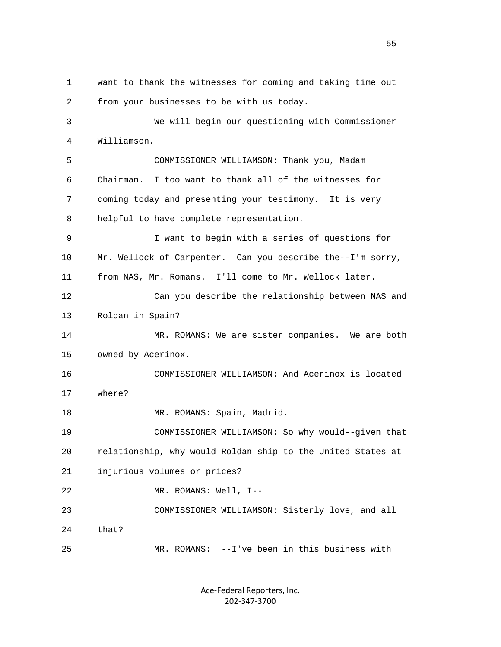1 want to thank the witnesses for coming and taking time out 2 from your businesses to be with us today. 3 We will begin our questioning with Commissioner 4 Williamson. 5 COMMISSIONER WILLIAMSON: Thank you, Madam 6 Chairman. I too want to thank all of the witnesses for 7 coming today and presenting your testimony. It is very 8 helpful to have complete representation. 9 I want to begin with a series of questions for 10 Mr. Wellock of Carpenter. Can you describe the--I'm sorry, 11 from NAS, Mr. Romans. I'll come to Mr. Wellock later. 12 Can you describe the relationship between NAS and 13 Roldan in Spain? 14 MR. ROMANS: We are sister companies. We are both 15 owned by Acerinox. 16 COMMISSIONER WILLIAMSON: And Acerinox is located 17 where? 18 MR. ROMANS: Spain, Madrid. 19 COMMISSIONER WILLIAMSON: So why would--given that 20 relationship, why would Roldan ship to the United States at 21 injurious volumes or prices? 22 MR. ROMANS: Well, I-- 23 COMMISSIONER WILLIAMSON: Sisterly love, and all 24 that? 25 MR. ROMANS: --I've been in this business with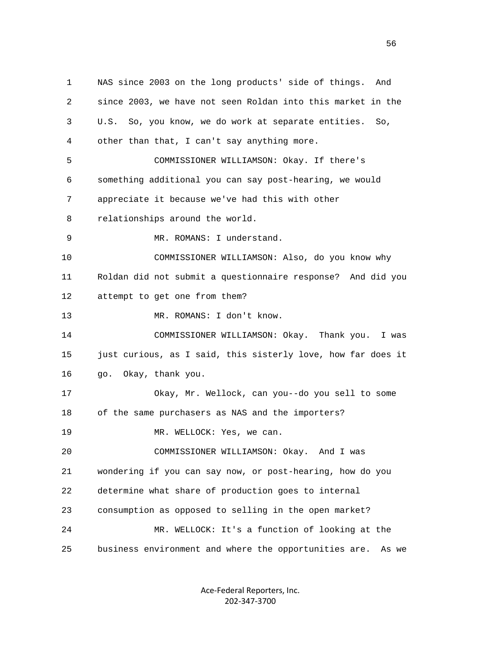1 NAS since 2003 on the long products' side of things. And 2 since 2003, we have not seen Roldan into this market in the 3 U.S. So, you know, we do work at separate entities. So, 4 other than that, I can't say anything more. 5 COMMISSIONER WILLIAMSON: Okay. If there's 6 something additional you can say post-hearing, we would 7 appreciate it because we've had this with other 8 relationships around the world. 9 MR. ROMANS: I understand. 10 COMMISSIONER WILLIAMSON: Also, do you know why 11 Roldan did not submit a questionnaire response? And did you 12 attempt to get one from them? 13 MR. ROMANS: I don't know. 14 COMMISSIONER WILLIAMSON: Okay. Thank you. I was 15 just curious, as I said, this sisterly love, how far does it 16 go. Okay, thank you. 17 Okay, Mr. Wellock, can you--do you sell to some 18 of the same purchasers as NAS and the importers? 19 MR. WELLOCK: Yes, we can. 20 COMMISSIONER WILLIAMSON: Okay. And I was 21 wondering if you can say now, or post-hearing, how do you 22 determine what share of production goes to internal 23 consumption as opposed to selling in the open market? 24 MR. WELLOCK: It's a function of looking at the 25 business environment and where the opportunities are. As we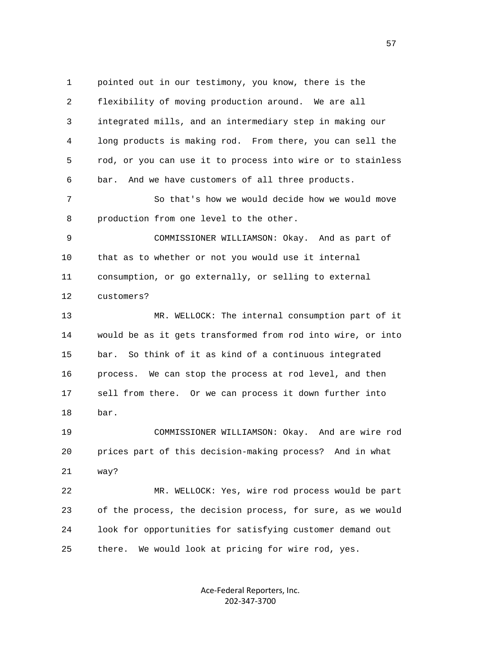1 pointed out in our testimony, you know, there is the 2 flexibility of moving production around. We are all 3 integrated mills, and an intermediary step in making our 4 long products is making rod. From there, you can sell the 5 rod, or you can use it to process into wire or to stainless 6 bar. And we have customers of all three products. 7 So that's how we would decide how we would move 8 production from one level to the other. 9 COMMISSIONER WILLIAMSON: Okay. And as part of 10 that as to whether or not you would use it internal 11 consumption, or go externally, or selling to external 12 customers? 13 MR. WELLOCK: The internal consumption part of it 14 would be as it gets transformed from rod into wire, or into 15 bar. So think of it as kind of a continuous integrated 16 process. We can stop the process at rod level, and then 17 sell from there. Or we can process it down further into 18 bar. 19 COMMISSIONER WILLIAMSON: Okay. And are wire rod 20 prices part of this decision-making process? And in what 21 way? 22 MR. WELLOCK: Yes, wire rod process would be part 23 of the process, the decision process, for sure, as we would 24 look for opportunities for satisfying customer demand out 25 there. We would look at pricing for wire rod, yes.

> Ace‐Federal Reporters, Inc. 202‐347‐3700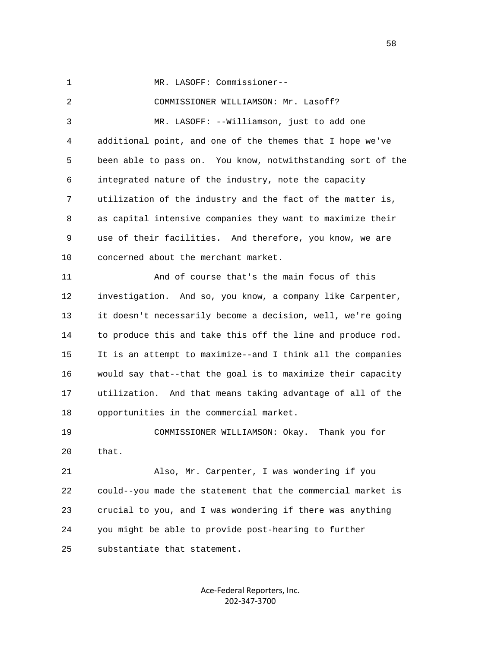1 MR. LASOFF: Commissioner--

 2 COMMISSIONER WILLIAMSON: Mr. Lasoff? 3 MR. LASOFF: --Williamson, just to add one 4 additional point, and one of the themes that I hope we've 5 been able to pass on. You know, notwithstanding sort of the 6 integrated nature of the industry, note the capacity 7 utilization of the industry and the fact of the matter is, 8 as capital intensive companies they want to maximize their 9 use of their facilities. And therefore, you know, we are 10 concerned about the merchant market. 11 And of course that's the main focus of this 12 investigation. And so, you know, a company like Carpenter, 13 it doesn't necessarily become a decision, well, we're going 14 to produce this and take this off the line and produce rod. 15 It is an attempt to maximize--and I think all the companies 16 would say that--that the goal is to maximize their capacity 17 utilization. And that means taking advantage of all of the 18 opportunities in the commercial market.

 19 COMMISSIONER WILLIAMSON: Okay. Thank you for 20 that.

 21 Also, Mr. Carpenter, I was wondering if you 22 could--you made the statement that the commercial market is 23 crucial to you, and I was wondering if there was anything 24 you might be able to provide post-hearing to further 25 substantiate that statement.

> Ace‐Federal Reporters, Inc. 202‐347‐3700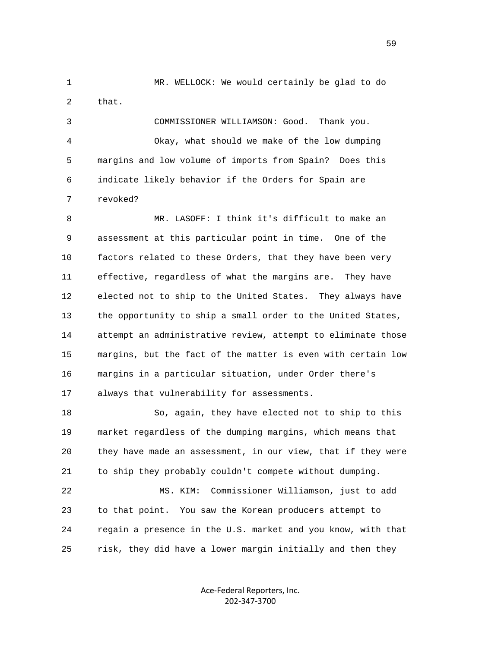1 MR. WELLOCK: We would certainly be glad to do 2 that. 3 COMMISSIONER WILLIAMSON: Good. Thank you.

 4 Okay, what should we make of the low dumping 5 margins and low volume of imports from Spain? Does this 6 indicate likely behavior if the Orders for Spain are 7 revoked?

 8 MR. LASOFF: I think it's difficult to make an 9 assessment at this particular point in time. One of the 10 factors related to these Orders, that they have been very 11 effective, regardless of what the margins are. They have 12 elected not to ship to the United States. They always have 13 the opportunity to ship a small order to the United States, 14 attempt an administrative review, attempt to eliminate those 15 margins, but the fact of the matter is even with certain low 16 margins in a particular situation, under Order there's 17 always that vulnerability for assessments.

 18 So, again, they have elected not to ship to this 19 market regardless of the dumping margins, which means that 20 they have made an assessment, in our view, that if they were 21 to ship they probably couldn't compete without dumping.

 22 MS. KIM: Commissioner Williamson, just to add 23 to that point. You saw the Korean producers attempt to 24 regain a presence in the U.S. market and you know, with that 25 risk, they did have a lower margin initially and then they

> Ace‐Federal Reporters, Inc. 202‐347‐3700

 $\sim$  59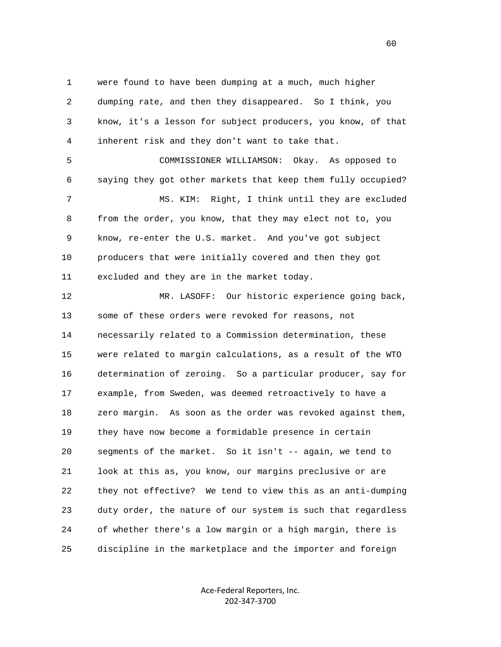1 were found to have been dumping at a much, much higher 2 dumping rate, and then they disappeared. So I think, you 3 know, it's a lesson for subject producers, you know, of that 4 inherent risk and they don't want to take that.

 5 COMMISSIONER WILLIAMSON: Okay. As opposed to 6 saying they got other markets that keep them fully occupied? 7 MS. KIM: Right, I think until they are excluded 8 from the order, you know, that they may elect not to, you 9 know, re-enter the U.S. market. And you've got subject 10 producers that were initially covered and then they got 11 excluded and they are in the market today.

 12 MR. LASOFF: Our historic experience going back, 13 some of these orders were revoked for reasons, not 14 necessarily related to a Commission determination, these 15 were related to margin calculations, as a result of the WTO 16 determination of zeroing. So a particular producer, say for 17 example, from Sweden, was deemed retroactively to have a 18 zero margin. As soon as the order was revoked against them, 19 they have now become a formidable presence in certain 20 segments of the market. So it isn't -- again, we tend to 21 look at this as, you know, our margins preclusive or are 22 they not effective? We tend to view this as an anti-dumping 23 duty order, the nature of our system is such that regardless 24 of whether there's a low margin or a high margin, there is 25 discipline in the marketplace and the importer and foreign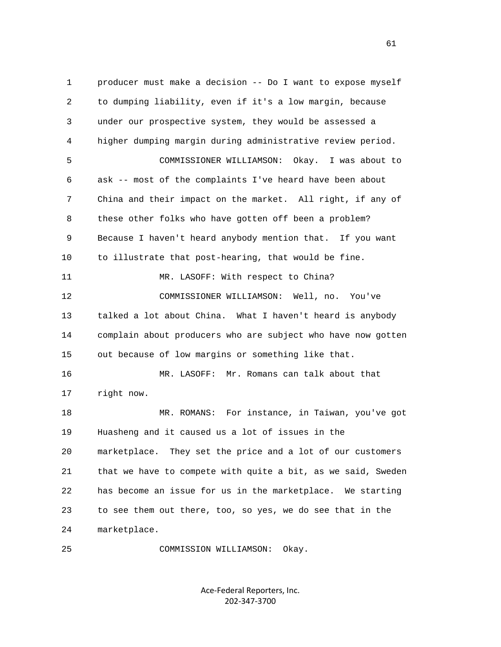1 producer must make a decision -- Do I want to expose myself 2 to dumping liability, even if it's a low margin, because 3 under our prospective system, they would be assessed a 4 higher dumping margin during administrative review period. 5 COMMISSIONER WILLIAMSON: Okay. I was about to 6 ask -- most of the complaints I've heard have been about 7 China and their impact on the market. All right, if any of 8 these other folks who have gotten off been a problem? 9 Because I haven't heard anybody mention that. If you want 10 to illustrate that post-hearing, that would be fine. 11 MR. LASOFF: With respect to China? 12 COMMISSIONER WILLIAMSON: Well, no. You've 13 talked a lot about China. What I haven't heard is anybody 14 complain about producers who are subject who have now gotten 15 out because of low margins or something like that. 16 MR. LASOFF: Mr. Romans can talk about that 17 right now. 18 MR. ROMANS: For instance, in Taiwan, you've got 19 Huasheng and it caused us a lot of issues in the 20 marketplace. They set the price and a lot of our customers 21 that we have to compete with quite a bit, as we said, Sweden 22 has become an issue for us in the marketplace. We starting 23 to see them out there, too, so yes, we do see that in the 24 marketplace.

25 COMMISSION WILLIAMSON: Okay.

Ace‐Federal Reporters, Inc. 202‐347‐3700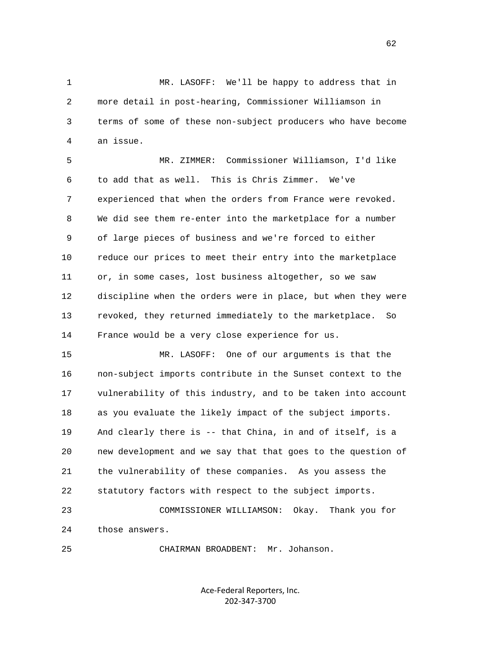1 MR. LASOFF: We'll be happy to address that in 2 more detail in post-hearing, Commissioner Williamson in 3 terms of some of these non-subject producers who have become 4 an issue.

 5 MR. ZIMMER: Commissioner Williamson, I'd like 6 to add that as well. This is Chris Zimmer. We've 7 experienced that when the orders from France were revoked. 8 We did see them re-enter into the marketplace for a number 9 of large pieces of business and we're forced to either 10 reduce our prices to meet their entry into the marketplace 11 or, in some cases, lost business altogether, so we saw 12 discipline when the orders were in place, but when they were 13 revoked, they returned immediately to the marketplace. So 14 France would be a very close experience for us.

 15 MR. LASOFF: One of our arguments is that the 16 non-subject imports contribute in the Sunset context to the 17 vulnerability of this industry, and to be taken into account 18 as you evaluate the likely impact of the subject imports. 19 And clearly there is -- that China, in and of itself, is a 20 new development and we say that that goes to the question of 21 the vulnerability of these companies. As you assess the 22 statutory factors with respect to the subject imports. 23 COMMISSIONER WILLIAMSON: Okay. Thank you for

24 those answers.

25 CHAIRMAN BROADBENT: Mr. Johanson.

Ace‐Federal Reporters, Inc. 202‐347‐3700

 $\sim$  62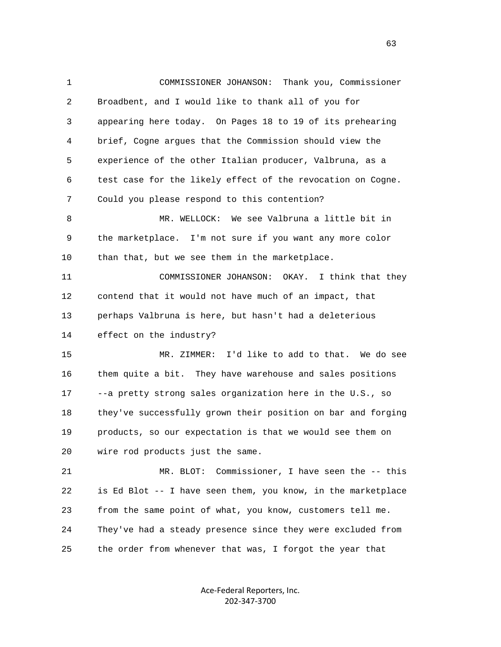1 COMMISSIONER JOHANSON: Thank you, Commissioner 2 Broadbent, and I would like to thank all of you for 3 appearing here today. On Pages 18 to 19 of its prehearing 4 brief, Cogne argues that the Commission should view the 5 experience of the other Italian producer, Valbruna, as a 6 test case for the likely effect of the revocation on Cogne. 7 Could you please respond to this contention? 8 MR. WELLOCK: We see Valbruna a little bit in 9 the marketplace. I'm not sure if you want any more color 10 than that, but we see them in the marketplace. 11 COMMISSIONER JOHANSON: OKAY. I think that they 12 contend that it would not have much of an impact, that 13 perhaps Valbruna is here, but hasn't had a deleterious 14 effect on the industry? 15 MR. ZIMMER: I'd like to add to that. We do see 16 them quite a bit. They have warehouse and sales positions 17 --a pretty strong sales organization here in the U.S., so 18 they've successfully grown their position on bar and forging 19 products, so our expectation is that we would see them on 20 wire rod products just the same. 21 MR. BLOT: Commissioner, I have seen the -- this 22 is Ed Blot -- I have seen them, you know, in the marketplace 23 from the same point of what, you know, customers tell me. 24 They've had a steady presence since they were excluded from

25 the order from whenever that was, I forgot the year that

Ace‐Federal Reporters, Inc. 202‐347‐3700

 $\sim$  63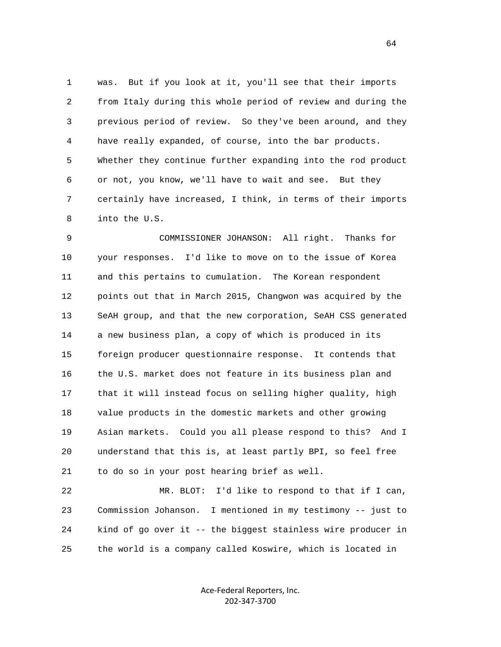1 was. But if you look at it, you'll see that their imports 2 from Italy during this whole period of review and during the 3 previous period of review. So they've been around, and they 4 have really expanded, of course, into the bar products. 5 Whether they continue further expanding into the rod product 6 or not, you know, we'll have to wait and see. But they 7 certainly have increased, I think, in terms of their imports 8 into the U.S.

 9 COMMISSIONER JOHANSON: All right. Thanks for 10 your responses. I'd like to move on to the issue of Korea 11 and this pertains to cumulation. The Korean respondent 12 points out that in March 2015, Changwon was acquired by the 13 SeAH group, and that the new corporation, SeAH CSS generated 14 a new business plan, a copy of which is produced in its 15 foreign producer questionnaire response. It contends that 16 the U.S. market does not feature in its business plan and 17 that it will instead focus on selling higher quality, high 18 value products in the domestic markets and other growing 19 Asian markets. Could you all please respond to this? And I 20 understand that this is, at least partly BPI, so feel free 21 to do so in your post hearing brief as well.

 22 MR. BLOT: I'd like to respond to that if I can, 23 Commission Johanson. I mentioned in my testimony -- just to 24 kind of go over it -- the biggest stainless wire producer in 25 the world is a company called Koswire, which is located in

> Ace‐Federal Reporters, Inc. 202‐347‐3700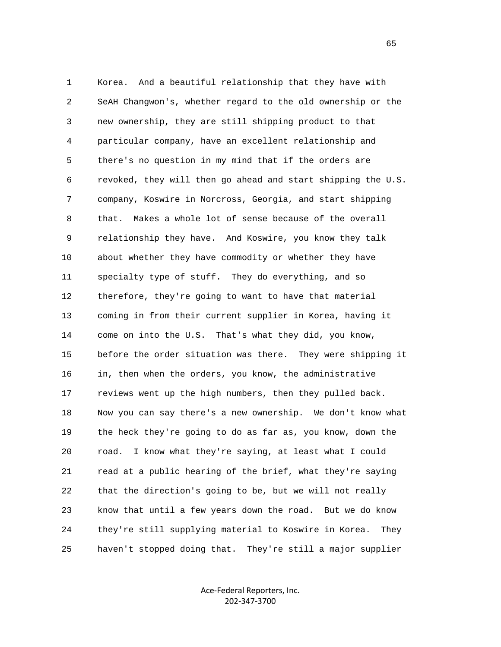1 Korea. And a beautiful relationship that they have with 2 SeAH Changwon's, whether regard to the old ownership or the 3 new ownership, they are still shipping product to that 4 particular company, have an excellent relationship and 5 there's no question in my mind that if the orders are 6 revoked, they will then go ahead and start shipping the U.S. 7 company, Koswire in Norcross, Georgia, and start shipping 8 that. Makes a whole lot of sense because of the overall 9 relationship they have. And Koswire, you know they talk 10 about whether they have commodity or whether they have 11 specialty type of stuff. They do everything, and so 12 therefore, they're going to want to have that material 13 coming in from their current supplier in Korea, having it 14 come on into the U.S. That's what they did, you know, 15 before the order situation was there. They were shipping it 16 in, then when the orders, you know, the administrative 17 reviews went up the high numbers, then they pulled back. 18 Now you can say there's a new ownership. We don't know what 19 the heck they're going to do as far as, you know, down the 20 road. I know what they're saying, at least what I could 21 read at a public hearing of the brief, what they're saying 22 that the direction's going to be, but we will not really 23 know that until a few years down the road. But we do know 24 they're still supplying material to Koswire in Korea. They 25 haven't stopped doing that. They're still a major supplier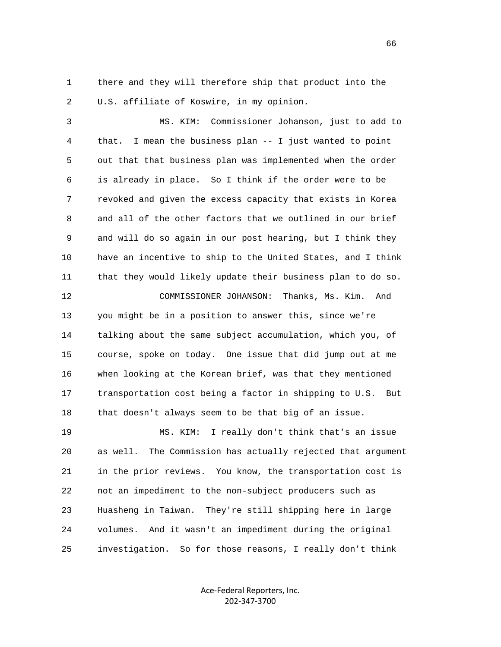1 there and they will therefore ship that product into the 2 U.S. affiliate of Koswire, in my opinion.

 3 MS. KIM: Commissioner Johanson, just to add to 4 that. I mean the business plan -- I just wanted to point 5 out that that business plan was implemented when the order 6 is already in place. So I think if the order were to be 7 revoked and given the excess capacity that exists in Korea 8 and all of the other factors that we outlined in our brief 9 and will do so again in our post hearing, but I think they 10 have an incentive to ship to the United States, and I think 11 that they would likely update their business plan to do so.

 12 COMMISSIONER JOHANSON: Thanks, Ms. Kim. And 13 you might be in a position to answer this, since we're 14 talking about the same subject accumulation, which you, of 15 course, spoke on today. One issue that did jump out at me 16 when looking at the Korean brief, was that they mentioned 17 transportation cost being a factor in shipping to U.S. But 18 that doesn't always seem to be that big of an issue.

 19 MS. KIM: I really don't think that's an issue 20 as well. The Commission has actually rejected that argument 21 in the prior reviews. You know, the transportation cost is 22 not an impediment to the non-subject producers such as 23 Huasheng in Taiwan. They're still shipping here in large 24 volumes. And it wasn't an impediment during the original 25 investigation. So for those reasons, I really don't think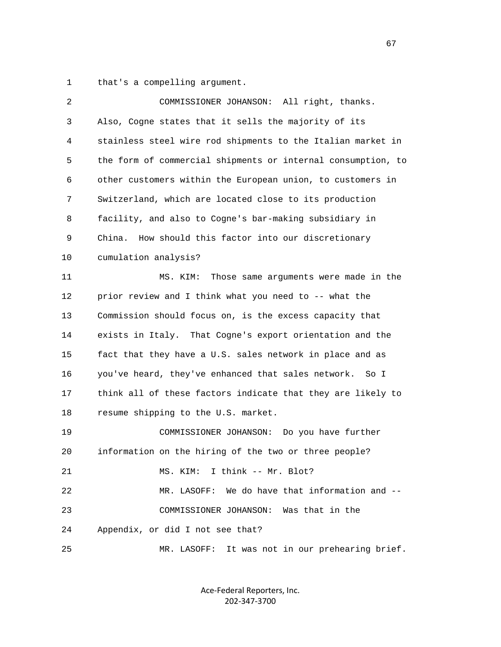1 that's a compelling argument.

| 2  | COMMISSIONER JOHANSON: All right, thanks.                    |
|----|--------------------------------------------------------------|
| 3  | Also, Cogne states that it sells the majority of its         |
| 4  | stainless steel wire rod shipments to the Italian market in  |
| 5  | the form of commercial shipments or internal consumption, to |
| 6  | other customers within the European union, to customers in   |
| 7  | Switzerland, which are located close to its production       |
| 8  | facility, and also to Cogne's bar-making subsidiary in       |
| 9  | How should this factor into our discretionary<br>China.      |
| 10 | cumulation analysis?                                         |
| 11 | MS. KIM:<br>Those same arguments were made in the            |
| 12 | prior review and I think what you need to -- what the        |
| 13 | Commission should focus on, is the excess capacity that      |
| 14 | exists in Italy. That Cogne's export orientation and the     |
| 15 | fact that they have a U.S. sales network in place and as     |
| 16 | you've heard, they've enhanced that sales network. So I      |
| 17 | think all of these factors indicate that they are likely to  |
| 18 | resume shipping to the U.S. market.                          |
| 19 | COMMISSIONER JOHANSON: Do you have further                   |
| 20 | information on the hiring of the two or three people?        |
| 21 | MS. KIM: I think -- Mr. Blot?                                |
| 22 | MR. LASOFF: We do have that information and --               |
| 23 | COMMISSIONER JOHANSON: Was that in the                       |
| 24 | Appendix, or did I not see that?                             |
| 25 | MR. LASOFF: It was not in our prehearing brief.              |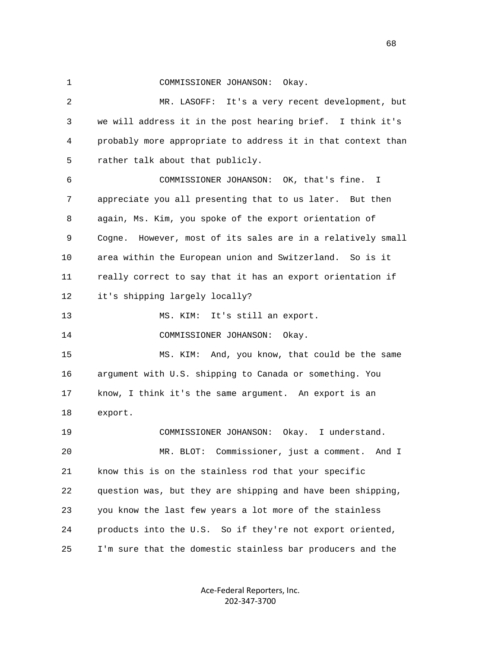1 COMMISSIONER JOHANSON: Okay.

 2 MR. LASOFF: It's a very recent development, but 3 we will address it in the post hearing brief. I think it's 4 probably more appropriate to address it in that context than 5 rather talk about that publicly. 6 COMMISSIONER JOHANSON: OK, that's fine. I 7 appreciate you all presenting that to us later. But then 8 again, Ms. Kim, you spoke of the export orientation of 9 Cogne. However, most of its sales are in a relatively small 10 area within the European union and Switzerland. So is it 11 really correct to say that it has an export orientation if 12 it's shipping largely locally? 13 MS. KIM: It's still an export. 14 COMMISSIONER JOHANSON: Okay. 15 MS. KIM: And, you know, that could be the same 16 argument with U.S. shipping to Canada or something. You 17 know, I think it's the same argument. An export is an 18 export. 19 COMMISSIONER JOHANSON: Okay. I understand. 20 MR. BLOT: Commissioner, just a comment. And I 21 know this is on the stainless rod that your specific 22 question was, but they are shipping and have been shipping, 23 you know the last few years a lot more of the stainless 24 products into the U.S. So if they're not export oriented, 25 I'm sure that the domestic stainless bar producers and the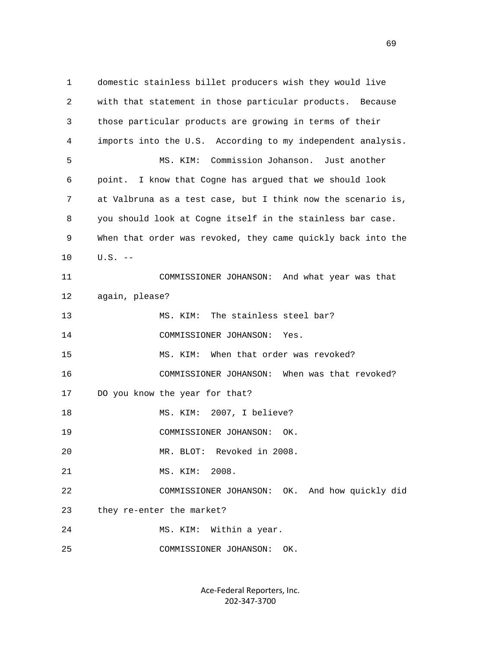1 domestic stainless billet producers wish they would live 2 with that statement in those particular products. Because 3 those particular products are growing in terms of their 4 imports into the U.S. According to my independent analysis. 5 MS. KIM: Commission Johanson. Just another 6 point. I know that Cogne has argued that we should look 7 at Valbruna as a test case, but I think now the scenario is, 8 you should look at Cogne itself in the stainless bar case. 9 When that order was revoked, they came quickly back into the 10 U.S. -- 11 COMMISSIONER JOHANSON: And what year was that 12 again, please? 13 MS. KIM: The stainless steel bar? 14 COMMISSIONER JOHANSON: Yes. 15 MS. KIM: When that order was revoked? 16 COMMISSIONER JOHANSON: When was that revoked? 17 DO you know the year for that? 18 MS. KIM: 2007, I believe? 19 COMMISSIONER JOHANSON: OK. 20 MR. BLOT: Revoked in 2008. 21 MS. KIM: 2008. 22 COMMISSIONER JOHANSON: OK. And how quickly did 23 they re-enter the market? 24 MS. KIM: Within a year. 25 COMMISSIONER JOHANSON: OK.

> Ace‐Federal Reporters, Inc. 202‐347‐3700

 $\sim$  69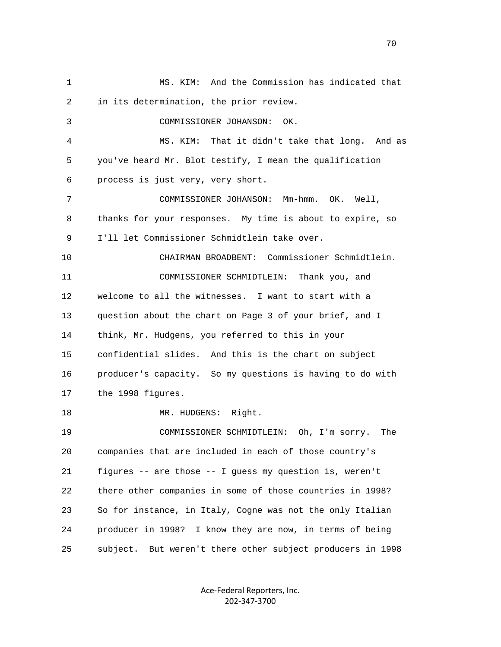1 MS. KIM: And the Commission has indicated that 2 in its determination, the prior review. 3 COMMISSIONER JOHANSON: OK. 4 MS. KIM: That it didn't take that long. And as 5 you've heard Mr. Blot testify, I mean the qualification 6 process is just very, very short. 7 COMMISSIONER JOHANSON: Mm-hmm. OK. Well, 8 thanks for your responses. My time is about to expire, so 9 I'll let Commissioner Schmidtlein take over. 10 CHAIRMAN BROADBENT: Commissioner Schmidtlein. 11 COMMISSIONER SCHMIDTLEIN: Thank you, and 12 welcome to all the witnesses. I want to start with a 13 question about the chart on Page 3 of your brief, and I 14 think, Mr. Hudgens, you referred to this in your 15 confidential slides. And this is the chart on subject 16 producer's capacity. So my questions is having to do with 17 the 1998 figures. 18 MR. HUDGENS: Right. 19 COMMISSIONER SCHMIDTLEIN: Oh, I'm sorry. The 20 companies that are included in each of those country's 21 figures -- are those -- I guess my question is, weren't 22 there other companies in some of those countries in 1998? 23 So for instance, in Italy, Cogne was not the only Italian 24 producer in 1998? I know they are now, in terms of being 25 subject. But weren't there other subject producers in 1998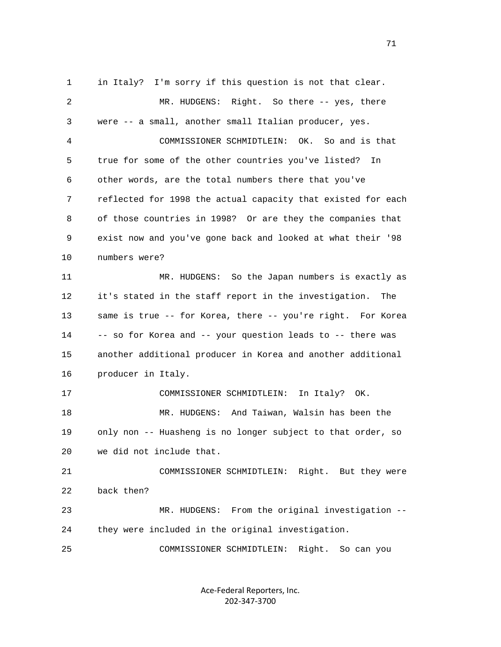1 in Italy? I'm sorry if this question is not that clear. 2 MR. HUDGENS: Right. So there -- yes, there 3 were -- a small, another small Italian producer, yes. 4 COMMISSIONER SCHMIDTLEIN: OK. So and is that 5 true for some of the other countries you've listed? In 6 other words, are the total numbers there that you've 7 reflected for 1998 the actual capacity that existed for each 8 of those countries in 1998? Or are they the companies that 9 exist now and you've gone back and looked at what their '98 10 numbers were? 11 MR. HUDGENS: So the Japan numbers is exactly as 12 it's stated in the staff report in the investigation. The 13 same is true -- for Korea, there -- you're right. For Korea 14 -- so for Korea and -- your question leads to -- there was 15 another additional producer in Korea and another additional 16 producer in Italy. 17 COMMISSIONER SCHMIDTLEIN: In Italy? OK. 18 MR. HUDGENS: And Taiwan, Walsin has been the 19 only non -- Huasheng is no longer subject to that order, so 20 we did not include that. 21 COMMISSIONER SCHMIDTLEIN: Right. But they were 22 back then? 23 MR. HUDGENS: From the original investigation -- 24 they were included in the original investigation. 25 COMMISSIONER SCHMIDTLEIN: Right. So can you

> Ace‐Federal Reporters, Inc. 202‐347‐3700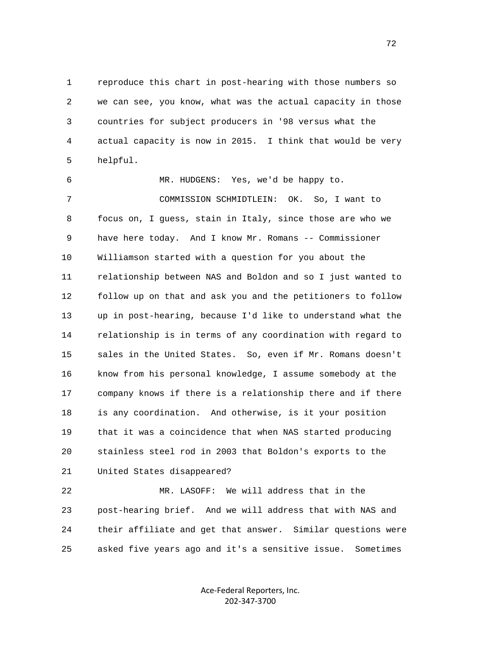1 reproduce this chart in post-hearing with those numbers so 2 we can see, you know, what was the actual capacity in those 3 countries for subject producers in '98 versus what the 4 actual capacity is now in 2015. I think that would be very 5 helpful.

 6 MR. HUDGENS: Yes, we'd be happy to. 7 COMMISSION SCHMIDTLEIN: OK. So, I want to 8 focus on, I guess, stain in Italy, since those are who we 9 have here today. And I know Mr. Romans -- Commissioner 10 Williamson started with a question for you about the 11 relationship between NAS and Boldon and so I just wanted to 12 follow up on that and ask you and the petitioners to follow 13 up in post-hearing, because I'd like to understand what the 14 relationship is in terms of any coordination with regard to 15 sales in the United States. So, even if Mr. Romans doesn't 16 know from his personal knowledge, I assume somebody at the 17 company knows if there is a relationship there and if there 18 is any coordination. And otherwise, is it your position 19 that it was a coincidence that when NAS started producing 20 stainless steel rod in 2003 that Boldon's exports to the 21 United States disappeared?

 22 MR. LASOFF: We will address that in the 23 post-hearing brief. And we will address that with NAS and 24 their affiliate and get that answer. Similar questions were 25 asked five years ago and it's a sensitive issue. Sometimes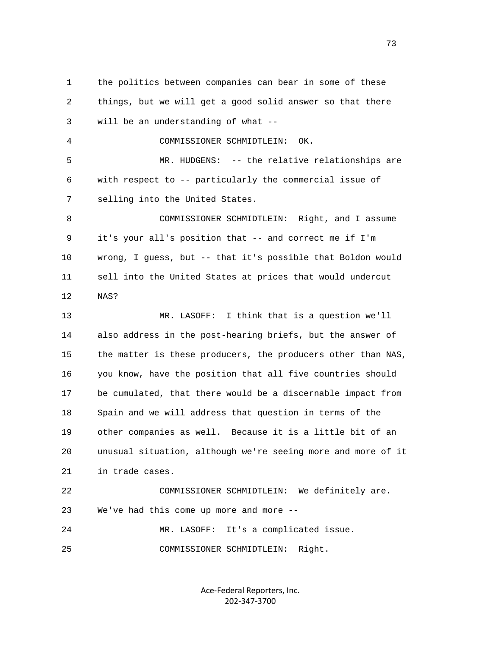1 the politics between companies can bear in some of these 2 things, but we will get a good solid answer so that there 3 will be an understanding of what -- 4 COMMISSIONER SCHMIDTLEIN: OK. 5 MR. HUDGENS: -- the relative relationships are 6 with respect to -- particularly the commercial issue of 7 selling into the United States. 8 COMMISSIONER SCHMIDTLEIN: Right, and I assume 9 it's your all's position that -- and correct me if I'm 10 wrong, I guess, but -- that it's possible that Boldon would 11 sell into the United States at prices that would undercut 12 NAS? 13 MR. LASOFF: I think that is a question we'll 14 also address in the post-hearing briefs, but the answer of 15 the matter is these producers, the producers other than NAS, 16 you know, have the position that all five countries should 17 be cumulated, that there would be a discernable impact from 18 Spain and we will address that question in terms of the 19 other companies as well. Because it is a little bit of an 20 unusual situation, although we're seeing more and more of it 21 in trade cases. 22 COMMISSIONER SCHMIDTLEIN: We definitely are. 23 We've had this come up more and more -- 24 MR. LASOFF: It's a complicated issue. 25 COMMISSIONER SCHMIDTLEIN: Right.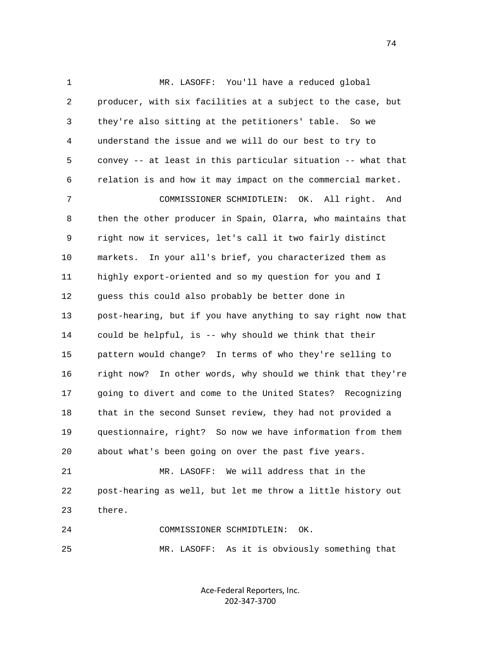1 MR. LASOFF: You'll have a reduced global 2 producer, with six facilities at a subject to the case, but 3 they're also sitting at the petitioners' table. So we 4 understand the issue and we will do our best to try to 5 convey -- at least in this particular situation -- what that 6 relation is and how it may impact on the commercial market. 7 COMMISSIONER SCHMIDTLEIN: OK. All right. And 8 then the other producer in Spain, Olarra, who maintains that 9 right now it services, let's call it two fairly distinct 10 markets. In your all's brief, you characterized them as 11 highly export-oriented and so my question for you and I 12 guess this could also probably be better done in 13 post-hearing, but if you have anything to say right now that 14 could be helpful, is -- why should we think that their 15 pattern would change? In terms of who they're selling to 16 right now? In other words, why should we think that they're 17 going to divert and come to the United States? Recognizing 18 that in the second Sunset review, they had not provided a 19 questionnaire, right? So now we have information from them 20 about what's been going on over the past five years. 21 MR. LASOFF: We will address that in the 22 post-hearing as well, but let me throw a little history out

23 there.

 24 COMMISSIONER SCHMIDTLEIN: OK. 25 MR. LASOFF: As it is obviously something that

> Ace‐Federal Reporters, Inc. 202‐347‐3700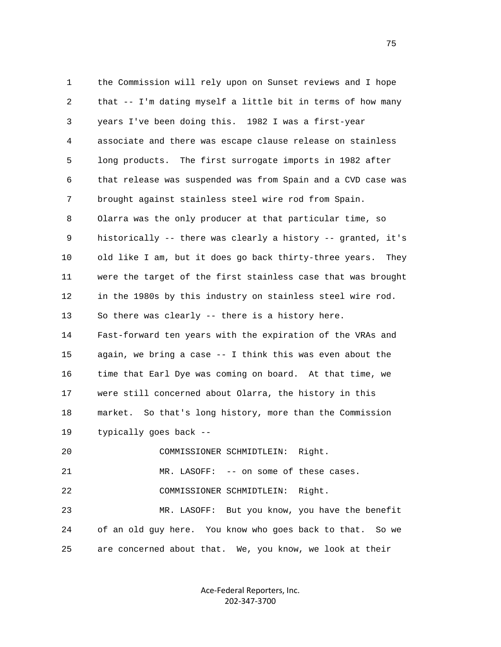1 the Commission will rely upon on Sunset reviews and I hope 2 that -- I'm dating myself a little bit in terms of how many 3 years I've been doing this. 1982 I was a first-year 4 associate and there was escape clause release on stainless 5 long products. The first surrogate imports in 1982 after 6 that release was suspended was from Spain and a CVD case was 7 brought against stainless steel wire rod from Spain. 8 Olarra was the only producer at that particular time, so 9 historically -- there was clearly a history -- granted, it's 10 old like I am, but it does go back thirty-three years. They 11 were the target of the first stainless case that was brought 12 in the 1980s by this industry on stainless steel wire rod. 13 So there was clearly -- there is a history here. 14 Fast-forward ten years with the expiration of the VRAs and 15 again, we bring a case -- I think this was even about the 16 time that Earl Dye was coming on board. At that time, we 17 were still concerned about Olarra, the history in this 18 market. So that's long history, more than the Commission 19 typically goes back -- 20 COMMISSIONER SCHMIDTLEIN: Right. 21 MR. LASOFF: -- on some of these cases. 22 COMMISSIONER SCHMIDTLEIN: Right. 23 MR. LASOFF: But you know, you have the benefit 24 of an old guy here. You know who goes back to that. So we 25 are concerned about that. We, you know, we look at their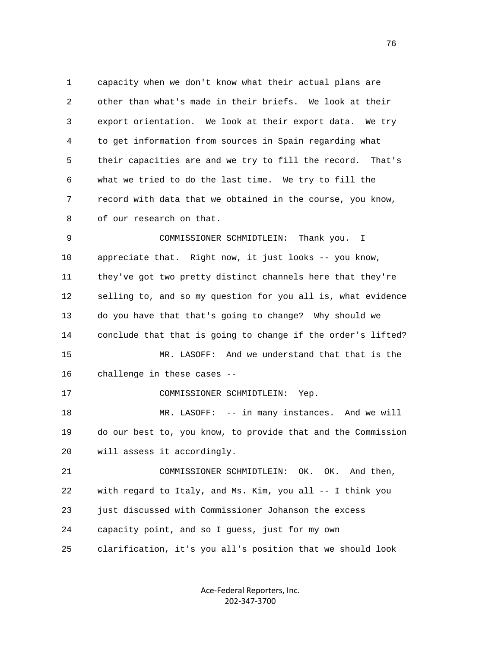1 capacity when we don't know what their actual plans are 2 other than what's made in their briefs. We look at their 3 export orientation. We look at their export data. We try 4 to get information from sources in Spain regarding what 5 their capacities are and we try to fill the record. That's 6 what we tried to do the last time. We try to fill the 7 record with data that we obtained in the course, you know, 8 of our research on that.

 9 COMMISSIONER SCHMIDTLEIN: Thank you. I 10 appreciate that. Right now, it just looks -- you know, 11 they've got two pretty distinct channels here that they're 12 selling to, and so my question for you all is, what evidence 13 do you have that that's going to change? Why should we 14 conclude that that is going to change if the order's lifted? 15 MR. LASOFF: And we understand that that is the 16 challenge in these cases -- 17 COMMISSIONER SCHMIDTLEIN: Yep. 18 MR. LASOFF: -- in many instances. And we will 19 do our best to, you know, to provide that and the Commission 20 will assess it accordingly. 21 COMMISSIONER SCHMIDTLEIN: OK. OK. And then, 22 with regard to Italy, and Ms. Kim, you all -- I think you 23 just discussed with Commissioner Johanson the excess 24 capacity point, and so I guess, just for my own

25 clarification, it's you all's position that we should look

Ace‐Federal Reporters, Inc. 202‐347‐3700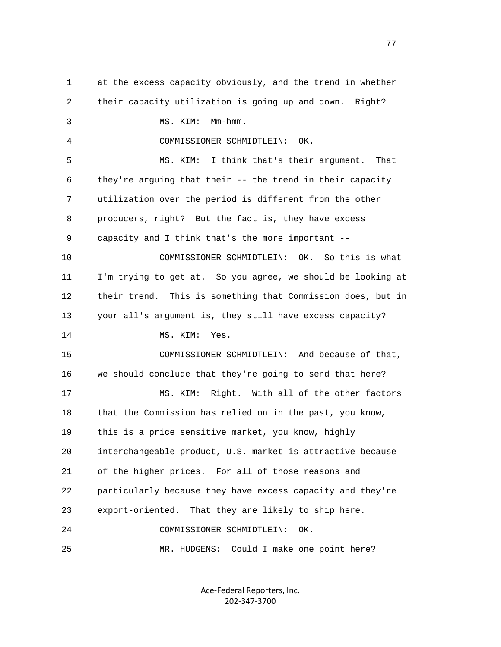1 at the excess capacity obviously, and the trend in whether 2 their capacity utilization is going up and down. Right? 3 MS. KIM: Mm-hmm. 4 COMMISSIONER SCHMIDTLEIN: OK. 5 MS. KIM: I think that's their argument. That 6 they're arguing that their -- the trend in their capacity 7 utilization over the period is different from the other 8 producers, right? But the fact is, they have excess 9 capacity and I think that's the more important -- 10 COMMISSIONER SCHMIDTLEIN: OK. So this is what 11 I'm trying to get at. So you agree, we should be looking at 12 their trend. This is something that Commission does, but in 13 your all's argument is, they still have excess capacity? 14 MS. KIM: Yes. 15 COMMISSIONER SCHMIDTLEIN: And because of that, 16 we should conclude that they're going to send that here? 17 MS. KIM: Right. With all of the other factors 18 that the Commission has relied on in the past, you know, 19 this is a price sensitive market, you know, highly 20 interchangeable product, U.S. market is attractive because 21 of the higher prices. For all of those reasons and 22 particularly because they have excess capacity and they're 23 export-oriented. That they are likely to ship here. 24 COMMISSIONER SCHMIDTLEIN: OK. 25 MR. HUDGENS: Could I make one point here?

> Ace‐Federal Reporters, Inc. 202‐347‐3700

na na matsay na matsay na matsay na matsay na matsay na matsay na matsay na matsay na matsay na matsay na mats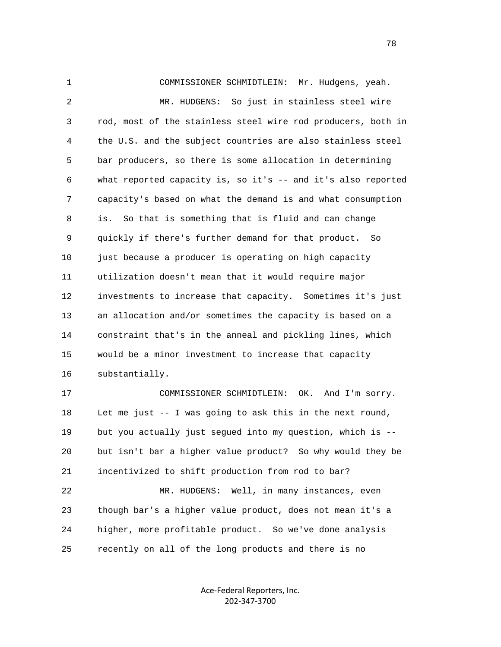1 COMMISSIONER SCHMIDTLEIN: Mr. Hudgens, yeah. 2 MR. HUDGENS: So just in stainless steel wire 3 rod, most of the stainless steel wire rod producers, both in 4 the U.S. and the subject countries are also stainless steel 5 bar producers, so there is some allocation in determining 6 what reported capacity is, so it's -- and it's also reported 7 capacity's based on what the demand is and what consumption 8 is. So that is something that is fluid and can change 9 quickly if there's further demand for that product. So 10 just because a producer is operating on high capacity 11 utilization doesn't mean that it would require major 12 investments to increase that capacity. Sometimes it's just 13 an allocation and/or sometimes the capacity is based on a 14 constraint that's in the anneal and pickling lines, which 15 would be a minor investment to increase that capacity 16 substantially. 17 COMMISSIONER SCHMIDTLEIN: OK. And I'm sorry. 18 Let me just -- I was going to ask this in the next round,

 19 but you actually just segued into my question, which is -- 20 but isn't bar a higher value product? So why would they be 21 incentivized to shift production from rod to bar?

 22 MR. HUDGENS: Well, in many instances, even 23 though bar's a higher value product, does not mean it's a 24 higher, more profitable product. So we've done analysis 25 recently on all of the long products and there is no

> Ace‐Federal Reporters, Inc. 202‐347‐3700

n and the state of the state of the state of the state of the state of the state of the state of the state of the state of the state of the state of the state of the state of the state of the state of the state of the stat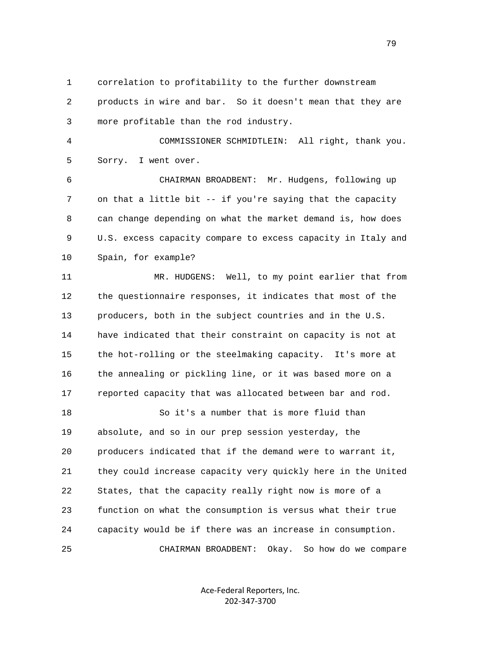1 correlation to profitability to the further downstream

 2 products in wire and bar. So it doesn't mean that they are 3 more profitable than the rod industry.

 4 COMMISSIONER SCHMIDTLEIN: All right, thank you. 5 Sorry. I went over.

 6 CHAIRMAN BROADBENT: Mr. Hudgens, following up 7 on that a little bit -- if you're saying that the capacity 8 can change depending on what the market demand is, how does 9 U.S. excess capacity compare to excess capacity in Italy and 10 Spain, for example?

11 MR. HUDGENS: Well, to my point earlier that from 12 the questionnaire responses, it indicates that most of the 13 producers, both in the subject countries and in the U.S. 14 have indicated that their constraint on capacity is not at 15 the hot-rolling or the steelmaking capacity. It's more at 16 the annealing or pickling line, or it was based more on a 17 reported capacity that was allocated between bar and rod.

 18 So it's a number that is more fluid than 19 absolute, and so in our prep session yesterday, the 20 producers indicated that if the demand were to warrant it, 21 they could increase capacity very quickly here in the United 22 States, that the capacity really right now is more of a 23 function on what the consumption is versus what their true 24 capacity would be if there was an increase in consumption. 25 CHAIRMAN BROADBENT: Okay. So how do we compare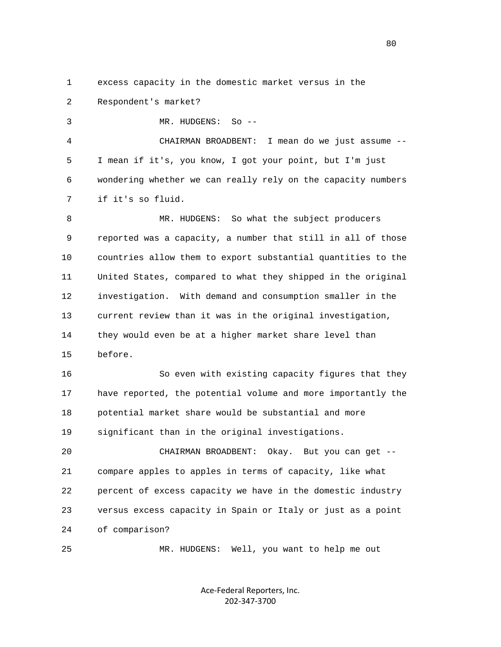1 excess capacity in the domestic market versus in the

2 Respondent's market?

3 MR. HUDGENS: So --

 4 CHAIRMAN BROADBENT: I mean do we just assume -- 5 I mean if it's, you know, I got your point, but I'm just 6 wondering whether we can really rely on the capacity numbers 7 if it's so fluid.

 8 MR. HUDGENS: So what the subject producers 9 reported was a capacity, a number that still in all of those 10 countries allow them to export substantial quantities to the 11 United States, compared to what they shipped in the original 12 investigation. With demand and consumption smaller in the 13 current review than it was in the original investigation, 14 they would even be at a higher market share level than 15 before.

16 So even with existing capacity figures that they 17 have reported, the potential volume and more importantly the 18 potential market share would be substantial and more 19 significant than in the original investigations.

 20 CHAIRMAN BROADBENT: Okay. But you can get -- 21 compare apples to apples in terms of capacity, like what 22 percent of excess capacity we have in the domestic industry 23 versus excess capacity in Spain or Italy or just as a point 24 of comparison?

25 MR. HUDGENS: Well, you want to help me out

Ace‐Federal Reporters, Inc. 202‐347‐3700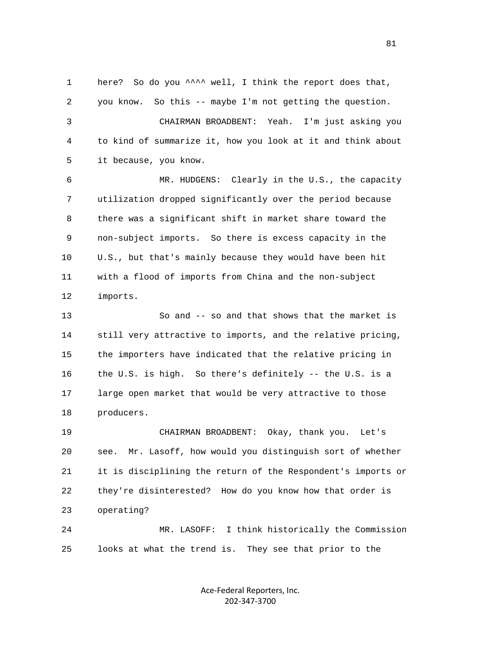1 here? So do you ^^^^ well, I think the report does that, 2 you know. So this -- maybe I'm not getting the question. 3 CHAIRMAN BROADBENT: Yeah. I'm just asking you 4 to kind of summarize it, how you look at it and think about 5 it because, you know. 6 MR. HUDGENS: Clearly in the U.S., the capacity 7 utilization dropped significantly over the period because 8 there was a significant shift in market share toward the 9 non-subject imports. So there is excess capacity in the 10 U.S., but that's mainly because they would have been hit

 11 with a flood of imports from China and the non-subject 12 imports.

 13 So and -- so and that shows that the market is 14 still very attractive to imports, and the relative pricing, 15 the importers have indicated that the relative pricing in 16 the U.S. is high. So there's definitely -- the U.S. is a 17 large open market that would be very attractive to those 18 producers.

 19 CHAIRMAN BROADBENT: Okay, thank you. Let's 20 see. Mr. Lasoff, how would you distinguish sort of whether 21 it is disciplining the return of the Respondent's imports or 22 they're disinterested? How do you know how that order is 23 operating?

 24 MR. LASOFF: I think historically the Commission 25 looks at what the trend is. They see that prior to the

> Ace‐Federal Reporters, Inc. 202‐347‐3700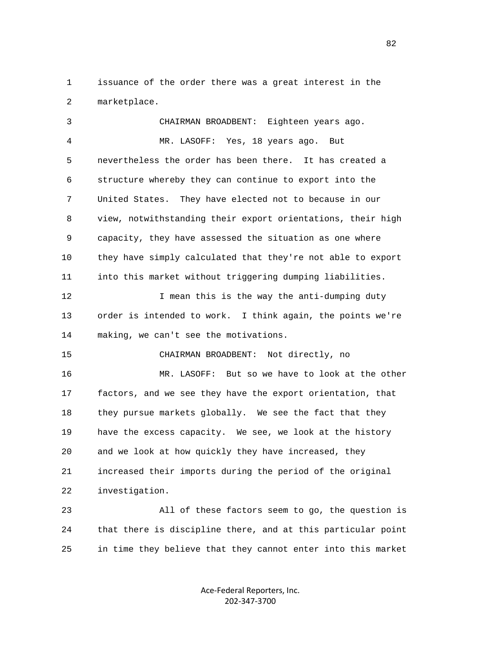1 issuance of the order there was a great interest in the 2 marketplace.

 3 CHAIRMAN BROADBENT: Eighteen years ago. 4 MR. LASOFF: Yes, 18 years ago. But 5 nevertheless the order has been there. It has created a 6 structure whereby they can continue to export into the 7 United States. They have elected not to because in our 8 view, notwithstanding their export orientations, their high 9 capacity, they have assessed the situation as one where 10 they have simply calculated that they're not able to export 11 into this market without triggering dumping liabilities. 12 I mean this is the way the anti-dumping duty 13 order is intended to work. I think again, the points we're 14 making, we can't see the motivations. 15 CHAIRMAN BROADBENT: Not directly, no 16 MR. LASOFF: But so we have to look at the other 17 factors, and we see they have the export orientation, that 18 they pursue markets globally. We see the fact that they 19 have the excess capacity. We see, we look at the history 20 and we look at how quickly they have increased, they 21 increased their imports during the period of the original 22 investigation. 23 All of these factors seem to go, the question is

 24 that there is discipline there, and at this particular point 25 in time they believe that they cannot enter into this market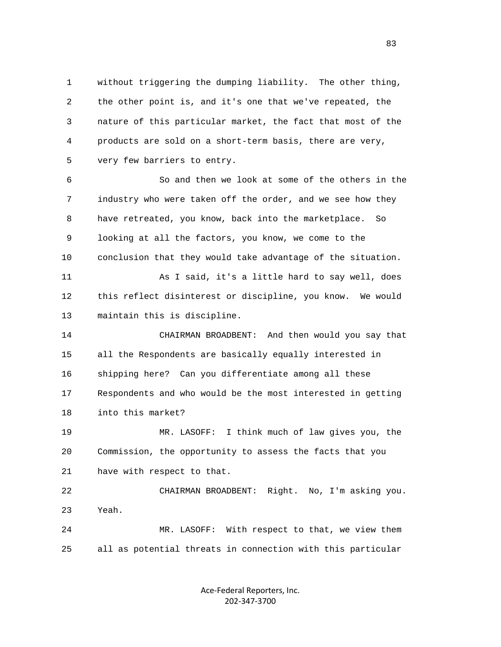1 without triggering the dumping liability. The other thing, 2 the other point is, and it's one that we've repeated, the 3 nature of this particular market, the fact that most of the 4 products are sold on a short-term basis, there are very, 5 very few barriers to entry.

 6 So and then we look at some of the others in the 7 industry who were taken off the order, and we see how they 8 have retreated, you know, back into the marketplace. So 9 looking at all the factors, you know, we come to the 10 conclusion that they would take advantage of the situation. 11 As I said, it's a little hard to say well, does 12 this reflect disinterest or discipline, you know. We would 13 maintain this is discipline.

 14 CHAIRMAN BROADBENT: And then would you say that 15 all the Respondents are basically equally interested in 16 shipping here? Can you differentiate among all these 17 Respondents and who would be the most interested in getting 18 into this market?

 19 MR. LASOFF: I think much of law gives you, the 20 Commission, the opportunity to assess the facts that you 21 have with respect to that.

 22 CHAIRMAN BROADBENT: Right. No, I'm asking you. 23 Yeah.

 24 MR. LASOFF: With respect to that, we view them 25 all as potential threats in connection with this particular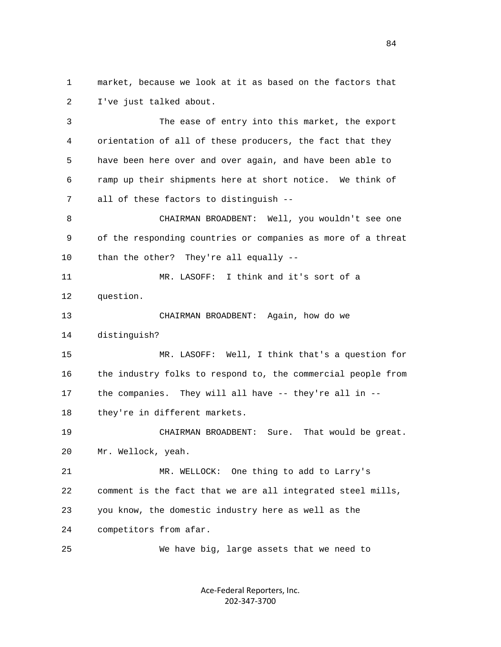1 market, because we look at it as based on the factors that 2 I've just talked about.

 3 The ease of entry into this market, the export 4 orientation of all of these producers, the fact that they 5 have been here over and over again, and have been able to 6 ramp up their shipments here at short notice. We think of 7 all of these factors to distinguish --

 8 CHAIRMAN BROADBENT: Well, you wouldn't see one 9 of the responding countries or companies as more of a threat 10 than the other? They're all equally --

 11 MR. LASOFF: I think and it's sort of a 12 question.

 13 CHAIRMAN BROADBENT: Again, how do we 14 distinguish?

 15 MR. LASOFF: Well, I think that's a question for 16 the industry folks to respond to, the commercial people from 17 the companies. They will all have -- they're all in --

18 they're in different markets.

 19 CHAIRMAN BROADBENT: Sure. That would be great. 20 Mr. Wellock, yeah.

 21 MR. WELLOCK: One thing to add to Larry's 22 comment is the fact that we are all integrated steel mills, 23 you know, the domestic industry here as well as the 24 competitors from afar.

25 We have big, large assets that we need to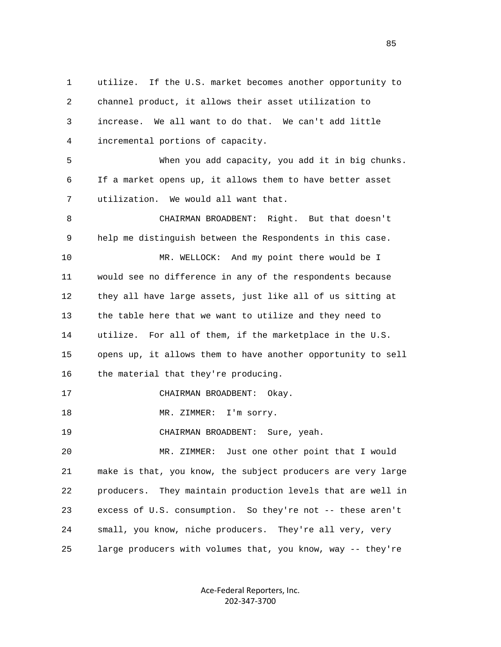1 utilize. If the U.S. market becomes another opportunity to 2 channel product, it allows their asset utilization to 3 increase. We all want to do that. We can't add little 4 incremental portions of capacity. 5 When you add capacity, you add it in big chunks. 6 If a market opens up, it allows them to have better asset 7 utilization. We would all want that. 8 CHAIRMAN BROADBENT: Right. But that doesn't 9 help me distinguish between the Respondents in this case. 10 MR. WELLOCK: And my point there would be I 11 would see no difference in any of the respondents because 12 they all have large assets, just like all of us sitting at 13 the table here that we want to utilize and they need to 14 utilize. For all of them, if the marketplace in the U.S. 15 opens up, it allows them to have another opportunity to sell 16 the material that they're producing. 17 CHAIRMAN BROADBENT: Okay. 18 MR. ZIMMER: I'm sorry. 19 CHAIRMAN BROADBENT: Sure, yeah. 20 MR. ZIMMER: Just one other point that I would 21 make is that, you know, the subject producers are very large 22 producers. They maintain production levels that are well in 23 excess of U.S. consumption. So they're not -- these aren't 24 small, you know, niche producers. They're all very, very 25 large producers with volumes that, you know, way -- they're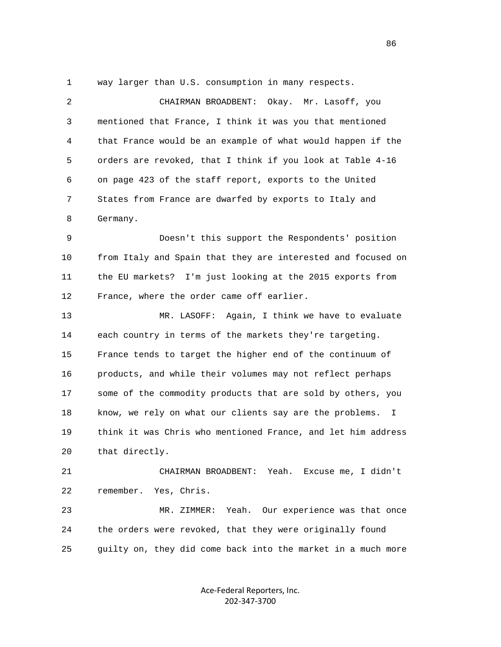1 way larger than U.S. consumption in many respects.

| $\overline{2}$ | Okay. Mr. Lasoff, you<br>CHAIRMAN BROADBENT:                  |
|----------------|---------------------------------------------------------------|
| 3              | mentioned that France, I think it was you that mentioned      |
| 4              | that France would be an example of what would happen if the   |
| 5              | orders are revoked, that I think if you look at Table 4-16    |
| 6              | on page 423 of the staff report, exports to the United        |
| 7              | States from France are dwarfed by exports to Italy and        |
| 8              | Germany.                                                      |
| 9              | Doesn't this support the Respondents' position                |
| 10             | from Italy and Spain that they are interested and focused on  |
| 11             | the EU markets?<br>I'm just looking at the 2015 exports from  |
| 12             | France, where the order came off earlier.                     |
| 13             | MR. LASOFF:<br>Again, I think we have to evaluate             |
| 14             | each country in terms of the markets they're targeting.       |
| 15             | France tends to target the higher end of the continuum of     |
| 16             | products, and while their volumes may not reflect perhaps     |
| 17             | some of the commodity products that are sold by others, you   |
| 18             | know, we rely on what our clients say are the problems.<br>Ι. |
| 19             | think it was Chris who mentioned France, and let him address  |
| 20             | that directly.                                                |
| 21             | CHAIRMAN BROADBENT: Yeah. Excuse me, I didn't                 |
| 22             | remember.<br>Yes, Chris.                                      |
| 23             | Yeah. Our experience was that once<br>MR. ZIMMER:             |
| 24             | the orders were revoked, that they were originally found      |
| 25             | guilty on, they did come back into the market in a much more  |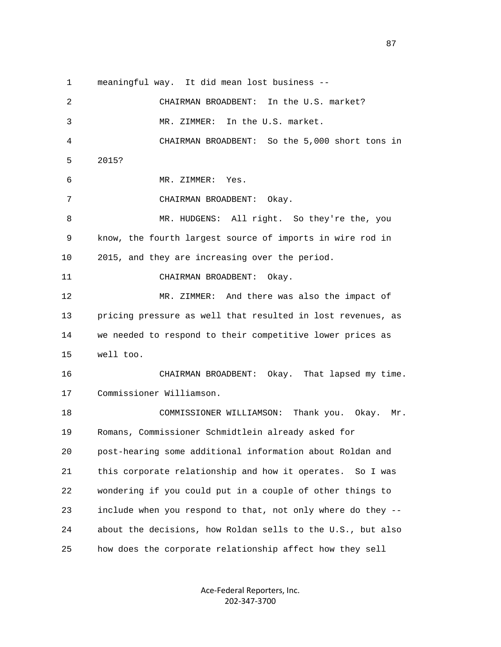1 meaningful way. It did mean lost business -- 2 CHAIRMAN BROADBENT: In the U.S. market? 3 MR. ZIMMER: In the U.S. market. 4 CHAIRMAN BROADBENT: So the 5,000 short tons in 5 2015? 6 MR. ZIMMER: Yes. 7 CHAIRMAN BROADBENT: Okay. 8 MR. HUDGENS: All right. So they're the, you 9 know, the fourth largest source of imports in wire rod in 10 2015, and they are increasing over the period. 11 CHAIRMAN BROADBENT: Okay. 12 MR. ZIMMER: And there was also the impact of 13 pricing pressure as well that resulted in lost revenues, as 14 we needed to respond to their competitive lower prices as 15 well too. 16 CHAIRMAN BROADBENT: Okay. That lapsed my time. 17 Commissioner Williamson. 18 COMMISSIONER WILLIAMSON: Thank you. Okay. Mr. 19 Romans, Commissioner Schmidtlein already asked for 20 post-hearing some additional information about Roldan and 21 this corporate relationship and how it operates. So I was 22 wondering if you could put in a couple of other things to 23 include when you respond to that, not only where do they -- 24 about the decisions, how Roldan sells to the U.S., but also 25 how does the corporate relationship affect how they sell

> Ace‐Federal Reporters, Inc. 202‐347‐3700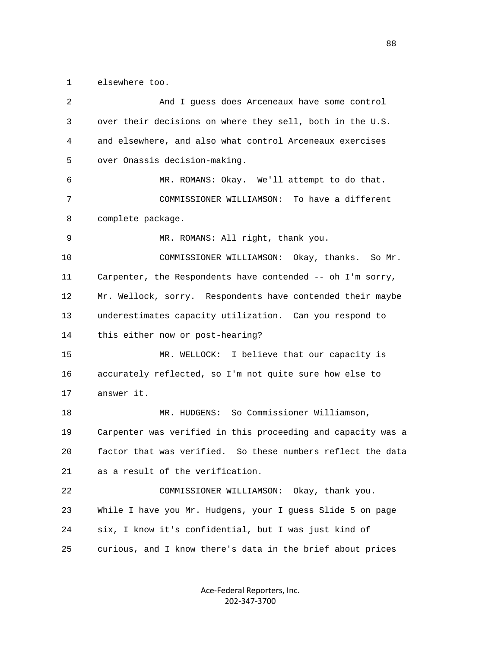1 elsewhere too.

| 2  | And I guess does Arceneaux have some control                 |
|----|--------------------------------------------------------------|
| 3  | over their decisions on where they sell, both in the U.S.    |
| 4  | and elsewhere, and also what control Arceneaux exercises     |
| 5  | over Onassis decision-making.                                |
| 6  | MR. ROMANS: Okay. We'll attempt to do that.                  |
| 7  | COMMISSIONER WILLIAMSON: To have a different                 |
| 8  | complete package.                                            |
| 9  | MR. ROMANS: All right, thank you.                            |
| 10 | COMMISSIONER WILLIAMSON: Okay, thanks. So Mr.                |
| 11 | Carpenter, the Respondents have contended -- oh I'm sorry,   |
| 12 | Mr. Wellock, sorry. Respondents have contended their maybe   |
| 13 | underestimates capacity utilization. Can you respond to      |
| 14 | this either now or post-hearing?                             |
| 15 | MR. WELLOCK: I believe that our capacity is                  |
| 16 | accurately reflected, so I'm not quite sure how else to      |
| 17 | answer it.                                                   |
| 18 | MR. HUDGENS: So Commissioner Williamson,                     |
| 19 | Carpenter was verified in this proceeding and capacity was a |
| 20 | factor that was verified. So these numbers reflect the data  |
| 21 | as a result of the verification.                             |
| 22 | COMMISSIONER WILLIAMSON: Okay, thank you.                    |
| 23 | While I have you Mr. Hudgens, your I guess Slide 5 on page   |
| 24 | six, I know it's confidential, but I was just kind of        |
| 25 | curious, and I know there's data in the brief about prices   |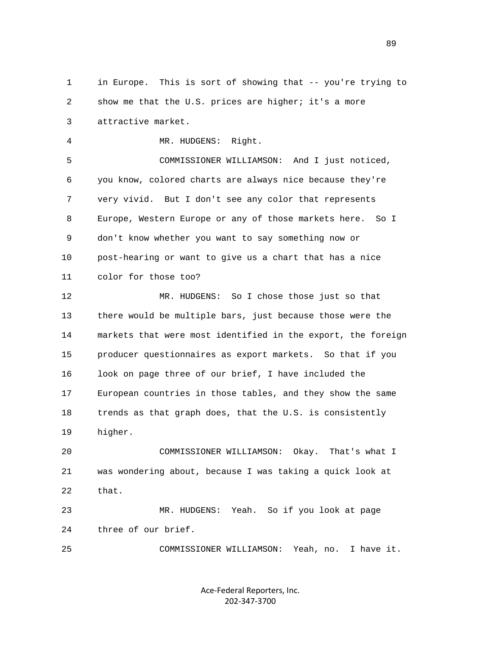1 in Europe. This is sort of showing that -- you're trying to 2 show me that the U.S. prices are higher; it's a more 3 attractive market.

4 MR. HUDGENS: Right.

 5 COMMISSIONER WILLIAMSON: And I just noticed, 6 you know, colored charts are always nice because they're 7 very vivid. But I don't see any color that represents 8 Europe, Western Europe or any of those markets here. So I 9 don't know whether you want to say something now or 10 post-hearing or want to give us a chart that has a nice 11 color for those too?

 12 MR. HUDGENS: So I chose those just so that 13 there would be multiple bars, just because those were the 14 markets that were most identified in the export, the foreign 15 producer questionnaires as export markets. So that if you 16 look on page three of our brief, I have included the 17 European countries in those tables, and they show the same 18 trends as that graph does, that the U.S. is consistently 19 higher.

 20 COMMISSIONER WILLIAMSON: Okay. That's what I 21 was wondering about, because I was taking a quick look at 22 that.

 23 MR. HUDGENS: Yeah. So if you look at page 24 three of our brief.

25 COMMISSIONER WILLIAMSON: Yeah, no. I have it.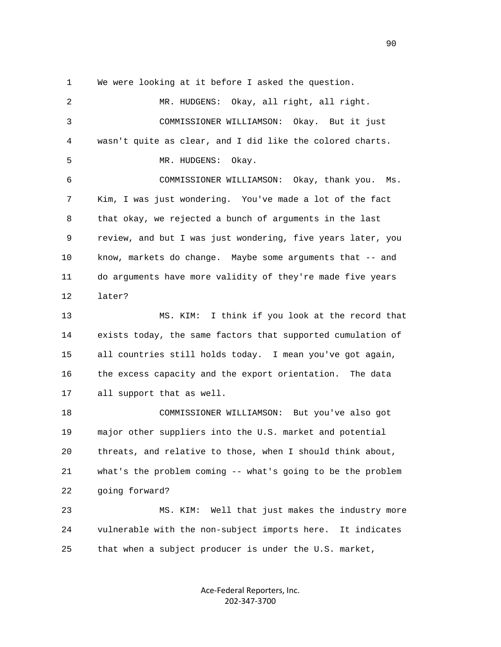1 We were looking at it before I asked the question.

 2 MR. HUDGENS: Okay, all right, all right. 3 COMMISSIONER WILLIAMSON: Okay. But it just 4 wasn't quite as clear, and I did like the colored charts. 5 MR. HUDGENS: Okay. 6 COMMISSIONER WILLIAMSON: Okay, thank you. Ms. 7 Kim, I was just wondering. You've made a lot of the fact 8 that okay, we rejected a bunch of arguments in the last 9 review, and but I was just wondering, five years later, you 10 know, markets do change. Maybe some arguments that -- and 11 do arguments have more validity of they're made five years 12 later? 13 MS. KIM: I think if you look at the record that 14 exists today, the same factors that supported cumulation of 15 all countries still holds today. I mean you've got again, 16 the excess capacity and the export orientation. The data 17 all support that as well. 18 COMMISSIONER WILLIAMSON: But you've also got 19 major other suppliers into the U.S. market and potential 20 threats, and relative to those, when I should think about, 21 what's the problem coming -- what's going to be the problem 22 going forward? 23 MS. KIM: Well that just makes the industry more 24 vulnerable with the non-subject imports here. It indicates 25 that when a subject producer is under the U.S. market,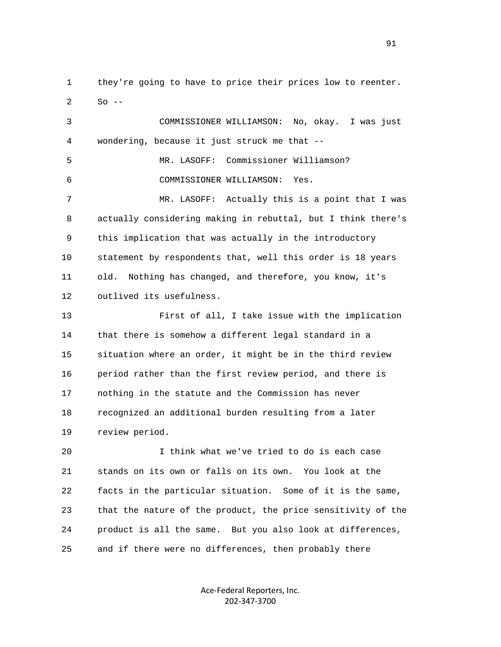1 they're going to have to price their prices low to reenter.  $2$  So  $-$ 

 3 COMMISSIONER WILLIAMSON: No, okay. I was just 4 wondering, because it just struck me that -- 5 MR. LASOFF: Commissioner Williamson? 6 COMMISSIONER WILLIAMSON: Yes. 7 MR. LASOFF: Actually this is a point that I was 8 actually considering making in rebuttal, but I think there's 9 this implication that was actually in the introductory 10 statement by respondents that, well this order is 18 years 11 old. Nothing has changed, and therefore, you know, it's 12 outlived its usefulness. 13 First of all, I take issue with the implication 14 that there is somehow a different legal standard in a 15 situation where an order, it might be in the third review 16 period rather than the first review period, and there is 17 nothing in the statute and the Commission has never 18 recognized an additional burden resulting from a later 19 review period.

 20 I think what we've tried to do is each case 21 stands on its own or falls on its own. You look at the 22 facts in the particular situation. Some of it is the same, 23 that the nature of the product, the price sensitivity of the 24 product is all the same. But you also look at differences, 25 and if there were no differences, then probably there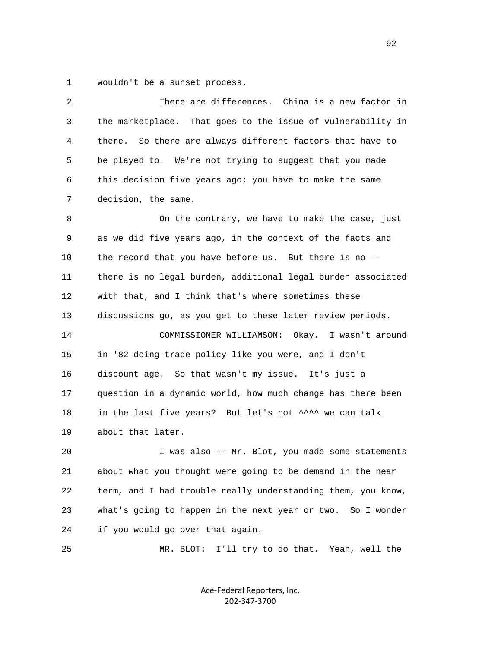1 wouldn't be a sunset process.

| 2  | There are differences. China is a new factor in              |
|----|--------------------------------------------------------------|
| 3  | the marketplace. That goes to the issue of vulnerability in  |
| 4  | So there are always different factors that have to<br>there. |
| 5  | be played to. We're not trying to suggest that you made      |
| 6  | this decision five years ago; you have to make the same      |
| 7  | decision, the same.                                          |
| 8  | On the contrary, we have to make the case, just              |
| 9  | as we did five years ago, in the context of the facts and    |
| 10 | the record that you have before us. But there is no --       |
| 11 | there is no legal burden, additional legal burden associated |
| 12 | with that, and I think that's where sometimes these          |
| 13 | discussions go, as you get to these later review periods.    |
| 14 | COMMISSIONER WILLIAMSON: Okay.<br>I wasn't around            |
| 15 | in '82 doing trade policy like you were, and I don't         |
| 16 | discount age. So that wasn't my issue. It's just a           |
| 17 | question in a dynamic world, how much change has there been  |
| 18 | in the last five years? But let's not ^^^^ we can talk       |
| 19 | about that later.                                            |
| 20 | I was also -- Mr. Blot, you made some statements             |
| 21 | about what you thought were going to be demand in the near   |
| 22 | term, and I had trouble really understanding them, you know, |
| 23 | what's going to happen in the next year or two. So I wonder  |
| 24 | if you would go over that again.                             |
| 25 | I'll try to do that. Yeah, well the<br>MR. BLOT:             |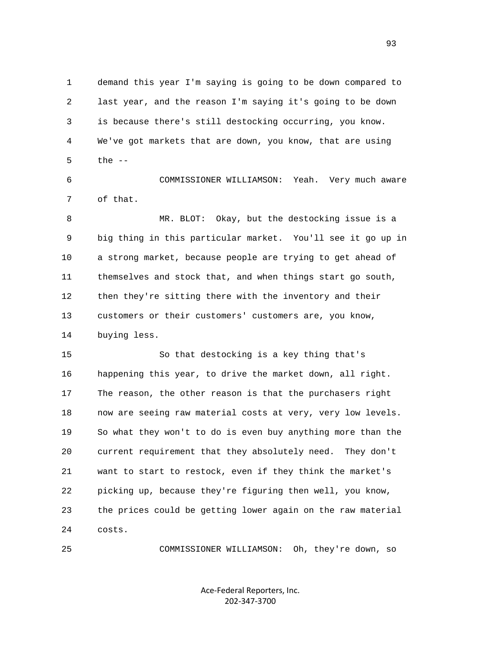1 demand this year I'm saying is going to be down compared to 2 last year, and the reason I'm saying it's going to be down 3 is because there's still destocking occurring, you know. 4 We've got markets that are down, you know, that are using  $5$  the  $-$ 

 6 COMMISSIONER WILLIAMSON: Yeah. Very much aware 7 of that.

 8 MR. BLOT: Okay, but the destocking issue is a 9 big thing in this particular market. You'll see it go up in 10 a strong market, because people are trying to get ahead of 11 themselves and stock that, and when things start go south, 12 then they're sitting there with the inventory and their 13 customers or their customers' customers are, you know, 14 buying less.

 15 So that destocking is a key thing that's 16 happening this year, to drive the market down, all right. 17 The reason, the other reason is that the purchasers right 18 now are seeing raw material costs at very, very low levels. 19 So what they won't to do is even buy anything more than the 20 current requirement that they absolutely need. They don't 21 want to start to restock, even if they think the market's 22 picking up, because they're figuring then well, you know, 23 the prices could be getting lower again on the raw material 24 costs.

25 COMMISSIONER WILLIAMSON: Oh, they're down, so

Ace‐Federal Reporters, Inc. 202‐347‐3700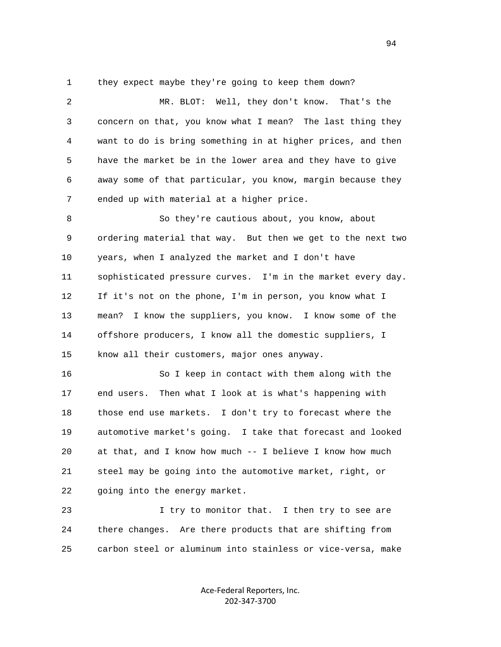1 they expect maybe they're going to keep them down?

 2 MR. BLOT: Well, they don't know. That's the 3 concern on that, you know what I mean? The last thing they 4 want to do is bring something in at higher prices, and then 5 have the market be in the lower area and they have to give 6 away some of that particular, you know, margin because they 7 ended up with material at a higher price. 8 So they're cautious about, you know, about 9 ordering material that way. But then we get to the next two 10 years, when I analyzed the market and I don't have 11 sophisticated pressure curves. I'm in the market every day. 12 If it's not on the phone, I'm in person, you know what I 13 mean? I know the suppliers, you know. I know some of the 14 offshore producers, I know all the domestic suppliers, I 15 know all their customers, major ones anyway.

 16 So I keep in contact with them along with the 17 end users. Then what I look at is what's happening with 18 those end use markets. I don't try to forecast where the 19 automotive market's going. I take that forecast and looked 20 at that, and I know how much -- I believe I know how much 21 steel may be going into the automotive market, right, or 22 going into the energy market.

 23 I try to monitor that. I then try to see are 24 there changes. Are there products that are shifting from 25 carbon steel or aluminum into stainless or vice-versa, make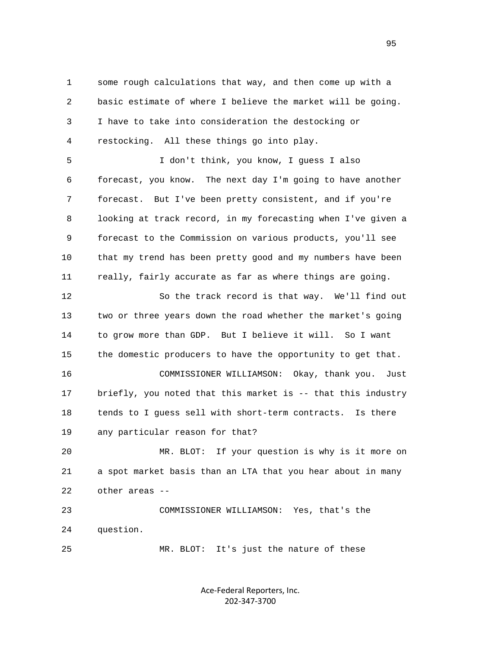1 some rough calculations that way, and then come up with a 2 basic estimate of where I believe the market will be going. 3 I have to take into consideration the destocking or 4 restocking. All these things go into play.

 5 I don't think, you know, I guess I also 6 forecast, you know. The next day I'm going to have another 7 forecast. But I've been pretty consistent, and if you're 8 looking at track record, in my forecasting when I've given a 9 forecast to the Commission on various products, you'll see 10 that my trend has been pretty good and my numbers have been 11 really, fairly accurate as far as where things are going.

 12 So the track record is that way. We'll find out 13 two or three years down the road whether the market's going 14 to grow more than GDP. But I believe it will. So I want 15 the domestic producers to have the opportunity to get that.

 16 COMMISSIONER WILLIAMSON: Okay, thank you. Just 17 briefly, you noted that this market is -- that this industry 18 tends to I guess sell with short-term contracts. Is there 19 any particular reason for that?

 20 MR. BLOT: If your question is why is it more on 21 a spot market basis than an LTA that you hear about in many 22 other areas --

 23 COMMISSIONER WILLIAMSON: Yes, that's the 24 question.

25 MR. BLOT: It's just the nature of these

Ace‐Federal Reporters, Inc. 202‐347‐3700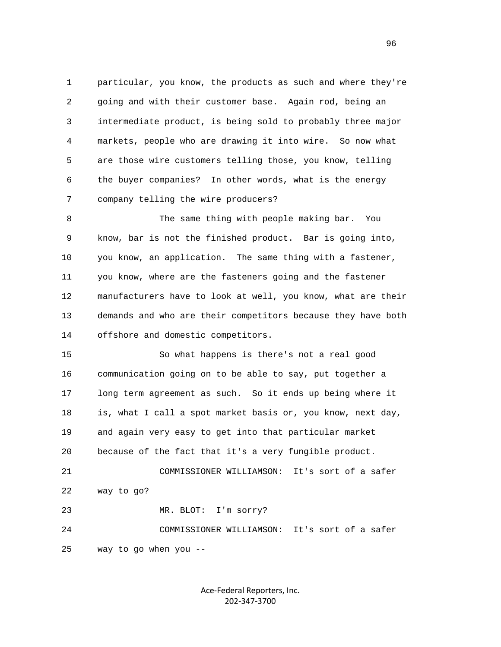1 particular, you know, the products as such and where they're 2 going and with their customer base. Again rod, being an 3 intermediate product, is being sold to probably three major 4 markets, people who are drawing it into wire. So now what 5 are those wire customers telling those, you know, telling 6 the buyer companies? In other words, what is the energy 7 company telling the wire producers?

 8 The same thing with people making bar. You 9 know, bar is not the finished product. Bar is going into, 10 you know, an application. The same thing with a fastener, 11 you know, where are the fasteners going and the fastener 12 manufacturers have to look at well, you know, what are their 13 demands and who are their competitors because they have both 14 offshore and domestic competitors.

 15 So what happens is there's not a real good 16 communication going on to be able to say, put together a 17 long term agreement as such. So it ends up being where it 18 is, what I call a spot market basis or, you know, next day, 19 and again very easy to get into that particular market 20 because of the fact that it's a very fungible product. 21 COMMISSIONER WILLIAMSON: It's sort of a safer 22 way to go? 23 MR. BLOT: I'm sorry?

 24 COMMISSIONER WILLIAMSON: It's sort of a safer 25 way to go when you --

> Ace‐Federal Reporters, Inc. 202‐347‐3700

<u>96</u>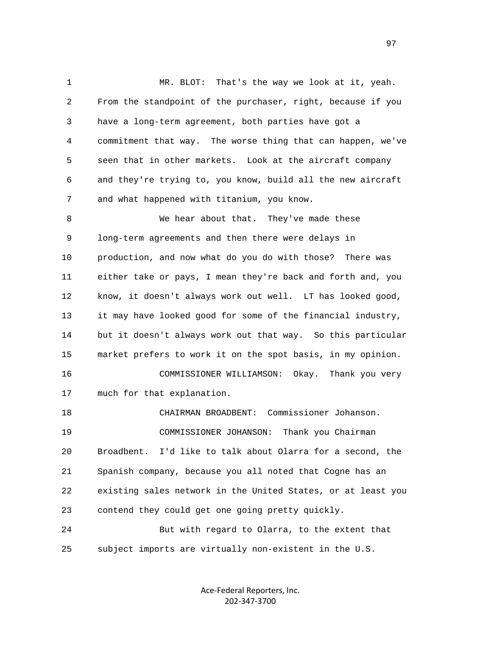1 MR. BLOT: That's the way we look at it, yeah. 2 From the standpoint of the purchaser, right, because if you 3 have a long-term agreement, both parties have got a 4 commitment that way. The worse thing that can happen, we've 5 seen that in other markets. Look at the aircraft company 6 and they're trying to, you know, build all the new aircraft 7 and what happened with titanium, you know. 8 We hear about that. They've made these 9 long-term agreements and then there were delays in 10 production, and now what do you do with those? There was 11 either take or pays, I mean they're back and forth and, you 12 know, it doesn't always work out well. LT has looked good, 13 it may have looked good for some of the financial industry, 14 but it doesn't always work out that way. So this particular 15 market prefers to work it on the spot basis, in my opinion. 16 COMMISSIONER WILLIAMSON: Okay. Thank you very 17 much for that explanation. 18 CHAIRMAN BROADBENT: Commissioner Johanson. 19 COMMISSIONER JOHANSON: Thank you Chairman 20 Broadbent. I'd like to talk about Olarra for a second, the 21 Spanish company, because you all noted that Cogne has an 22 existing sales network in the United States, or at least you 23 contend they could get one going pretty quickly. 24 But with regard to Olarra, to the extent that 25 subject imports are virtually non-existent in the U.S.

> Ace‐Federal Reporters, Inc. 202‐347‐3700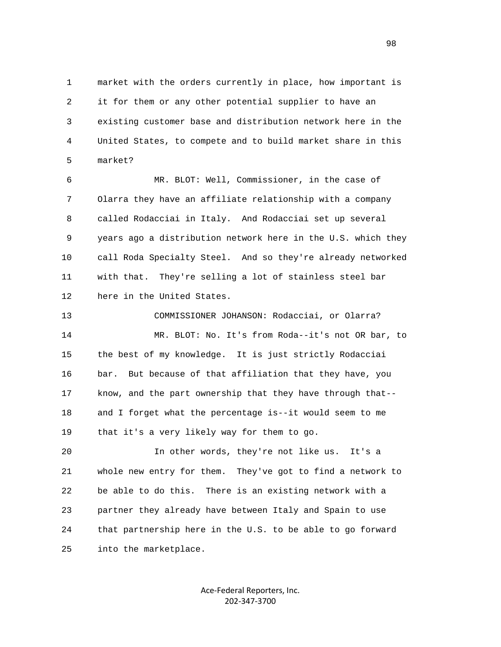1 market with the orders currently in place, how important is 2 it for them or any other potential supplier to have an 3 existing customer base and distribution network here in the 4 United States, to compete and to build market share in this 5 market?

 6 MR. BLOT: Well, Commissioner, in the case of 7 Olarra they have an affiliate relationship with a company 8 called Rodacciai in Italy. And Rodacciai set up several 9 years ago a distribution network here in the U.S. which they 10 call Roda Specialty Steel. And so they're already networked 11 with that. They're selling a lot of stainless steel bar 12 here in the United States.

 13 COMMISSIONER JOHANSON: Rodacciai, or Olarra? 14 MR. BLOT: No. It's from Roda--it's not OR bar, to 15 the best of my knowledge. It is just strictly Rodacciai 16 bar. But because of that affiliation that they have, you 17 know, and the part ownership that they have through that-- 18 and I forget what the percentage is--it would seem to me 19 that it's a very likely way for them to go.

 20 In other words, they're not like us. It's a 21 whole new entry for them. They've got to find a network to 22 be able to do this. There is an existing network with a 23 partner they already have between Italy and Spain to use 24 that partnership here in the U.S. to be able to go forward 25 into the marketplace.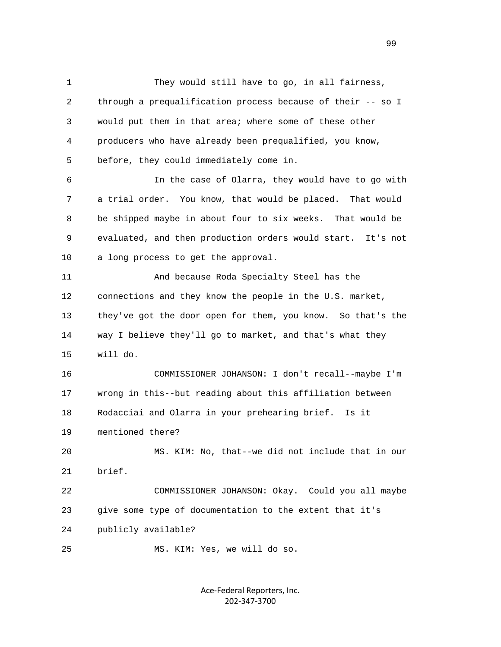1 They would still have to go, in all fairness, 2 through a prequalification process because of their -- so I 3 would put them in that area; where some of these other 4 producers who have already been prequalified, you know, 5 before, they could immediately come in. 6 In the case of Olarra, they would have to go with 7 a trial order. You know, that would be placed. That would 8 be shipped maybe in about four to six weeks. That would be 9 evaluated, and then production orders would start. It's not 10 a long process to get the approval. 11 And because Roda Specialty Steel has the 12 connections and they know the people in the U.S. market, 13 they've got the door open for them, you know. So that's the 14 way I believe they'll go to market, and that's what they 15 will do. 16 COMMISSIONER JOHANSON: I don't recall--maybe I'm 17 wrong in this--but reading about this affiliation between 18 Rodacciai and Olarra in your prehearing brief. Is it 19 mentioned there? 20 MS. KIM: No, that--we did not include that in our 21 brief. 22 COMMISSIONER JOHANSON: Okay. Could you all maybe 23 give some type of documentation to the extent that it's 24 publicly available? 25 MS. KIM: Yes, we will do so.

> Ace‐Federal Reporters, Inc. 202‐347‐3700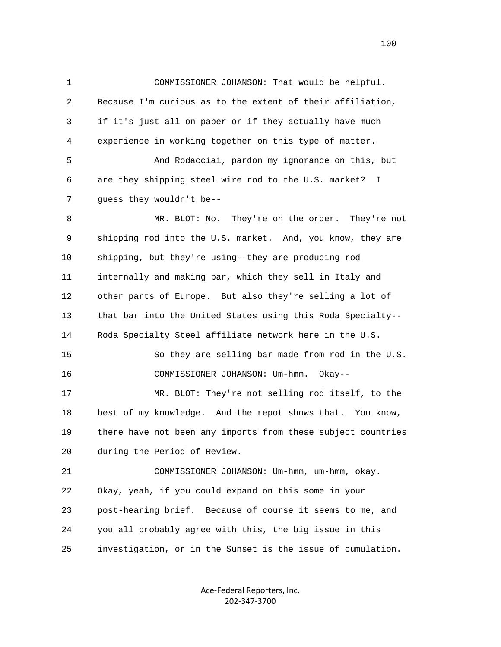1 COMMISSIONER JOHANSON: That would be helpful. 2 Because I'm curious as to the extent of their affiliation, 3 if it's just all on paper or if they actually have much 4 experience in working together on this type of matter. 5 And Rodacciai, pardon my ignorance on this, but 6 are they shipping steel wire rod to the U.S. market? I 7 guess they wouldn't be-- 8 MR. BLOT: No. They're on the order. They're not 9 shipping rod into the U.S. market. And, you know, they are 10 shipping, but they're using--they are producing rod 11 internally and making bar, which they sell in Italy and 12 other parts of Europe. But also they're selling a lot of 13 that bar into the United States using this Roda Specialty-- 14 Roda Specialty Steel affiliate network here in the U.S. 15 So they are selling bar made from rod in the U.S. 16 COMMISSIONER JOHANSON: Um-hmm. Okay-- 17 MR. BLOT: They're not selling rod itself, to the 18 best of my knowledge. And the repot shows that. You know, 19 there have not been any imports from these subject countries 20 during the Period of Review. 21 COMMISSIONER JOHANSON: Um-hmm, um-hmm, okay.

 22 Okay, yeah, if you could expand on this some in your 23 post-hearing brief. Because of course it seems to me, and 24 you all probably agree with this, the big issue in this 25 investigation, or in the Sunset is the issue of cumulation.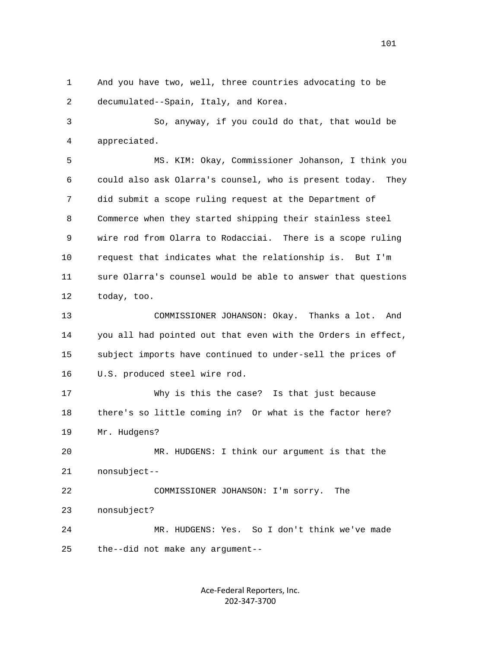1 And you have two, well, three countries advocating to be 2 decumulated--Spain, Italy, and Korea.

 3 So, anyway, if you could do that, that would be 4 appreciated.

 5 MS. KIM: Okay, Commissioner Johanson, I think you 6 could also ask Olarra's counsel, who is present today. They 7 did submit a scope ruling request at the Department of 8 Commerce when they started shipping their stainless steel 9 wire rod from Olarra to Rodacciai. There is a scope ruling 10 request that indicates what the relationship is. But I'm 11 sure Olarra's counsel would be able to answer that questions 12 today, too.

 13 COMMISSIONER JOHANSON: Okay. Thanks a lot. And 14 you all had pointed out that even with the Orders in effect, 15 subject imports have continued to under-sell the prices of 16 U.S. produced steel wire rod.

 17 Why is this the case? Is that just because 18 there's so little coming in? Or what is the factor here? 19 Mr. Hudgens?

 20 MR. HUDGENS: I think our argument is that the 21 nonsubject--

 22 COMMISSIONER JOHANSON: I'm sorry. The 23 nonsubject? 24 MR. HUDGENS: Yes. So I don't think we've made 25 the--did not make any argument--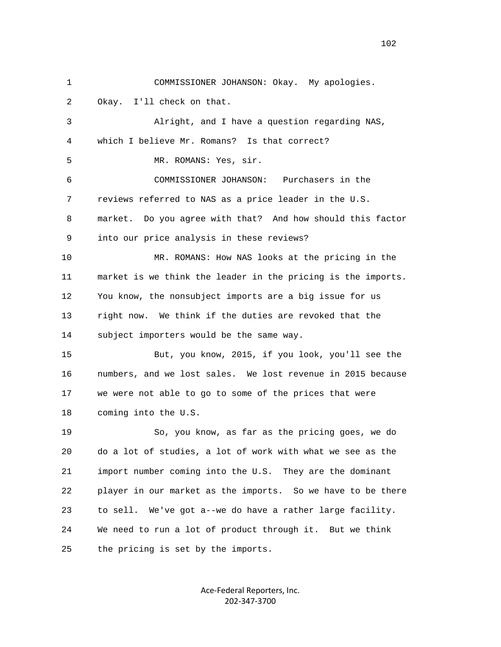1 COMMISSIONER JOHANSON: Okay. My apologies. 2 Okay. I'll check on that. 3 Alright, and I have a question regarding NAS, 4 which I believe Mr. Romans? Is that correct? 5 MR. ROMANS: Yes, sir. 6 COMMISSIONER JOHANSON: Purchasers in the 7 reviews referred to NAS as a price leader in the U.S. 8 market. Do you agree with that? And how should this factor 9 into our price analysis in these reviews? 10 MR. ROMANS: How NAS looks at the pricing in the 11 market is we think the leader in the pricing is the imports. 12 You know, the nonsubject imports are a big issue for us 13 right now. We think if the duties are revoked that the 14 subject importers would be the same way. 15 But, you know, 2015, if you look, you'll see the 16 numbers, and we lost sales. We lost revenue in 2015 because 17 we were not able to go to some of the prices that were 18 coming into the U.S. 19 So, you know, as far as the pricing goes, we do 20 do a lot of studies, a lot of work with what we see as the 21 import number coming into the U.S. They are the dominant 22 player in our market as the imports. So we have to be there 23 to sell. We've got a--we do have a rather large facility. 24 We need to run a lot of product through it. But we think 25 the pricing is set by the imports.

> Ace‐Federal Reporters, Inc. 202‐347‐3700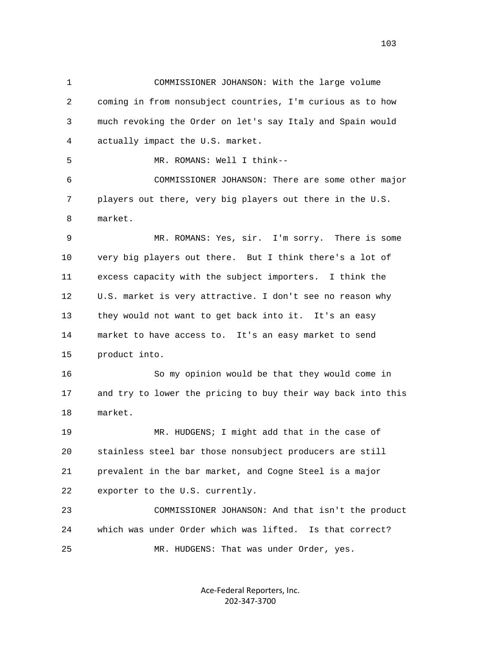1 COMMISSIONER JOHANSON: With the large volume 2 coming in from nonsubject countries, I'm curious as to how 3 much revoking the Order on let's say Italy and Spain would 4 actually impact the U.S. market. 5 MR. ROMANS: Well I think-- 6 COMMISSIONER JOHANSON: There are some other major 7 players out there, very big players out there in the U.S. 8 market. 9 MR. ROMANS: Yes, sir. I'm sorry. There is some 10 very big players out there. But I think there's a lot of 11 excess capacity with the subject importers. I think the 12 U.S. market is very attractive. I don't see no reason why 13 they would not want to get back into it. It's an easy 14 market to have access to. It's an easy market to send 15 product into. 16 So my opinion would be that they would come in 17 and try to lower the pricing to buy their way back into this 18 market. 19 MR. HUDGENS; I might add that in the case of 20 stainless steel bar those nonsubject producers are still 21 prevalent in the bar market, and Cogne Steel is a major 22 exporter to the U.S. currently. 23 COMMISSIONER JOHANSON: And that isn't the product 24 which was under Order which was lifted. Is that correct? 25 MR. HUDGENS: That was under Order, yes.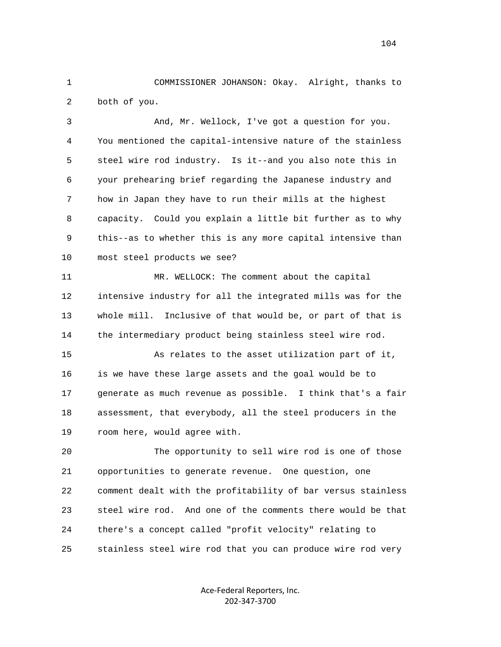1 COMMISSIONER JOHANSON: Okay. Alright, thanks to 2 both of you.

 3 And, Mr. Wellock, I've got a question for you. 4 You mentioned the capital-intensive nature of the stainless 5 steel wire rod industry. Is it--and you also note this in 6 your prehearing brief regarding the Japanese industry and 7 how in Japan they have to run their mills at the highest 8 capacity. Could you explain a little bit further as to why 9 this--as to whether this is any more capital intensive than 10 most steel products we see?

 11 MR. WELLOCK: The comment about the capital 12 intensive industry for all the integrated mills was for the 13 whole mill. Inclusive of that would be, or part of that is 14 the intermediary product being stainless steel wire rod.

 15 As relates to the asset utilization part of it, 16 is we have these large assets and the goal would be to 17 generate as much revenue as possible. I think that's a fair 18 assessment, that everybody, all the steel producers in the 19 room here, would agree with.

 20 The opportunity to sell wire rod is one of those 21 opportunities to generate revenue. One question, one 22 comment dealt with the profitability of bar versus stainless 23 steel wire rod. And one of the comments there would be that 24 there's a concept called "profit velocity" relating to 25 stainless steel wire rod that you can produce wire rod very

> Ace‐Federal Reporters, Inc. 202‐347‐3700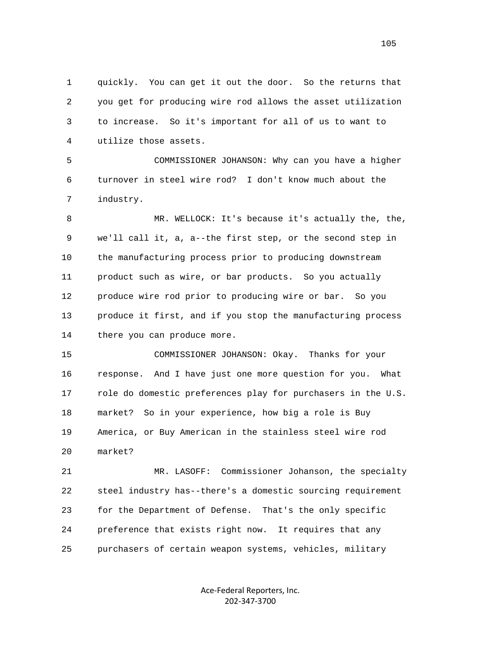1 quickly. You can get it out the door. So the returns that 2 you get for producing wire rod allows the asset utilization 3 to increase. So it's important for all of us to want to 4 utilize those assets.

 5 COMMISSIONER JOHANSON: Why can you have a higher 6 turnover in steel wire rod? I don't know much about the 7 industry.

 8 MR. WELLOCK: It's because it's actually the, the, 9 we'll call it, a, a--the first step, or the second step in 10 the manufacturing process prior to producing downstream 11 product such as wire, or bar products. So you actually 12 produce wire rod prior to producing wire or bar. So you 13 produce it first, and if you stop the manufacturing process 14 there you can produce more.

 15 COMMISSIONER JOHANSON: Okay. Thanks for your 16 response. And I have just one more question for you. What 17 role do domestic preferences play for purchasers in the U.S. 18 market? So in your experience, how big a role is Buy 19 America, or Buy American in the stainless steel wire rod 20 market?

 21 MR. LASOFF: Commissioner Johanson, the specialty 22 steel industry has--there's a domestic sourcing requirement 23 for the Department of Defense. That's the only specific 24 preference that exists right now. It requires that any 25 purchasers of certain weapon systems, vehicles, military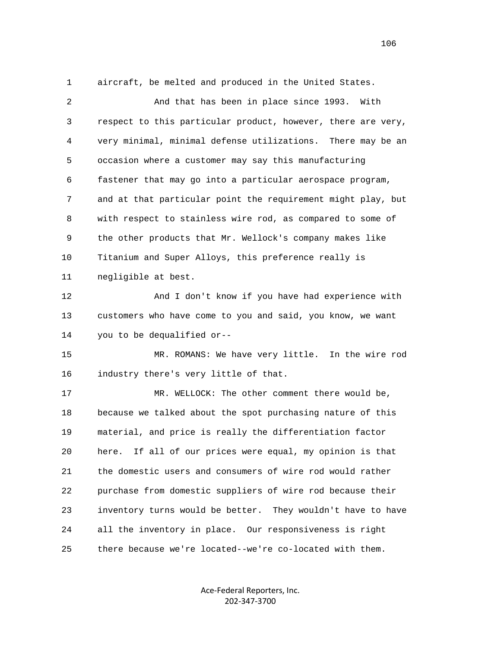1 aircraft, be melted and produced in the United States.

| $\overline{2}$ | And that has been in place since 1993. With                    |
|----------------|----------------------------------------------------------------|
| 3              | respect to this particular product, however, there are very,   |
| 4              | very minimal, minimal defense utilizations. There may be an    |
| 5              | occasion where a customer may say this manufacturing           |
| 6              | fastener that may go into a particular aerospace program,      |
| 7              | and at that particular point the requirement might play, but   |
| 8              | with respect to stainless wire rod, as compared to some of     |
| 9              | the other products that Mr. Wellock's company makes like       |
| 10             | Titanium and Super Alloys, this preference really is           |
| 11             | negligible at best.                                            |
| 12             | And I don't know if you have had experience with               |
| 13             | customers who have come to you and said, you know, we want     |
| 14             | you to be dequalified or--                                     |
| 15             | MR. ROMANS: We have very little. In the wire rod               |
| 16             | industry there's very little of that.                          |
| 17             | MR. WELLOCK: The other comment there would be,                 |
| 18             | because we talked about the spot purchasing nature of this     |
| 19             | material, and price is really the differentiation factor       |
| 20             | If all of our prices were equal, my opinion is that<br>here.   |
| 21             | the domestic users and consumers of wire rod would rather      |
| 22             | purchase from domestic suppliers of wire rod because their     |
| 23             | inventory turns would be better.<br>They wouldn't have to have |
| 24             | all the inventory in place. Our responsiveness is right        |
| 25             | there because we're located--we're co-located with them.       |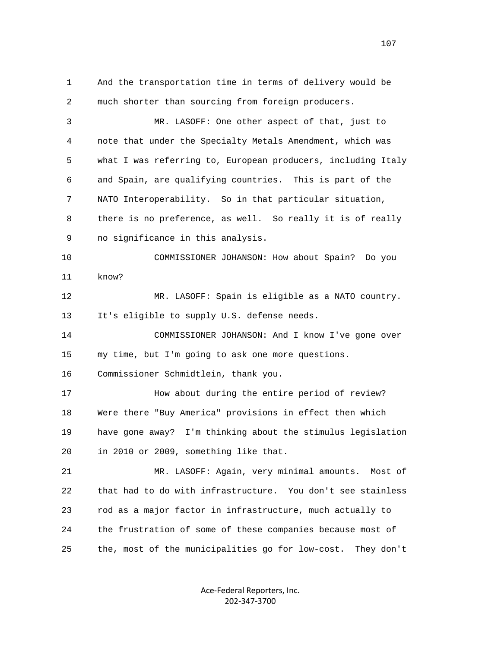1 And the transportation time in terms of delivery would be 2 much shorter than sourcing from foreign producers. 3 MR. LASOFF: One other aspect of that, just to 4 note that under the Specialty Metals Amendment, which was 5 what I was referring to, European producers, including Italy 6 and Spain, are qualifying countries. This is part of the 7 NATO Interoperability. So in that particular situation, 8 there is no preference, as well. So really it is of really 9 no significance in this analysis. 10 COMMISSIONER JOHANSON: How about Spain? Do you 11 know? 12 MR. LASOFF: Spain is eligible as a NATO country. 13 It's eligible to supply U.S. defense needs. 14 COMMISSIONER JOHANSON: And I know I've gone over 15 my time, but I'm going to ask one more questions. 16 Commissioner Schmidtlein, thank you. 17 How about during the entire period of review? 18 Were there "Buy America" provisions in effect then which 19 have gone away? I'm thinking about the stimulus legislation 20 in 2010 or 2009, something like that. 21 MR. LASOFF: Again, very minimal amounts. Most of 22 that had to do with infrastructure. You don't see stainless 23 rod as a major factor in infrastructure, much actually to 24 the frustration of some of these companies because most of 25 the, most of the municipalities go for low-cost. They don't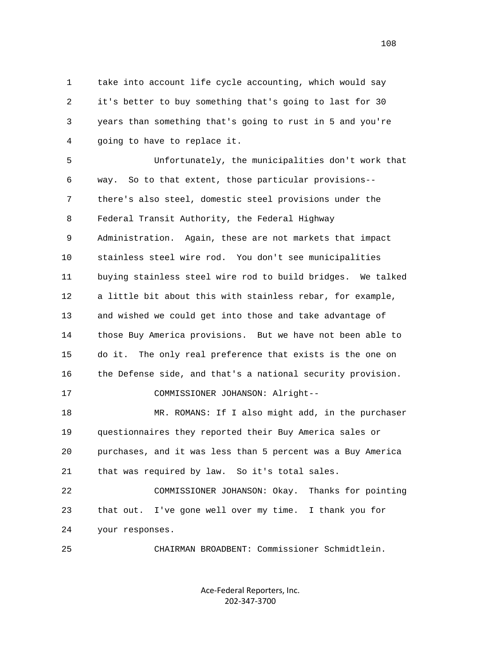1 take into account life cycle accounting, which would say 2 it's better to buy something that's going to last for 30 3 years than something that's going to rust in 5 and you're 4 going to have to replace it.

 5 Unfortunately, the municipalities don't work that 6 way. So to that extent, those particular provisions-- 7 there's also steel, domestic steel provisions under the 8 Federal Transit Authority, the Federal Highway 9 Administration. Again, these are not markets that impact 10 stainless steel wire rod. You don't see municipalities 11 buying stainless steel wire rod to build bridges. We talked 12 a little bit about this with stainless rebar, for example, 13 and wished we could get into those and take advantage of 14 those Buy America provisions. But we have not been able to 15 do it. The only real preference that exists is the one on 16 the Defense side, and that's a national security provision. 17 COMMISSIONER JOHANSON: Alright-- 18 MR. ROMANS: If I also might add, in the purchaser 19 questionnaires they reported their Buy America sales or 20 purchases, and it was less than 5 percent was a Buy America 21 that was required by law. So it's total sales. 22 COMMISSIONER JOHANSON: Okay. Thanks for pointing

 23 that out. I've gone well over my time. I thank you for 24 your responses.

25 CHAIRMAN BROADBENT: Commissioner Schmidtlein.

Ace‐Federal Reporters, Inc. 202‐347‐3700

108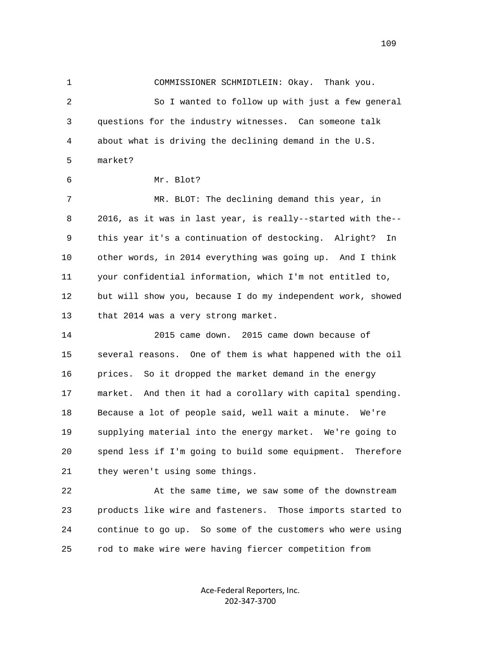1 COMMISSIONER SCHMIDTLEIN: Okay. Thank you. 2 So I wanted to follow up with just a few general 3 questions for the industry witnesses. Can someone talk 4 about what is driving the declining demand in the U.S. 5 market? 6 Mr. Blot? 7 MR. BLOT: The declining demand this year, in 8 2016, as it was in last year, is really--started with the-- 9 this year it's a continuation of destocking. Alright? In 10 other words, in 2014 everything was going up. And I think 11 your confidential information, which I'm not entitled to, 12 but will show you, because I do my independent work, showed 13 that 2014 was a very strong market. 14 2015 came down. 2015 came down because of 15 several reasons. One of them is what happened with the oil 16 prices. So it dropped the market demand in the energy 17 market. And then it had a corollary with capital spending. 18 Because a lot of people said, well wait a minute. We're 19 supplying material into the energy market. We're going to 20 spend less if I'm going to build some equipment. Therefore 21 they weren't using some things. 22 At the same time, we saw some of the downstream 23 products like wire and fasteners. Those imports started to 24 continue to go up. So some of the customers who were using 25 rod to make wire were having fiercer competition from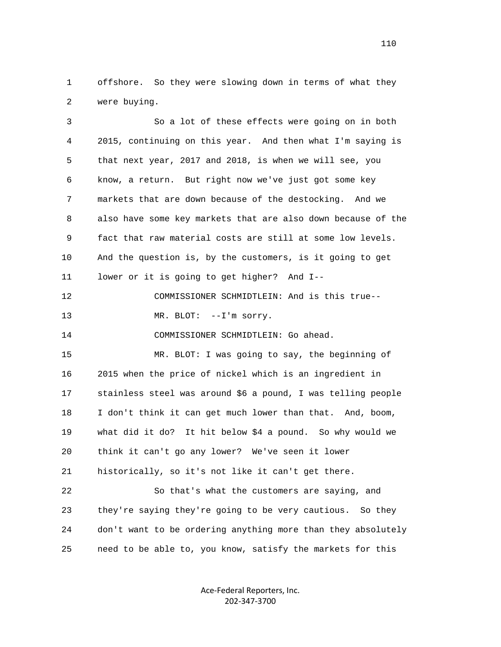1 offshore. So they were slowing down in terms of what they 2 were buying.

 3 So a lot of these effects were going on in both 4 2015, continuing on this year. And then what I'm saying is 5 that next year, 2017 and 2018, is when we will see, you 6 know, a return. But right now we've just got some key 7 markets that are down because of the destocking. And we 8 also have some key markets that are also down because of the 9 fact that raw material costs are still at some low levels. 10 And the question is, by the customers, is it going to get 11 lower or it is going to get higher? And I-- 12 COMMISSIONER SCHMIDTLEIN: And is this true-- 13 MR. BLOT: --I'm sorry. 14 COMMISSIONER SCHMIDTLEIN: Go ahead. 15 MR. BLOT: I was going to say, the beginning of 16 2015 when the price of nickel which is an ingredient in 17 stainless steel was around \$6 a pound, I was telling people 18 I don't think it can get much lower than that. And, boom, 19 what did it do? It hit below \$4 a pound. So why would we 20 think it can't go any lower? We've seen it lower 21 historically, so it's not like it can't get there. 22 So that's what the customers are saying, and 23 they're saying they're going to be very cautious. So they

25 need to be able to, you know, satisfy the markets for this

Ace‐Federal Reporters, Inc. 202‐347‐3700

24 don't want to be ordering anything more than they absolutely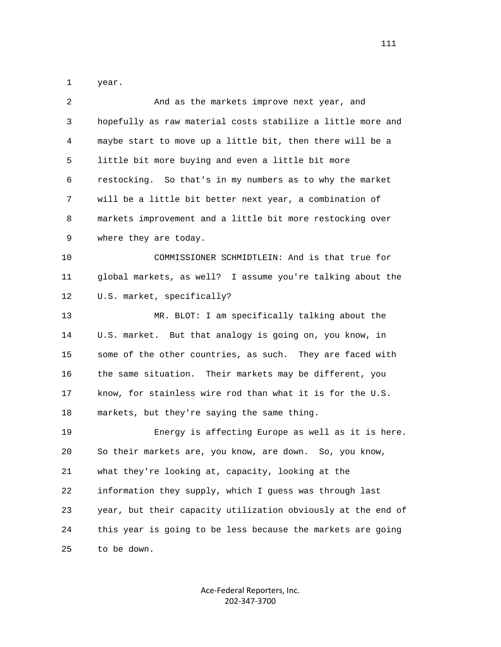1 year.

| 2  | And as the markets improve next year, and                    |
|----|--------------------------------------------------------------|
| 3  | hopefully as raw material costs stabilize a little more and  |
| 4  | maybe start to move up a little bit, then there will be a    |
| 5  | little bit more buying and even a little bit more            |
| 6  | restocking. So that's in my numbers as to why the market     |
| 7  | will be a little bit better next year, a combination of      |
| 8  | markets improvement and a little bit more restocking over    |
| 9  | where they are today.                                        |
| 10 | COMMISSIONER SCHMIDTLEIN: And is that true for               |
| 11 | global markets, as well? I assume you're talking about the   |
| 12 | U.S. market, specifically?                                   |
| 13 | MR. BLOT: I am specifically talking about the                |
| 14 | U.S. market. But that analogy is going on, you know, in      |
| 15 | some of the other countries, as such. They are faced with    |
| 16 | the same situation. Their markets may be different, you      |
| 17 | know, for stainless wire rod than what it is for the U.S.    |
| 18 | markets, but they're saying the same thing.                  |
| 19 | Energy is affecting Europe as well as it is here.            |
| 20 | So their markets are, you know, are down. So, you know,      |
| 21 | what they're looking at, capacity, looking at the            |
| 22 | information they supply, which I guess was through last      |
| 23 | year, but their capacity utilization obviously at the end of |
| 24 | this year is going to be less because the markets are going  |
| 25 | to be down.                                                  |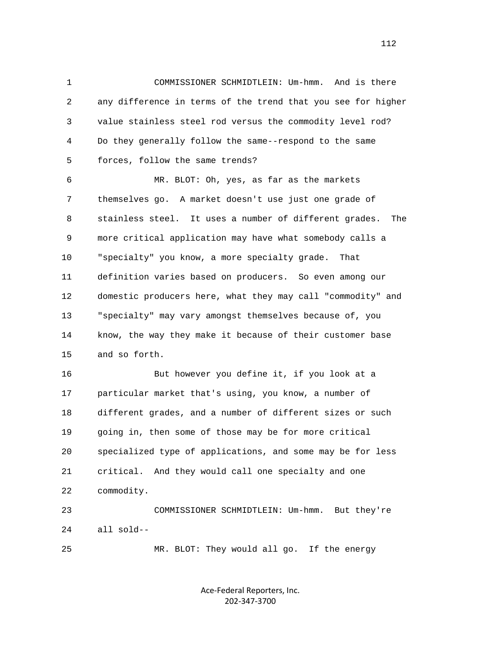1 COMMISSIONER SCHMIDTLEIN: Um-hmm. And is there 2 any difference in terms of the trend that you see for higher 3 value stainless steel rod versus the commodity level rod? 4 Do they generally follow the same--respond to the same 5 forces, follow the same trends?

 6 MR. BLOT: Oh, yes, as far as the markets 7 themselves go. A market doesn't use just one grade of 8 stainless steel. It uses a number of different grades. The 9 more critical application may have what somebody calls a 10 "specialty" you know, a more specialty grade. That 11 definition varies based on producers. So even among our 12 domestic producers here, what they may call "commodity" and 13 "specialty" may vary amongst themselves because of, you 14 know, the way they make it because of their customer base 15 and so forth.

 16 But however you define it, if you look at a 17 particular market that's using, you know, a number of 18 different grades, and a number of different sizes or such 19 going in, then some of those may be for more critical 20 specialized type of applications, and some may be for less 21 critical. And they would call one specialty and one 22 commodity. 23 COMMISSIONER SCHMIDTLEIN: Um-hmm. But they're

24 all sold--

25 MR. BLOT: They would all go. If the energy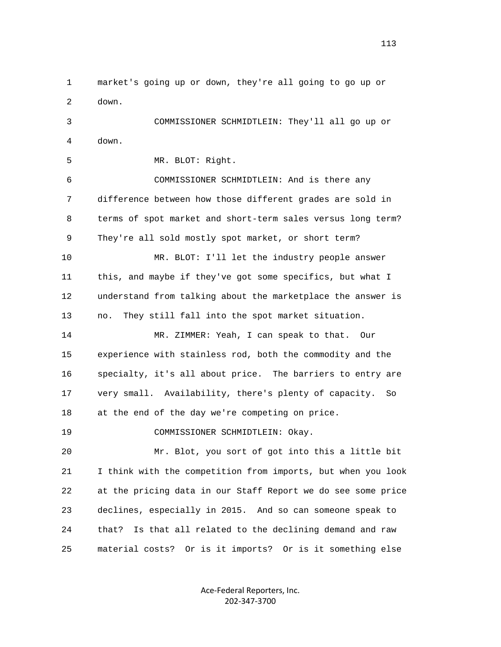1 market's going up or down, they're all going to go up or 2 down. 3 COMMISSIONER SCHMIDTLEIN: They'll all go up or 4 down. 5 MR. BLOT: Right. 6 COMMISSIONER SCHMIDTLEIN: And is there any 7 difference between how those different grades are sold in 8 terms of spot market and short-term sales versus long term? 9 They're all sold mostly spot market, or short term? 10 MR. BLOT: I'll let the industry people answer 11 this, and maybe if they've got some specifics, but what I 12 understand from talking about the marketplace the answer is 13 no. They still fall into the spot market situation. 14 MR. ZIMMER: Yeah, I can speak to that. Our 15 experience with stainless rod, both the commodity and the 16 specialty, it's all about price. The barriers to entry are 17 very small. Availability, there's plenty of capacity. So 18 at the end of the day we're competing on price. 19 COMMISSIONER SCHMIDTLEIN: Okay. 20 Mr. Blot, you sort of got into this a little bit 21 I think with the competition from imports, but when you look 22 at the pricing data in our Staff Report we do see some price 23 declines, especially in 2015. And so can someone speak to 24 that? Is that all related to the declining demand and raw 25 material costs? Or is it imports? Or is it something else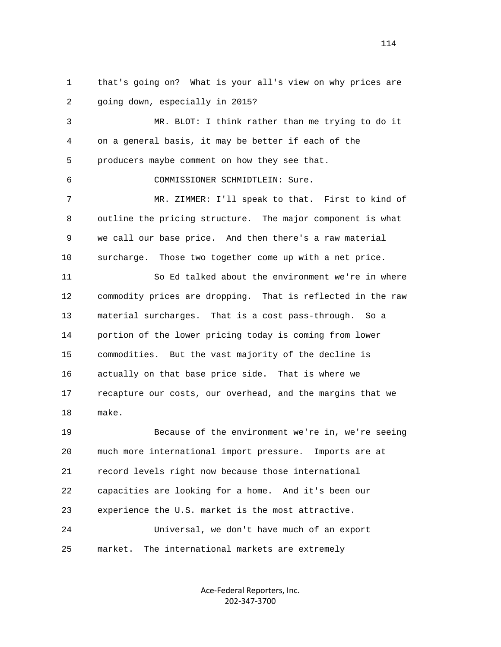1 that's going on? What is your all's view on why prices are 2 going down, especially in 2015?

 3 MR. BLOT: I think rather than me trying to do it 4 on a general basis, it may be better if each of the 5 producers maybe comment on how they see that.

6 COMMISSIONER SCHMIDTLEIN: Sure.

 7 MR. ZIMMER: I'll speak to that. First to kind of 8 outline the pricing structure. The major component is what 9 we call our base price. And then there's a raw material 10 surcharge. Those two together come up with a net price.

 11 So Ed talked about the environment we're in where 12 commodity prices are dropping. That is reflected in the raw 13 material surcharges. That is a cost pass-through. So a 14 portion of the lower pricing today is coming from lower 15 commodities. But the vast majority of the decline is 16 actually on that base price side. That is where we 17 recapture our costs, our overhead, and the margins that we 18 make.

 19 Because of the environment we're in, we're seeing 20 much more international import pressure. Imports are at 21 record levels right now because those international 22 capacities are looking for a home. And it's been our 23 experience the U.S. market is the most attractive. 24 Universal, we don't have much of an export 25 market. The international markets are extremely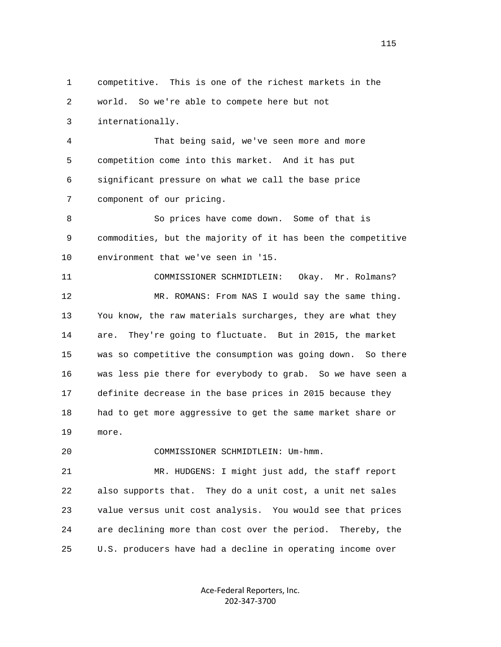1 competitive. This is one of the richest markets in the 2 world. So we're able to compete here but not 3 internationally. 4 That being said, we've seen more and more 5 competition come into this market. And it has put 6 significant pressure on what we call the base price 7 component of our pricing. 8 So prices have come down. Some of that is 9 commodities, but the majority of it has been the competitive 10 environment that we've seen in '15. 11 COMMISSIONER SCHMIDTLEIN: Okay. Mr. Rolmans? 12 MR. ROMANS: From NAS I would say the same thing. 13 You know, the raw materials surcharges, they are what they 14 are. They're going to fluctuate. But in 2015, the market 15 was so competitive the consumption was going down. So there 16 was less pie there for everybody to grab. So we have seen a 17 definite decrease in the base prices in 2015 because they 18 had to get more aggressive to get the same market share or 19 more. 20 COMMISSIONER SCHMIDTLEIN: Um-hmm. 21 MR. HUDGENS: I might just add, the staff report 22 also supports that. They do a unit cost, a unit net sales 23 value versus unit cost analysis. You would see that prices 24 are declining more than cost over the period. Thereby, the 25 U.S. producers have had a decline in operating income over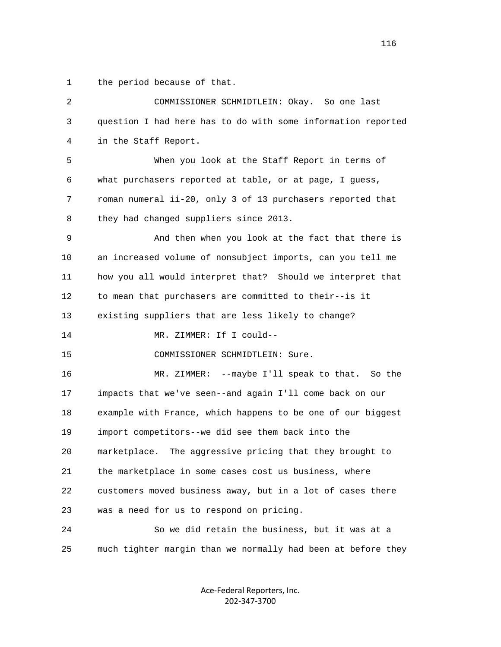1 the period because of that.

| $\overline{2}$ | COMMISSIONER SCHMIDTLEIN: Okay. So one last                  |
|----------------|--------------------------------------------------------------|
| 3              | question I had here has to do with some information reported |
| 4              | in the Staff Report.                                         |
| 5              | When you look at the Staff Report in terms of                |
| 6              | what purchasers reported at table, or at page, I guess,      |
| 7              | roman numeral ii-20, only 3 of 13 purchasers reported that   |
| 8              | they had changed suppliers since 2013.                       |
| 9              | And then when you look at the fact that there is             |
| 10             | an increased volume of nonsubject imports, can you tell me   |
| 11             | how you all would interpret that? Should we interpret that   |
| 12             | to mean that purchasers are committed to their--is it        |
| 13             | existing suppliers that are less likely to change?           |
| 14             | MR. ZIMMER: If I could--                                     |
| 15             | COMMISSIONER SCHMIDTLEIN: Sure.                              |
| 16             | MR. ZIMMER: --maybe I'll speak to that. So the               |
| 17             | impacts that we've seen--and again I'll come back on our     |
| 18             | example with France, which happens to be one of our biggest  |
| 19             | import competitors--we did see them back into the            |
| 20             | marketplace. The aggressive pricing that they brought to     |
| 21             | the marketplace in some cases cost us business, where        |
| 22             | customers moved business away, but in a lot of cases there   |
| 23             | was a need for us to respond on pricing.                     |
| 24             | So we did retain the business, but it was at a               |
| 25             | much tighter margin than we normally had been at before they |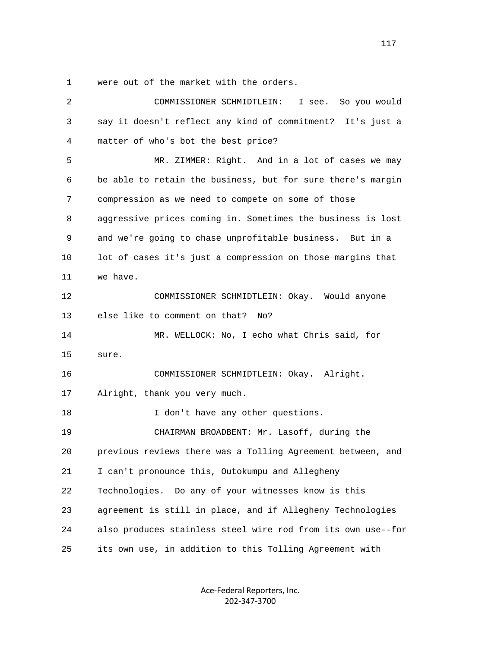1 were out of the market with the orders.

| 2  | COMMISSIONER SCHMIDTLEIN:<br>So you would<br>I see.          |
|----|--------------------------------------------------------------|
| 3  | say it doesn't reflect any kind of commitment? It's just a   |
| 4  | matter of who's bot the best price?                          |
| 5  | MR. ZIMMER: Right. And in a lot of cases we may              |
| 6  | be able to retain the business, but for sure there's margin  |
| 7  | compression as we need to compete on some of those           |
| 8  | aggressive prices coming in. Sometimes the business is lost  |
| 9  | and we're going to chase unprofitable business. But in a     |
| 10 | lot of cases it's just a compression on those margins that   |
| 11 | we have.                                                     |
| 12 | COMMISSIONER SCHMIDTLEIN: Okay. Would anyone                 |
| 13 | else like to comment on that?<br>No?                         |
| 14 | MR. WELLOCK: No, I echo what Chris said, for                 |
| 15 | sure.                                                        |
| 16 | COMMISSIONER SCHMIDTLEIN: Okay. Alright.                     |
| 17 | Alright, thank you very much.                                |
| 18 | I don't have any other questions.                            |
| 19 | CHAIRMAN BROADBENT: Mr. Lasoff, during the                   |
| 20 | previous reviews there was a Tolling Agreement between, and  |
| 21 | I can't pronounce this, Outokumpu and Allegheny              |
| 22 | Technologies. Do any of your witnesses know is this          |
| 23 | agreement is still in place, and if Allegheny Technologies   |
| 24 | also produces stainless steel wire rod from its own use--for |
| 25 | its own use, in addition to this Tolling Agreement with      |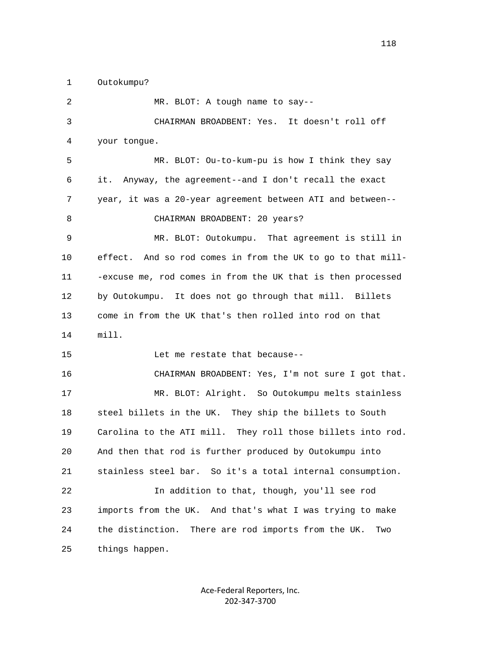1 Outokumpu?

| 2  | MR. BLOT: A tough name to say--                               |
|----|---------------------------------------------------------------|
| 3  | CHAIRMAN BROADBENT: Yes. It doesn't roll off                  |
| 4  | your tongue.                                                  |
| 5  | MR. BLOT: Ou-to-kum-pu is how I think they say                |
| 6  | Anyway, the agreement--and I don't recall the exact<br>it.    |
| 7  | year, it was a 20-year agreement between ATI and between--    |
| 8  | CHAIRMAN BROADBENT: 20 years?                                 |
| 9  | MR. BLOT: Outokumpu. That agreement is still in               |
| 10 | effect. And so rod comes in from the UK to go to that mill-   |
| 11 | -excuse me, rod comes in from the UK that is then processed   |
| 12 | by Outokumpu. It does not go through that mill. Billets       |
| 13 | come in from the UK that's then rolled into rod on that       |
| 14 | mill.                                                         |
| 15 | Let me restate that because--                                 |
| 16 | CHAIRMAN BROADBENT: Yes, I'm not sure I got that.             |
| 17 | MR. BLOT: Alright. So Outokumpu melts stainless               |
| 18 | steel billets in the UK. They ship the billets to South       |
| 19 | Carolina to the ATI mill. They roll those billets into rod.   |
| 20 | And then that rod is further produced by Outokumpu into       |
| 21 | stainless steel bar. So it's a total internal consumption.    |
| 22 | In addition to that, though, you'll see rod                   |
| 23 | imports from the UK. And that's what I was trying to make     |
| 24 | the distinction.<br>There are rod imports from the UK.<br>Two |
| 25 | things happen.                                                |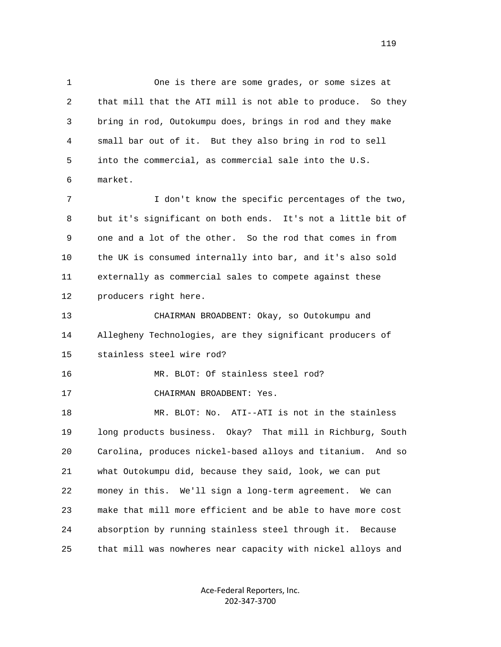1 One is there are some grades, or some sizes at 2 that mill that the ATI mill is not able to produce. So they 3 bring in rod, Outokumpu does, brings in rod and they make 4 small bar out of it. But they also bring in rod to sell 5 into the commercial, as commercial sale into the U.S. 6 market. 7 I don't know the specific percentages of the two, 8 but it's significant on both ends. It's not a little bit of 9 one and a lot of the other. So the rod that comes in from 10 the UK is consumed internally into bar, and it's also sold 11 externally as commercial sales to compete against these 12 producers right here. 13 CHAIRMAN BROADBENT: Okay, so Outokumpu and 14 Allegheny Technologies, are they significant producers of 15 stainless steel wire rod? 16 MR. BLOT: Of stainless steel rod?

17 CHAIRMAN BROADBENT: Yes.

 18 MR. BLOT: No. ATI--ATI is not in the stainless 19 long products business. Okay? That mill in Richburg, South 20 Carolina, produces nickel-based alloys and titanium. And so 21 what Outokumpu did, because they said, look, we can put 22 money in this. We'll sign a long-term agreement. We can 23 make that mill more efficient and be able to have more cost 24 absorption by running stainless steel through it. Because 25 that mill was nowheres near capacity with nickel alloys and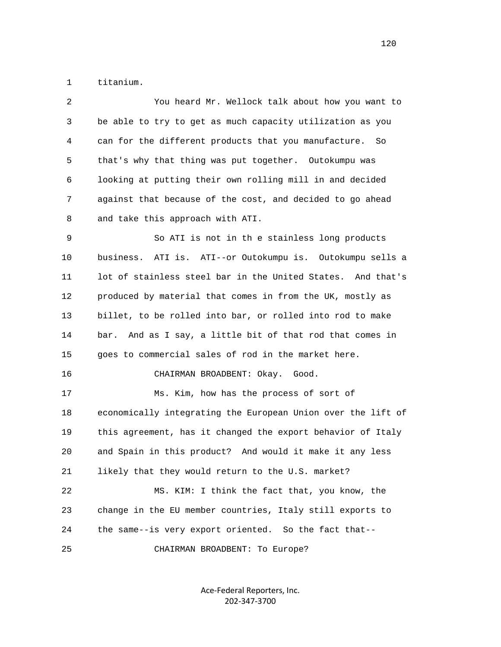1 titanium.

| 2  | You heard Mr. Wellock talk about how you want to             |
|----|--------------------------------------------------------------|
| 3  | be able to try to get as much capacity utilization as you    |
| 4  | can for the different products that you manufacture. So      |
| 5  | that's why that thing was put together. Outokumpu was        |
| 6  | looking at putting their own rolling mill in and decided     |
| 7  | against that because of the cost, and decided to go ahead    |
| 8  | and take this approach with ATI.                             |
| 9  | So ATI is not in th e stainless long products                |
| 10 | business. ATI is. ATI--or Outokumpu is. Outokumpu sells a    |
| 11 | lot of stainless steel bar in the United States. And that's  |
| 12 | produced by material that comes in from the UK, mostly as    |
| 13 | billet, to be rolled into bar, or rolled into rod to make    |
| 14 | bar. And as I say, a little bit of that rod that comes in    |
| 15 | goes to commercial sales of rod in the market here.          |
| 16 | CHAIRMAN BROADBENT: Okay. Good.                              |
| 17 | Ms. Kim, how has the process of sort of                      |
| 18 | economically integrating the European Union over the lift of |
| 19 | this agreement, has it changed the export behavior of Italy  |
| 20 | and Spain in this product? And would it make it any less     |
| 21 | likely that they would return to the U.S. market?            |
| 22 | MS. KIM: I think the fact that, you know, the                |
| 23 | change in the EU member countries, Italy still exports to    |
| 24 | the same--is very export oriented. So the fact that--        |
| 25 | CHAIRMAN BROADBENT: To Europe?                               |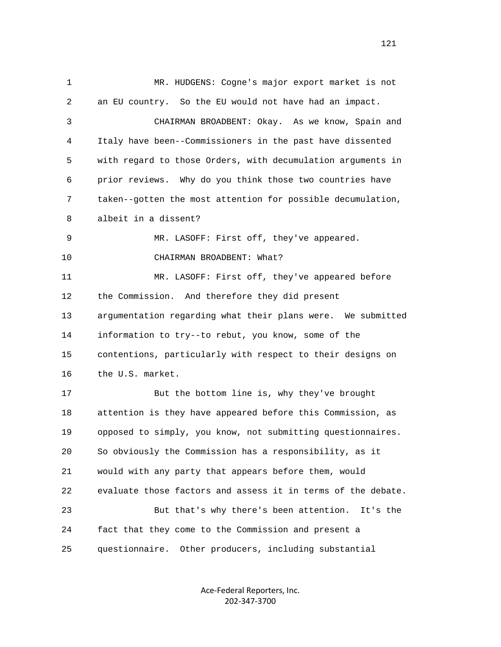1 MR. HUDGENS: Cogne's major export market is not 2 an EU country. So the EU would not have had an impact. 3 CHAIRMAN BROADBENT: Okay. As we know, Spain and 4 Italy have been--Commissioners in the past have dissented 5 with regard to those Orders, with decumulation arguments in 6 prior reviews. Why do you think those two countries have 7 taken--gotten the most attention for possible decumulation, 8 albeit in a dissent? 9 MR. LASOFF: First off, they've appeared. 10 CHAIRMAN BROADBENT: What? 11 MR. LASOFF: First off, they've appeared before 12 the Commission. And therefore they did present 13 argumentation regarding what their plans were. We submitted 14 information to try--to rebut, you know, some of the 15 contentions, particularly with respect to their designs on 16 the U.S. market. 17 But the bottom line is, why they've brought 18 attention is they have appeared before this Commission, as 19 opposed to simply, you know, not submitting questionnaires. 20 So obviously the Commission has a responsibility, as it 21 would with any party that appears before them, would 22 evaluate those factors and assess it in terms of the debate. 23 But that's why there's been attention. It's the 24 fact that they come to the Commission and present a 25 questionnaire. Other producers, including substantial

> Ace‐Federal Reporters, Inc. 202‐347‐3700

121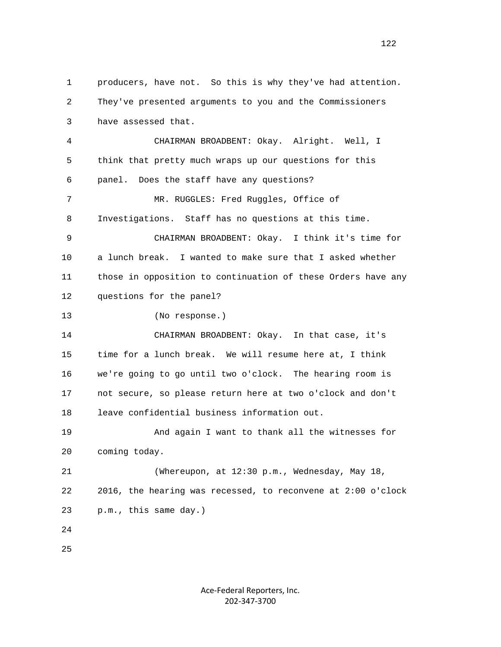1 producers, have not. So this is why they've had attention. 2 They've presented arguments to you and the Commissioners 3 have assessed that. 4 CHAIRMAN BROADBENT: Okay. Alright. Well, I 5 think that pretty much wraps up our questions for this 6 panel. Does the staff have any questions? 7 MR. RUGGLES: Fred Ruggles, Office of 8 Investigations. Staff has no questions at this time. 9 CHAIRMAN BROADBENT: Okay. I think it's time for 10 a lunch break. I wanted to make sure that I asked whether 11 those in opposition to continuation of these Orders have any 12 questions for the panel? 13 (No response.) 14 CHAIRMAN BROADBENT: Okay. In that case, it's 15 time for a lunch break. We will resume here at, I think 16 we're going to go until two o'clock. The hearing room is 17 not secure, so please return here at two o'clock and don't 18 leave confidential business information out. 19 And again I want to thank all the witnesses for 20 coming today. 21 (Whereupon, at 12:30 p.m., Wednesday, May 18, 22 2016, the hearing was recessed, to reconvene at 2:00 o'clock 23 p.m., this same day.) 24 25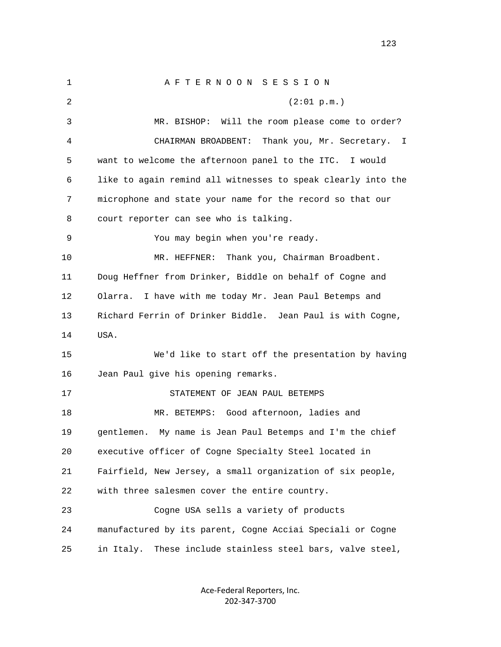1 A F T E R N O O N S E S S I O N 2 (2:01 p.m.) 3 MR. BISHOP: Will the room please come to order? 4 CHAIRMAN BROADBENT: Thank you, Mr. Secretary. I 5 want to welcome the afternoon panel to the ITC. I would 6 like to again remind all witnesses to speak clearly into the 7 microphone and state your name for the record so that our 8 court reporter can see who is talking. 9 You may begin when you're ready. 10 MR. HEFFNER: Thank you, Chairman Broadbent. 11 Doug Heffner from Drinker, Biddle on behalf of Cogne and 12 Olarra. I have with me today Mr. Jean Paul Betemps and 13 Richard Ferrin of Drinker Biddle. Jean Paul is with Cogne, 14 USA. 15 We'd like to start off the presentation by having 16 Jean Paul give his opening remarks. 17 STATEMENT OF JEAN PAUL BETEMPS 18 MR. BETEMPS: Good afternoon, ladies and 19 gentlemen. My name is Jean Paul Betemps and I'm the chief 20 executive officer of Cogne Specialty Steel located in 21 Fairfield, New Jersey, a small organization of six people, 22 with three salesmen cover the entire country. 23 Cogne USA sells a variety of products 24 manufactured by its parent, Cogne Acciai Speciali or Cogne 25 in Italy. These include stainless steel bars, valve steel,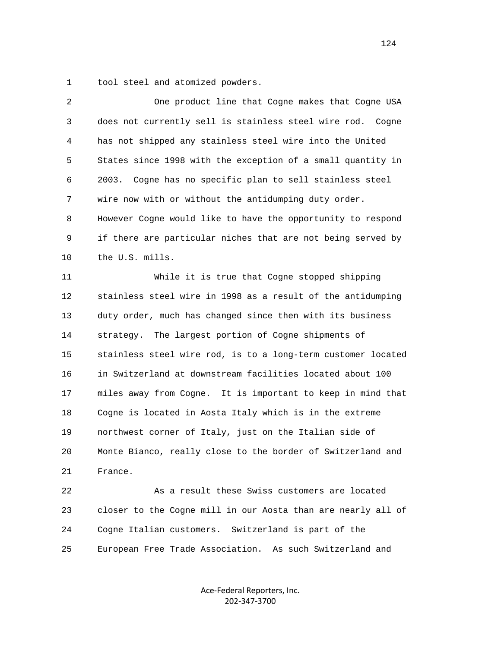1 tool steel and atomized powders.

| 2  | One product line that Cogne makes that Cogne USA             |
|----|--------------------------------------------------------------|
| 3  | does not currently sell is stainless steel wire rod. Cogne   |
| 4  | has not shipped any stainless steel wire into the United     |
| 5  | States since 1998 with the exception of a small quantity in  |
| 6  | Cogne has no specific plan to sell stainless steel<br>2003.  |
| 7  | wire now with or without the antidumping duty order.         |
| 8  | However Cogne would like to have the opportunity to respond  |
| 9  | if there are particular niches that are not being served by  |
| 10 | the U.S. mills.                                              |
| 11 | While it is true that Cogne stopped shipping                 |
| 12 | stainless steel wire in 1998 as a result of the antidumping  |
| 13 | duty order, much has changed since then with its business    |
| 14 | strategy. The largest portion of Cogne shipments of          |
| 15 | stainless steel wire rod, is to a long-term customer located |
| 16 | in Switzerland at downstream facilities located about 100    |
| 17 | miles away from Cogne. It is important to keep in mind that  |
| 18 | Cogne is located in Aosta Italy which is in the extreme      |
| 19 | northwest corner of Italy, just on the Italian side of       |
| 20 | Monte Bianco, really close to the border of Switzerland and  |
| 21 | France.                                                      |
| 22 | As a result these Swiss customers are located                |
| 23 | closer to the Cogne mill in our Aosta than are nearly all of |
| 24 | Cogne Italian customers. Switzerland is part of the          |
| 25 | European Free Trade Association. As such Switzerland and     |
|    |                                                              |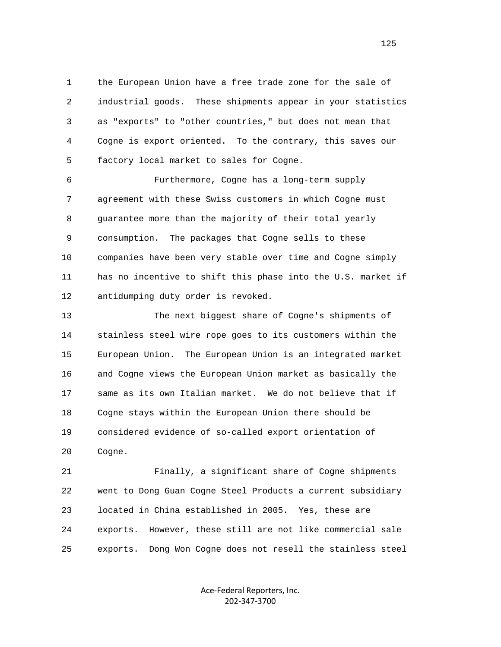1 the European Union have a free trade zone for the sale of 2 industrial goods. These shipments appear in your statistics 3 as "exports" to "other countries," but does not mean that 4 Cogne is export oriented. To the contrary, this saves our 5 factory local market to sales for Cogne.

 6 Furthermore, Cogne has a long-term supply 7 agreement with these Swiss customers in which Cogne must 8 guarantee more than the majority of their total yearly 9 consumption. The packages that Cogne sells to these 10 companies have been very stable over time and Cogne simply 11 has no incentive to shift this phase into the U.S. market if 12 antidumping duty order is revoked.

 13 The next biggest share of Cogne's shipments of 14 stainless steel wire rope goes to its customers within the 15 European Union. The European Union is an integrated market 16 and Cogne views the European Union market as basically the 17 same as its own Italian market. We do not believe that if 18 Cogne stays within the European Union there should be 19 considered evidence of so-called export orientation of 20 Cogne.

 21 Finally, a significant share of Cogne shipments 22 went to Dong Guan Cogne Steel Products a current subsidiary 23 located in China established in 2005. Yes, these are 24 exports. However, these still are not like commercial sale 25 exports. Dong Won Cogne does not resell the stainless steel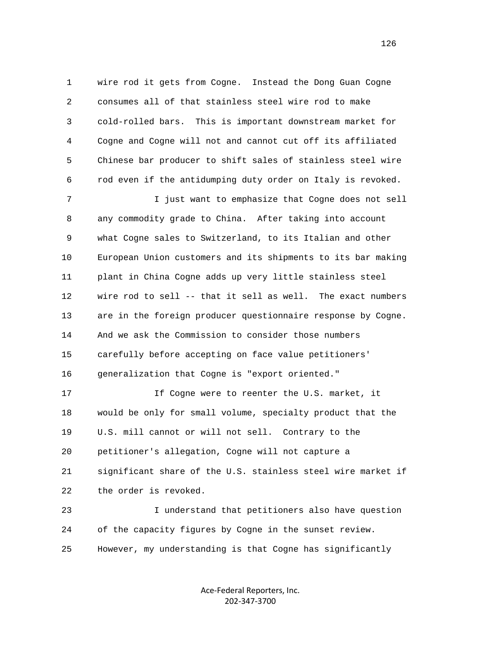1 wire rod it gets from Cogne. Instead the Dong Guan Cogne 2 consumes all of that stainless steel wire rod to make 3 cold-rolled bars. This is important downstream market for 4 Cogne and Cogne will not and cannot cut off its affiliated 5 Chinese bar producer to shift sales of stainless steel wire 6 rod even if the antidumping duty order on Italy is revoked.

 7 I just want to emphasize that Cogne does not sell 8 any commodity grade to China. After taking into account 9 what Cogne sales to Switzerland, to its Italian and other 10 European Union customers and its shipments to its bar making 11 plant in China Cogne adds up very little stainless steel 12 wire rod to sell -- that it sell as well. The exact numbers 13 are in the foreign producer questionnaire response by Cogne. 14 And we ask the Commission to consider those numbers 15 carefully before accepting on face value petitioners' 16 generalization that Cogne is "export oriented."

 17 If Cogne were to reenter the U.S. market, it 18 would be only for small volume, specialty product that the 19 U.S. mill cannot or will not sell. Contrary to the 20 petitioner's allegation, Cogne will not capture a 21 significant share of the U.S. stainless steel wire market if 22 the order is revoked.

 23 I understand that petitioners also have question 24 of the capacity figures by Cogne in the sunset review. 25 However, my understanding is that Cogne has significantly

> Ace‐Federal Reporters, Inc. 202‐347‐3700

126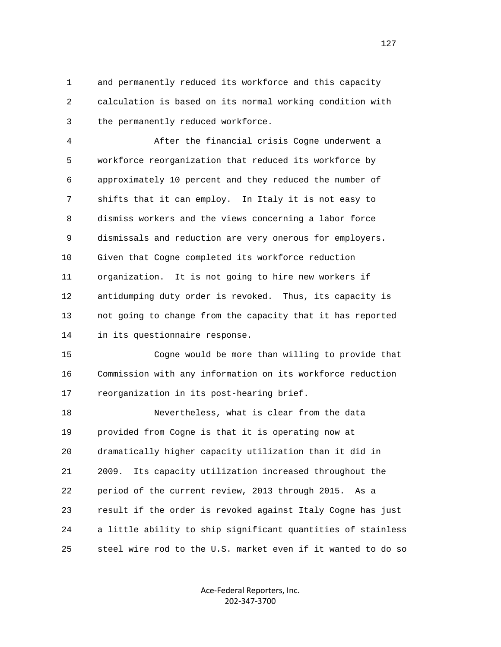1 and permanently reduced its workforce and this capacity 2 calculation is based on its normal working condition with 3 the permanently reduced workforce.

 4 After the financial crisis Cogne underwent a 5 workforce reorganization that reduced its workforce by 6 approximately 10 percent and they reduced the number of 7 shifts that it can employ. In Italy it is not easy to 8 dismiss workers and the views concerning a labor force 9 dismissals and reduction are very onerous for employers. 10 Given that Cogne completed its workforce reduction 11 organization. It is not going to hire new workers if 12 antidumping duty order is revoked. Thus, its capacity is 13 not going to change from the capacity that it has reported 14 in its questionnaire response.

 15 Cogne would be more than willing to provide that 16 Commission with any information on its workforce reduction 17 reorganization in its post-hearing brief.

 18 Nevertheless, what is clear from the data 19 provided from Cogne is that it is operating now at 20 dramatically higher capacity utilization than it did in 21 2009. Its capacity utilization increased throughout the 22 period of the current review, 2013 through 2015. As a 23 result if the order is revoked against Italy Cogne has just 24 a little ability to ship significant quantities of stainless 25 steel wire rod to the U.S. market even if it wanted to do so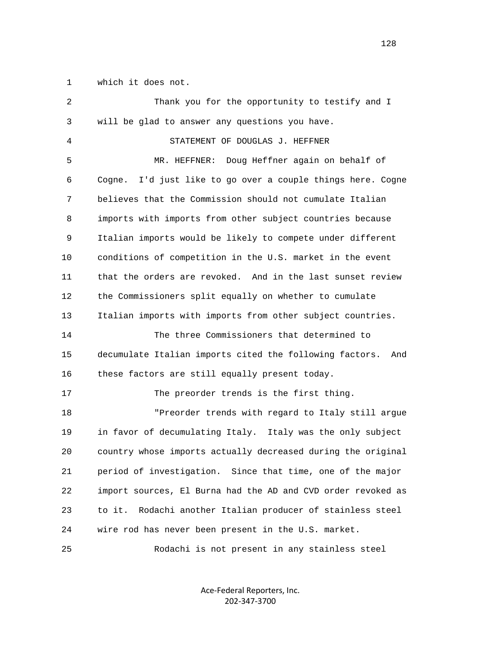1 which it does not.

| 2  | Thank you for the opportunity to testify and I                 |
|----|----------------------------------------------------------------|
| 3  | will be glad to answer any questions you have.                 |
| 4  | STATEMENT OF DOUGLAS J. HEFFNER                                |
| 5  | Doug Heffner again on behalf of<br>MR. HEFFNER:                |
| 6  | I'd just like to go over a couple things here. Cogne<br>Cogne. |
| 7  | believes that the Commission should not cumulate Italian       |
| 8  | imports with imports from other subject countries because      |
| 9  | Italian imports would be likely to compete under different     |
| 10 | conditions of competition in the U.S. market in the event      |
| 11 | that the orders are revoked. And in the last sunset review     |
| 12 | the Commissioners split equally on whether to cumulate         |
| 13 | Italian imports with imports from other subject countries.     |
| 14 | The three Commissioners that determined to                     |
| 15 | decumulate Italian imports cited the following factors.<br>And |
| 16 | these factors are still equally present today.                 |
| 17 | The preorder trends is the first thing.                        |
| 18 | "Preorder trends with regard to Italy still argue              |
| 19 | in favor of decumulating Italy. Italy was the only subject     |
| 20 | country whose imports actually decreased during the original   |
| 21 | period of investigation. Since that time, one of the major     |
| 22 | import sources, El Burna had the AD and CVD order revoked as   |
| 23 | Rodachi another Italian producer of stainless steel<br>to it.  |
| 24 | wire rod has never been present in the U.S. market.            |
| 25 | Rodachi is not present in any stainless steel                  |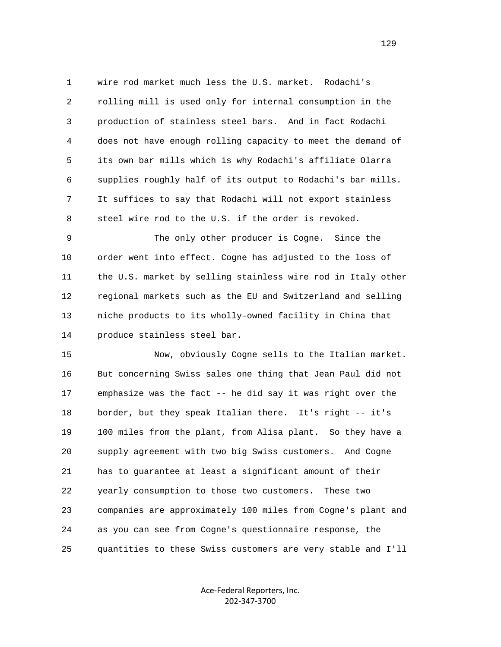1 wire rod market much less the U.S. market. Rodachi's 2 rolling mill is used only for internal consumption in the 3 production of stainless steel bars. And in fact Rodachi 4 does not have enough rolling capacity to meet the demand of 5 its own bar mills which is why Rodachi's affiliate Olarra 6 supplies roughly half of its output to Rodachi's bar mills. 7 It suffices to say that Rodachi will not export stainless 8 steel wire rod to the U.S. if the order is revoked.

 9 The only other producer is Cogne. Since the 10 order went into effect. Cogne has adjusted to the loss of 11 the U.S. market by selling stainless wire rod in Italy other 12 regional markets such as the EU and Switzerland and selling 13 niche products to its wholly-owned facility in China that 14 produce stainless steel bar.

 15 Now, obviously Cogne sells to the Italian market. 16 But concerning Swiss sales one thing that Jean Paul did not 17 emphasize was the fact -- he did say it was right over the 18 border, but they speak Italian there. It's right -- it's 19 100 miles from the plant, from Alisa plant. So they have a 20 supply agreement with two big Swiss customers. And Cogne 21 has to guarantee at least a significant amount of their 22 yearly consumption to those two customers. These two 23 companies are approximately 100 miles from Cogne's plant and 24 as you can see from Cogne's questionnaire response, the 25 quantities to these Swiss customers are very stable and I'll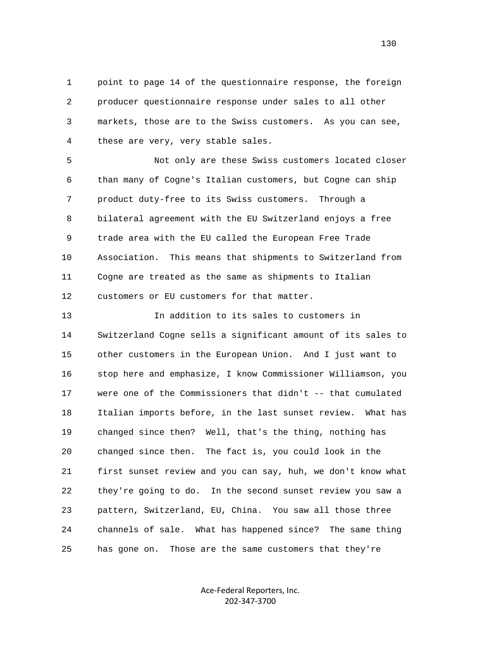1 point to page 14 of the questionnaire response, the foreign 2 producer questionnaire response under sales to all other 3 markets, those are to the Swiss customers. As you can see, 4 these are very, very stable sales.

 5 Not only are these Swiss customers located closer 6 than many of Cogne's Italian customers, but Cogne can ship 7 product duty-free to its Swiss customers. Through a 8 bilateral agreement with the EU Switzerland enjoys a free 9 trade area with the EU called the European Free Trade 10 Association. This means that shipments to Switzerland from 11 Cogne are treated as the same as shipments to Italian 12 customers or EU customers for that matter.

 13 In addition to its sales to customers in 14 Switzerland Cogne sells a significant amount of its sales to 15 other customers in the European Union. And I just want to 16 stop here and emphasize, I know Commissioner Williamson, you 17 were one of the Commissioners that didn't -- that cumulated 18 Italian imports before, in the last sunset review. What has 19 changed since then? Well, that's the thing, nothing has 20 changed since then. The fact is, you could look in the 21 first sunset review and you can say, huh, we don't know what 22 they're going to do. In the second sunset review you saw a 23 pattern, Switzerland, EU, China. You saw all those three 24 channels of sale. What has happened since? The same thing 25 has gone on. Those are the same customers that they're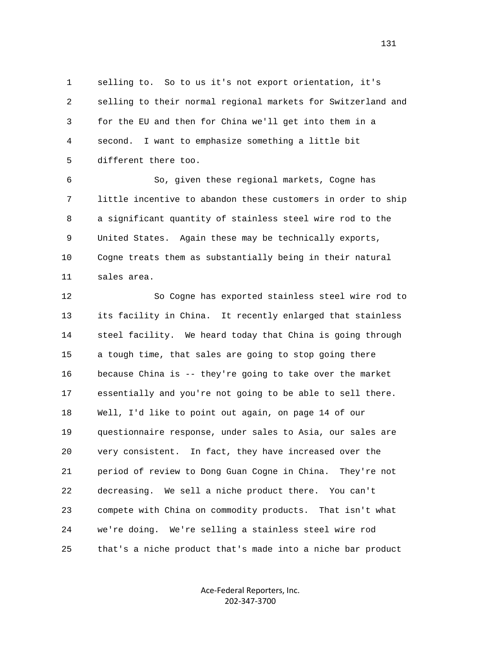1 selling to. So to us it's not export orientation, it's 2 selling to their normal regional markets for Switzerland and 3 for the EU and then for China we'll get into them in a 4 second. I want to emphasize something a little bit 5 different there too.

 6 So, given these regional markets, Cogne has 7 little incentive to abandon these customers in order to ship 8 a significant quantity of stainless steel wire rod to the 9 United States. Again these may be technically exports, 10 Cogne treats them as substantially being in their natural 11 sales area.

 12 So Cogne has exported stainless steel wire rod to 13 its facility in China. It recently enlarged that stainless 14 steel facility. We heard today that China is going through 15 a tough time, that sales are going to stop going there 16 because China is -- they're going to take over the market 17 essentially and you're not going to be able to sell there. 18 Well, I'd like to point out again, on page 14 of our 19 questionnaire response, under sales to Asia, our sales are 20 very consistent. In fact, they have increased over the 21 period of review to Dong Guan Cogne in China. They're not 22 decreasing. We sell a niche product there. You can't 23 compete with China on commodity products. That isn't what 24 we're doing. We're selling a stainless steel wire rod 25 that's a niche product that's made into a niche bar product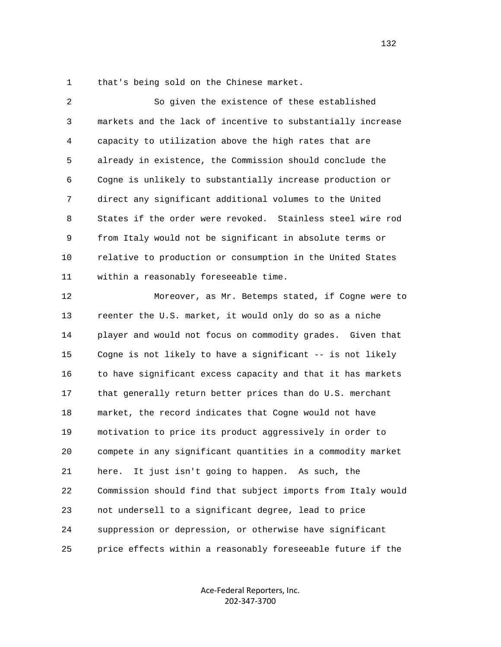1 that's being sold on the Chinese market.

 2 So given the existence of these established 3 markets and the lack of incentive to substantially increase 4 capacity to utilization above the high rates that are 5 already in existence, the Commission should conclude the 6 Cogne is unlikely to substantially increase production or 7 direct any significant additional volumes to the United 8 States if the order were revoked. Stainless steel wire rod 9 from Italy would not be significant in absolute terms or 10 relative to production or consumption in the United States 11 within a reasonably foreseeable time.

 12 Moreover, as Mr. Betemps stated, if Cogne were to 13 reenter the U.S. market, it would only do so as a niche 14 player and would not focus on commodity grades. Given that 15 Cogne is not likely to have a significant -- is not likely 16 to have significant excess capacity and that it has markets 17 that generally return better prices than do U.S. merchant 18 market, the record indicates that Cogne would not have 19 motivation to price its product aggressively in order to 20 compete in any significant quantities in a commodity market 21 here. It just isn't going to happen. As such, the 22 Commission should find that subject imports from Italy would 23 not undersell to a significant degree, lead to price 24 suppression or depression, or otherwise have significant 25 price effects within a reasonably foreseeable future if the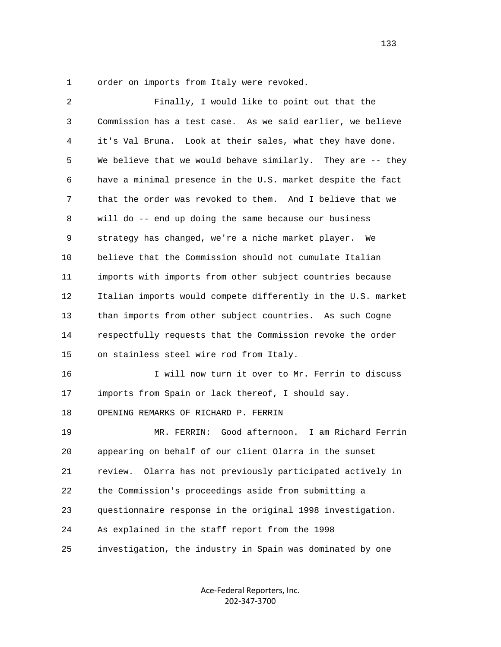1 order on imports from Italy were revoked.

| 2  | Finally, I would like to point out that the                   |
|----|---------------------------------------------------------------|
| 3  | Commission has a test case. As we said earlier, we believe    |
| 4  | it's Val Bruna. Look at their sales, what they have done.     |
| 5  | We believe that we would behave similarly. They are -- they   |
| 6  | have a minimal presence in the U.S. market despite the fact   |
| 7  | that the order was revoked to them. And I believe that we     |
| 8  | will do -- end up doing the same because our business         |
| 9  | strategy has changed, we're a niche market player. We         |
| 10 | believe that the Commission should not cumulate Italian       |
| 11 | imports with imports from other subject countries because     |
| 12 | Italian imports would compete differently in the U.S. market  |
| 13 | than imports from other subject countries. As such Cogne      |
| 14 | respectfully requests that the Commission revoke the order    |
| 15 | on stainless steel wire rod from Italy.                       |
| 16 | I will now turn it over to Mr. Ferrin to discuss              |
| 17 | imports from Spain or lack thereof, I should say.             |
| 18 | OPENING REMARKS OF RICHARD P. FERRIN                          |
| 19 | Good afternoon.<br>I am Richard Ferrin<br>MR. FERRIN:         |
| 20 | appearing on behalf of our client Olarra in the sunset        |
| 21 | Olarra has not previously participated actively in<br>review. |
| 22 | the Commission's proceedings aside from submitting a          |
| 23 | questionnaire response in the original 1998 investigation.    |
| 24 | As explained in the staff report from the 1998                |
| 25 | investigation, the industry in Spain was dominated by one     |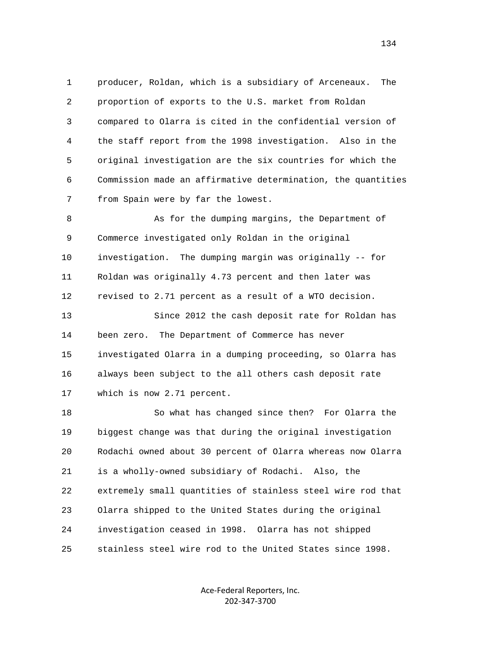1 producer, Roldan, which is a subsidiary of Arceneaux. The 2 proportion of exports to the U.S. market from Roldan 3 compared to Olarra is cited in the confidential version of 4 the staff report from the 1998 investigation. Also in the 5 original investigation are the six countries for which the 6 Commission made an affirmative determination, the quantities 7 from Spain were by far the lowest.

8 As for the dumping margins, the Department of 9 Commerce investigated only Roldan in the original 10 investigation. The dumping margin was originally -- for 11 Roldan was originally 4.73 percent and then later was 12 revised to 2.71 percent as a result of a WTO decision.

 13 Since 2012 the cash deposit rate for Roldan has 14 been zero. The Department of Commerce has never 15 investigated Olarra in a dumping proceeding, so Olarra has 16 always been subject to the all others cash deposit rate 17 which is now 2.71 percent.

 18 So what has changed since then? For Olarra the 19 biggest change was that during the original investigation 20 Rodachi owned about 30 percent of Olarra whereas now Olarra 21 is a wholly-owned subsidiary of Rodachi. Also, the 22 extremely small quantities of stainless steel wire rod that 23 Olarra shipped to the United States during the original 24 investigation ceased in 1998. Olarra has not shipped 25 stainless steel wire rod to the United States since 1998.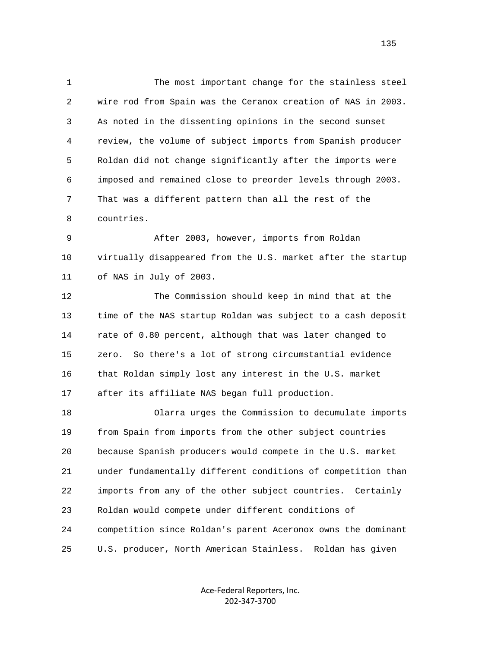1 The most important change for the stainless steel 2 wire rod from Spain was the Ceranox creation of NAS in 2003. 3 As noted in the dissenting opinions in the second sunset 4 review, the volume of subject imports from Spanish producer 5 Roldan did not change significantly after the imports were 6 imposed and remained close to preorder levels through 2003. 7 That was a different pattern than all the rest of the 8 countries. 9 After 2003, however, imports from Roldan 10 virtually disappeared from the U.S. market after the startup 11 of NAS in July of 2003. 12 The Commission should keep in mind that at the 13 time of the NAS startup Roldan was subject to a cash deposit 14 rate of 0.80 percent, although that was later changed to 15 zero. So there's a lot of strong circumstantial evidence 16 that Roldan simply lost any interest in the U.S. market 17 after its affiliate NAS began full production. 18 Olarra urges the Commission to decumulate imports 19 from Spain from imports from the other subject countries

 20 because Spanish producers would compete in the U.S. market 21 under fundamentally different conditions of competition than 22 imports from any of the other subject countries. Certainly 23 Roldan would compete under different conditions of 24 competition since Roldan's parent Aceronox owns the dominant 25 U.S. producer, North American Stainless. Roldan has given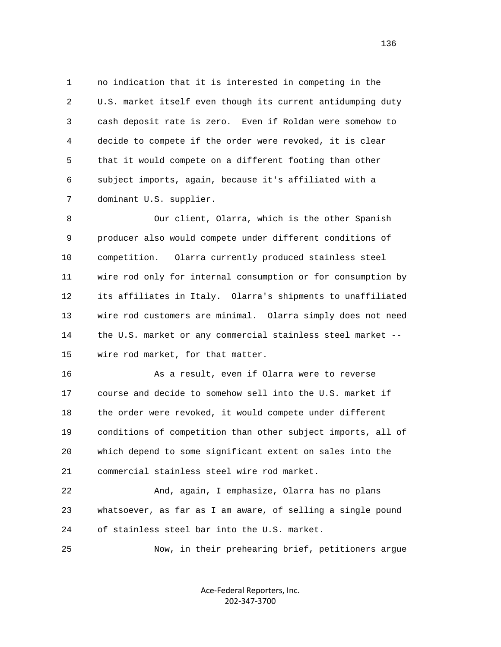1 no indication that it is interested in competing in the 2 U.S. market itself even though its current antidumping duty 3 cash deposit rate is zero. Even if Roldan were somehow to 4 decide to compete if the order were revoked, it is clear 5 that it would compete on a different footing than other 6 subject imports, again, because it's affiliated with a 7 dominant U.S. supplier.

 8 Our client, Olarra, which is the other Spanish 9 producer also would compete under different conditions of 10 competition. Olarra currently produced stainless steel 11 wire rod only for internal consumption or for consumption by 12 its affiliates in Italy. Olarra's shipments to unaffiliated 13 wire rod customers are minimal. Olarra simply does not need 14 the U.S. market or any commercial stainless steel market -- 15 wire rod market, for that matter.

 16 As a result, even if Olarra were to reverse 17 course and decide to somehow sell into the U.S. market if 18 the order were revoked, it would compete under different 19 conditions of competition than other subject imports, all of 20 which depend to some significant extent on sales into the 21 commercial stainless steel wire rod market.

 22 And, again, I emphasize, Olarra has no plans 23 whatsoever, as far as I am aware, of selling a single pound 24 of stainless steel bar into the U.S. market.

25 Now, in their prehearing brief, petitioners argue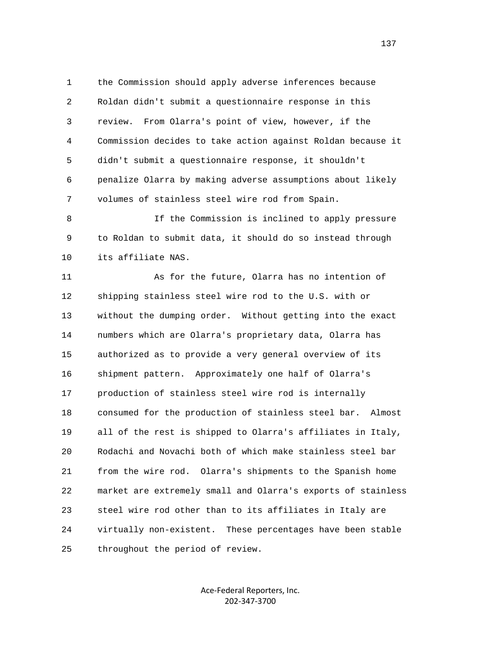1 the Commission should apply adverse inferences because 2 Roldan didn't submit a questionnaire response in this 3 review. From Olarra's point of view, however, if the 4 Commission decides to take action against Roldan because it 5 didn't submit a questionnaire response, it shouldn't 6 penalize Olarra by making adverse assumptions about likely 7 volumes of stainless steel wire rod from Spain.

 8 If the Commission is inclined to apply pressure 9 to Roldan to submit data, it should do so instead through 10 its affiliate NAS.

 11 As for the future, Olarra has no intention of 12 shipping stainless steel wire rod to the U.S. with or 13 without the dumping order. Without getting into the exact 14 numbers which are Olarra's proprietary data, Olarra has 15 authorized as to provide a very general overview of its 16 shipment pattern. Approximately one half of Olarra's 17 production of stainless steel wire rod is internally 18 consumed for the production of stainless steel bar. Almost 19 all of the rest is shipped to Olarra's affiliates in Italy, 20 Rodachi and Novachi both of which make stainless steel bar 21 from the wire rod. Olarra's shipments to the Spanish home 22 market are extremely small and Olarra's exports of stainless 23 steel wire rod other than to its affiliates in Italy are 24 virtually non-existent. These percentages have been stable 25 throughout the period of review.

> Ace‐Federal Reporters, Inc. 202‐347‐3700

137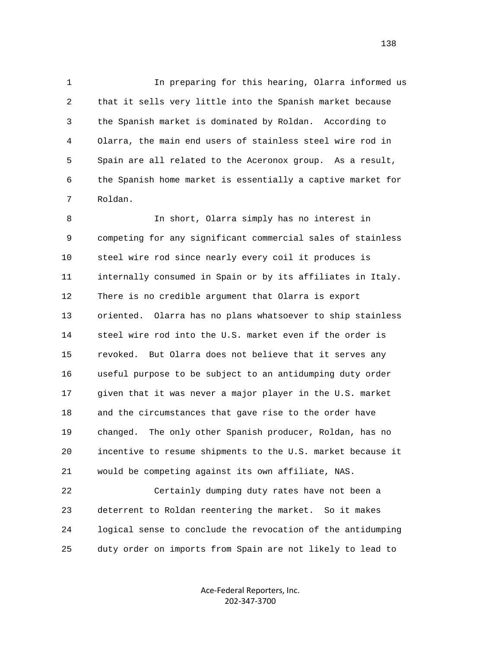1 In preparing for this hearing, Olarra informed us 2 that it sells very little into the Spanish market because 3 the Spanish market is dominated by Roldan. According to 4 Olarra, the main end users of stainless steel wire rod in 5 Spain are all related to the Aceronox group. As a result, 6 the Spanish home market is essentially a captive market for 7 Roldan.

8 In short, Olarra simply has no interest in 9 competing for any significant commercial sales of stainless 10 steel wire rod since nearly every coil it produces is 11 internally consumed in Spain or by its affiliates in Italy. 12 There is no credible argument that Olarra is export 13 oriented. Olarra has no plans whatsoever to ship stainless 14 steel wire rod into the U.S. market even if the order is 15 revoked. But Olarra does not believe that it serves any 16 useful purpose to be subject to an antidumping duty order 17 given that it was never a major player in the U.S. market 18 and the circumstances that gave rise to the order have 19 changed. The only other Spanish producer, Roldan, has no 20 incentive to resume shipments to the U.S. market because it 21 would be competing against its own affiliate, NAS.

 22 Certainly dumping duty rates have not been a 23 deterrent to Roldan reentering the market. So it makes 24 logical sense to conclude the revocation of the antidumping 25 duty order on imports from Spain are not likely to lead to

> Ace‐Federal Reporters, Inc. 202‐347‐3700

138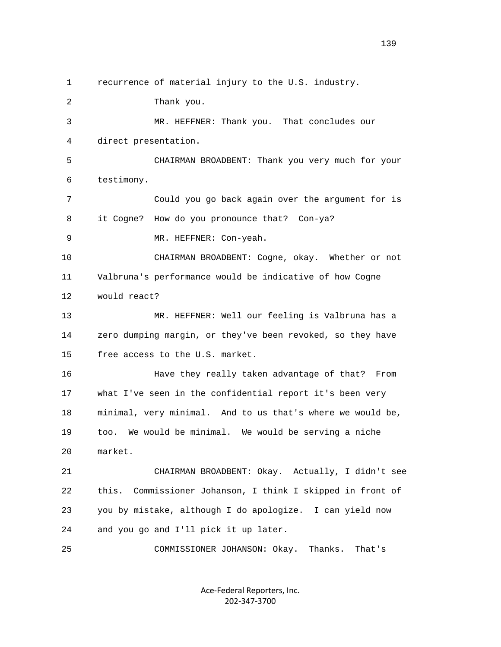1 recurrence of material injury to the U.S. industry. 2 Thank you. 3 MR. HEFFNER: Thank you. That concludes our 4 direct presentation. 5 CHAIRMAN BROADBENT: Thank you very much for your 6 testimony. 7 Could you go back again over the argument for is 8 it Cogne? How do you pronounce that? Con-ya? 9 MR. HEFFNER: Con-yeah. 10 CHAIRMAN BROADBENT: Cogne, okay. Whether or not 11 Valbruna's performance would be indicative of how Cogne 12 would react? 13 MR. HEFFNER: Well our feeling is Valbruna has a 14 zero dumping margin, or they've been revoked, so they have 15 free access to the U.S. market. 16 Have they really taken advantage of that? From 17 what I've seen in the confidential report it's been very 18 minimal, very minimal. And to us that's where we would be, 19 too. We would be minimal. We would be serving a niche 20 market. 21 CHAIRMAN BROADBENT: Okay. Actually, I didn't see 22 this. Commissioner Johanson, I think I skipped in front of 23 you by mistake, although I do apologize. I can yield now 24 and you go and I'll pick it up later. 25 COMMISSIONER JOHANSON: Okay. Thanks. That's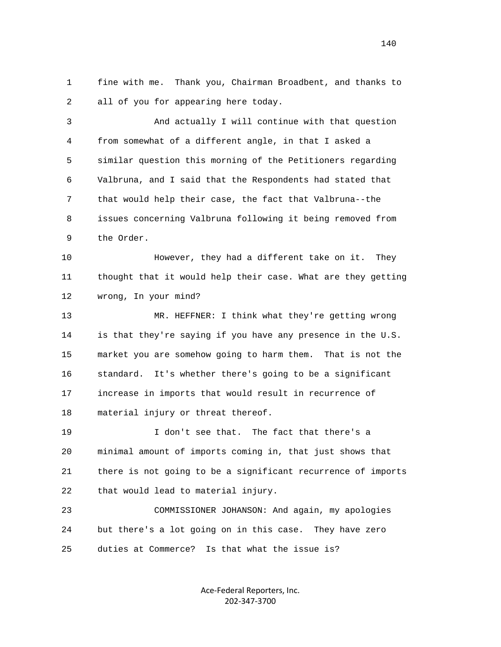1 fine with me. Thank you, Chairman Broadbent, and thanks to 2 all of you for appearing here today.

 3 And actually I will continue with that question 4 from somewhat of a different angle, in that I asked a 5 similar question this morning of the Petitioners regarding 6 Valbruna, and I said that the Respondents had stated that 7 that would help their case, the fact that Valbruna--the 8 issues concerning Valbruna following it being removed from 9 the Order.

 10 However, they had a different take on it. They 11 thought that it would help their case. What are they getting 12 wrong, In your mind?

 13 MR. HEFFNER: I think what they're getting wrong 14 is that they're saying if you have any presence in the U.S. 15 market you are somehow going to harm them. That is not the 16 standard. It's whether there's going to be a significant 17 increase in imports that would result in recurrence of 18 material injury or threat thereof.

 19 I don't see that. The fact that there's a 20 minimal amount of imports coming in, that just shows that 21 there is not going to be a significant recurrence of imports 22 that would lead to material injury.

 23 COMMISSIONER JOHANSON: And again, my apologies 24 but there's a lot going on in this case. They have zero 25 duties at Commerce? Is that what the issue is?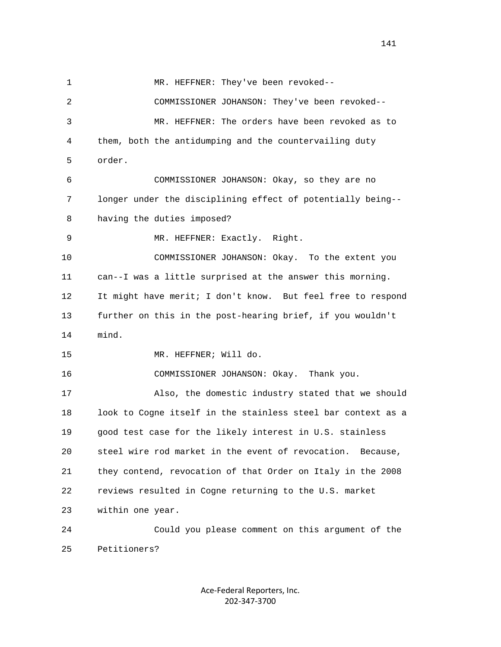1 MR. HEFFNER: They've been revoked-- 2 COMMISSIONER JOHANSON: They've been revoked-- 3 MR. HEFFNER: The orders have been revoked as to 4 them, both the antidumping and the countervailing duty 5 order. 6 COMMISSIONER JOHANSON: Okay, so they are no 7 longer under the disciplining effect of potentially being-- 8 having the duties imposed? 9 MR. HEFFNER: Exactly. Right. 10 COMMISSIONER JOHANSON: Okay. To the extent you 11 can--I was a little surprised at the answer this morning. 12 It might have merit; I don't know. But feel free to respond 13 further on this in the post-hearing brief, if you wouldn't 14 mind. 15 MR. HEFFNER; Will do. 16 COMMISSIONER JOHANSON: Okay. Thank you. 17 Also, the domestic industry stated that we should 18 look to Cogne itself in the stainless steel bar context as a 19 good test case for the likely interest in U.S. stainless 20 steel wire rod market in the event of revocation. Because, 21 they contend, revocation of that Order on Italy in the 2008 22 reviews resulted in Cogne returning to the U.S. market 23 within one year. 24 Could you please comment on this argument of the 25 Petitioners?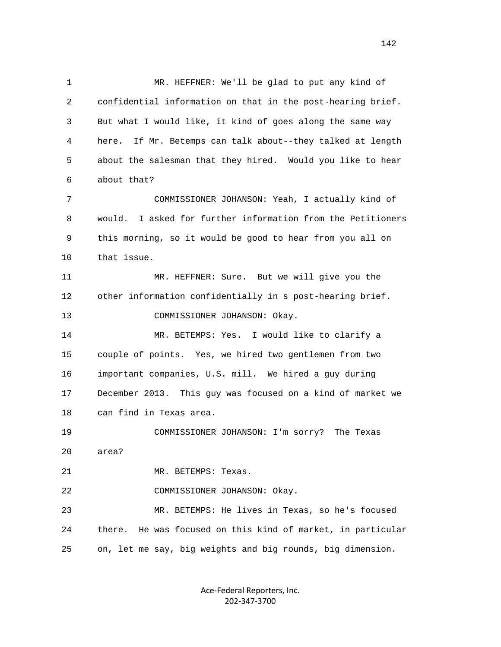1 MR. HEFFNER: We'll be glad to put any kind of 2 confidential information on that in the post-hearing brief. 3 But what I would like, it kind of goes along the same way 4 here. If Mr. Betemps can talk about--they talked at length 5 about the salesman that they hired. Would you like to hear 6 about that? 7 COMMISSIONER JOHANSON: Yeah, I actually kind of 8 would. I asked for further information from the Petitioners 9 this morning, so it would be good to hear from you all on 10 that issue. 11 MR. HEFFNER: Sure. But we will give you the 12 other information confidentially in s post-hearing brief. 13 COMMISSIONER JOHANSON: Okay. 14 MR. BETEMPS: Yes. I would like to clarify a 15 couple of points. Yes, we hired two gentlemen from two 16 important companies, U.S. mill. We hired a guy during 17 December 2013. This guy was focused on a kind of market we 18 can find in Texas area. 19 COMMISSIONER JOHANSON: I'm sorry? The Texas 20 area? 21 MR. BETEMPS: Texas. 22 COMMISSIONER JOHANSON: Okay. 23 MR. BETEMPS: He lives in Texas, so he's focused 24 there. He was focused on this kind of market, in particular 25 on, let me say, big weights and big rounds, big dimension.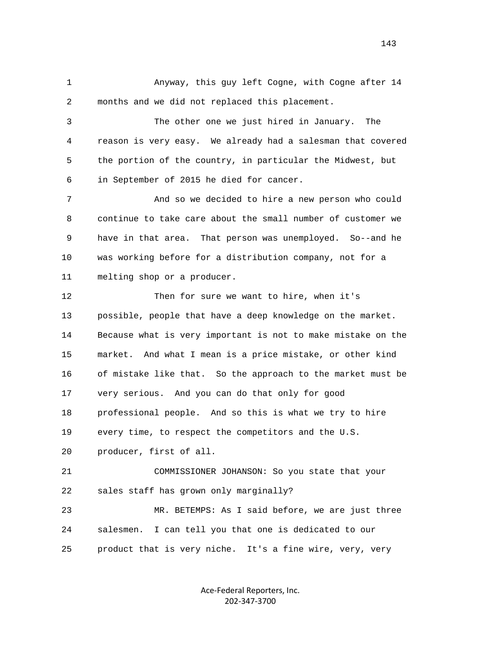1 Anyway, this guy left Cogne, with Cogne after 14 2 months and we did not replaced this placement.

 3 The other one we just hired in January. The 4 reason is very easy. We already had a salesman that covered 5 the portion of the country, in particular the Midwest, but 6 in September of 2015 he died for cancer.

 7 And so we decided to hire a new person who could 8 continue to take care about the small number of customer we 9 have in that area. That person was unemployed. So--and he 10 was working before for a distribution company, not for a 11 melting shop or a producer.

12 Then for sure we want to hire, when it's 13 possible, people that have a deep knowledge on the market. 14 Because what is very important is not to make mistake on the 15 market. And what I mean is a price mistake, or other kind 16 of mistake like that. So the approach to the market must be 17 very serious. And you can do that only for good 18 professional people. And so this is what we try to hire 19 every time, to respect the competitors and the U.S. 20 producer, first of all.

 21 COMMISSIONER JOHANSON: So you state that your 22 sales staff has grown only marginally?

 23 MR. BETEMPS: As I said before, we are just three 24 salesmen. I can tell you that one is dedicated to our 25 product that is very niche. It's a fine wire, very, very

> Ace‐Federal Reporters, Inc. 202‐347‐3700

143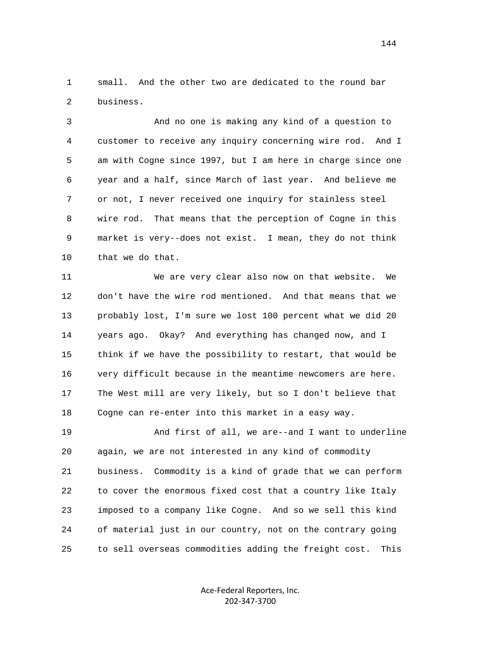1 small. And the other two are dedicated to the round bar 2 business.

 3 And no one is making any kind of a question to 4 customer to receive any inquiry concerning wire rod. And I 5 am with Cogne since 1997, but I am here in charge since one 6 year and a half, since March of last year. And believe me 7 or not, I never received one inquiry for stainless steel 8 wire rod. That means that the perception of Cogne in this 9 market is very--does not exist. I mean, they do not think 10 that we do that.

 11 We are very clear also now on that website. We 12 don't have the wire rod mentioned. And that means that we 13 probably lost, I'm sure we lost 100 percent what we did 20 14 years ago. Okay? And everything has changed now, and I 15 think if we have the possibility to restart, that would be 16 very difficult because in the meantime newcomers are here. 17 The West mill are very likely, but so I don't believe that 18 Cogne can re-enter into this market in a easy way.

 19 And first of all, we are--and I want to underline 20 again, we are not interested in any kind of commodity 21 business. Commodity is a kind of grade that we can perform 22 to cover the enormous fixed cost that a country like Italy 23 imposed to a company like Cogne. And so we sell this kind 24 of material just in our country, not on the contrary going 25 to sell overseas commodities adding the freight cost. This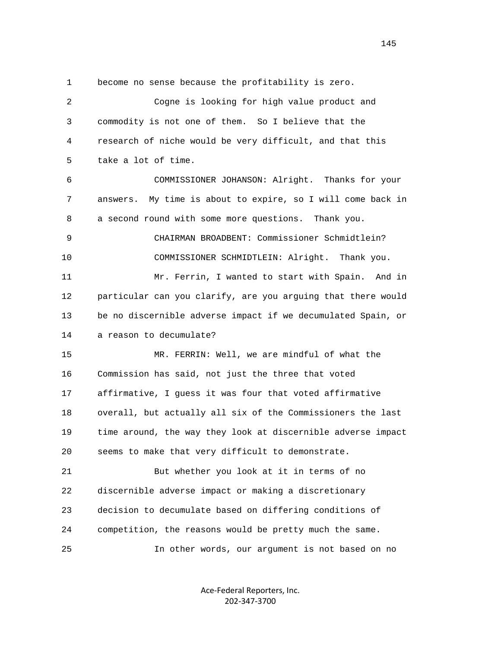1 become no sense because the profitability is zero.

| 2  | Cogne is looking for high value product and                    |
|----|----------------------------------------------------------------|
| 3  | commodity is not one of them. So I believe that the            |
| 4  | research of niche would be very difficult, and that this       |
| 5  | take a lot of time.                                            |
| 6  | COMMISSIONER JOHANSON: Alright. Thanks for your                |
| 7  | My time is about to expire, so I will come back in<br>answers. |
| 8  | a second round with some more questions. Thank you.            |
| 9  | CHAIRMAN BROADBENT: Commissioner Schmidtlein?                  |
| 10 | COMMISSIONER SCHMIDTLEIN: Alright. Thank you.                  |
| 11 | Mr. Ferrin, I wanted to start with Spain. And in               |
| 12 | particular can you clarify, are you arguing that there would   |
| 13 | be no discernible adverse impact if we decumulated Spain, or   |
| 14 | a reason to decumulate?                                        |
| 15 | MR. FERRIN: Well, we are mindful of what the                   |
| 16 | Commission has said, not just the three that voted             |
| 17 | affirmative, I guess it was four that voted affirmative        |
| 18 | overall, but actually all six of the Commissioners the last    |
| 19 | time around, the way they look at discernible adverse impact   |
| 20 | seems to make that very difficult to demonstrate.              |
| 21 | But whether you look at it in terms of no                      |
| 22 | discernible adverse impact or making a discretionary           |
| 23 | decision to decumulate based on differing conditions of        |
| 24 | competition, the reasons would be pretty much the same.        |
| 25 | In other words, our argument is not based on no                |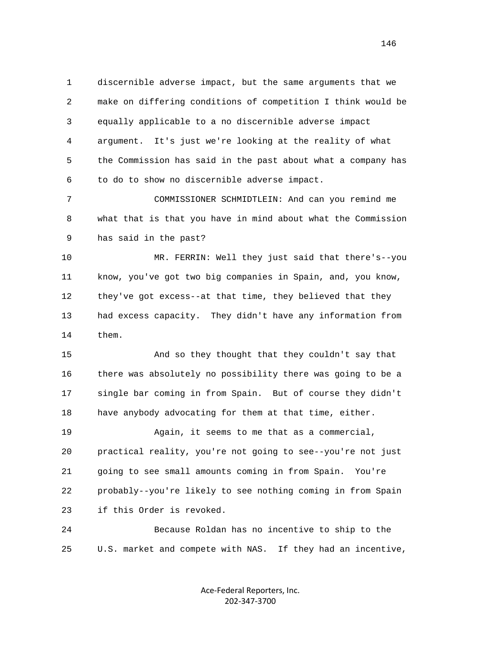1 discernible adverse impact, but the same arguments that we 2 make on differing conditions of competition I think would be 3 equally applicable to a no discernible adverse impact 4 argument. It's just we're looking at the reality of what 5 the Commission has said in the past about what a company has 6 to do to show no discernible adverse impact.

 7 COMMISSIONER SCHMIDTLEIN: And can you remind me 8 what that is that you have in mind about what the Commission 9 has said in the past?

 10 MR. FERRIN: Well they just said that there's--you 11 know, you've got two big companies in Spain, and, you know, 12 they've got excess--at that time, they believed that they 13 had excess capacity. They didn't have any information from 14 them.

 15 And so they thought that they couldn't say that 16 there was absolutely no possibility there was going to be a 17 single bar coming in from Spain. But of course they didn't 18 have anybody advocating for them at that time, either.

 19 Again, it seems to me that as a commercial, 20 practical reality, you're not going to see--you're not just 21 going to see small amounts coming in from Spain. You're 22 probably--you're likely to see nothing coming in from Spain 23 if this Order is revoked.

 24 Because Roldan has no incentive to ship to the 25 U.S. market and compete with NAS. If they had an incentive,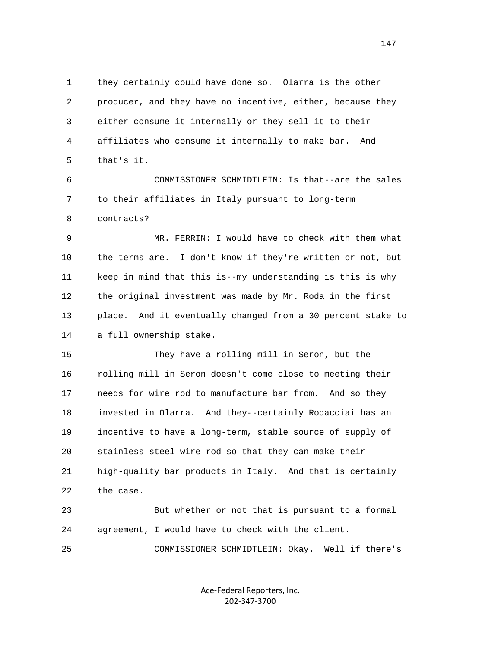1 they certainly could have done so. Olarra is the other 2 producer, and they have no incentive, either, because they 3 either consume it internally or they sell it to their 4 affiliates who consume it internally to make bar. And 5 that's it.

 6 COMMISSIONER SCHMIDTLEIN: Is that--are the sales 7 to their affiliates in Italy pursuant to long-term 8 contracts?

 9 MR. FERRIN: I would have to check with them what 10 the terms are. I don't know if they're written or not, but 11 keep in mind that this is--my understanding is this is why 12 the original investment was made by Mr. Roda in the first 13 place. And it eventually changed from a 30 percent stake to 14 a full ownership stake.

 15 They have a rolling mill in Seron, but the 16 rolling mill in Seron doesn't come close to meeting their 17 needs for wire rod to manufacture bar from. And so they 18 invested in Olarra. And they--certainly Rodacciai has an 19 incentive to have a long-term, stable source of supply of 20 stainless steel wire rod so that they can make their 21 high-quality bar products in Italy. And that is certainly 22 the case.

 23 But whether or not that is pursuant to a formal 24 agreement, I would have to check with the client.

25 COMMISSIONER SCHMIDTLEIN: Okay. Well if there's

Ace‐Federal Reporters, Inc. 202‐347‐3700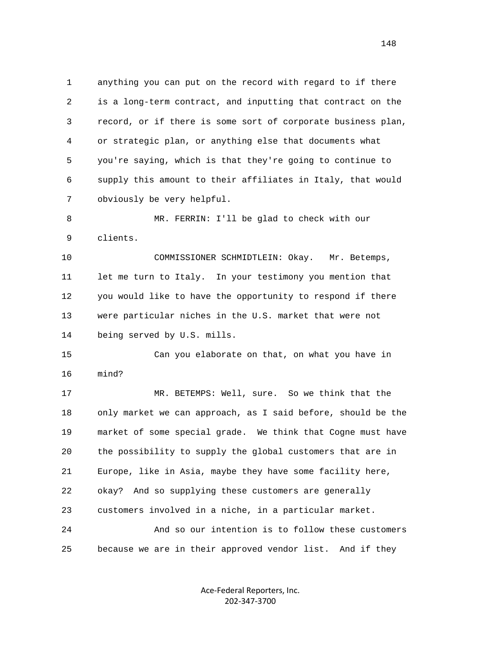1 anything you can put on the record with regard to if there 2 is a long-term contract, and inputting that contract on the 3 record, or if there is some sort of corporate business plan, 4 or strategic plan, or anything else that documents what 5 you're saying, which is that they're going to continue to 6 supply this amount to their affiliates in Italy, that would 7 obviously be very helpful.

 8 MR. FERRIN: I'll be glad to check with our 9 clients.

 10 COMMISSIONER SCHMIDTLEIN: Okay. Mr. Betemps, 11 let me turn to Italy. In your testimony you mention that 12 you would like to have the opportunity to respond if there 13 were particular niches in the U.S. market that were not 14 being served by U.S. mills.

 15 Can you elaborate on that, on what you have in 16 mind?

 17 MR. BETEMPS: Well, sure. So we think that the 18 only market we can approach, as I said before, should be the 19 market of some special grade. We think that Cogne must have 20 the possibility to supply the global customers that are in 21 Europe, like in Asia, maybe they have some facility here, 22 okay? And so supplying these customers are generally 23 customers involved in a niche, in a particular market. 24 And so our intention is to follow these customers

25 because we are in their approved vendor list. And if they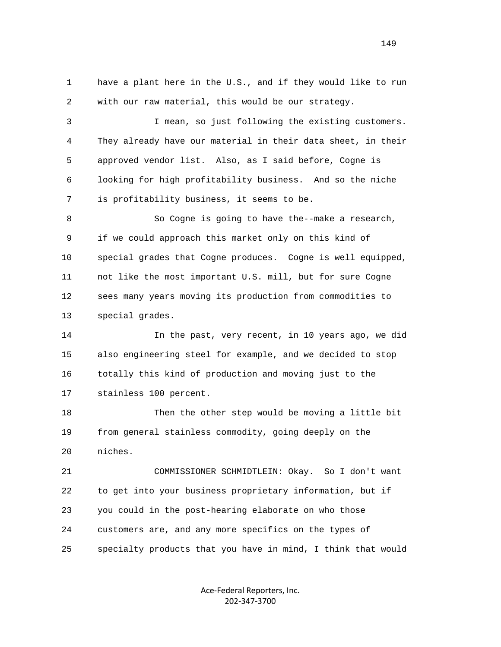1 have a plant here in the U.S., and if they would like to run 2 with our raw material, this would be our strategy.

 3 I mean, so just following the existing customers. 4 They already have our material in their data sheet, in their 5 approved vendor list. Also, as I said before, Cogne is 6 looking for high profitability business. And so the niche 7 is profitability business, it seems to be.

 8 So Cogne is going to have the--make a research, 9 if we could approach this market only on this kind of 10 special grades that Cogne produces. Cogne is well equipped, 11 not like the most important U.S. mill, but for sure Cogne 12 sees many years moving its production from commodities to 13 special grades.

 14 In the past, very recent, in 10 years ago, we did 15 also engineering steel for example, and we decided to stop 16 totally this kind of production and moving just to the 17 stainless 100 percent.

 18 Then the other step would be moving a little bit 19 from general stainless commodity, going deeply on the 20 niches.

 21 COMMISSIONER SCHMIDTLEIN: Okay. So I don't want 22 to get into your business proprietary information, but if 23 you could in the post-hearing elaborate on who those 24 customers are, and any more specifics on the types of 25 specialty products that you have in mind, I think that would

> Ace‐Federal Reporters, Inc. 202‐347‐3700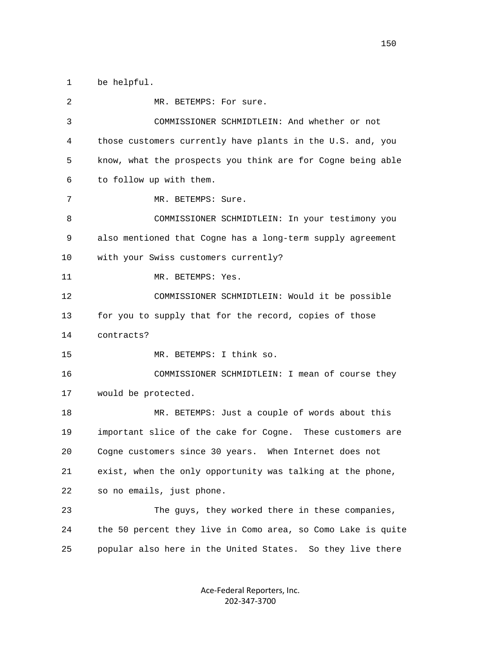1 be helpful.

2 MR. BETEMPS: For sure. 3 COMMISSIONER SCHMIDTLEIN: And whether or not 4 those customers currently have plants in the U.S. and, you 5 know, what the prospects you think are for Cogne being able 6 to follow up with them. 7 MR. BETEMPS: Sure. 8 COMMISSIONER SCHMIDTLEIN: In your testimony you 9 also mentioned that Cogne has a long-term supply agreement 10 with your Swiss customers currently? 11 MR. BETEMPS: Yes. 12 COMMISSIONER SCHMIDTLEIN: Would it be possible 13 for you to supply that for the record, copies of those 14 contracts? 15 MR. BETEMPS: I think so. 16 COMMISSIONER SCHMIDTLEIN: I mean of course they 17 would be protected. 18 MR. BETEMPS: Just a couple of words about this 19 important slice of the cake for Cogne. These customers are 20 Cogne customers since 30 years. When Internet does not 21 exist, when the only opportunity was talking at the phone, 22 so no emails, just phone. 23 The guys, they worked there in these companies, 24 the 50 percent they live in Como area, so Como Lake is quite 25 popular also here in the United States. So they live there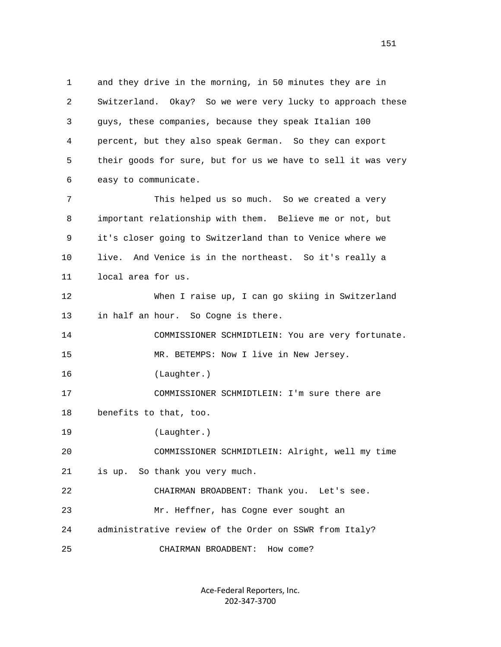1 and they drive in the morning, in 50 minutes they are in 2 Switzerland. Okay? So we were very lucky to approach these 3 guys, these companies, because they speak Italian 100 4 percent, but they also speak German. So they can export 5 their goods for sure, but for us we have to sell it was very 6 easy to communicate. 7 This helped us so much. So we created a very 8 important relationship with them. Believe me or not, but 9 it's closer going to Switzerland than to Venice where we 10 live. And Venice is in the northeast. So it's really a 11 local area for us. 12 When I raise up, I can go skiing in Switzerland 13 in half an hour. So Cogne is there. 14 COMMISSIONER SCHMIDTLEIN: You are very fortunate. 15 MR. BETEMPS: Now I live in New Jersey. 16 (Laughter.) 17 COMMISSIONER SCHMIDTLEIN: I'm sure there are 18 benefits to that, too. 19 (Laughter.) 20 COMMISSIONER SCHMIDTLEIN: Alright, well my time 21 is up. So thank you very much. 22 CHAIRMAN BROADBENT: Thank you. Let's see. 23 Mr. Heffner, has Cogne ever sought an 24 administrative review of the Order on SSWR from Italy? 25 CHAIRMAN BROADBENT: How come?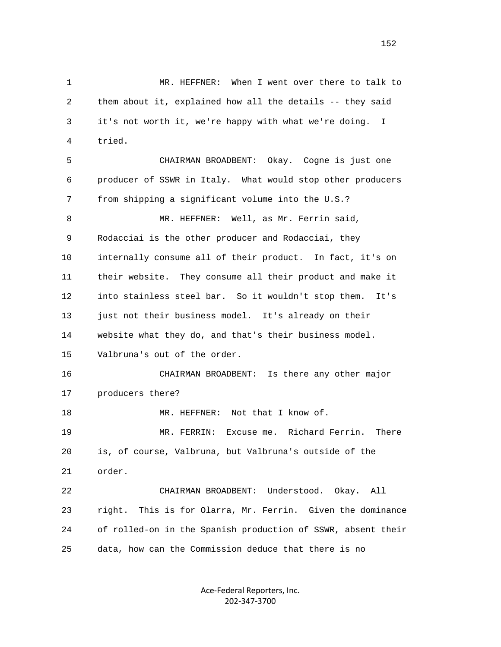1 MR. HEFFNER: When I went over there to talk to 2 them about it, explained how all the details -- they said 3 it's not worth it, we're happy with what we're doing. I 4 tried. 5 CHAIRMAN BROADBENT: Okay. Cogne is just one 6 producer of SSWR in Italy. What would stop other producers 7 from shipping a significant volume into the U.S.? 8 MR. HEFFNER: Well, as Mr. Ferrin said, 9 Rodacciai is the other producer and Rodacciai, they 10 internally consume all of their product. In fact, it's on 11 their website. They consume all their product and make it 12 into stainless steel bar. So it wouldn't stop them. It's 13 just not their business model. It's already on their 14 website what they do, and that's their business model. 15 Valbruna's out of the order. 16 CHAIRMAN BROADBENT: Is there any other major 17 producers there? 18 MR. HEFFNER: Not that I know of. 19 MR. FERRIN: Excuse me. Richard Ferrin. There 20 is, of course, Valbruna, but Valbruna's outside of the 21 order. 22 CHAIRMAN BROADBENT: Understood. Okay. All 23 right. This is for Olarra, Mr. Ferrin. Given the dominance 24 of rolled-on in the Spanish production of SSWR, absent their 25 data, how can the Commission deduce that there is no

> Ace‐Federal Reporters, Inc. 202‐347‐3700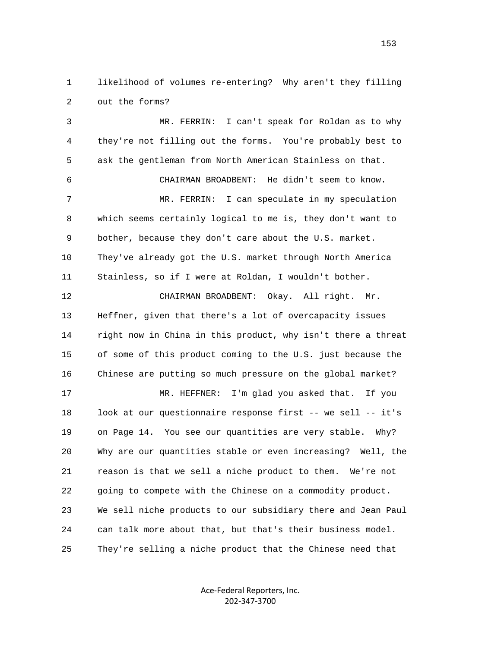1 likelihood of volumes re-entering? Why aren't they filling 2 out the forms?

 3 MR. FERRIN: I can't speak for Roldan as to why 4 they're not filling out the forms. You're probably best to 5 ask the gentleman from North American Stainless on that. 6 CHAIRMAN BROADBENT: He didn't seem to know. 7 MR. FERRIN: I can speculate in my speculation 8 which seems certainly logical to me is, they don't want to 9 bother, because they don't care about the U.S. market. 10 They've already got the U.S. market through North America 11 Stainless, so if I were at Roldan, I wouldn't bother. 12 CHAIRMAN BROADBENT: Okay. All right. Mr. 13 Heffner, given that there's a lot of overcapacity issues 14 right now in China in this product, why isn't there a threat 15 of some of this product coming to the U.S. just because the 16 Chinese are putting so much pressure on the global market? 17 MR. HEFFNER: I'm glad you asked that. If you 18 look at our questionnaire response first -- we sell -- it's 19 on Page 14. You see our quantities are very stable. Why? 20 Why are our quantities stable or even increasing? Well, the 21 reason is that we sell a niche product to them. We're not 22 going to compete with the Chinese on a commodity product. 23 We sell niche products to our subsidiary there and Jean Paul 24 can talk more about that, but that's their business model. 25 They're selling a niche product that the Chinese need that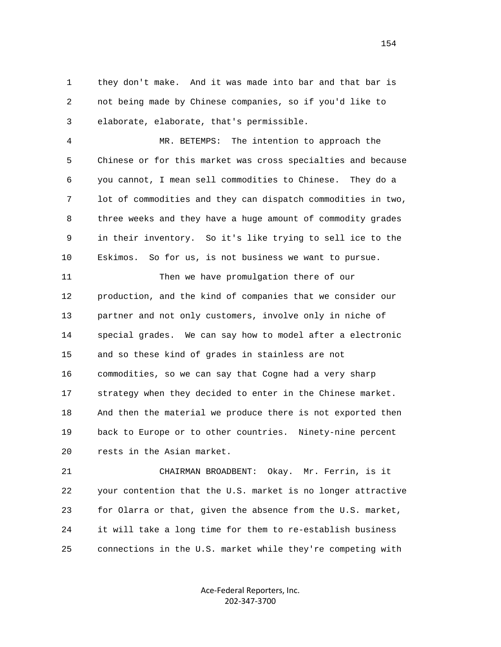1 they don't make. And it was made into bar and that bar is 2 not being made by Chinese companies, so if you'd like to 3 elaborate, elaborate, that's permissible.

 4 MR. BETEMPS: The intention to approach the 5 Chinese or for this market was cross specialties and because 6 you cannot, I mean sell commodities to Chinese. They do a 7 lot of commodities and they can dispatch commodities in two, 8 three weeks and they have a huge amount of commodity grades 9 in their inventory. So it's like trying to sell ice to the 10 Eskimos. So for us, is not business we want to pursue.

 11 Then we have promulgation there of our 12 production, and the kind of companies that we consider our 13 partner and not only customers, involve only in niche of 14 special grades. We can say how to model after a electronic 15 and so these kind of grades in stainless are not 16 commodities, so we can say that Cogne had a very sharp 17 strategy when they decided to enter in the Chinese market. 18 And then the material we produce there is not exported then 19 back to Europe or to other countries. Ninety-nine percent 20 rests in the Asian market.

 21 CHAIRMAN BROADBENT: Okay. Mr. Ferrin, is it 22 your contention that the U.S. market is no longer attractive 23 for Olarra or that, given the absence from the U.S. market, 24 it will take a long time for them to re-establish business 25 connections in the U.S. market while they're competing with

> Ace‐Federal Reporters, Inc. 202‐347‐3700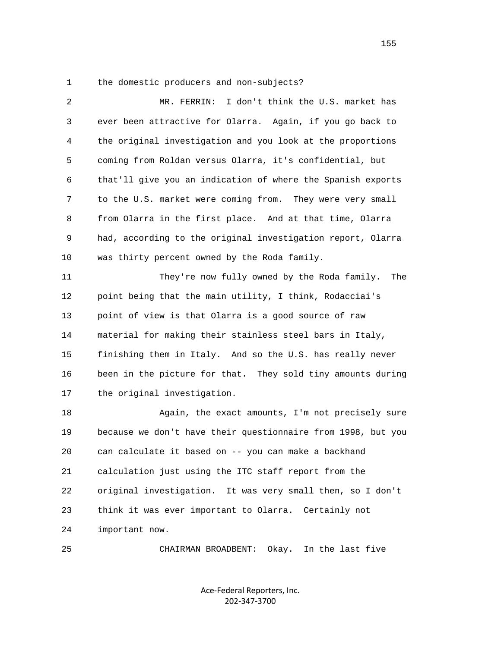1 the domestic producers and non-subjects?

| 2  | I don't think the U.S. market has<br>MR. FERRIN:             |
|----|--------------------------------------------------------------|
| 3  | ever been attractive for Olarra. Again, if you go back to    |
| 4  | the original investigation and you look at the proportions   |
| 5  | coming from Roldan versus Olarra, it's confidential, but     |
| 6  | that'll give you an indication of where the Spanish exports  |
| 7  | to the U.S. market were coming from. They were very small    |
| 8  | from Olarra in the first place. And at that time, Olarra     |
| 9  | had, according to the original investigation report, Olarra  |
| 10 | was thirty percent owned by the Roda family.                 |
| 11 | They're now fully owned by the Roda family.<br>The           |
| 12 | point being that the main utility, I think, Rodacciai's      |
| 13 | point of view is that Olarra is a good source of raw         |
| 14 | material for making their stainless steel bars in Italy,     |
| 15 | finishing them in Italy. And so the U.S. has really never    |
| 16 | been in the picture for that. They sold tiny amounts during  |
| 17 | the original investigation.                                  |
| 18 | Again, the exact amounts, I'm not precisely sure             |
| 19 | because we don't have their questionnaire from 1998, but you |
| 20 | can calculate it based on -- you can make a backhand         |
| 21 | calculation just using the ITC staff report from the         |
| 22 | original investigation. It was very small then, so I don't   |
| 23 | think it was ever important to Olarra. Certainly not         |
| 24 | important now.                                               |
|    |                                                              |

25 CHAIRMAN BROADBENT: Okay. In the last five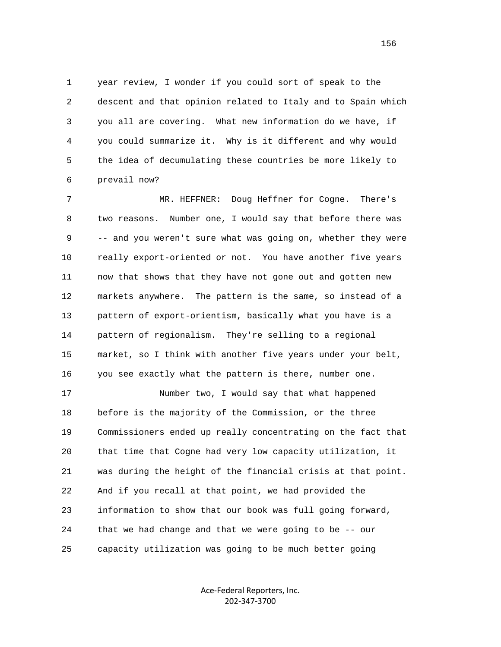1 year review, I wonder if you could sort of speak to the 2 descent and that opinion related to Italy and to Spain which 3 you all are covering. What new information do we have, if 4 you could summarize it. Why is it different and why would 5 the idea of decumulating these countries be more likely to 6 prevail now?

 7 MR. HEFFNER: Doug Heffner for Cogne. There's 8 two reasons. Number one, I would say that before there was 9 -- and you weren't sure what was going on, whether they were 10 really export-oriented or not. You have another five years 11 now that shows that they have not gone out and gotten new 12 markets anywhere. The pattern is the same, so instead of a 13 pattern of export-orientism, basically what you have is a 14 pattern of regionalism. They're selling to a regional 15 market, so I think with another five years under your belt, 16 you see exactly what the pattern is there, number one.

 17 Number two, I would say that what happened 18 before is the majority of the Commission, or the three 19 Commissioners ended up really concentrating on the fact that 20 that time that Cogne had very low capacity utilization, it 21 was during the height of the financial crisis at that point. 22 And if you recall at that point, we had provided the 23 information to show that our book was full going forward, 24 that we had change and that we were going to be -- our 25 capacity utilization was going to be much better going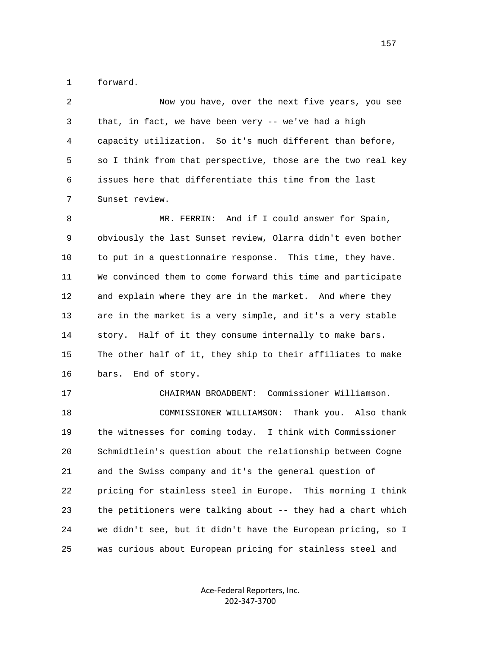1 forward.

 2 Now you have, over the next five years, you see 3 that, in fact, we have been very -- we've had a high 4 capacity utilization. So it's much different than before, 5 so I think from that perspective, those are the two real key 6 issues here that differentiate this time from the last 7 Sunset review.

 8 MR. FERRIN: And if I could answer for Spain, 9 obviously the last Sunset review, Olarra didn't even bother 10 to put in a questionnaire response. This time, they have. 11 We convinced them to come forward this time and participate 12 and explain where they are in the market. And where they 13 are in the market is a very simple, and it's a very stable 14 story. Half of it they consume internally to make bars. 15 The other half of it, they ship to their affiliates to make 16 bars. End of story.

 17 CHAIRMAN BROADBENT: Commissioner Williamson. 18 COMMISSIONER WILLIAMSON: Thank you. Also thank 19 the witnesses for coming today. I think with Commissioner 20 Schmidtlein's question about the relationship between Cogne 21 and the Swiss company and it's the general question of 22 pricing for stainless steel in Europe. This morning I think 23 the petitioners were talking about -- they had a chart which 24 we didn't see, but it didn't have the European pricing, so I 25 was curious about European pricing for stainless steel and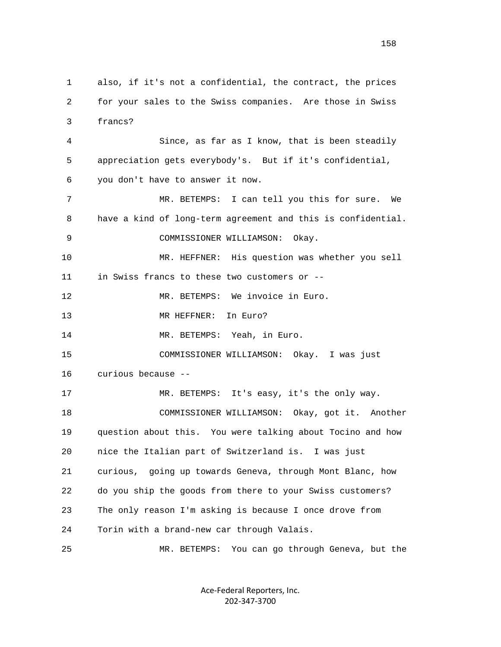1 also, if it's not a confidential, the contract, the prices 2 for your sales to the Swiss companies. Are those in Swiss 3 francs? 4 Since, as far as I know, that is been steadily 5 appreciation gets everybody's. But if it's confidential, 6 you don't have to answer it now. 7 MR. BETEMPS: I can tell you this for sure. We 8 have a kind of long-term agreement and this is confidential. 9 COMMISSIONER WILLIAMSON: Okay. 10 MR. HEFFNER: His question was whether you sell 11 in Swiss francs to these two customers or -- 12 MR. BETEMPS: We invoice in Euro. 13 MR HEFFNER: In Euro? 14 MR. BETEMPS: Yeah, in Euro. 15 COMMISSIONER WILLIAMSON: Okay. I was just 16 curious because -- 17 MR. BETEMPS: It's easy, it's the only way. 18 COMMISSIONER WILLIAMSON: Okay, got it. Another 19 question about this. You were talking about Tocino and how 20 nice the Italian part of Switzerland is. I was just 21 curious, going up towards Geneva, through Mont Blanc, how 22 do you ship the goods from there to your Swiss customers? 23 The only reason I'm asking is because I once drove from 24 Torin with a brand-new car through Valais. 25 MR. BETEMPS: You can go through Geneva, but the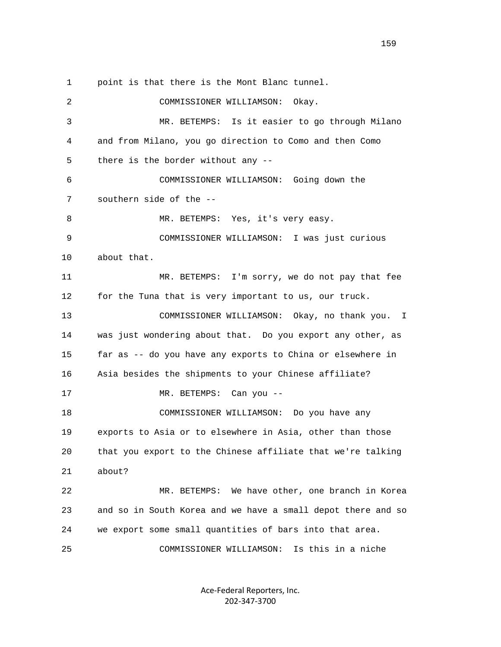1 point is that there is the Mont Blanc tunnel. 2 COMMISSIONER WILLIAMSON: Okay. 3 MR. BETEMPS: Is it easier to go through Milano 4 and from Milano, you go direction to Como and then Como 5 there is the border without any -- 6 COMMISSIONER WILLIAMSON: Going down the 7 southern side of the -- 8 MR. BETEMPS: Yes, it's very easy. 9 COMMISSIONER WILLIAMSON: I was just curious 10 about that. 11 MR. BETEMPS: I'm sorry, we do not pay that fee 12 for the Tuna that is very important to us, our truck. 13 COMMISSIONER WILLIAMSON: Okay, no thank you. I 14 was just wondering about that. Do you export any other, as 15 far as -- do you have any exports to China or elsewhere in 16 Asia besides the shipments to your Chinese affiliate? 17 MR. BETEMPS: Can you -- 18 COMMISSIONER WILLIAMSON: Do you have any 19 exports to Asia or to elsewhere in Asia, other than those 20 that you export to the Chinese affiliate that we're talking 21 about? 22 MR. BETEMPS: We have other, one branch in Korea 23 and so in South Korea and we have a small depot there and so 24 we export some small quantities of bars into that area. 25 COMMISSIONER WILLIAMSON: Is this in a niche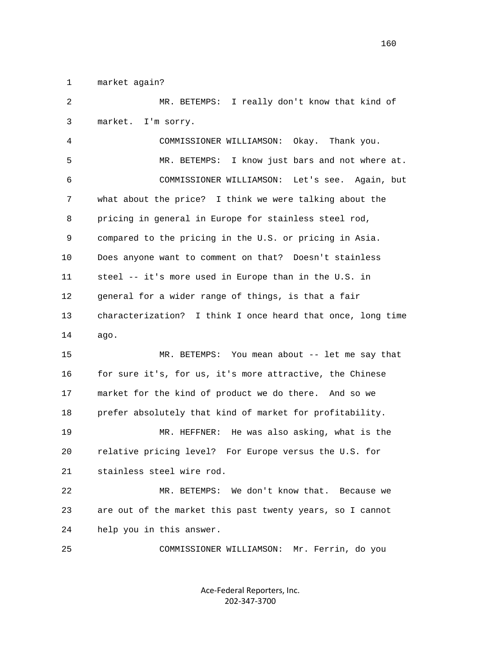1 market again?

 2 MR. BETEMPS: I really don't know that kind of 3 market. I'm sorry. 4 COMMISSIONER WILLIAMSON: Okay. Thank you. 5 MR. BETEMPS: I know just bars and not where at. 6 COMMISSIONER WILLIAMSON: Let's see. Again, but 7 what about the price? I think we were talking about the 8 pricing in general in Europe for stainless steel rod, 9 compared to the pricing in the U.S. or pricing in Asia. 10 Does anyone want to comment on that? Doesn't stainless 11 steel -- it's more used in Europe than in the U.S. in 12 general for a wider range of things, is that a fair 13 characterization? I think I once heard that once, long time 14 ago. 15 MR. BETEMPS: You mean about -- let me say that 16 for sure it's, for us, it's more attractive, the Chinese 17 market for the kind of product we do there. And so we 18 prefer absolutely that kind of market for profitability. 19 MR. HEFFNER: He was also asking, what is the 20 relative pricing level? For Europe versus the U.S. for 21 stainless steel wire rod. 22 MR. BETEMPS: We don't know that. Because we 23 are out of the market this past twenty years, so I cannot 24 help you in this answer. 25 COMMISSIONER WILLIAMSON: Mr. Ferrin, do you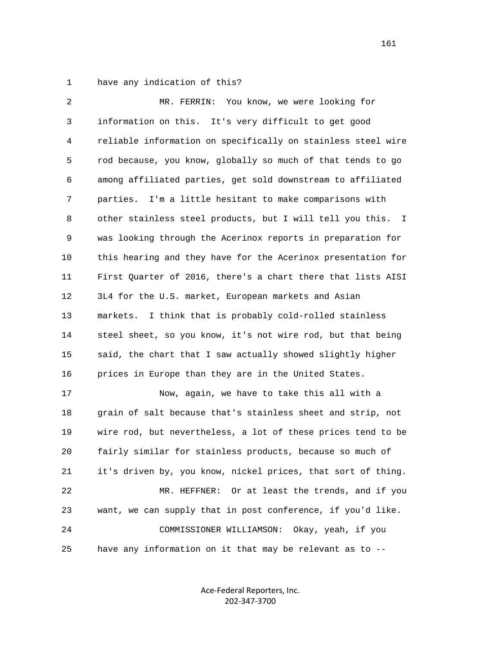1 have any indication of this?

 2 MR. FERRIN: You know, we were looking for 3 information on this. It's very difficult to get good 4 reliable information on specifically on stainless steel wire 5 rod because, you know, globally so much of that tends to go 6 among affiliated parties, get sold downstream to affiliated 7 parties. I'm a little hesitant to make comparisons with 8 other stainless steel products, but I will tell you this. I 9 was looking through the Acerinox reports in preparation for 10 this hearing and they have for the Acerinox presentation for 11 First Quarter of 2016, there's a chart there that lists AISI 12 3L4 for the U.S. market, European markets and Asian 13 markets. I think that is probably cold-rolled stainless 14 steel sheet, so you know, it's not wire rod, but that being 15 said, the chart that I saw actually showed slightly higher 16 prices in Europe than they are in the United States. 17 Now, again, we have to take this all with a 18 grain of salt because that's stainless sheet and strip, not 19 wire rod, but nevertheless, a lot of these prices tend to be 20 fairly similar for stainless products, because so much of 21 it's driven by, you know, nickel prices, that sort of thing. 22 MR. HEFFNER: Or at least the trends, and if you 23 want, we can supply that in post conference, if you'd like. 24 COMMISSIONER WILLIAMSON: Okay, yeah, if you 25 have any information on it that may be relevant as to --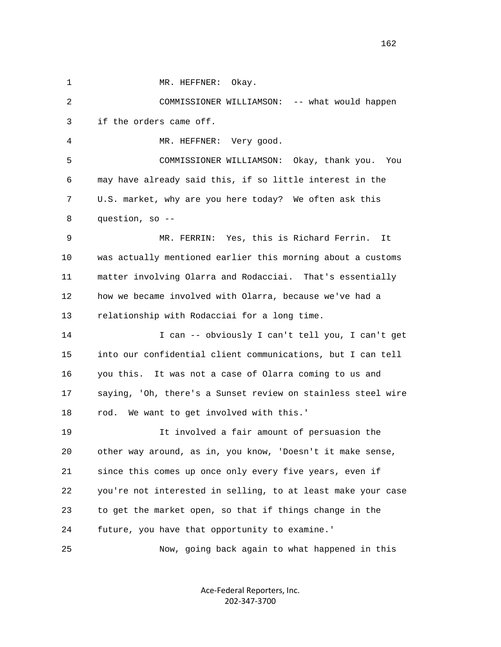1 MR. HEFFNER: Okay.

 2 COMMISSIONER WILLIAMSON: -- what would happen 3 if the orders came off. 4 MR. HEFFNER: Very good. 5 COMMISSIONER WILLIAMSON: Okay, thank you. You 6 may have already said this, if so little interest in the 7 U.S. market, why are you here today? We often ask this 8 question, so -- 9 MR. FERRIN: Yes, this is Richard Ferrin. It 10 was actually mentioned earlier this morning about a customs 11 matter involving Olarra and Rodacciai. That's essentially 12 how we became involved with Olarra, because we've had a 13 relationship with Rodacciai for a long time. 14 I can -- obviously I can't tell you, I can't get 15 into our confidential client communications, but I can tell 16 you this. It was not a case of Olarra coming to us and 17 saying, 'Oh, there's a Sunset review on stainless steel wire 18 rod. We want to get involved with this.' 19 It involved a fair amount of persuasion the 20 other way around, as in, you know, 'Doesn't it make sense, 21 since this comes up once only every five years, even if 22 you're not interested in selling, to at least make your case 23 to get the market open, so that if things change in the 24 future, you have that opportunity to examine.' 25 Now, going back again to what happened in this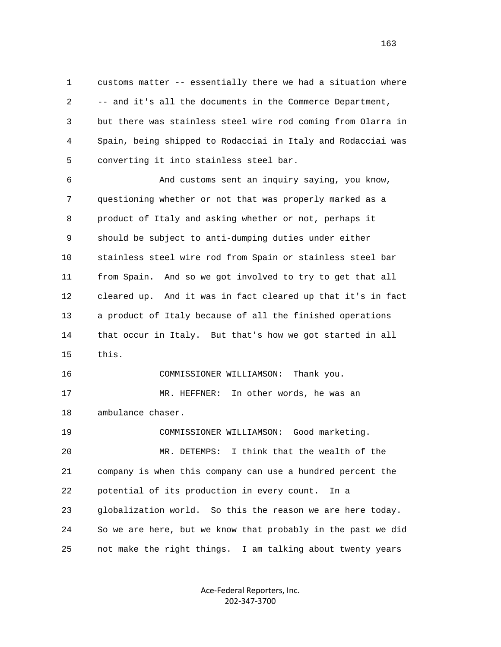1 customs matter -- essentially there we had a situation where 2 -- and it's all the documents in the Commerce Department, 3 but there was stainless steel wire rod coming from Olarra in 4 Spain, being shipped to Rodacciai in Italy and Rodacciai was 5 converting it into stainless steel bar.

 6 And customs sent an inquiry saying, you know, 7 questioning whether or not that was properly marked as a 8 product of Italy and asking whether or not, perhaps it 9 should be subject to anti-dumping duties under either 10 stainless steel wire rod from Spain or stainless steel bar 11 from Spain. And so we got involved to try to get that all 12 cleared up. And it was in fact cleared up that it's in fact 13 a product of Italy because of all the finished operations 14 that occur in Italy. But that's how we got started in all 15 this.

 16 COMMISSIONER WILLIAMSON: Thank you. 17 MR. HEFFNER: In other words, he was an

18 ambulance chaser.

 19 COMMISSIONER WILLIAMSON: Good marketing. 20 MR. DETEMPS: I think that the wealth of the 21 company is when this company can use a hundred percent the 22 potential of its production in every count. In a 23 globalization world. So this the reason we are here today. 24 So we are here, but we know that probably in the past we did 25 not make the right things. I am talking about twenty years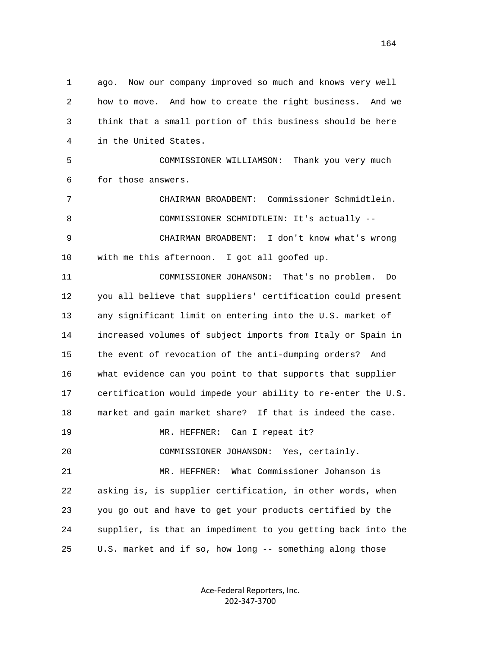1 ago. Now our company improved so much and knows very well 2 how to move. And how to create the right business. And we 3 think that a small portion of this business should be here 4 in the United States.

 5 COMMISSIONER WILLIAMSON: Thank you very much 6 for those answers.

 7 CHAIRMAN BROADBENT: Commissioner Schmidtlein. 8 COMMISSIONER SCHMIDTLEIN: It's actually -- 9 CHAIRMAN BROADBENT: I don't know what's wrong 10 with me this afternoon. I got all goofed up.

 11 COMMISSIONER JOHANSON: That's no problem. Do 12 you all believe that suppliers' certification could present 13 any significant limit on entering into the U.S. market of 14 increased volumes of subject imports from Italy or Spain in 15 the event of revocation of the anti-dumping orders? And 16 what evidence can you point to that supports that supplier 17 certification would impede your ability to re-enter the U.S. 18 market and gain market share? If that is indeed the case. 19 MR. HEFFNER: Can I repeat it? 20 COMMISSIONER JOHANSON: Yes, certainly. 21 MR. HEFFNER: What Commissioner Johanson is 22 asking is, is supplier certification, in other words, when 23 you go out and have to get your products certified by the 24 supplier, is that an impediment to you getting back into the 25 U.S. market and if so, how long -- something along those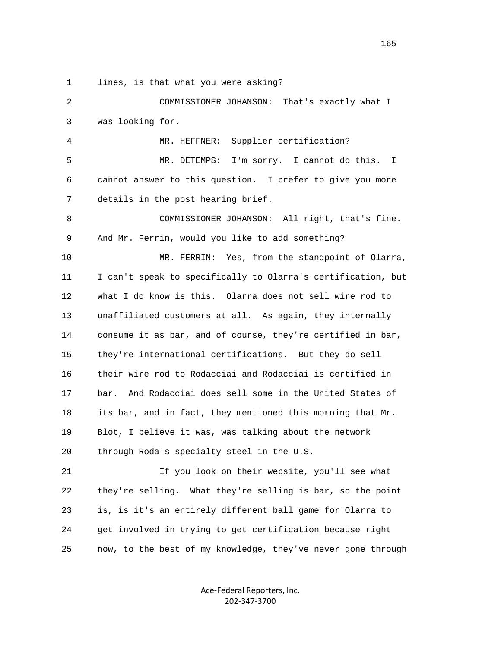1 lines, is that what you were asking?

 2 COMMISSIONER JOHANSON: That's exactly what I 3 was looking for. 4 MR. HEFFNER: Supplier certification? 5 MR. DETEMPS: I'm sorry. I cannot do this. I 6 cannot answer to this question. I prefer to give you more 7 details in the post hearing brief. 8 COMMISSIONER JOHANSON: All right, that's fine. 9 And Mr. Ferrin, would you like to add something? 10 MR. FERRIN: Yes, from the standpoint of Olarra, 11 I can't speak to specifically to Olarra's certification, but 12 what I do know is this. Olarra does not sell wire rod to 13 unaffiliated customers at all. As again, they internally 14 consume it as bar, and of course, they're certified in bar, 15 they're international certifications. But they do sell 16 their wire rod to Rodacciai and Rodacciai is certified in 17 bar. And Rodacciai does sell some in the United States of 18 its bar, and in fact, they mentioned this morning that Mr. 19 Blot, I believe it was, was talking about the network 20 through Roda's specialty steel in the U.S. 21 If you look on their website, you'll see what 22 they're selling. What they're selling is bar, so the point

 23 is, is it's an entirely different ball game for Olarra to 24 get involved in trying to get certification because right 25 now, to the best of my knowledge, they've never gone through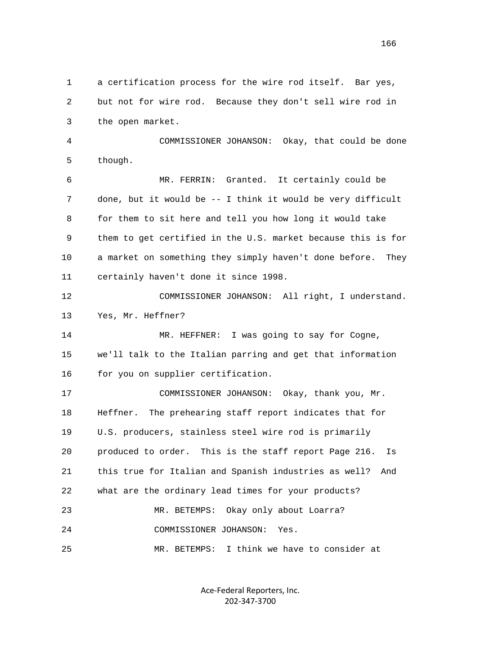1 a certification process for the wire rod itself. Bar yes, 2 but not for wire rod. Because they don't sell wire rod in 3 the open market. 4 COMMISSIONER JOHANSON: Okay, that could be done 5 though. 6 MR. FERRIN: Granted. It certainly could be 7 done, but it would be -- I think it would be very difficult 8 for them to sit here and tell you how long it would take 9 them to get certified in the U.S. market because this is for 10 a market on something they simply haven't done before. They 11 certainly haven't done it since 1998. 12 COMMISSIONER JOHANSON: All right, I understand. 13 Yes, Mr. Heffner? 14 MR. HEFFNER: I was going to say for Cogne, 15 we'll talk to the Italian parring and get that information 16 for you on supplier certification. 17 COMMISSIONER JOHANSON: Okay, thank you, Mr. 18 Heffner. The prehearing staff report indicates that for 19 U.S. producers, stainless steel wire rod is primarily 20 produced to order. This is the staff report Page 216. Is 21 this true for Italian and Spanish industries as well? And 22 what are the ordinary lead times for your products? 23 MR. BETEMPS: Okay only about Loarra? 24 COMMISSIONER JOHANSON: Yes. 25 MR. BETEMPS: I think we have to consider at

> Ace‐Federal Reporters, Inc. 202‐347‐3700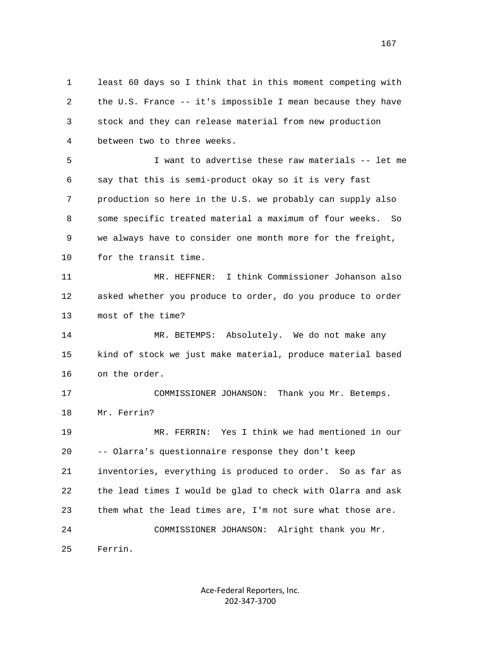1 least 60 days so I think that in this moment competing with 2 the U.S. France -- it's impossible I mean because they have 3 stock and they can release material from new production 4 between two to three weeks.

 5 I want to advertise these raw materials -- let me 6 say that this is semi-product okay so it is very fast 7 production so here in the U.S. we probably can supply also 8 some specific treated material a maximum of four weeks. So 9 we always have to consider one month more for the freight, 10 for the transit time.

 11 MR. HEFFNER: I think Commissioner Johanson also 12 asked whether you produce to order, do you produce to order 13 most of the time?

 14 MR. BETEMPS: Absolutely. We do not make any 15 kind of stock we just make material, produce material based 16 on the order.

 17 COMMISSIONER JOHANSON: Thank you Mr. Betemps. 18 Mr. Ferrin?

 19 MR. FERRIN: Yes I think we had mentioned in our 20 -- Olarra's questionnaire response they don't keep 21 inventories, everything is produced to order. So as far as 22 the lead times I would be glad to check with Olarra and ask 23 them what the lead times are, I'm not sure what those are. 24 COMMISSIONER JOHANSON: Alright thank you Mr. 25 Ferrin.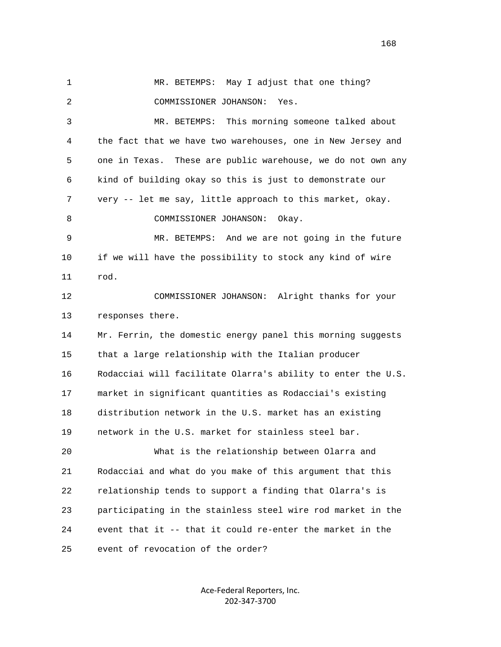1 MR. BETEMPS: May I adjust that one thing? 2 COMMISSIONER JOHANSON: Yes. 3 MR. BETEMPS: This morning someone talked about 4 the fact that we have two warehouses, one in New Jersey and 5 one in Texas. These are public warehouse, we do not own any 6 kind of building okay so this is just to demonstrate our 7 very -- let me say, little approach to this market, okay. 8 COMMISSIONER JOHANSON: Okay. 9 MR. BETEMPS: And we are not going in the future 10 if we will have the possibility to stock any kind of wire 11 rod. 12 COMMISSIONER JOHANSON: Alright thanks for your 13 responses there. 14 Mr. Ferrin, the domestic energy panel this morning suggests 15 that a large relationship with the Italian producer 16 Rodacciai will facilitate Olarra's ability to enter the U.S. 17 market in significant quantities as Rodacciai's existing 18 distribution network in the U.S. market has an existing 19 network in the U.S. market for stainless steel bar. 20 What is the relationship between Olarra and 21 Rodacciai and what do you make of this argument that this 22 relationship tends to support a finding that Olarra's is 23 participating in the stainless steel wire rod market in the 24 event that it -- that it could re-enter the market in the 25 event of revocation of the order?

> Ace‐Federal Reporters, Inc. 202‐347‐3700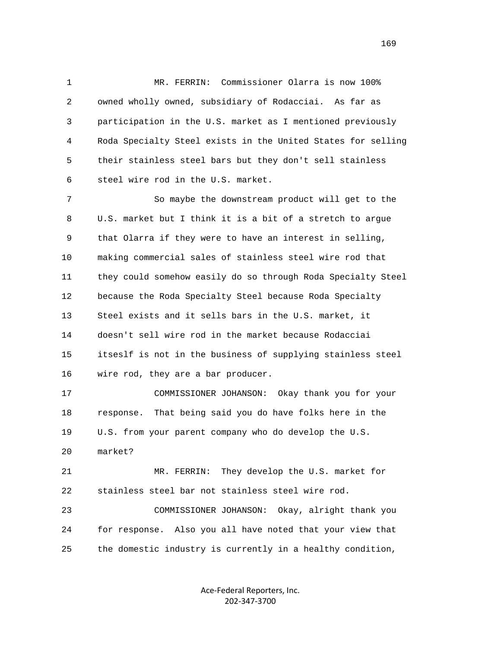1 MR. FERRIN: Commissioner Olarra is now 100% 2 owned wholly owned, subsidiary of Rodacciai. As far as 3 participation in the U.S. market as I mentioned previously 4 Roda Specialty Steel exists in the United States for selling 5 their stainless steel bars but they don't sell stainless 6 steel wire rod in the U.S. market.

 7 So maybe the downstream product will get to the 8 U.S. market but I think it is a bit of a stretch to argue 9 that Olarra if they were to have an interest in selling, 10 making commercial sales of stainless steel wire rod that 11 they could somehow easily do so through Roda Specialty Steel 12 because the Roda Specialty Steel because Roda Specialty 13 Steel exists and it sells bars in the U.S. market, it 14 doesn't sell wire rod in the market because Rodacciai 15 itseslf is not in the business of supplying stainless steel 16 wire rod, they are a bar producer.

 17 COMMISSIONER JOHANSON: Okay thank you for your 18 response. That being said you do have folks here in the 19 U.S. from your parent company who do develop the U.S.

 21 MR. FERRIN: They develop the U.S. market for 22 stainless steel bar not stainless steel wire rod.

20 market?

 23 COMMISSIONER JOHANSON: Okay, alright thank you 24 for response. Also you all have noted that your view that 25 the domestic industry is currently in a healthy condition,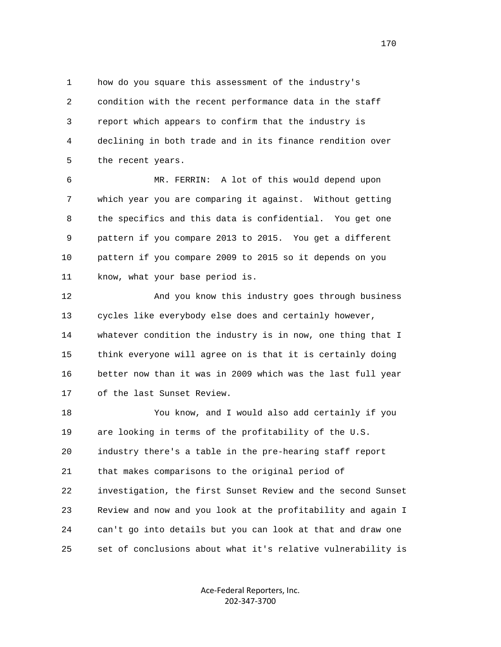1 how do you square this assessment of the industry's 2 condition with the recent performance data in the staff 3 report which appears to confirm that the industry is 4 declining in both trade and in its finance rendition over 5 the recent years.

 6 MR. FERRIN: A lot of this would depend upon 7 which year you are comparing it against. Without getting 8 the specifics and this data is confidential. You get one 9 pattern if you compare 2013 to 2015. You get a different 10 pattern if you compare 2009 to 2015 so it depends on you 11 know, what your base period is.

 12 And you know this industry goes through business 13 cycles like everybody else does and certainly however, 14 whatever condition the industry is in now, one thing that I 15 think everyone will agree on is that it is certainly doing 16 better now than it was in 2009 which was the last full year 17 of the last Sunset Review.

 18 You know, and I would also add certainly if you 19 are looking in terms of the profitability of the U.S. 20 industry there's a table in the pre-hearing staff report 21 that makes comparisons to the original period of 22 investigation, the first Sunset Review and the second Sunset 23 Review and now and you look at the profitability and again I 24 can't go into details but you can look at that and draw one 25 set of conclusions about what it's relative vulnerability is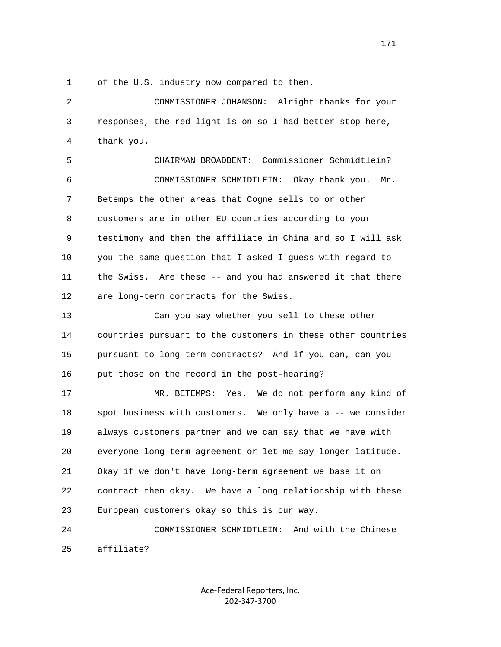1 of the U.S. industry now compared to then.

 2 COMMISSIONER JOHANSON: Alright thanks for your 3 responses, the red light is on so I had better stop here, 4 thank you.

 5 CHAIRMAN BROADBENT: Commissioner Schmidtlein? 6 COMMISSIONER SCHMIDTLEIN: Okay thank you. Mr. 7 Betemps the other areas that Cogne sells to or other 8 customers are in other EU countries according to your 9 testimony and then the affiliate in China and so I will ask 10 you the same question that I asked I guess with regard to 11 the Swiss. Are these -- and you had answered it that there 12 are long-term contracts for the Swiss.

 13 Can you say whether you sell to these other 14 countries pursuant to the customers in these other countries 15 pursuant to long-term contracts? And if you can, can you 16 put those on the record in the post-hearing?

 17 MR. BETEMPS: Yes. We do not perform any kind of 18 spot business with customers. We only have a -- we consider 19 always customers partner and we can say that we have with 20 everyone long-term agreement or let me say longer latitude. 21 Okay if we don't have long-term agreement we base it on 22 contract then okay. We have a long relationship with these 23 European customers okay so this is our way.

 24 COMMISSIONER SCHMIDTLEIN: And with the Chinese 25 affiliate?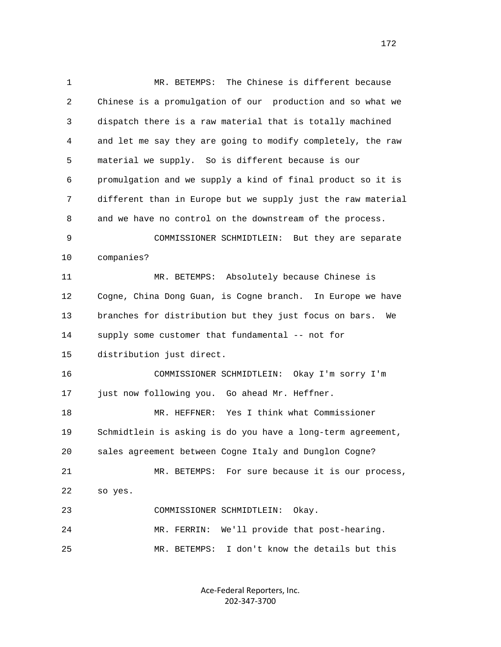1 MR. BETEMPS: The Chinese is different because 2 Chinese is a promulgation of our production and so what we 3 dispatch there is a raw material that is totally machined 4 and let me say they are going to modify completely, the raw 5 material we supply. So is different because is our 6 promulgation and we supply a kind of final product so it is 7 different than in Europe but we supply just the raw material 8 and we have no control on the downstream of the process. 9 COMMISSIONER SCHMIDTLEIN: But they are separate 10 companies? 11 MR. BETEMPS: Absolutely because Chinese is 12 Cogne, China Dong Guan, is Cogne branch. In Europe we have 13 branches for distribution but they just focus on bars. We 14 supply some customer that fundamental -- not for 15 distribution just direct. 16 COMMISSIONER SCHMIDTLEIN: Okay I'm sorry I'm 17 just now following you. Go ahead Mr. Heffner. 18 MR. HEFFNER: Yes I think what Commissioner 19 Schmidtlein is asking is do you have a long-term agreement, 20 sales agreement between Cogne Italy and Dunglon Cogne? 21 MR. BETEMPS: For sure because it is our process, 22 so yes. 23 COMMISSIONER SCHMIDTLEIN: Okay. 24 MR. FERRIN: We'll provide that post-hearing. 25 MR. BETEMPS: I don't know the details but this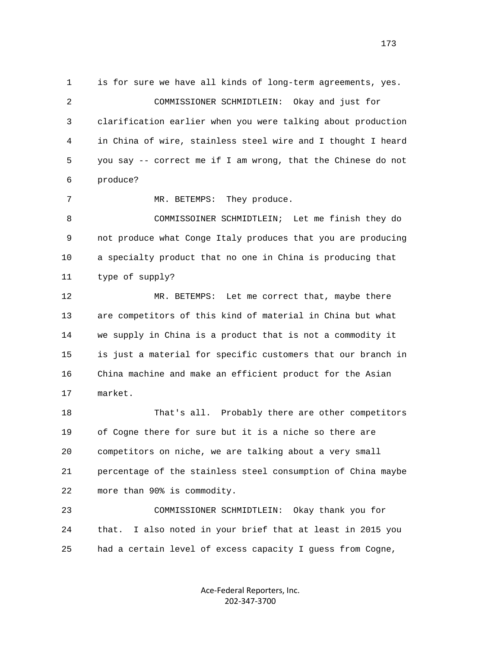1 is for sure we have all kinds of long-term agreements, yes. 2 COMMISSIONER SCHMIDTLEIN: Okay and just for 3 clarification earlier when you were talking about production 4 in China of wire, stainless steel wire and I thought I heard 5 you say -- correct me if I am wrong, that the Chinese do not 6 produce? 7 MR. BETEMPS: They produce. 8 COMMISSOINER SCHMIDTLEIN; Let me finish they do 9 not produce what Conge Italy produces that you are producing 10 a specialty product that no one in China is producing that 11 type of supply? 12 MR. BETEMPS: Let me correct that, maybe there 13 are competitors of this kind of material in China but what 14 we supply in China is a product that is not a commodity it 15 is just a material for specific customers that our branch in 16 China machine and make an efficient product for the Asian 17 market. 18 That's all. Probably there are other competitors 19 of Cogne there for sure but it is a niche so there are 20 competitors on niche, we are talking about a very small

 21 percentage of the stainless steel consumption of China maybe 22 more than 90% is commodity.

 23 COMMISSIONER SCHMIDTLEIN: Okay thank you for 24 that. I also noted in your brief that at least in 2015 you 25 had a certain level of excess capacity I guess from Cogne,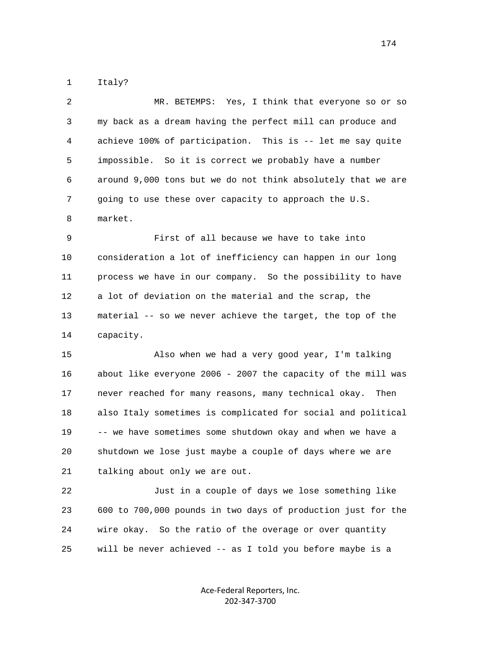1 Italy?

| $\overline{2}$ | MR. BETEMPS: Yes, I think that everyone so or so             |
|----------------|--------------------------------------------------------------|
| 3              | my back as a dream having the perfect mill can produce and   |
| 4              | achieve 100% of participation. This is -- let me say quite   |
| 5              | impossible. So it is correct we probably have a number       |
| 6              | around 9,000 tons but we do not think absolutely that we are |
| 7              | going to use these over capacity to approach the U.S.        |
| 8              | market.                                                      |

 9 First of all because we have to take into 10 consideration a lot of inefficiency can happen in our long 11 process we have in our company. So the possibility to have 12 a lot of deviation on the material and the scrap, the 13 material -- so we never achieve the target, the top of the 14 capacity.

 15 Also when we had a very good year, I'm talking 16 about like everyone 2006 - 2007 the capacity of the mill was 17 never reached for many reasons, many technical okay. Then 18 also Italy sometimes is complicated for social and political 19 -- we have sometimes some shutdown okay and when we have a 20 shutdown we lose just maybe a couple of days where we are 21 talking about only we are out.

 22 Just in a couple of days we lose something like 23 600 to 700,000 pounds in two days of production just for the 24 wire okay. So the ratio of the overage or over quantity 25 will be never achieved -- as I told you before maybe is a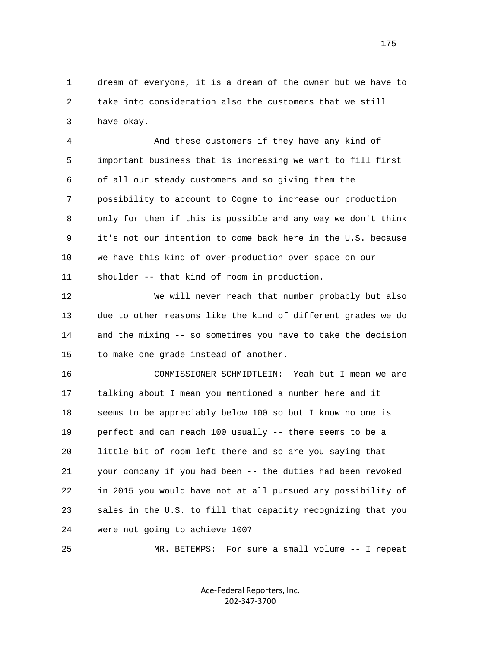1 dream of everyone, it is a dream of the owner but we have to 2 take into consideration also the customers that we still 3 have okay.

 4 And these customers if they have any kind of 5 important business that is increasing we want to fill first 6 of all our steady customers and so giving them the 7 possibility to account to Cogne to increase our production 8 only for them if this is possible and any way we don't think 9 it's not our intention to come back here in the U.S. because 10 we have this kind of over-production over space on our 11 shoulder -- that kind of room in production.

 12 We will never reach that number probably but also 13 due to other reasons like the kind of different grades we do 14 and the mixing -- so sometimes you have to take the decision 15 to make one grade instead of another.

 16 COMMISSIONER SCHMIDTLEIN: Yeah but I mean we are 17 talking about I mean you mentioned a number here and it 18 seems to be appreciably below 100 so but I know no one is 19 perfect and can reach 100 usually -- there seems to be a 20 little bit of room left there and so are you saying that 21 your company if you had been -- the duties had been revoked 22 in 2015 you would have not at all pursued any possibility of 23 sales in the U.S. to fill that capacity recognizing that you 24 were not going to achieve 100?

25 MR. BETEMPS: For sure a small volume -- I repeat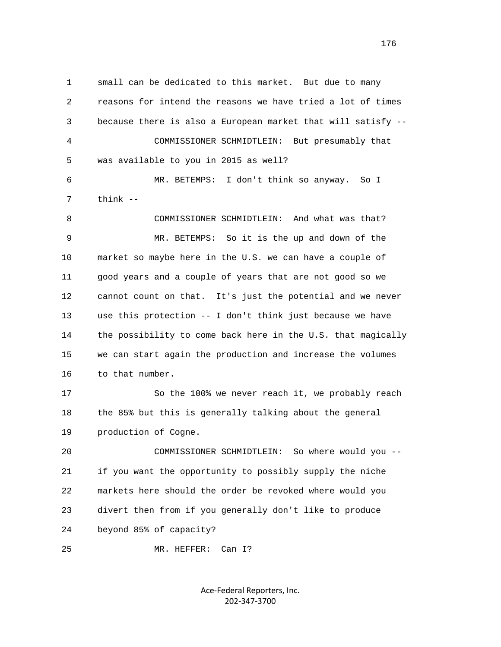1 small can be dedicated to this market. But due to many 2 reasons for intend the reasons we have tried a lot of times 3 because there is also a European market that will satisfy -- 4 COMMISSIONER SCHMIDTLEIN: But presumably that 5 was available to you in 2015 as well? 6 MR. BETEMPS: I don't think so anyway. So I 7 think -- 8 COMMISSIONER SCHMIDTLEIN: And what was that? 9 MR. BETEMPS: So it is the up and down of the 10 market so maybe here in the U.S. we can have a couple of 11 good years and a couple of years that are not good so we 12 cannot count on that. It's just the potential and we never 13 use this protection -- I don't think just because we have 14 the possibility to come back here in the U.S. that magically 15 we can start again the production and increase the volumes 16 to that number. 17 So the 100% we never reach it, we probably reach 18 the 85% but this is generally talking about the general 19 production of Cogne. 20 COMMISSIONER SCHMIDTLEIN: So where would you -- 21 if you want the opportunity to possibly supply the niche 22 markets here should the order be revoked where would you 23 divert then from if you generally don't like to produce 24 beyond 85% of capacity? 25 MR. HEFFER: Can I?

> Ace‐Federal Reporters, Inc. 202‐347‐3700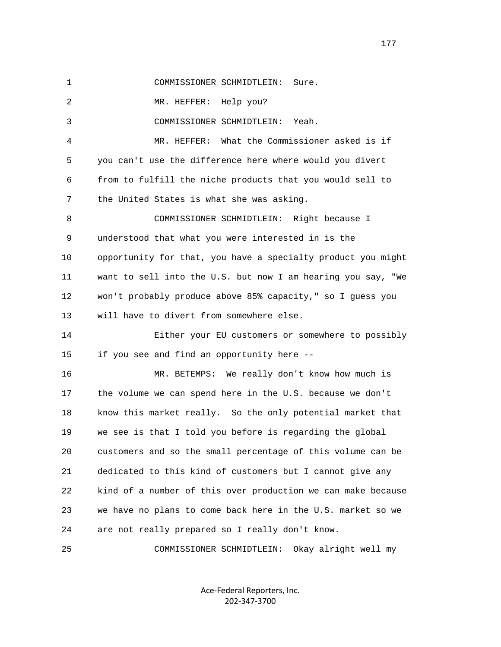1 COMMISSIONER SCHMIDTLEIN: Sure.

2 MR. HEFFER: Help you?

3 COMMISSIONER SCHMIDTLEIN: Yeah.

 4 MR. HEFFER: What the Commissioner asked is if 5 you can't use the difference here where would you divert 6 from to fulfill the niche products that you would sell to 7 the United States is what she was asking.

 8 COMMISSIONER SCHMIDTLEIN: Right because I 9 understood that what you were interested in is the 10 opportunity for that, you have a specialty product you might 11 want to sell into the U.S. but now I am hearing you say, "We 12 won't probably produce above 85% capacity," so I guess you 13 will have to divert from somewhere else.

 14 Either your EU customers or somewhere to possibly 15 if you see and find an opportunity here --

 16 MR. BETEMPS: We really don't know how much is 17 the volume we can spend here in the U.S. because we don't 18 know this market really. So the only potential market that 19 we see is that I told you before is regarding the global 20 customers and so the small percentage of this volume can be 21 dedicated to this kind of customers but I cannot give any 22 kind of a number of this over production we can make because 23 we have no plans to come back here in the U.S. market so we 24 are not really prepared so I really don't know.

25 COMMISSIONER SCHMIDTLEIN: Okay alright well my

Ace‐Federal Reporters, Inc. 202‐347‐3700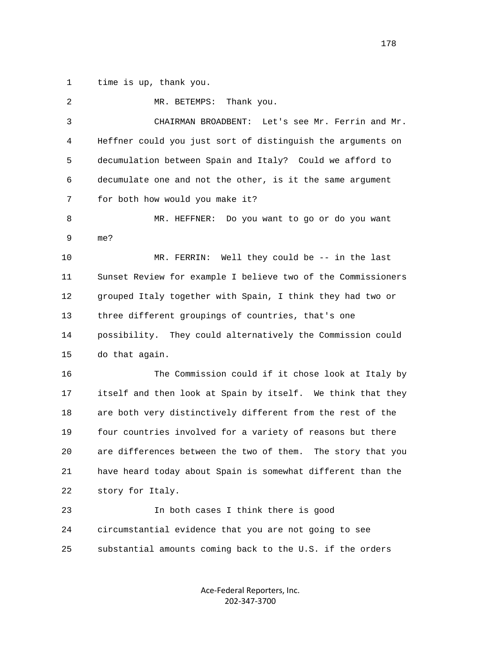1 time is up, thank you.

| 2  | Thank you.<br>MR. BETEMPS:                                     |
|----|----------------------------------------------------------------|
| 3  | CHAIRMAN BROADBENT: Let's see Mr. Ferrin and Mr.               |
| 4  | Heffner could you just sort of distinguish the arguments on    |
| 5  | decumulation between Spain and Italy? Could we afford to       |
| 6  | decumulate one and not the other, is it the same argument      |
| 7  | for both how would you make it?                                |
| 8  | MR. HEFFNER:<br>Do you want to go or do you want               |
| 9  | me?                                                            |
| 10 | MR. FERRIN: Well they could be -- in the last                  |
| 11 | Sunset Review for example I believe two of the Commissioners   |
| 12 | grouped Italy together with Spain, I think they had two or     |
| 13 | three different groupings of countries, that's one             |
| 14 | possibility. They could alternatively the Commission could     |
| 15 | do that again.                                                 |
| 16 | The Commission could if it chose look at Italy by              |
| 17 | itself and then look at Spain by itself. We think that they    |
| 18 | are both very distinctively different from the rest of the     |
| 19 | four countries involved for a variety of reasons but there     |
| 20 | are differences between the two of them.<br>The story that you |
| 21 | have heard today about Spain is somewhat different than the    |
| 22 | story for Italy.                                               |
| 23 | In both cases I think there is good                            |
| 24 | circumstantial evidence that you are not going to see          |
| 25 | substantial amounts coming back to the U.S. if the orders      |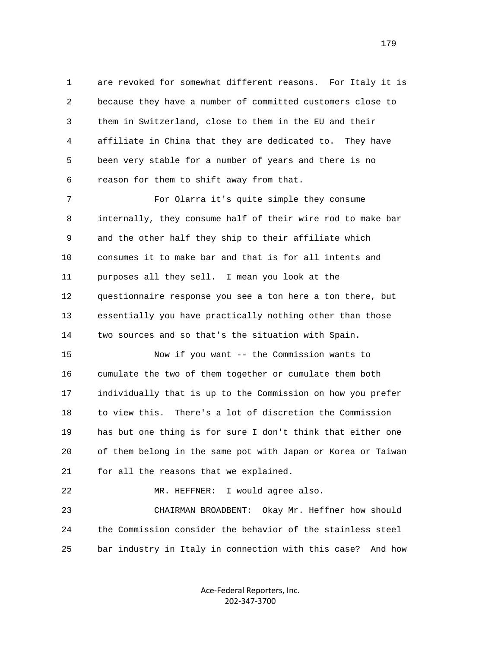1 are revoked for somewhat different reasons. For Italy it is 2 because they have a number of committed customers close to 3 them in Switzerland, close to them in the EU and their 4 affiliate in China that they are dedicated to. They have 5 been very stable for a number of years and there is no 6 reason for them to shift away from that.

 7 For Olarra it's quite simple they consume 8 internally, they consume half of their wire rod to make bar 9 and the other half they ship to their affiliate which 10 consumes it to make bar and that is for all intents and 11 purposes all they sell. I mean you look at the 12 questionnaire response you see a ton here a ton there, but 13 essentially you have practically nothing other than those 14 two sources and so that's the situation with Spain.

 15 Now if you want -- the Commission wants to 16 cumulate the two of them together or cumulate them both 17 individually that is up to the Commission on how you prefer 18 to view this. There's a lot of discretion the Commission 19 has but one thing is for sure I don't think that either one 20 of them belong in the same pot with Japan or Korea or Taiwan 21 for all the reasons that we explained.

 22 MR. HEFFNER: I would agree also. 23 CHAIRMAN BROADBENT: Okay Mr. Heffner how should 24 the Commission consider the behavior of the stainless steel 25 bar industry in Italy in connection with this case? And how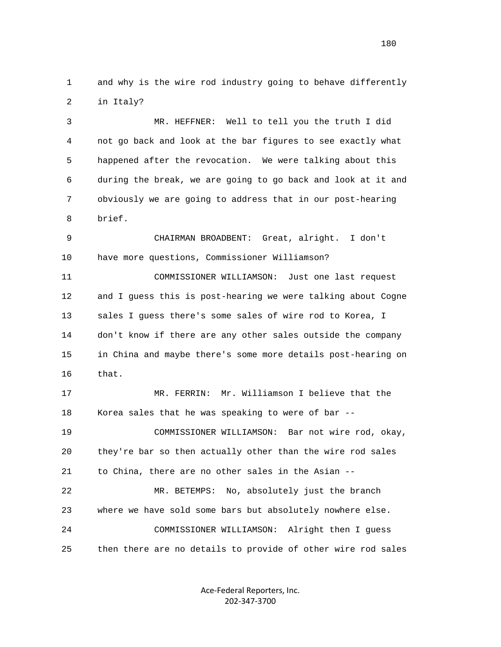1 and why is the wire rod industry going to behave differently 2 in Italy?

 3 MR. HEFFNER: Well to tell you the truth I did 4 not go back and look at the bar figures to see exactly what 5 happened after the revocation. We were talking about this 6 during the break, we are going to go back and look at it and 7 obviously we are going to address that in our post-hearing 8 brief.

 9 CHAIRMAN BROADBENT: Great, alright. I don't 10 have more questions, Commissioner Williamson?

 11 COMMISSIONER WILLIAMSON: Just one last request 12 and I guess this is post-hearing we were talking about Cogne 13 sales I guess there's some sales of wire rod to Korea, I 14 don't know if there are any other sales outside the company 15 in China and maybe there's some more details post-hearing on 16 that.

 17 MR. FERRIN: Mr. Williamson I believe that the 18 Korea sales that he was speaking to were of bar -- 19 COMMISSIONER WILLIAMSON: Bar not wire rod, okay, 20 they're bar so then actually other than the wire rod sales 21 to China, there are no other sales in the Asian -- 22 MR. BETEMPS: No, absolutely just the branch 23 where we have sold some bars but absolutely nowhere else. 24 COMMISSIONER WILLIAMSON: Alright then I guess 25 then there are no details to provide of other wire rod sales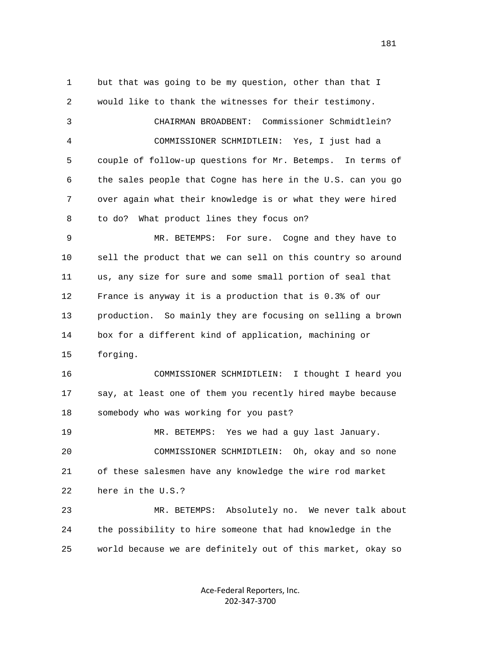1 but that was going to be my question, other than that I 2 would like to thank the witnesses for their testimony. 3 CHAIRMAN BROADBENT: Commissioner Schmidtlein? 4 COMMISSIONER SCHMIDTLEIN: Yes, I just had a 5 couple of follow-up questions for Mr. Betemps. In terms of 6 the sales people that Cogne has here in the U.S. can you go 7 over again what their knowledge is or what they were hired 8 to do? What product lines they focus on? 9 MR. BETEMPS: For sure. Cogne and they have to 10 sell the product that we can sell on this country so around 11 us, any size for sure and some small portion of seal that 12 France is anyway it is a production that is 0.3% of our 13 production. So mainly they are focusing on selling a brown 14 box for a different kind of application, machining or 15 forging. 16 COMMISSIONER SCHMIDTLEIN: I thought I heard you 17 say, at least one of them you recently hired maybe because 18 somebody who was working for you past? 19 MR. BETEMPS: Yes we had a guy last January. 20 COMMISSIONER SCHMIDTLEIN: Oh, okay and so none 21 of these salesmen have any knowledge the wire rod market 22 here in the U.S.? 23 MR. BETEMPS: Absolutely no. We never talk about 24 the possibility to hire someone that had knowledge in the 25 world because we are definitely out of this market, okay so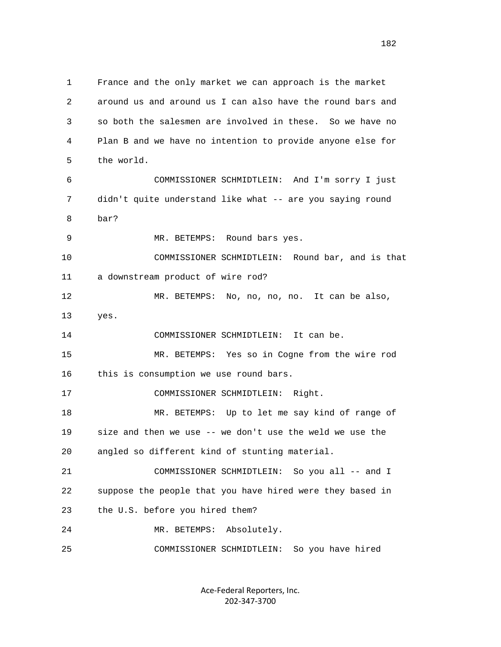1 France and the only market we can approach is the market 2 around us and around us I can also have the round bars and 3 so both the salesmen are involved in these. So we have no 4 Plan B and we have no intention to provide anyone else for 5 the world. 6 COMMISSIONER SCHMIDTLEIN: And I'm sorry I just 7 didn't quite understand like what -- are you saying round 8 bar? 9 MR. BETEMPS: Round bars yes. 10 COMMISSIONER SCHMIDTLEIN: Round bar, and is that 11 a downstream product of wire rod? 12 MR. BETEMPS: No, no, no, no. It can be also, 13 yes. 14 COMMISSIONER SCHMIDTLEIN: It can be. 15 MR. BETEMPS: Yes so in Cogne from the wire rod 16 this is consumption we use round bars. 17 COMMISSIONER SCHMIDTLEIN: Right. 18 MR. BETEMPS: Up to let me say kind of range of 19 size and then we use -- we don't use the weld we use the 20 angled so different kind of stunting material. 21 COMMISSIONER SCHMIDTLEIN: So you all -- and I 22 suppose the people that you have hired were they based in 23 the U.S. before you hired them? 24 MR. BETEMPS: Absolutely. 25 COMMISSIONER SCHMIDTLEIN: So you have hired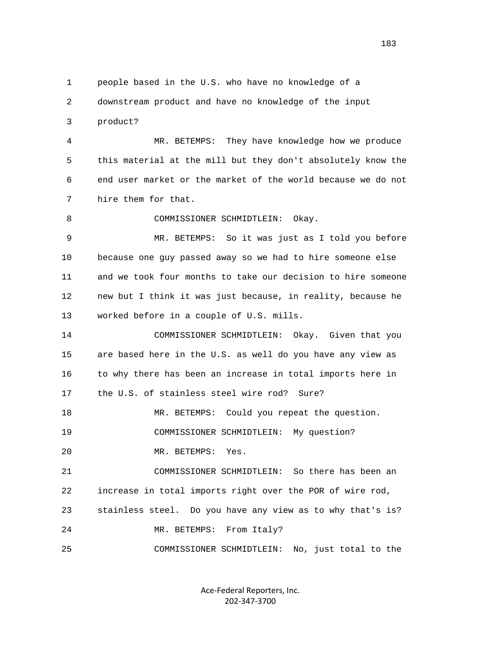1 people based in the U.S. who have no knowledge of a 2 downstream product and have no knowledge of the input 3 product? 4 MR. BETEMPS: They have knowledge how we produce 5 this material at the mill but they don't absolutely know the 6 end user market or the market of the world because we do not 7 hire them for that. 8 COMMISSIONER SCHMIDTLEIN: Okay. 9 MR. BETEMPS: So it was just as I told you before 10 because one guy passed away so we had to hire someone else 11 and we took four months to take our decision to hire someone 12 new but I think it was just because, in reality, because he 13 worked before in a couple of U.S. mills. 14 COMMISSIONER SCHMIDTLEIN: Okay. Given that you 15 are based here in the U.S. as well do you have any view as 16 to why there has been an increase in total imports here in 17 the U.S. of stainless steel wire rod? Sure? 18 MR. BETEMPS: Could you repeat the question. 19 COMMISSIONER SCHMIDTLEIN: My question? 20 MR. BETEMPS: Yes. 21 COMMISSIONER SCHMIDTLEIN: So there has been an 22 increase in total imports right over the POR of wire rod, 23 stainless steel. Do you have any view as to why that's is? 24 MR. BETEMPS: From Italy? 25 COMMISSIONER SCHMIDTLEIN: No, just total to the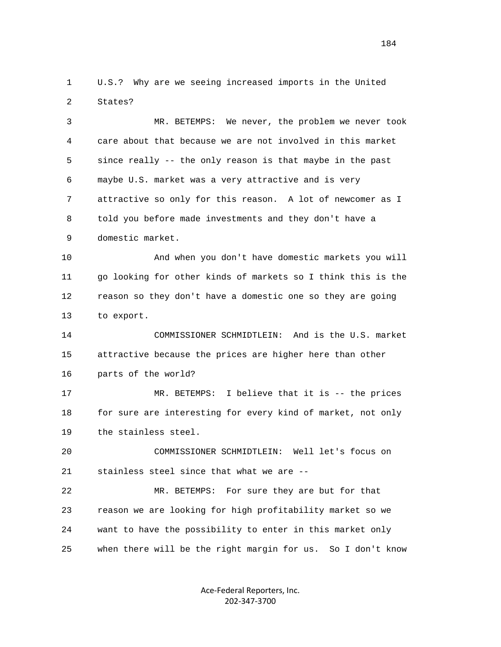1 U.S.? Why are we seeing increased imports in the United 2 States?

 3 MR. BETEMPS: We never, the problem we never took 4 care about that because we are not involved in this market 5 since really -- the only reason is that maybe in the past 6 maybe U.S. market was a very attractive and is very 7 attractive so only for this reason. A lot of newcomer as I 8 told you before made investments and they don't have a 9 domestic market.

 10 And when you don't have domestic markets you will 11 go looking for other kinds of markets so I think this is the 12 reason so they don't have a domestic one so they are going 13 to export.

 14 COMMISSIONER SCHMIDTLEIN: And is the U.S. market 15 attractive because the prices are higher here than other 16 parts of the world?

 17 MR. BETEMPS: I believe that it is -- the prices 18 for sure are interesting for every kind of market, not only 19 the stainless steel.

 20 COMMISSIONER SCHMIDTLEIN: Well let's focus on 21 stainless steel since that what we are --

 22 MR. BETEMPS: For sure they are but for that 23 reason we are looking for high profitability market so we 24 want to have the possibility to enter in this market only 25 when there will be the right margin for us. So I don't know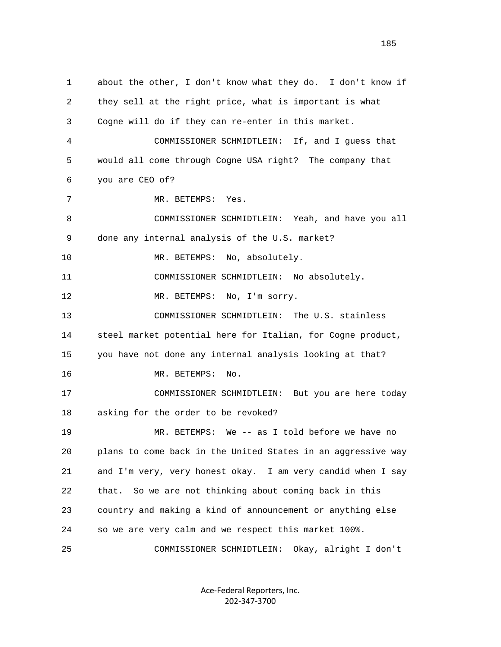1 about the other, I don't know what they do. I don't know if 2 they sell at the right price, what is important is what 3 Cogne will do if they can re-enter in this market. 4 COMMISSIONER SCHMIDTLEIN: If, and I guess that 5 would all come through Cogne USA right? The company that 6 you are CEO of? 7 MR. BETEMPS: Yes. 8 COMMISSIONER SCHMIDTLEIN: Yeah, and have you all 9 done any internal analysis of the U.S. market? 10 MR. BETEMPS: No, absolutely. 11 COMMISSIONER SCHMIDTLEIN: No absolutely. 12 MR. BETEMPS: No, I'm sorry. 13 COMMISSIONER SCHMIDTLEIN: The U.S. stainless 14 steel market potential here for Italian, for Cogne product, 15 you have not done any internal analysis looking at that? 16 MR. BETEMPS: No. 17 COMMISSIONER SCHMIDTLEIN: But you are here today 18 asking for the order to be revoked? 19 MR. BETEMPS: We -- as I told before we have no 20 plans to come back in the United States in an aggressive way 21 and I'm very, very honest okay. I am very candid when I say 22 that. So we are not thinking about coming back in this 23 country and making a kind of announcement or anything else 24 so we are very calm and we respect this market 100%. 25 COMMISSIONER SCHMIDTLEIN: Okay, alright I don't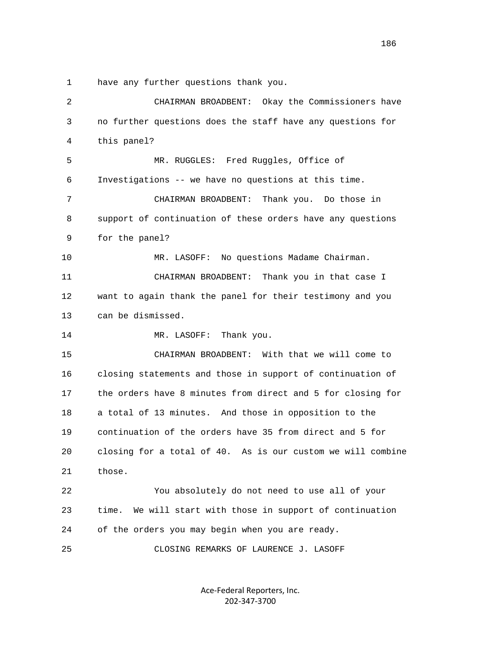1 have any further questions thank you.

 2 CHAIRMAN BROADBENT: Okay the Commissioners have 3 no further questions does the staff have any questions for 4 this panel? 5 MR. RUGGLES: Fred Ruggles, Office of 6 Investigations -- we have no questions at this time. 7 CHAIRMAN BROADBENT: Thank you. Do those in 8 support of continuation of these orders have any questions 9 for the panel? 10 MR. LASOFF: No questions Madame Chairman. 11 CHAIRMAN BROADBENT: Thank you in that case I 12 want to again thank the panel for their testimony and you 13 can be dismissed. 14 MR. LASOFF: Thank you. 15 CHAIRMAN BROADBENT: With that we will come to 16 closing statements and those in support of continuation of 17 the orders have 8 minutes from direct and 5 for closing for 18 a total of 13 minutes. And those in opposition to the 19 continuation of the orders have 35 from direct and 5 for 20 closing for a total of 40. As is our custom we will combine 21 those. 22 You absolutely do not need to use all of your 23 time. We will start with those in support of continuation 24 of the orders you may begin when you are ready. 25 CLOSING REMARKS OF LAURENCE J. LASOFF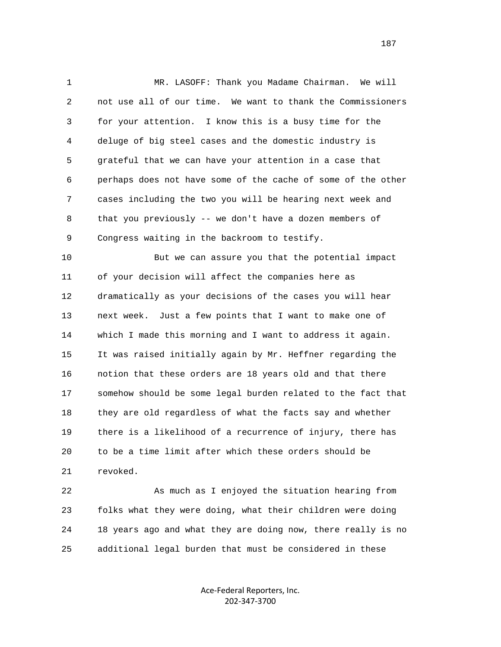1 MR. LASOFF: Thank you Madame Chairman. We will 2 not use all of our time. We want to thank the Commissioners 3 for your attention. I know this is a busy time for the 4 deluge of big steel cases and the domestic industry is 5 grateful that we can have your attention in a case that 6 perhaps does not have some of the cache of some of the other 7 cases including the two you will be hearing next week and 8 that you previously -- we don't have a dozen members of 9 Congress waiting in the backroom to testify.

 10 But we can assure you that the potential impact 11 of your decision will affect the companies here as 12 dramatically as your decisions of the cases you will hear 13 next week. Just a few points that I want to make one of 14 which I made this morning and I want to address it again. 15 It was raised initially again by Mr. Heffner regarding the 16 notion that these orders are 18 years old and that there 17 somehow should be some legal burden related to the fact that 18 they are old regardless of what the facts say and whether 19 there is a likelihood of a recurrence of injury, there has 20 to be a time limit after which these orders should be 21 revoked.

 22 As much as I enjoyed the situation hearing from 23 folks what they were doing, what their children were doing 24 18 years ago and what they are doing now, there really is no 25 additional legal burden that must be considered in these

> Ace‐Federal Reporters, Inc. 202‐347‐3700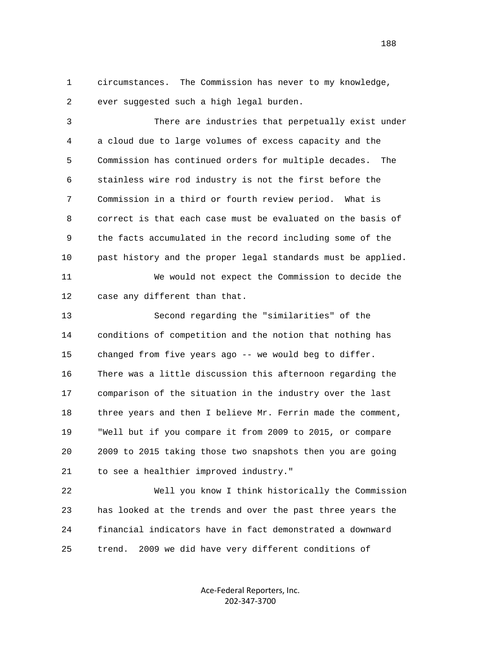1 circumstances. The Commission has never to my knowledge, 2 ever suggested such a high legal burden.

 3 There are industries that perpetually exist under 4 a cloud due to large volumes of excess capacity and the 5 Commission has continued orders for multiple decades. The 6 stainless wire rod industry is not the first before the 7 Commission in a third or fourth review period. What is 8 correct is that each case must be evaluated on the basis of 9 the facts accumulated in the record including some of the 10 past history and the proper legal standards must be applied.

 11 We would not expect the Commission to decide the 12 case any different than that.

 13 Second regarding the "similarities" of the 14 conditions of competition and the notion that nothing has 15 changed from five years ago -- we would beg to differ. 16 There was a little discussion this afternoon regarding the 17 comparison of the situation in the industry over the last 18 three years and then I believe Mr. Ferrin made the comment, 19 "Well but if you compare it from 2009 to 2015, or compare 20 2009 to 2015 taking those two snapshots then you are going 21 to see a healthier improved industry."

 22 Well you know I think historically the Commission 23 has looked at the trends and over the past three years the 24 financial indicators have in fact demonstrated a downward 25 trend. 2009 we did have very different conditions of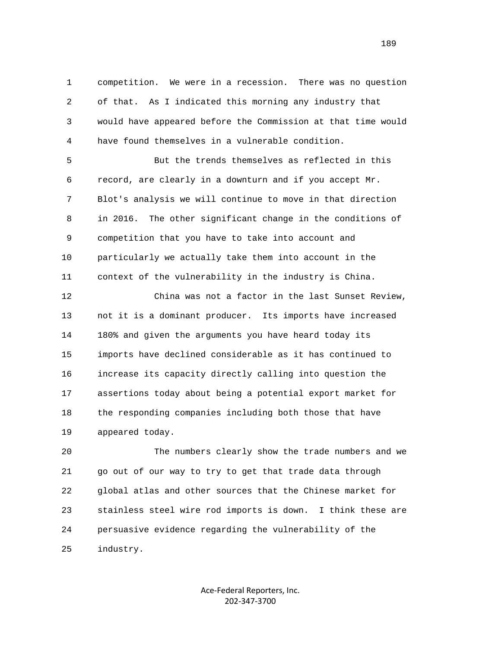1 competition. We were in a recession. There was no question 2 of that. As I indicated this morning any industry that 3 would have appeared before the Commission at that time would 4 have found themselves in a vulnerable condition.

 5 But the trends themselves as reflected in this 6 record, are clearly in a downturn and if you accept Mr. 7 Blot's analysis we will continue to move in that direction 8 in 2016. The other significant change in the conditions of 9 competition that you have to take into account and 10 particularly we actually take them into account in the 11 context of the vulnerability in the industry is China.

 12 China was not a factor in the last Sunset Review, 13 not it is a dominant producer. Its imports have increased 14 180% and given the arguments you have heard today its 15 imports have declined considerable as it has continued to 16 increase its capacity directly calling into question the 17 assertions today about being a potential export market for 18 the responding companies including both those that have 19 appeared today.

 20 The numbers clearly show the trade numbers and we 21 go out of our way to try to get that trade data through 22 global atlas and other sources that the Chinese market for 23 stainless steel wire rod imports is down. I think these are 24 persuasive evidence regarding the vulnerability of the 25 industry.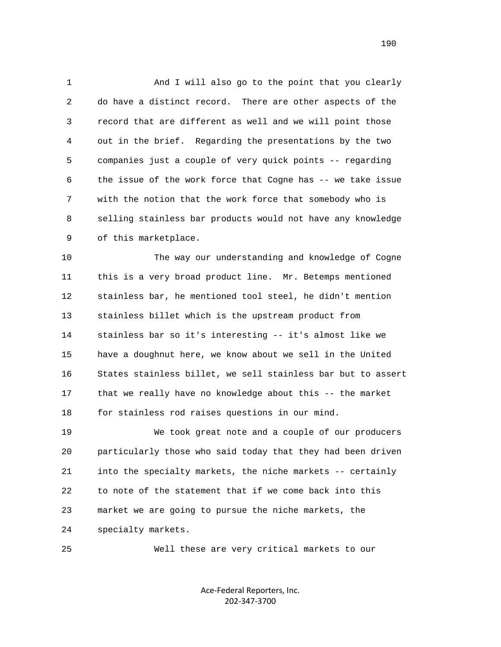1 And I will also go to the point that you clearly 2 do have a distinct record. There are other aspects of the 3 record that are different as well and we will point those 4 out in the brief. Regarding the presentations by the two 5 companies just a couple of very quick points -- regarding 6 the issue of the work force that Cogne has -- we take issue 7 with the notion that the work force that somebody who is 8 selling stainless bar products would not have any knowledge 9 of this marketplace.

 10 The way our understanding and knowledge of Cogne 11 this is a very broad product line. Mr. Betemps mentioned 12 stainless bar, he mentioned tool steel, he didn't mention 13 stainless billet which is the upstream product from 14 stainless bar so it's interesting -- it's almost like we 15 have a doughnut here, we know about we sell in the United 16 States stainless billet, we sell stainless bar but to assert 17 that we really have no knowledge about this -- the market 18 for stainless rod raises questions in our mind.

 19 We took great note and a couple of our producers 20 particularly those who said today that they had been driven 21 into the specialty markets, the niche markets -- certainly 22 to note of the statement that if we come back into this 23 market we are going to pursue the niche markets, the 24 specialty markets.

25 Well these are very critical markets to our

Ace‐Federal Reporters, Inc. 202‐347‐3700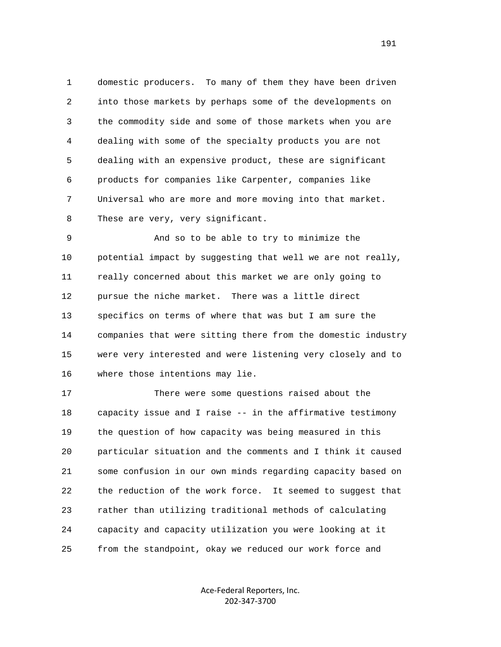1 domestic producers. To many of them they have been driven 2 into those markets by perhaps some of the developments on 3 the commodity side and some of those markets when you are 4 dealing with some of the specialty products you are not 5 dealing with an expensive product, these are significant 6 products for companies like Carpenter, companies like 7 Universal who are more and more moving into that market. 8 These are very, very significant.

 9 And so to be able to try to minimize the 10 potential impact by suggesting that well we are not really, 11 really concerned about this market we are only going to 12 pursue the niche market. There was a little direct 13 specifics on terms of where that was but I am sure the 14 companies that were sitting there from the domestic industry 15 were very interested and were listening very closely and to 16 where those intentions may lie.

 17 There were some questions raised about the 18 capacity issue and I raise -- in the affirmative testimony 19 the question of how capacity was being measured in this 20 particular situation and the comments and I think it caused 21 some confusion in our own minds regarding capacity based on 22 the reduction of the work force. It seemed to suggest that 23 rather than utilizing traditional methods of calculating 24 capacity and capacity utilization you were looking at it 25 from the standpoint, okay we reduced our work force and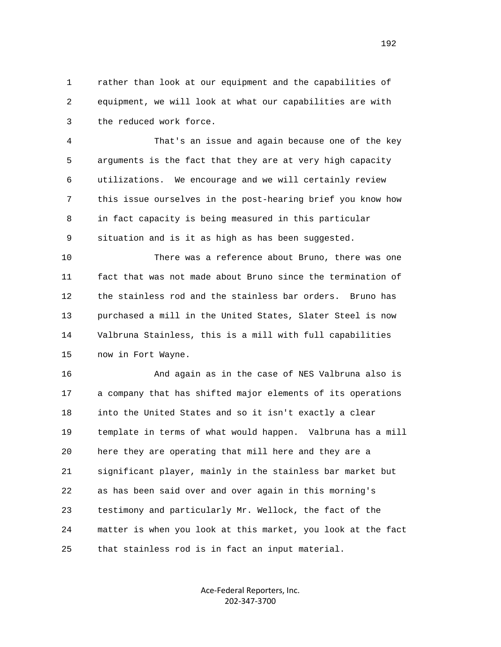1 rather than look at our equipment and the capabilities of 2 equipment, we will look at what our capabilities are with 3 the reduced work force.

 4 That's an issue and again because one of the key 5 arguments is the fact that they are at very high capacity 6 utilizations. We encourage and we will certainly review 7 this issue ourselves in the post-hearing brief you know how 8 in fact capacity is being measured in this particular 9 situation and is it as high as has been suggested.

 10 There was a reference about Bruno, there was one 11 fact that was not made about Bruno since the termination of 12 the stainless rod and the stainless bar orders. Bruno has 13 purchased a mill in the United States, Slater Steel is now 14 Valbruna Stainless, this is a mill with full capabilities 15 now in Fort Wayne.

 16 And again as in the case of NES Valbruna also is 17 a company that has shifted major elements of its operations 18 into the United States and so it isn't exactly a clear 19 template in terms of what would happen. Valbruna has a mill 20 here they are operating that mill here and they are a 21 significant player, mainly in the stainless bar market but 22 as has been said over and over again in this morning's 23 testimony and particularly Mr. Wellock, the fact of the 24 matter is when you look at this market, you look at the fact 25 that stainless rod is in fact an input material.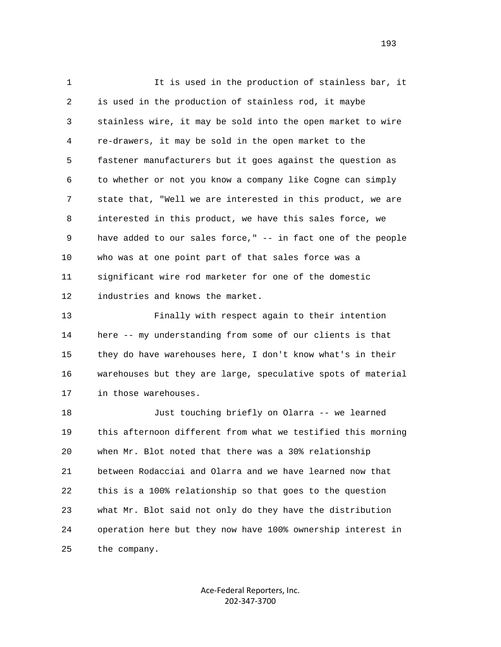1 It is used in the production of stainless bar, it 2 is used in the production of stainless rod, it maybe 3 stainless wire, it may be sold into the open market to wire 4 re-drawers, it may be sold in the open market to the 5 fastener manufacturers but it goes against the question as 6 to whether or not you know a company like Cogne can simply 7 state that, "Well we are interested in this product, we are 8 interested in this product, we have this sales force, we 9 have added to our sales force," -- in fact one of the people 10 who was at one point part of that sales force was a 11 significant wire rod marketer for one of the domestic 12 industries and knows the market.

 13 Finally with respect again to their intention 14 here -- my understanding from some of our clients is that 15 they do have warehouses here, I don't know what's in their 16 warehouses but they are large, speculative spots of material 17 in those warehouses.

 18 Just touching briefly on Olarra -- we learned 19 this afternoon different from what we testified this morning 20 when Mr. Blot noted that there was a 30% relationship 21 between Rodacciai and Olarra and we have learned now that 22 this is a 100% relationship so that goes to the question 23 what Mr. Blot said not only do they have the distribution 24 operation here but they now have 100% ownership interest in 25 the company.

> Ace‐Federal Reporters, Inc. 202‐347‐3700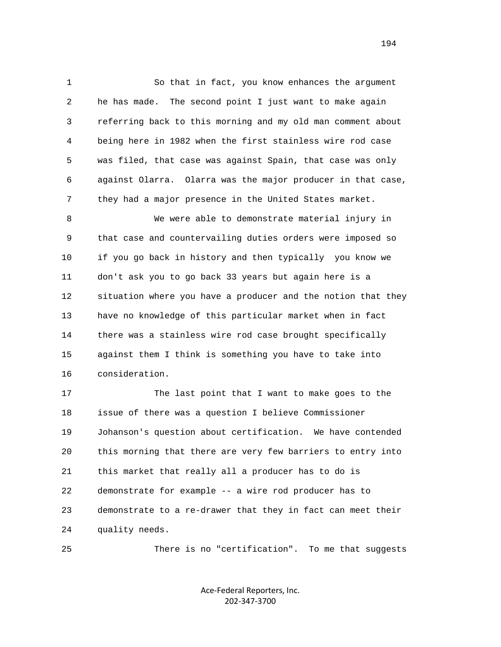1 So that in fact, you know enhances the argument 2 he has made. The second point I just want to make again 3 referring back to this morning and my old man comment about 4 being here in 1982 when the first stainless wire rod case 5 was filed, that case was against Spain, that case was only 6 against Olarra. Olarra was the major producer in that case, 7 they had a major presence in the United States market.

 8 We were able to demonstrate material injury in 9 that case and countervailing duties orders were imposed so 10 if you go back in history and then typically you know we 11 don't ask you to go back 33 years but again here is a 12 situation where you have a producer and the notion that they 13 have no knowledge of this particular market when in fact 14 there was a stainless wire rod case brought specifically 15 against them I think is something you have to take into 16 consideration.

 17 The last point that I want to make goes to the 18 issue of there was a question I believe Commissioner 19 Johanson's question about certification. We have contended 20 this morning that there are very few barriers to entry into 21 this market that really all a producer has to do is 22 demonstrate for example -- a wire rod producer has to 23 demonstrate to a re-drawer that they in fact can meet their 24 quality needs.

25 There is no "certification". To me that suggests

Ace‐Federal Reporters, Inc. 202‐347‐3700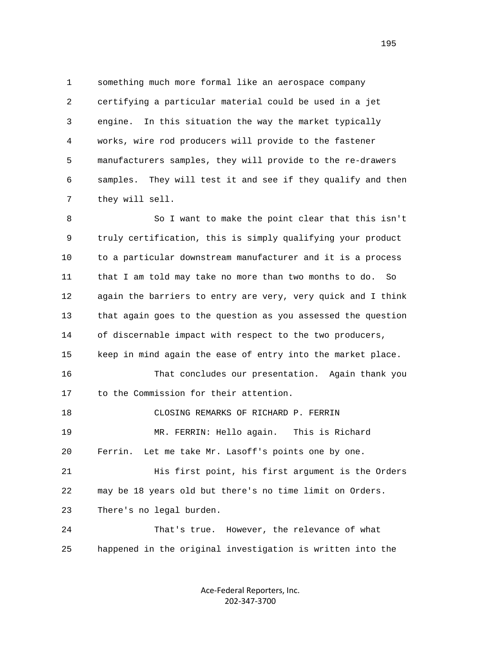1 something much more formal like an aerospace company 2 certifying a particular material could be used in a jet 3 engine. In this situation the way the market typically 4 works, wire rod producers will provide to the fastener 5 manufacturers samples, they will provide to the re-drawers 6 samples. They will test it and see if they qualify and then 7 they will sell.

 8 So I want to make the point clear that this isn't 9 truly certification, this is simply qualifying your product 10 to a particular downstream manufacturer and it is a process 11 that I am told may take no more than two months to do. So 12 again the barriers to entry are very, very quick and I think 13 that again goes to the question as you assessed the question 14 of discernable impact with respect to the two producers, 15 keep in mind again the ease of entry into the market place. 16 That concludes our presentation. Again thank you 17 to the Commission for their attention. 18 CLOSING REMARKS OF RICHARD P. FERRIN 19 MR. FERRIN: Hello again. This is Richard 20 Ferrin. Let me take Mr. Lasoff's points one by one. 21 His first point, his first argument is the Orders 22 may be 18 years old but there's no time limit on Orders. 23 There's no legal burden. 24 That's true. However, the relevance of what 25 happened in the original investigation is written into the

> Ace‐Federal Reporters, Inc. 202‐347‐3700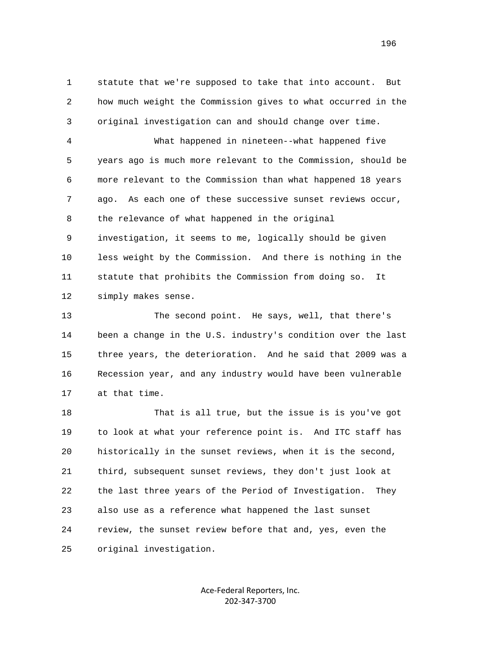1 statute that we're supposed to take that into account. But 2 how much weight the Commission gives to what occurred in the 3 original investigation can and should change over time.

 4 What happened in nineteen--what happened five 5 years ago is much more relevant to the Commission, should be 6 more relevant to the Commission than what happened 18 years 7 ago. As each one of these successive sunset reviews occur, 8 the relevance of what happened in the original 9 investigation, it seems to me, logically should be given

 10 less weight by the Commission. And there is nothing in the 11 statute that prohibits the Commission from doing so. It 12 simply makes sense.

 13 The second point. He says, well, that there's 14 been a change in the U.S. industry's condition over the last 15 three years, the deterioration. And he said that 2009 was a 16 Recession year, and any industry would have been vulnerable 17 at that time.

 18 That is all true, but the issue is is you've got 19 to look at what your reference point is. And ITC staff has 20 historically in the sunset reviews, when it is the second, 21 third, subsequent sunset reviews, they don't just look at 22 the last three years of the Period of Investigation. They 23 also use as a reference what happened the last sunset 24 review, the sunset review before that and, yes, even the 25 original investigation.

> Ace‐Federal Reporters, Inc. 202‐347‐3700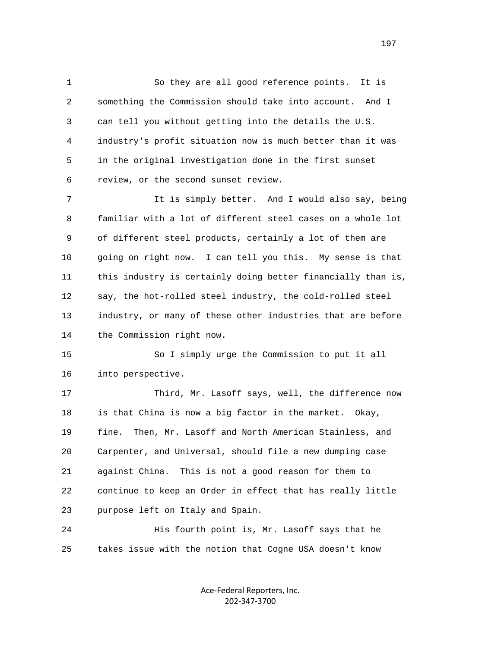1 So they are all good reference points. It is 2 something the Commission should take into account. And I 3 can tell you without getting into the details the U.S. 4 industry's profit situation now is much better than it was 5 in the original investigation done in the first sunset 6 review, or the second sunset review.

 7 It is simply better. And I would also say, being 8 familiar with a lot of different steel cases on a whole lot 9 of different steel products, certainly a lot of them are 10 going on right now. I can tell you this. My sense is that 11 this industry is certainly doing better financially than is, 12 say, the hot-rolled steel industry, the cold-rolled steel 13 industry, or many of these other industries that are before 14 the Commission right now.

 15 So I simply urge the Commission to put it all 16 into perspective.

 17 Third, Mr. Lasoff says, well, the difference now 18 is that China is now a big factor in the market. Okay, 19 fine. Then, Mr. Lasoff and North American Stainless, and 20 Carpenter, and Universal, should file a new dumping case 21 against China. This is not a good reason for them to 22 continue to keep an Order in effect that has really little 23 purpose left on Italy and Spain.

 24 His fourth point is, Mr. Lasoff says that he 25 takes issue with the notion that Cogne USA doesn't know

> Ace‐Federal Reporters, Inc. 202‐347‐3700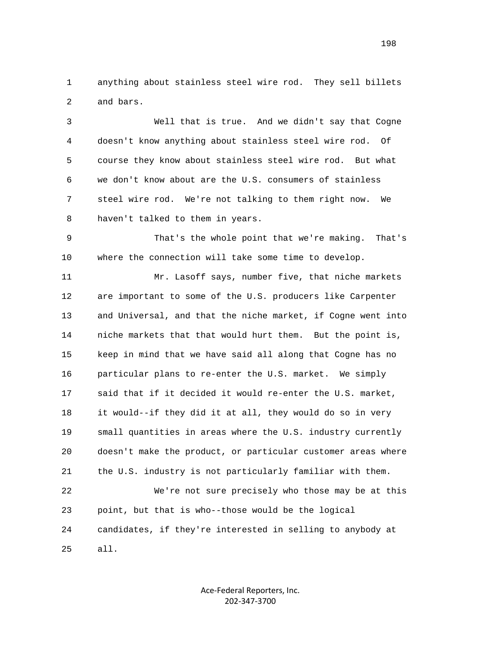1 anything about stainless steel wire rod. They sell billets 2 and bars.

 3 Well that is true. And we didn't say that Cogne 4 doesn't know anything about stainless steel wire rod. Of 5 course they know about stainless steel wire rod. But what 6 we don't know about are the U.S. consumers of stainless 7 steel wire rod. We're not talking to them right now. We 8 haven't talked to them in years.

 9 That's the whole point that we're making. That's 10 where the connection will take some time to develop.

 11 Mr. Lasoff says, number five, that niche markets 12 are important to some of the U.S. producers like Carpenter 13 and Universal, and that the niche market, if Cogne went into 14 niche markets that that would hurt them. But the point is, 15 keep in mind that we have said all along that Cogne has no 16 particular plans to re-enter the U.S. market. We simply 17 said that if it decided it would re-enter the U.S. market, 18 it would--if they did it at all, they would do so in very 19 small quantities in areas where the U.S. industry currently 20 doesn't make the product, or particular customer areas where 21 the U.S. industry is not particularly familiar with them. 22 We're not sure precisely who those may be at this 23 point, but that is who--those would be the logical 24 candidates, if they're interested in selling to anybody at

> Ace‐Federal Reporters, Inc. 202‐347‐3700

25 all.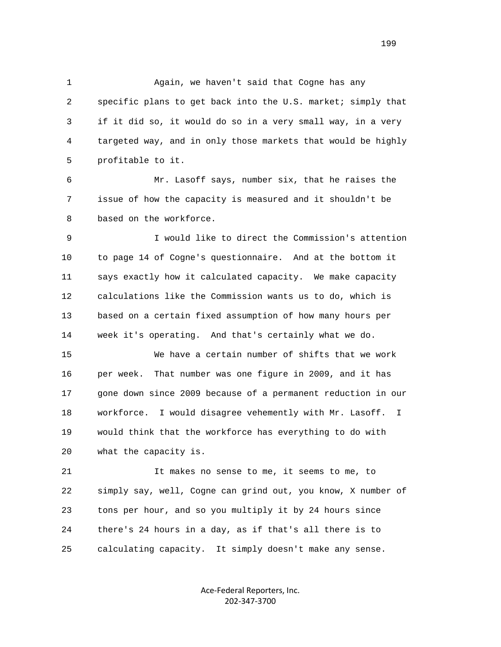1 Again, we haven't said that Cogne has any 2 specific plans to get back into the U.S. market; simply that 3 if it did so, it would do so in a very small way, in a very 4 targeted way, and in only those markets that would be highly 5 profitable to it.

 6 Mr. Lasoff says, number six, that he raises the 7 issue of how the capacity is measured and it shouldn't be 8 based on the workforce.

 9 I would like to direct the Commission's attention 10 to page 14 of Cogne's questionnaire. And at the bottom it 11 says exactly how it calculated capacity. We make capacity 12 calculations like the Commission wants us to do, which is 13 based on a certain fixed assumption of how many hours per 14 week it's operating. And that's certainly what we do.

 15 We have a certain number of shifts that we work 16 per week. That number was one figure in 2009, and it has 17 gone down since 2009 because of a permanent reduction in our 18 workforce. I would disagree vehemently with Mr. Lasoff. I 19 would think that the workforce has everything to do with 20 what the capacity is.

 21 It makes no sense to me, it seems to me, to 22 simply say, well, Cogne can grind out, you know, X number of 23 tons per hour, and so you multiply it by 24 hours since 24 there's 24 hours in a day, as if that's all there is to 25 calculating capacity. It simply doesn't make any sense.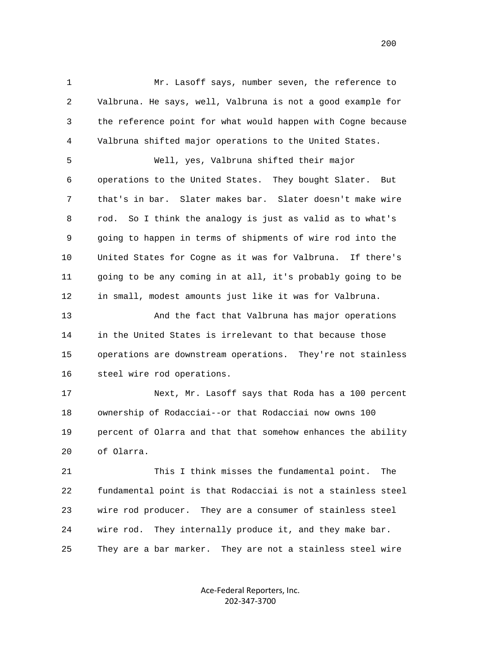1 Mr. Lasoff says, number seven, the reference to 2 Valbruna. He says, well, Valbruna is not a good example for 3 the reference point for what would happen with Cogne because 4 Valbruna shifted major operations to the United States.

 5 Well, yes, Valbruna shifted their major 6 operations to the United States. They bought Slater. But 7 that's in bar. Slater makes bar. Slater doesn't make wire 8 rod. So I think the analogy is just as valid as to what's 9 going to happen in terms of shipments of wire rod into the 10 United States for Cogne as it was for Valbruna. If there's 11 going to be any coming in at all, it's probably going to be 12 in small, modest amounts just like it was for Valbruna.

 13 And the fact that Valbruna has major operations 14 in the United States is irrelevant to that because those 15 operations are downstream operations. They're not stainless 16 steel wire rod operations.

 17 Next, Mr. Lasoff says that Roda has a 100 percent 18 ownership of Rodacciai--or that Rodacciai now owns 100 19 percent of Olarra and that that somehow enhances the ability 20 of Olarra.

 21 This I think misses the fundamental point. The 22 fundamental point is that Rodacciai is not a stainless steel 23 wire rod producer. They are a consumer of stainless steel 24 wire rod. They internally produce it, and they make bar. 25 They are a bar marker. They are not a stainless steel wire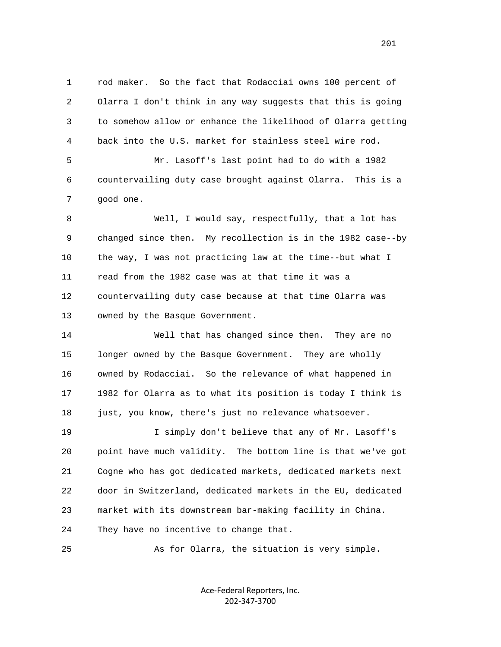1 rod maker. So the fact that Rodacciai owns 100 percent of 2 Olarra I don't think in any way suggests that this is going 3 to somehow allow or enhance the likelihood of Olarra getting 4 back into the U.S. market for stainless steel wire rod.

 5 Mr. Lasoff's last point had to do with a 1982 6 countervailing duty case brought against Olarra. This is a 7 good one.

 8 Well, I would say, respectfully, that a lot has 9 changed since then. My recollection is in the 1982 case--by 10 the way, I was not practicing law at the time--but what I 11 read from the 1982 case was at that time it was a 12 countervailing duty case because at that time Olarra was 13 owned by the Basque Government.

 14 Well that has changed since then. They are no 15 longer owned by the Basque Government. They are wholly 16 owned by Rodacciai. So the relevance of what happened in 17 1982 for Olarra as to what its position is today I think is 18 just, you know, there's just no relevance whatsoever.

 19 I simply don't believe that any of Mr. Lasoff's 20 point have much validity. The bottom line is that we've got 21 Cogne who has got dedicated markets, dedicated markets next 22 door in Switzerland, dedicated markets in the EU, dedicated 23 market with its downstream bar-making facility in China. 24 They have no incentive to change that.

25 As for Olarra, the situation is very simple.

Ace‐Federal Reporters, Inc. 202‐347‐3700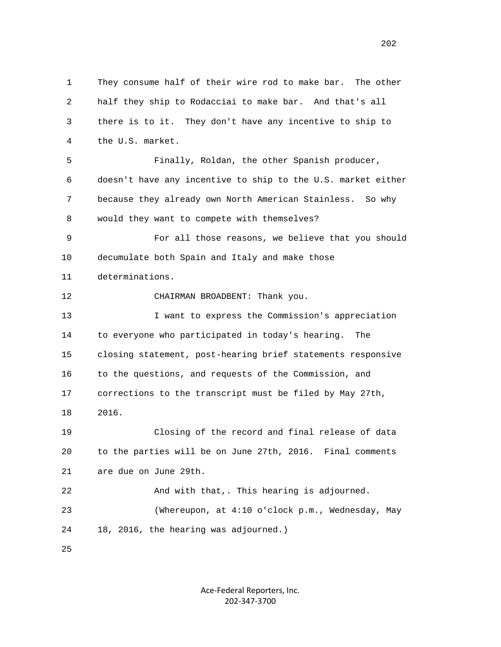1 They consume half of their wire rod to make bar. The other 2 half they ship to Rodacciai to make bar. And that's all 3 there is to it. They don't have any incentive to ship to 4 the U.S. market. 5 Finally, Roldan, the other Spanish producer, 6 doesn't have any incentive to ship to the U.S. market either 7 because they already own North American Stainless. So why 8 would they want to compete with themselves? 9 For all those reasons, we believe that you should 10 decumulate both Spain and Italy and make those 11 determinations. 12 CHAIRMAN BROADBENT: Thank you. 13 I want to express the Commission's appreciation 14 to everyone who participated in today's hearing. The 15 closing statement, post-hearing brief statements responsive 16 to the questions, and requests of the Commission, and 17 corrections to the transcript must be filed by May 27th, 18 2016. 19 Closing of the record and final release of data 20 to the parties will be on June 27th, 2016. Final comments 21 are due on June 29th. 22 And with that,. This hearing is adjourned. 23 (Whereupon, at 4:10 o'clock p.m., Wednesday, May 24 18, 2016, the hearing was adjourned.) 25